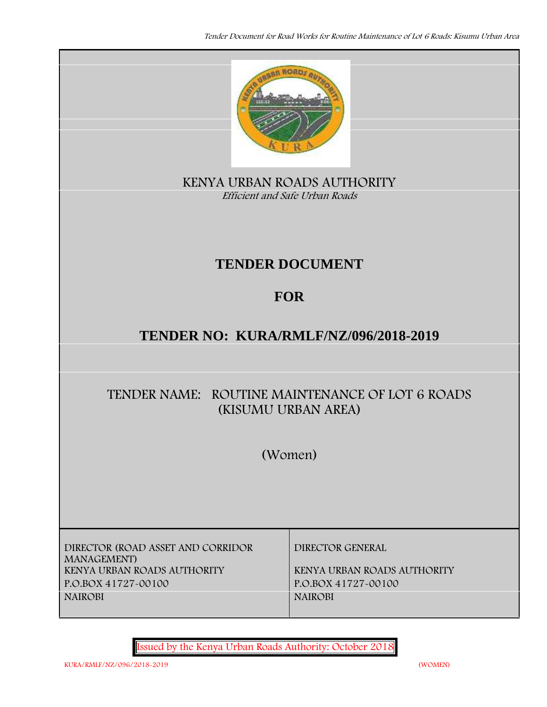

**KENYA URBAN ROADS AUTHORITY** *Efficient and Safe Urban Roads*

# **TENDER DOCUMENT**

# **FOR**

# **TENDER NO: KURA/RMLF/NZ/096/2018-2019**

# **TENDER NAME: ROUTINE MAINTENANCE OF LOT 6 ROADS (KISUMU URBAN AREA)**

**(Women)**

**DIRECTOR (ROAD ASSET AND CORRIDOR MANAGEMENT) KENYA URBAN ROADS AUTHORITY KENYA URBAN ROADS AUTHORITY P.O.BOX 41727-00100 P.O.BOX 41727-00100 NAIROBI NAIROBI**

**DIRECTOR GENERAL**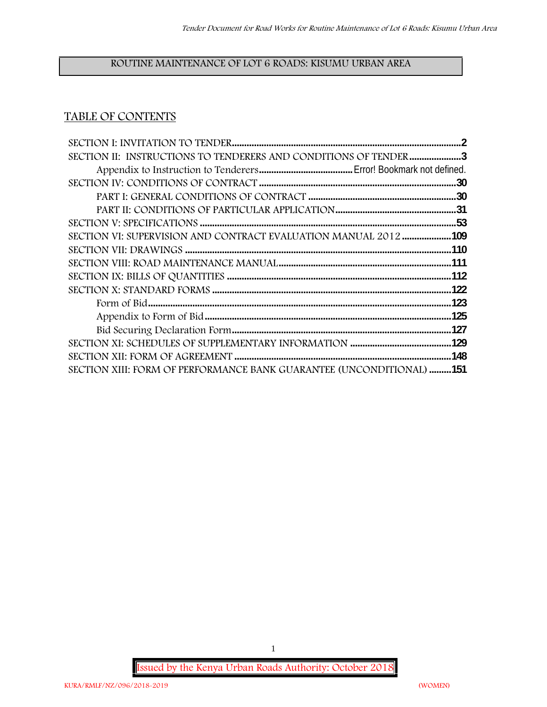# **ROUTINE MAINTENANCE OF LOT 6 ROADS: KISUMU URBAN AREA**

# **TABLE OF CONTENTS**

|      | SECTION II: INSTRUCTIONS TO TENDERERS AND CONDITIONS OF TENDER 3            |
|------|-----------------------------------------------------------------------------|
|      |                                                                             |
|      |                                                                             |
|      |                                                                             |
|      |                                                                             |
|      |                                                                             |
|      | SECTION VI: SUPERVISION AND CONTRACT EVALUATION MANUAL 2012 109             |
|      |                                                                             |
|      |                                                                             |
|      |                                                                             |
|      |                                                                             |
| .123 |                                                                             |
|      |                                                                             |
|      |                                                                             |
|      |                                                                             |
|      |                                                                             |
|      | <b>SECTION XIII: FORM OF PERFORMANCE BANK GUARANTEE (UNCONDITIONAL) 151</b> |

**Issued by the Kenya Urban Roads Authority: October 2018**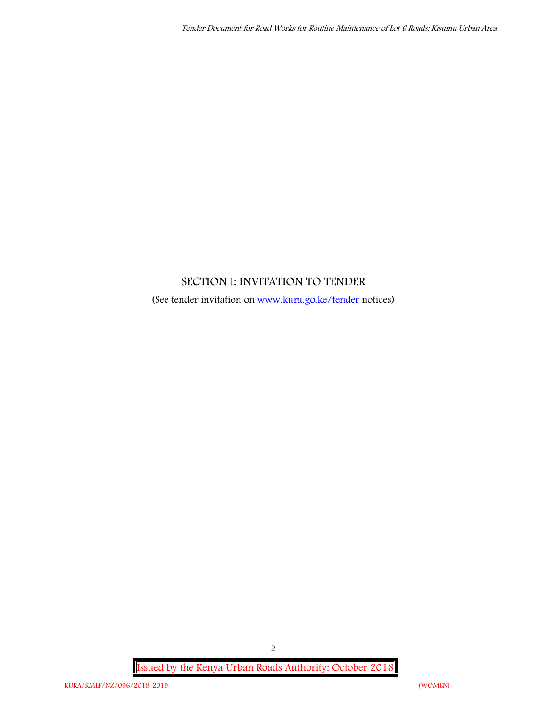# **SECTION I: INVITATION TO TENDER**

(See tender invitation on www.kura.go.ke/tender notices)

**Issued by the Kenya Urban Roads Authority: October 2018**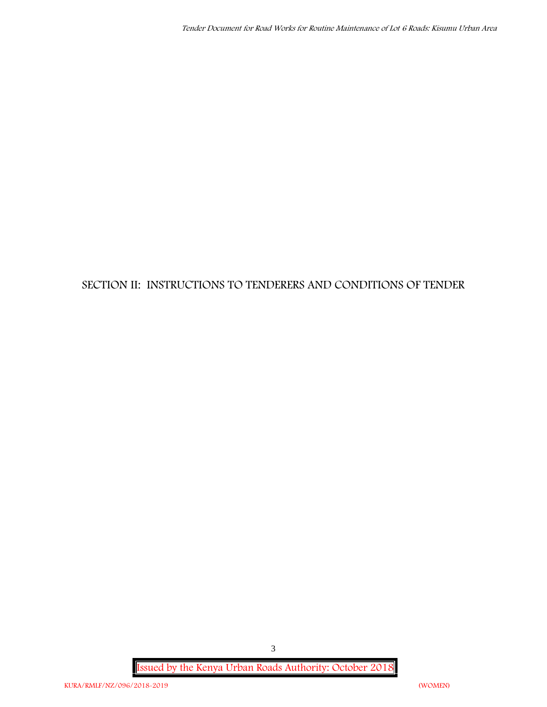# **SECTION II: INSTRUCTIONS TO TENDERERS AND CONDITIONS OF TENDER**

**Issued by the Kenya Urban Roads Authority: October 2018**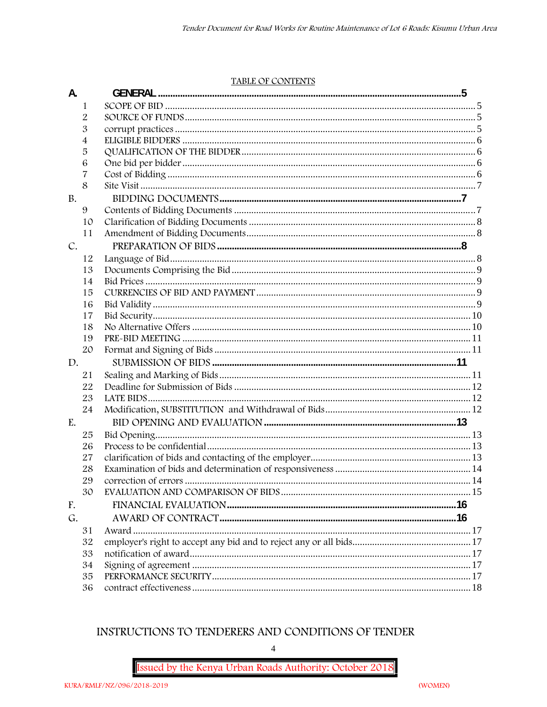#### TABLE OF CONTENTS

| 1<br>$\overline{2}$<br>3<br>4<br>5<br>6<br>7<br>8<br>9<br>10<br>11<br>12<br>13<br>14<br>15<br>16<br>17<br>18<br>19<br>20<br>21<br>22<br>23<br>24<br>25<br>26<br>27<br>28<br>29<br>30<br>G.<br>31 | A.        |    | <b>GENERAL</b> |  |
|--------------------------------------------------------------------------------------------------------------------------------------------------------------------------------------------------|-----------|----|----------------|--|
|                                                                                                                                                                                                  |           |    |                |  |
|                                                                                                                                                                                                  |           |    |                |  |
|                                                                                                                                                                                                  |           |    |                |  |
|                                                                                                                                                                                                  |           |    |                |  |
|                                                                                                                                                                                                  |           |    |                |  |
|                                                                                                                                                                                                  |           |    |                |  |
|                                                                                                                                                                                                  |           |    |                |  |
|                                                                                                                                                                                                  |           |    |                |  |
|                                                                                                                                                                                                  | <b>B.</b> |    |                |  |
|                                                                                                                                                                                                  |           |    |                |  |
|                                                                                                                                                                                                  |           |    |                |  |
|                                                                                                                                                                                                  |           |    |                |  |
|                                                                                                                                                                                                  | C.        |    |                |  |
|                                                                                                                                                                                                  |           |    |                |  |
|                                                                                                                                                                                                  |           |    |                |  |
|                                                                                                                                                                                                  |           |    |                |  |
|                                                                                                                                                                                                  |           |    |                |  |
|                                                                                                                                                                                                  |           |    |                |  |
|                                                                                                                                                                                                  |           |    |                |  |
|                                                                                                                                                                                                  |           |    |                |  |
|                                                                                                                                                                                                  |           |    |                |  |
|                                                                                                                                                                                                  |           |    |                |  |
|                                                                                                                                                                                                  | D.        |    |                |  |
|                                                                                                                                                                                                  |           |    |                |  |
|                                                                                                                                                                                                  |           |    |                |  |
|                                                                                                                                                                                                  |           |    |                |  |
|                                                                                                                                                                                                  |           |    |                |  |
|                                                                                                                                                                                                  | E.        |    |                |  |
|                                                                                                                                                                                                  |           |    |                |  |
|                                                                                                                                                                                                  |           |    |                |  |
|                                                                                                                                                                                                  |           |    |                |  |
|                                                                                                                                                                                                  |           |    |                |  |
|                                                                                                                                                                                                  |           |    |                |  |
|                                                                                                                                                                                                  |           |    |                |  |
|                                                                                                                                                                                                  | F.        |    |                |  |
|                                                                                                                                                                                                  |           |    |                |  |
|                                                                                                                                                                                                  |           |    |                |  |
|                                                                                                                                                                                                  |           | 32 |                |  |
| 33                                                                                                                                                                                               |           |    |                |  |
| 34                                                                                                                                                                                               |           |    |                |  |
| 35                                                                                                                                                                                               |           |    |                |  |
| 36                                                                                                                                                                                               |           |    |                |  |

# INSTRUCTIONS TO TENDERERS AND CONDITIONS OF TENDER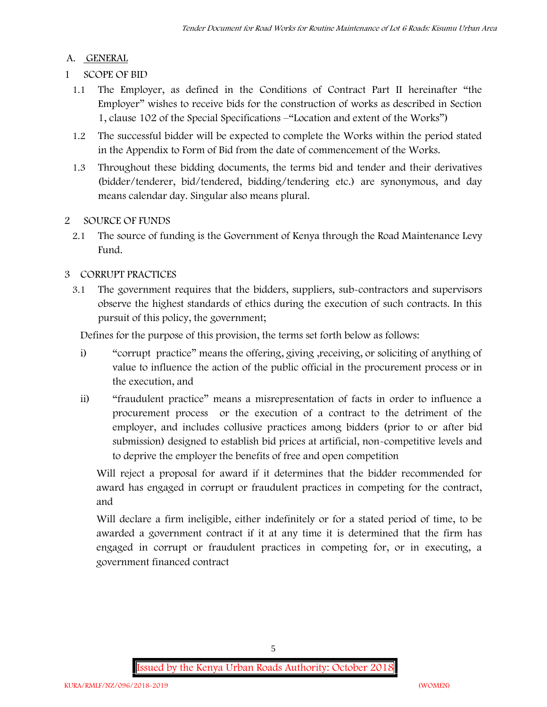## **A. GENERAL**

- **1 SCOPE OF BID**
	- 1.1 The Employer, as defined in the Conditions of Contract Part II hereinafter "the Employer" wishes to receive bids for the construction of works as described in Section 1, clause 102 of the Special Specifications –"Location and extent of the Works")
	- 1.2 The successful bidder will be expected to complete the Works within the period stated in the Appendix to Form of Bid from the date of commencement of the Works.
	- 1.3 Throughout these bidding documents, the terms bid and tender and their derivatives (bidder/tenderer, bid/tendered, bidding/tendering etc.) are synonymous, and day means calendar day. Singular also means plural.

# **2 SOURCE OF FUNDS**

2.1 The source of funding is the Government of Kenya through the Road Maintenance Levy Fund.

# **3 CORRUPT PRACTICES**

3.1 The government requires that the bidders, suppliers, sub-contractors and supervisors observe the highest standards of ethics during the execution of such contracts. In this pursuit of this policy, the government;

Defines for the purpose of this provision, the terms set forth below as follows:

- i) "corrupt practice" means the offering, giving ,receiving, or soliciting of anything of value to influence the action of the public official in the procurement process or in the execution, and
- ii) "fraudulent practice" means a misrepresentation of facts in order to influence a procurement process or the execution of a contract to the detriment of the employer, and includes collusive practices among bidders (prior to or after bid submission) designed to establish bid prices at artificial, non-competitive levels and to deprive the employer the benefits of free and open competition

Will reject a proposal for award if it determines that the bidder recommended for award has engaged in corrupt or fraudulent practices in competing for the contract, and

Will declare a firm ineligible, either indefinitely or for a stated period of time, to be awarded a government contract if it at any time it is determined that the firm has engaged in corrupt or fraudulent practices in competing for, or in executing, a government financed contract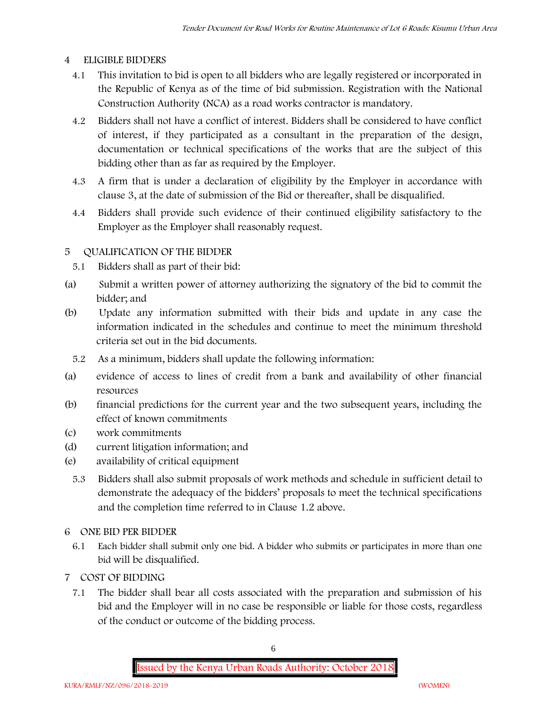## **4 ELIGIBLE BIDDERS**

- 4.1 This invitation to bid is open to all bidders who are legally registered or incorporated in the Republic of Kenya as of the time of bid submission. Registration with the National Construction Authority (NCA) as a road works contractor is mandatory.
- 4.2 Bidders shall not have a conflict of interest. Bidders shall be considered to have conflict of interest, if they participated as a consultant in the preparation of the design, documentation or technical specifications of the works that are the subject of this bidding other than as far as required by the Employer.
- 4.3 A firm that is under a declaration of eligibility by the Employer in accordance with clause 3, at the date of submission of the Bid or thereafter, shall be disqualified.
- 4.4 Bidders shall provide such evidence of their continued eligibility satisfactory to the Employer as the Employer shall reasonably request.

# **5 QUALIFICATION OF THE BIDDER**

- 5.1 Bidders shall as part of their bid:
- (a) Submit a written power of attorney authorizing the signatory of the bid to commit the bidder; and
- (b) Update any information submitted with their bids and update in any case the information indicated in the schedules and continue to meet the minimum threshold criteria set out in the bid documents.
	- 5.2 As a minimum, bidders shall update the following information:
- (a) evidence of access to lines of credit from a bank and availability of other financial resources
- (b) financial predictions for the current year and the two subsequent years, including the effect of known commitments
- (c) work commitments
- (d) current litigation information; and
- (e) availability of critical equipment
	- 5.3 Bidders shall also submit proposals of work methods and schedule in sufficient detail to demonstrate the adequacy of the bidders' proposals to meet the technical specifications and the completion time referred to in Clause 1.2 above.

## **6 ONE BID PER BIDDER**

- 6.1 Each bidder shall submit only one bid. A bidder who submits or participates in more than one bid will be disqualified.
- **7 COST OF BIDDING**
	- 7.1 The bidder shall bear all costs associated with the preparation and submission of his bid and the Employer will in no case be responsible or liable for those costs, regardless of the conduct or outcome of the bidding process.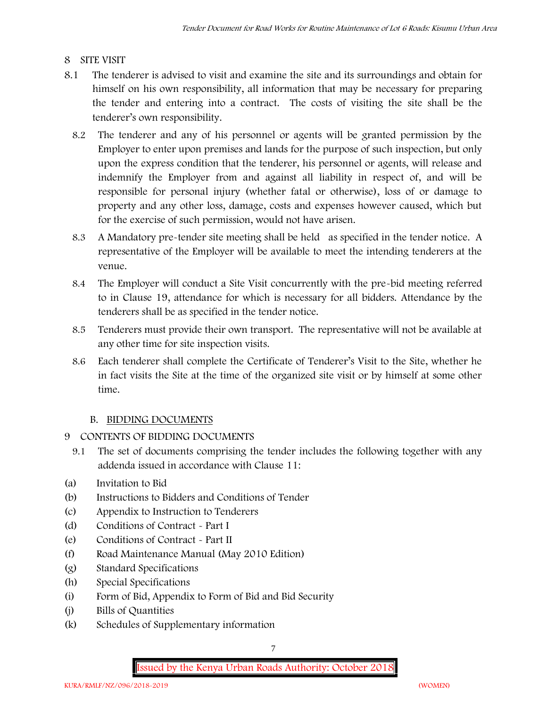## **8 SITE VISIT**

- 8.1 The tenderer is advised to visit and examine the site and its surroundings and obtain for himself on his own responsibility, all information that may be necessary for preparing the tender and entering into a contract. The costs of visiting the site shall be the tenderer's own responsibility.
	- 8.2 The tenderer and any of his personnel or agents will be granted permission by the Employer to enter upon premises and lands for the purpose of such inspection, but only upon the express condition that the tenderer, his personnel or agents, will release and indemnify the Employer from and against all liability in respect of, and will be responsible for personal injury (whether fatal or otherwise), loss of or damage to property and any other loss, damage, costs and expenses however caused, which but for the exercise of such permission, would not have arisen.
	- 8.3 A Mandatory pre-tender site meeting shall be held as specified in the tender notice. A representative of the Employer will be available to meet the intending tenderers at the venue.
	- 8.4 The Employer will conduct a Site Visit concurrently with the pre-bid meeting referred to in Clause 19, attendance for which is necessary for all bidders. Attendance by the tenderers shall be as specified in the tender notice.
	- 8.5 Tenderers must provide their own transport. The representative will not be available at any other time for site inspection visits.
	- 8.6 Each tenderer shall complete the Certificate of Tenderer's Visit to the Site, whether he in fact visits the Site at the time of the organized site visit or by himself at some other time.

# **B. BIDDING DOCUMENTS**

- 9 CONTENTS OF BIDDING DOCUMENTS
	- 9.1 The set of documents comprising the tender includes the following together with any addenda issued in accordance with Clause 11:
- (a) Invitation to Bid
- (b) Instructions to Bidders and Conditions of Tender
- (c) Appendix to Instruction to Tenderers
- (d) Conditions of Contract Part I
- (e) Conditions of Contract Part II
- (f) Road Maintenance Manual (May 2010 Edition)
- (g) Standard Specifications
- (h) Special Specifications
- (i) Form of Bid, Appendix to Form of Bid and Bid Security
- (j) Bills of Quantities
- (k) Schedules of Supplementary information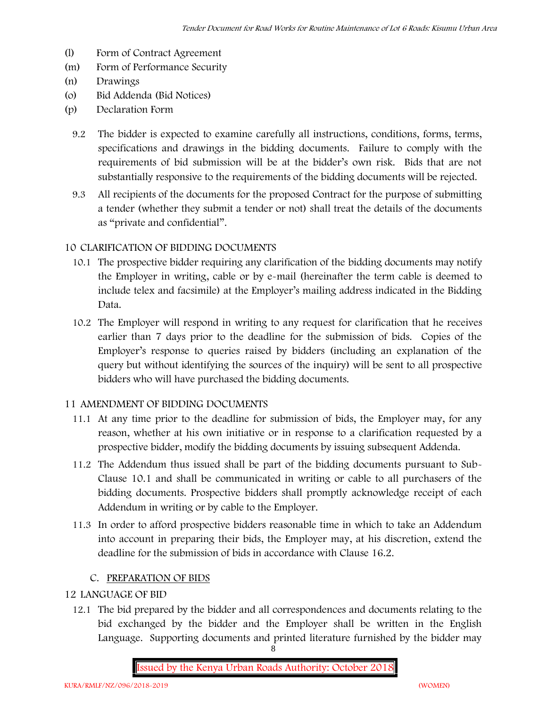- (l) Form of Contract Agreement
- (m) Form of Performance Security
- (n) Drawings
- (o) Bid Addenda (Bid Notices)
- (p) Declaration Form
	- 9.2 The bidder is expected to examine carefully all instructions, conditions, forms, terms, specifications and drawings in the bidding documents. Failure to comply with the requirements of bid submission will be at the bidder's own risk. Bids that are not substantially responsive to the requirements of the bidding documents will be rejected.
	- 9.3 All recipients of the documents for the proposed Contract for the purpose of submitting a tender (whether they submit a tender or not) shall treat the details of the documents as "private and confidential".

### **10 CLARIFICATION OF BIDDING DOCUMENTS**

- 10.1 The prospective bidder requiring any clarification of the bidding documents may notify the Employer in writing, cable or by e-mail (hereinafter the term cable is deemed to include telex and facsimile) at the Employer's mailing address indicated in the Bidding Data.
- 10.2 The Employer will respond in writing to any request for clarification that he receives earlier than 7 days prior to the deadline for the submission of bids. Copies of the Employer's response to queries raised by bidders (including an explanation of the query but without identifying the sources of the inquiry) will be sent to all prospective bidders who will have purchased the bidding documents.

### **11 AMENDMENT OF BIDDING DOCUMENTS**

- 11.1 At any time prior to the deadline for submission of bids, the Employer may, for any reason, whether at his own initiative or in response to a clarification requested by a prospective bidder, modify the bidding documents by issuing subsequent Addenda.
- 11.2 The Addendum thus issued shall be part of the bidding documents pursuant to Sub- Clause 10.1 and shall be communicated in writing or cable to all purchasers of the bidding documents. Prospective bidders shall promptly acknowledge receipt of each Addendum in writing or by cable to the Employer.
- 11.3 In order to afford prospective bidders reasonable time in which to take an Addendum into account in preparing their bids, the Employer may, at his discretion, extend the deadline for the submission of bids in accordance with Clause 16.2.

### **C. PREPARATION OF BIDS**

### **12 LANGUAGE OF BID**

12.1 The bid prepared by the bidder and all correspondences and documents relating to the bid exchanged by the bidder and the Employer shall be written in the English Language. Supporting documents and printed literature furnished by the bidder may

8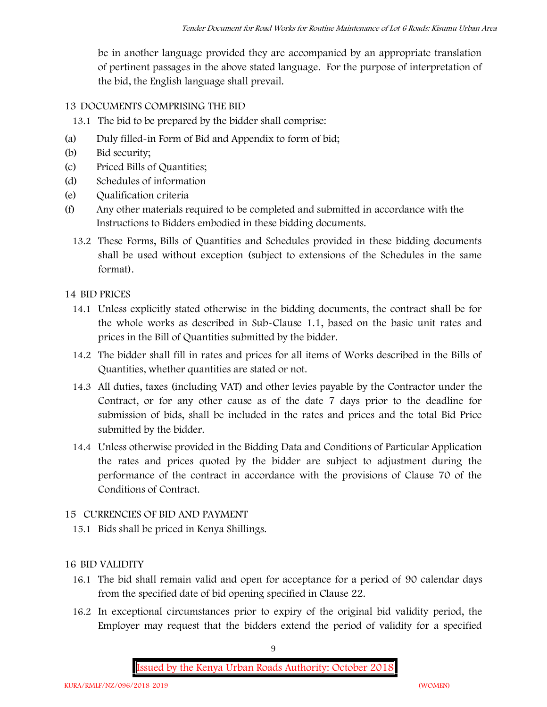be in another language provided they are accompanied by an appropriate translation of pertinent passages in the above stated language. For the purpose of interpretation of the bid, the English language shall prevail.

# **13 DOCUMENTS COMPRISING THE BID**

- 13.1 The bid to be prepared by the bidder shall comprise:
- (a) Duly filled-in Form of Bid and Appendix to form of bid;
- (b) Bid security;
- (c) Priced Bills of Quantities;
- (d) Schedules of information
- (e) Qualification criteria
- (f) Any other materials required to be completed and submitted in accordance with the Instructions to Bidders embodied in these bidding documents.
	- 13.2 These Forms, Bills of Quantities and Schedules provided in these bidding documents shall be used without exception (subject to extensions of the Schedules in the same format).

## **14 BID PRICES**

- 14.1 Unless explicitly stated otherwise in the bidding documents, the contract shall be for the whole works as described in Sub-Clause 1.1, based on the basic unit rates and prices in the Bill of Quantities submitted by the bidder.
- 14.2 The bidder shall fill in rates and prices for all items of Works described in the Bills of Quantities, whether quantities are stated or not.
- 14.3 All duties, taxes (including VAT) and other levies payable by the Contractor under the Contract, or for any other cause as of the date 7 days prior to the deadline for submission of bids, shall be included in the rates and prices and the total Bid Price submitted by the bidder.
- 14.4 Unless otherwise provided in the Bidding Data and Conditions of Particular Application the rates and prices quoted by the bidder are subject to adjustment during the performance of the contract in accordance with the provisions of Clause 70 of the Conditions of Contract.

## **15 CURRENCIES OF BID AND PAYMENT**

15.1 Bids shall be priced in Kenya Shillings.

## **16 BID VALIDITY**

- 16.1 The bid shall remain valid and open for acceptance for a period of 90 calendar days from the specified date of bid opening specified in Clause 22.
- 16.2 In exceptional circumstances prior to expiry of the original bid validity period, the Employer may request that the bidders extend the period of validity for a specified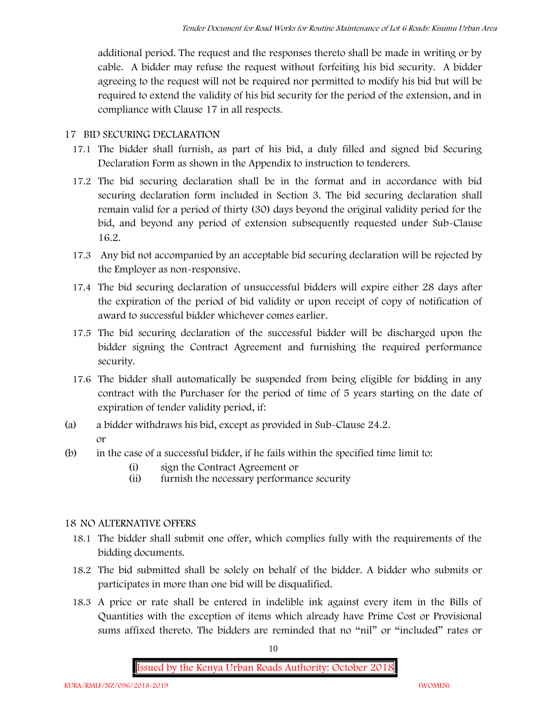additional period. The request and the responses thereto shall be made in writing or by cable. A bidder may refuse the request without forfeiting his bid security. A bidder agreeing to the request will not be required nor permitted to modify his bid but will be required to extend the validity of his bid security for the period of the extension, and in compliance with Clause 17 in all respects.

## **17 BID SECURING DECLARATION**

- 17.1 The bidder shall furnish, as part of his bid, a duly filled and signed bid Securing Declaration Form as shown in the Appendix to instruction to tenderers.
- 17.2 The bid securing declaration shall be in the format and in accordance with bid securing declaration form included in Section 3. The bid securing declaration shall remain valid for a period of thirty (30) days beyond the original validity period for the bid, and beyond any period of extension subsequently requested under Sub-Clause 16.2.
- 17.3 Any bid not accompanied by an acceptable bid securing declaration will be rejected by the Employer as non-responsive.
- 17.4 The bid securing declaration of unsuccessful bidders will expire either 28 days after the expiration of the period of bid validity or upon receipt of copy of notification of award to successful bidder whichever comes earlier.
- 17.5 The bid securing declaration of the successful bidder will be discharged upon the bidder signing the Contract Agreement and furnishing the required performance security.
- 17.6 The bidder shall automatically be suspended from being eligible for bidding in any contract with the Purchaser for the period of time of 5 years starting on the date of expiration of tender validity period, if:
- (a) a bidder withdraws his bid, except as provided in Sub-Clause 24.2. or
- (b) in the case of a successful bidder, if he fails within the specified time limit to:
	- (i) sign the Contract Agreement or
	- (ii) furnish the necessary performance security

## **18 NO ALTERNATIVE OFFERS**

- 18.1 The bidder shall submit one offer, which complies fully with the requirements of the bidding documents.
- 18.2 The bid submitted shall be solely on behalf of the bidder. A bidder who submits or participates in more than one bid will be disqualified.
- 18.3 A price or rate shall be entered in indelible ink against every item in the Bills of Quantities with the exception of items which already have Prime Cost or Provisional sums affixed thereto. The bidders are reminded that no "nil" or "included" rates or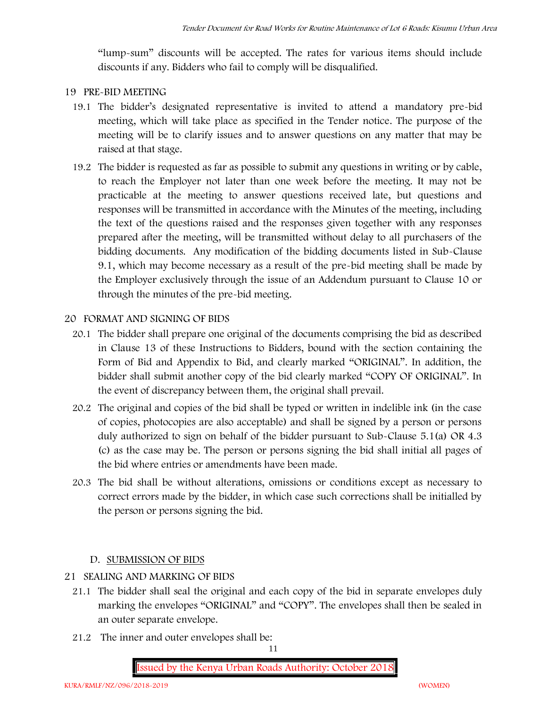"lump-sum" discounts will be accepted. The rates for various items should include discounts if any. Bidders who fail to comply will be disqualified.

### **19 PRE-BID MEETING**

- 19.1 The bidder's designated representative is invited to attend a mandatory pre-bid meeting, which will take place as specified in the Tender notice. The purpose of the meeting will be to clarify issues and to answer questions on any matter that may be raised at that stage.
- 19.2 The bidder is requested as far as possible to submit any questions in writing or by cable, to reach the Employer not later than one week before the meeting. It may not be practicable at the meeting to answer questions received late, but questions and responses will be transmitted in accordance with the Minutes of the meeting, including the text of the questions raised and the responses given together with any responses prepared after the meeting, will be transmitted without delay to all purchasers of the bidding documents. Any modification of the bidding documents listed in Sub-Clause 9.1, which may become necessary as a result of the pre-bid meeting shall be made by the Employer exclusively through the issue of an Addendum pursuant to Clause 10 or through the minutes of the pre-bid meeting.

## **20 FORMAT AND SIGNING OF BIDS**

- 20.1 The bidder shall prepare one original of the documents comprising the bid as described in Clause 13 of these Instructions to Bidders, bound with the section containing the Form of Bid and Appendix to Bid, and clearly marked "ORIGINAL". In addition, the bidder shall submit another copy of the bid clearly marked "COPY OF ORIGINAL". In the event of discrepancy between them, the original shall prevail.
- 20.2 The original and copies of the bid shall be typed or written in indelible ink (in the case of copies, photocopies are also acceptable) and shall be signed by a person or persons duly authorized to sign on behalf of the bidder pursuant to Sub-Clause 5.1(a) OR 4.3 (c) as the case may be. The person or persons signing the bid shall initial all pages of the bid where entries or amendments have been made.
- 20.3 The bid shall be without alterations, omissions or conditions except as necessary to correct errors made by the bidder, in which case such corrections shall be initialled by the person or persons signing the bid.

## **D. SUBMISSION OF BIDS**

- **21 SEALING AND MARKING OF BIDS**
	- 21.1 The bidder shall seal the original and each copy of the bid in separate envelopes duly marking the envelopes "ORIGINAL" and "COPY". The envelopes shall then be sealed in an outer separate envelope.
	- 21.2 The inner and outer envelopes shall be: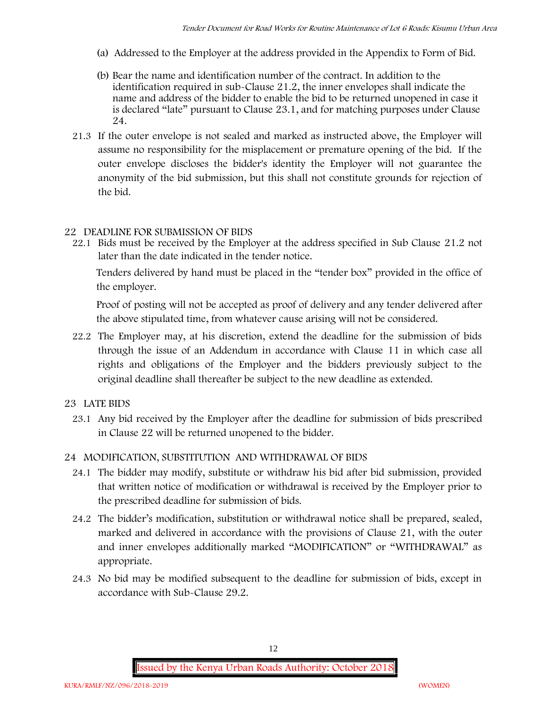- (a) Addressed to the Employer at the address provided in the Appendix to Form of Bid.
- (b) Bear the name and identification number of the contract. In addition to the identification required in sub-Clause 21.2, the inner envelopes shall indicate the name and address of the bidder to enable the bid to be returned unopened in case it is declared "late" pursuant to Clause 23.1, and for matching purposes under Clause 24.
- 21.3 If the outer envelope is not sealed and marked as instructed above, the Employer will assume no responsibility for the misplacement or premature opening of the bid. If the outer envelope discloses the bidder's identity the Employer will not guarantee the anonymity of the bid submission, but this shall not constitute grounds for rejection of the bid.

#### **22 DEADLINE FOR SUBMISSION OF BIDS**

22.1 Bids must be received by the Employer at the address specified in Sub Clause 21.2 not later than **the date indicated in the tender notice.**

Tenders delivered by hand must be placed in the "tender box" provided in the office of the employer.

Proof of posting will not be accepted as proof of delivery and any tender delivered after the above stipulated time, from whatever cause arising will not be considered.

- 22.2 The Employer may, at his discretion, extend the deadline for the submission of bids through the issue of an Addendum in accordance with Clause 11 in which case all rights and obligations of the Employer and the bidders previously subject to the original deadline shall thereafter be subject to the new deadline as extended.
- **23 LATE BIDS**
	- 23.1 Any bid received by the Employer after the deadline for submission of bids prescribed in Clause 22 will be returned unopened to the bidder.

#### **24 MODIFICATION, SUBSTITUTION AND WITHDRAWAL OF BIDS**

- 24.1 The bidder may modify, substitute or withdraw his bid after bid submission, provided that written notice of modification or withdrawal is received by the Employer prior to the prescribed deadline for submission of bids.
- 24.2 The bidder's modification, substitution or withdrawal notice shall be prepared, sealed, marked and delivered in accordance with the provisions of Clause 21, with the outer and inner envelopes additionally marked "MODIFICATION" or "WITHDRAWAL" as appropriate.
- 24.3 No bid may be modified subsequent to the deadline for submission of bids, except in accordance with Sub-Clause 29.2.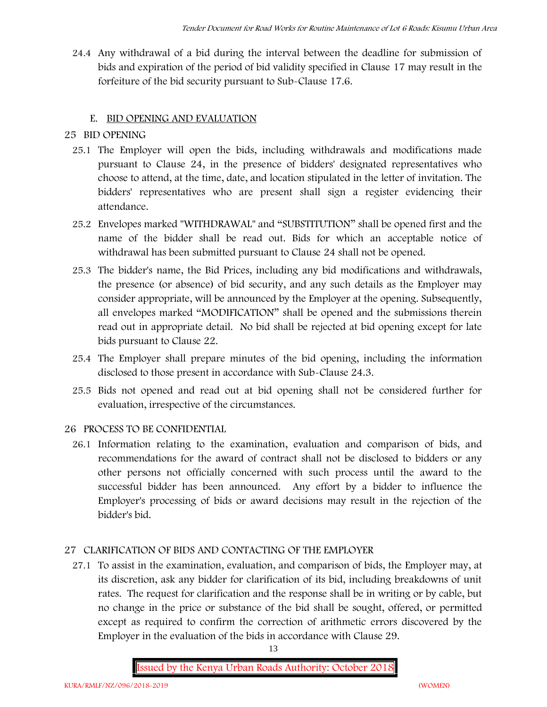24.4 Any withdrawal of a bid during the interval between the deadline for submission of bids and expiration of the period of bid validity specified in Clause 17 may result in the forfeiture of the bid security pursuant to Sub-Clause 17.6.

# **E. BID OPENING AND EVALUATION**

# **25 BID OPENING**

- 25.1 The Employer will open the bids, including withdrawals and modifications made pursuant to Clause 24, in the presence of bidders' designated representatives who choose to attend, at the time, date, and location stipulated in the letter of invitation. The bidders' representatives who are present shall sign a register evidencing their attendance.
- 25.2 Envelopes marked "WITHDRAWAL" and "SUBSTITUTION" shall be opened first and the name of the bidder shall be read out. Bids for which an acceptable notice of withdrawal has been submitted pursuant to Clause 24 shall not be opened.
- 25.3 The bidder's name, the Bid Prices, including any bid modifications and withdrawals, the presence (or absence) of bid security, and any such details as the Employer may consider appropriate, will be announced by the Employer at the opening. Subsequently, all envelopes marked "MODIFICATION" shall be opened and the submissions therein read out in appropriate detail. No bid shall be rejected at bid opening except for late bids pursuant to Clause 22.
- 25.4 The Employer shall prepare minutes of the bid opening, including the information disclosed to those present in accordance with Sub-Clause 24.3.
- 25.5 Bids not opened and read out at bid opening shall not be considered further for evaluation, irrespective of the circumstances.

# **26 PROCESS TO BE CONFIDENTIAL**

26.1 Information relating to the examination, evaluation and comparison of bids, and recommendations for the award of contract shall not be disclosed to bidders or any other persons not officially concerned with such process until the award to the successful bidder has been announced. Any effort by a bidder to influence the Employer's processing of bids or award decisions may result in the rejection of the bidder's bid.

# **27 CLARIFICATION OF BIDS AND CONTACTING OF THE EMPLOYER**

27.1 To assist in the examination, evaluation, and comparison of bids, the Employer may, at its discretion, ask any bidder for clarification of its bid, including breakdowns of unit rates. The request for clarification and the response shall be in writing or by cable, but no change in the price or substance of the bid shall be sought, offered, or permitted except as required to confirm the correction of arithmetic errors discovered by the Employer in the evaluation of the bids in accordance with Clause 29.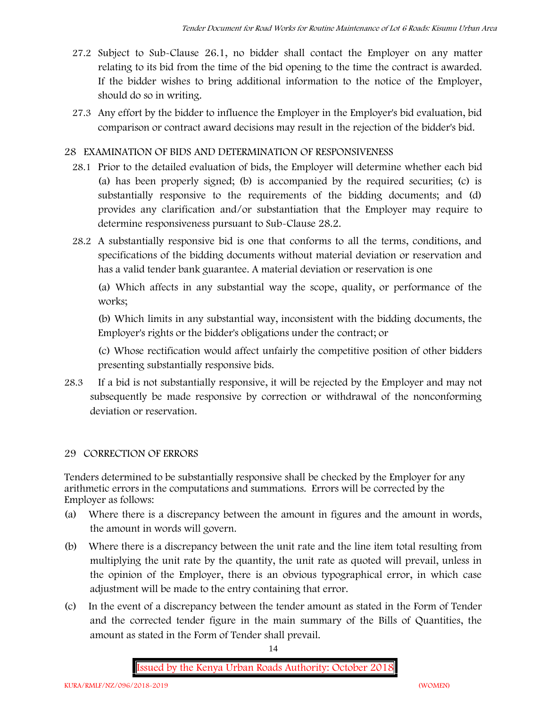- 27.2 Subject to Sub-Clause 26.1, no bidder shall contact the Employer on any matter relating to its bid from the time of the bid opening to the time the contract is awarded. If the bidder wishes to bring additional information to the notice of the Employer, should do so in writing.
- 27.3 Any effort by the bidder to influence the Employer in the Employer's bid evaluation, bid comparison or contract award decisions may result in the rejection of the bidder's bid.

## **28 EXAMINATION OF BIDS AND DETERMINATION OF RESPONSIVENESS**

- 28.1 Prior to the detailed evaluation of bids, the Employer will determine whether each bid (a) has been properly signed; (b) is accompanied by the required securities; (c) is substantially responsive to the requirements of the bidding documents; and (d) provides any clarification and/or substantiation that the Employer may require to determine responsiveness pursuant to Sub-Clause 28.2.
- 28.2 A substantially responsive bid is one that conforms to all the terms, conditions, and specifications of the bidding documents without material deviation or reservation and has a valid tender bank guarantee. A material deviation or reservation is one

(a) Which affects in any substantial way the scope, quality, or performance of the works;

(b) Which limits in any substantial way, inconsistent with the bidding documents, the Employer's rights or the bidder's obligations under the contract; or

(c) Whose rectification would affect unfairly the competitive position of other bidders presenting substantially responsive bids.

28.3 If a bid is not substantially responsive, it will be rejected by the Employer and may not subsequently be made responsive by correction or withdrawal of the nonconforming deviation or reservation.

### **29 CORRECTION OF ERRORS**

Tenders determined to be substantially responsive shall be checked by the Employer for any arithmetic errors in the computations and summations. Errors will be corrected by the Employer as follows:

- (a) Where there is a discrepancy between the amount in figures and the amount in words, the amount in words will govern.
- (b) Where there is a discrepancy between the unit rate and the line item total resulting from multiplying the unit rate by the quantity, the unit rate as quoted will prevail, unless in the opinion of the Employer, there is an obvious typographical error, in which case adjustment will be made to the entry containing that error.
- (c) In the event of a discrepancy between the tender amount as stated in the Form of Tender and the corrected tender figure in the main summary of the Bills of Quantities, the amount as stated in the Form of Tender shall prevail.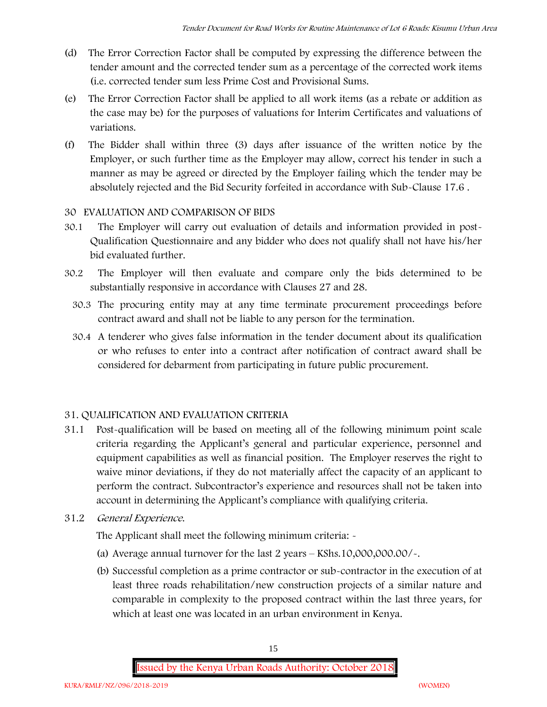- (d) The Error Correction Factor shall be computed by expressing the difference between the tender amount and the corrected tender sum as a percentage of the corrected work items (i.e. corrected tender sum less Prime Cost and Provisional Sums.
- (e) The Error Correction Factor shall be applied to all work items (as a rebate or addition as the case may be) for the purposes of valuations for Interim Certificates and valuations of variations.
- (f) The Bidder shall within three (3) days after issuance of the written notice by the Employer, or such further time as the Employer may allow, correct his tender in such a manner as may be agreed or directed by the Employer failing which the tender may be absolutely rejected and the Bid Security forfeited in accordance with Sub-Clause 17.6 .

## **30 EVALUATION AND COMPARISON OF BIDS**

- 30.1 The Employer will carry out evaluation of details and information provided in post- Qualification Questionnaire and any bidder who does not qualify shall not have his/her bid evaluated further.
- 30.2 The Employer will then evaluate and compare only the bids determined to be substantially responsive in accordance with Clauses 27 and 28.
	- 30.3 The procuring entity may at any time terminate procurement proceedings before contract award and shall not be liable to any person for the termination.
	- 30.4 A tenderer who gives false information in the tender document about its qualification or who refuses to enter into a contract after notification of contract award shall be considered for debarment from participating in future public procurement.

## **31. QUALIFICATION AND EVALUATION CRITERIA**

- 31.1 Post-qualification will be based on meeting all of the following minimum point scale criteria regarding the Applicant's general and particular experience, personnel and equipment capabilities as well as financial position. The Employer reserves the right to waive minor deviations, if they do not materially affect the capacity of an applicant to perform the contract. Subcontractor's experience and resources shall not be taken into account in determining the Applicant's compliance with qualifying criteria.
- **31.2** *General Experience***.**

The Applicant shall meet the following minimum criteria:  $\sim$ 

- (a) Average annual turnover for the last 2 years **KShs.10,000,000.00/-.**
- (b) Successful completion as a prime contractor or sub-contractor in the execution of at least three roads rehabilitation/new construction projects of a similar nature and comparable in complexity to the proposed contract within the last three years, for which at least one was located in an urban environment in Kenya.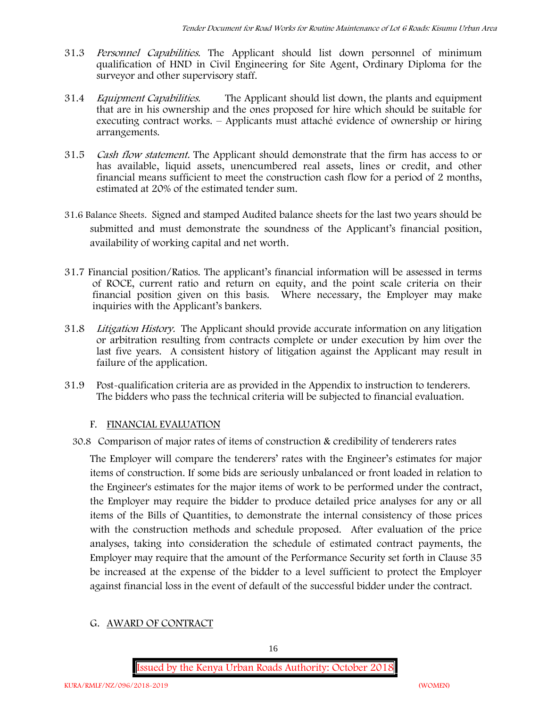- 31.3 *Personnel Capabilities***.** The Applicant should list down personnel of minimum qualification of HND in Civil Engineering for Site Agent, Ordinary Diploma for the surveyor and other supervisory staff.
- 31.4 *Equipment Capabilities.* The Applicant should list down, the plants and equipment that are in his ownership and the ones proposed for hire which should be suitable for executing contract works. – Applicants must attaché evidence of ownership or hiring arrangements.
- 31.5 *Cash flow statement.* The Applicant should demonstrate that the firm has access to or has available, liquid assets, unencumbered real assets, lines or credit, and other financial means sufficient to meet the construction cash flow for a period of 2 months, estimated at 20% of the estimated tender sum.
- **31.6 Balance Sheets***.* Signed and stamped Audited balance sheets for the last two years should be submitted and must demonstrate the soundness of the Applicant's financial position, availability of working capital and net worth.
- **31.7 Financial position/Ratios.** The applicant's financial information will be assessed in terms of ROCE, current ratio and return on equity, and the point scale criteria on their financial position given on this basis. Where necessary, the Employer may make inquiries with the Applicant's bankers.
- 31.8 *Litigation History.* The Applicant should provide accurate information on any litigation or arbitration resulting from contracts complete or under execution by him over the last five years. A consistent history of litigation against the Applicant may result in failure of the application.
- 31.9 Post-qualification criteria are as provided in the Appendix to instruction to tenderers. The bidders who pass the technical criteria will be subjected to financial evaluation.

### **F. FINANCIAL EVALUATION**

30.8 Comparison of major rates of items of construction & credibility of tenderers rates

The Employer will compare the tenderers' rates with the Engineer's estimates for major items of construction. If some bids are seriously unbalanced or front loaded in relation to the Engineer's estimates for the major items of work to be performed under the contract, the Employer may require the bidder to produce detailed price analyses for any or all items of the Bills of Quantities, to demonstrate the internal consistency of those prices with the construction methods and schedule proposed. After evaluation of the price analyses, taking into consideration the schedule of estimated contract payments, the Employer may require that the amount of the Performance Security set forth in Clause 35 be increased at the expense of the bidder to a level sufficient to protect the Employer against financial loss in the event of default of the successful bidder under the contract.

### **G. AWARD OF CONTRACT**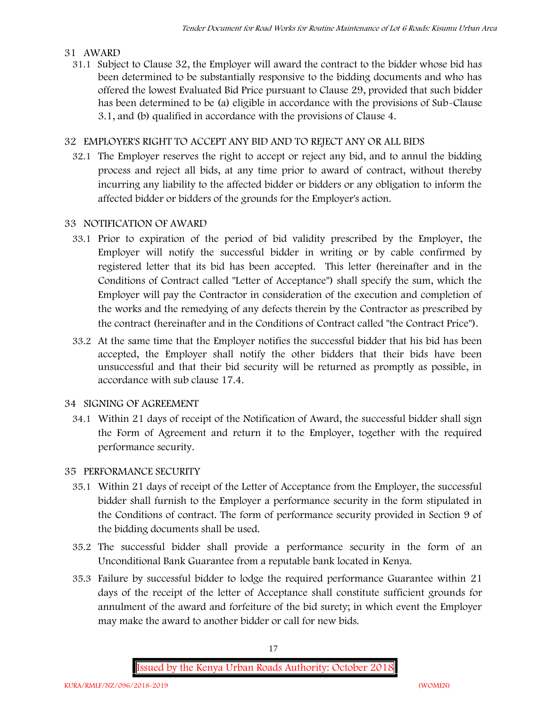### **31 AWARD**

31.1 Subject to Clause 32, the Employer will award the contract to the bidder whose bid has been determined to be substantially responsive to the bidding documents and who has offered the lowest Evaluated Bid Price pursuant to Clause 29, provided that such bidder has been determined to be (a) eligible in accordance with the provisions of Sub-Clause 3.1, and (b) qualified in accordance with the provisions of Clause 4.

## **32 EMPLOYER'S RIGHT TO ACCEPT ANY BID AND TO REJECT ANY OR ALL BIDS**

32.1 The Employer reserves the right to accept or reject any bid, and to annul the bidding process and reject all bids, at any time prior to award of contract, without thereby incurring any liability to the affected bidder or bidders or any obligation to inform the affected bidder or bidders of the grounds for the Employer's action.

# **33 NOTIFICATION OF AWARD**

- 33.1 Prior to expiration of the period of bid validity prescribed by the Employer, the Employer will notify the successful bidder in writing or by cable confirmed by registered letter that its bid has been accepted. This letter (hereinafter and in the Conditions of Contract called "Letter of Acceptance") shall specify the sum, which the Employer will pay the Contractor in consideration of the execution and completion of the works and the remedying of any defects therein by the Contractor as prescribed by the contract (hereinafter and in the Conditions of Contract called "the Contract Price").
- 33.2 At the same time that the Employer notifies the successful bidder that his bid has been accepted, the Employer shall notify the other bidders that their bids have been unsuccessful and that their bid security will be returned as promptly as possible, in accordance with sub clause 17.4.

## **34 SIGNING OF AGREEMENT**

34.1 Within 21 days of receipt of the Notification of Award, the successful bidder shall sign the Form of Agreement and return it to the Employer, together with the required performance security.

## **35 PERFORMANCE SECURITY**

- 35.1 Within 21 days of receipt of the Letter of Acceptance from the Employer, the successful bidder shall furnish to the Employer a performance security in the form stipulated in the Conditions of contract. The form of performance security provided in Section 9 of the bidding documents shall be used.
- 35.2 The successful bidder shall provide a performance security in the form of an Unconditional Bank Guarantee from a reputable bank located in Kenya.
- 35.3 Failure by successful bidder to lodge the required performance Guarantee within 21 days of the receipt of the letter of Acceptance shall constitute sufficient grounds for annulment of the award and forfeiture of the bid surety; in which event the Employer may make the award to another bidder or call for new bids.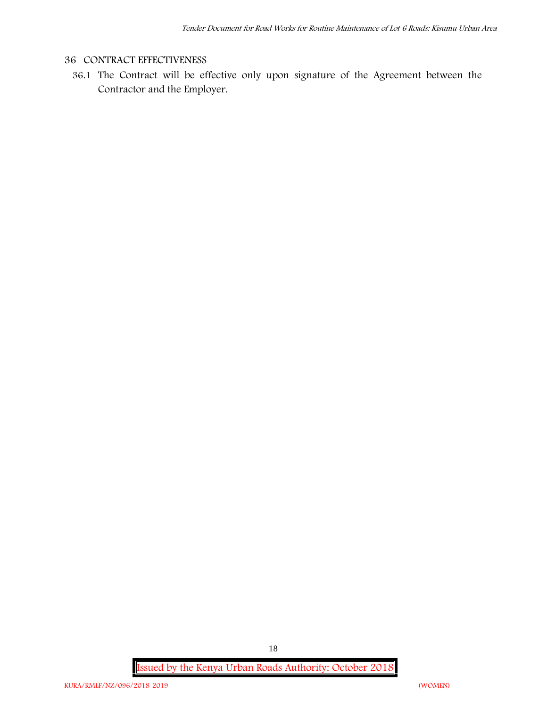## **36 CONTRACT EFFECTIVENESS**

36.1 The Contract will be effective only upon signature of the Agreement between the Contractor and the Employer.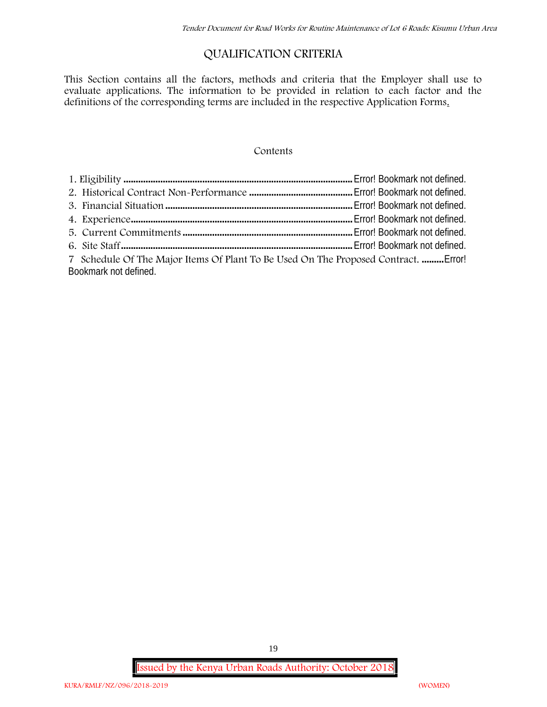# **QUALIFICATION CRITERIA**

This Section contains all the factors, methods and criteria that the Employer shall use to evaluate applications. The information to be provided in relation to each factor and the definitions of the corresponding terms are included in the respective Application Forms.

#### **Contents**

| 7 Schedule Of The Major Items Of Plant To Be Used On The Proposed Contract.  Error! |  |
|-------------------------------------------------------------------------------------|--|
| Bookmark not defined.                                                               |  |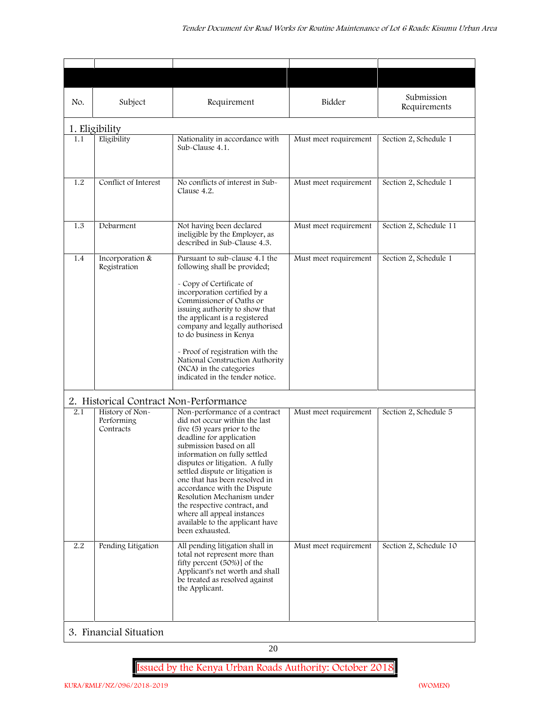| No. | Subject                                    | Requirement                                                                                                                                                                                                                                                                                                                                                                                                                                                                   | Bidder                | Submission<br>Requirements |
|-----|--------------------------------------------|-------------------------------------------------------------------------------------------------------------------------------------------------------------------------------------------------------------------------------------------------------------------------------------------------------------------------------------------------------------------------------------------------------------------------------------------------------------------------------|-----------------------|----------------------------|
|     | 1. Eligibility                             |                                                                                                                                                                                                                                                                                                                                                                                                                                                                               |                       |                            |
| 1.1 | Eligibility                                | Nationality in accordance with<br>Sub-Clause 4.1.                                                                                                                                                                                                                                                                                                                                                                                                                             | Must meet requirement | Section 2, Schedule 1      |
| 1.2 | Conflict of Interest                       | No conflicts of interest in Sub-<br>Clause 4.2.                                                                                                                                                                                                                                                                                                                                                                                                                               | Must meet requirement | Section 2, Schedule 1      |
| 1.3 | Debarment                                  | Not having been declared<br>ineligible by the Employer, as<br>described in Sub-Clause 4.3.                                                                                                                                                                                                                                                                                                                                                                                    | Must meet requirement | Section 2, Schedule 11     |
| 1.4 | Incorporation &<br>Registration            | Pursuant to sub-clause 4.1 the<br>following shall be provided;<br>- Copy of Certificate of<br>incorporation certified by a<br>Commissioner of Oaths or<br>issuing authority to show that<br>the applicant is a registered<br>company and legally authorised<br>to do business in Kenya<br>- Proof of registration with the<br>National Construction Authority<br>(NCA) in the categories<br>indicated in the tender notice.                                                   | Must meet requirement | Section 2, Schedule 1      |
|     | 2. Historical Contract Non-Performance     |                                                                                                                                                                                                                                                                                                                                                                                                                                                                               |                       |                            |
| 2.1 | History of Non-<br>Performing<br>Contracts | Non-performance of a contract<br>did not occur within the last<br>five (5) years prior to the<br>deadline for application<br>submission based on all<br>information on fully settled<br>disputes or litigation. A fully<br>settled dispute or litigation is<br>one that has been resolved in<br>accordance with the Dispute<br>Resolution Mechanism under<br>the respective contract, and<br>where all appeal instances<br>available to the applicant have<br>been exhausted. | Must meet requirement | Section 2, Schedule 5      |
| 2.2 | Pending Litigation                         | All pending litigation shall in<br>total not represent more than<br>fifty percent (50%)] of the<br>Applicant's net worth and shall<br>be treated as resolved against<br>the Applicant.                                                                                                                                                                                                                                                                                        | Must meet requirement | Section 2, Schedule 10     |

20

**Issued by the Kenya Urban Roads Authority: October 2018**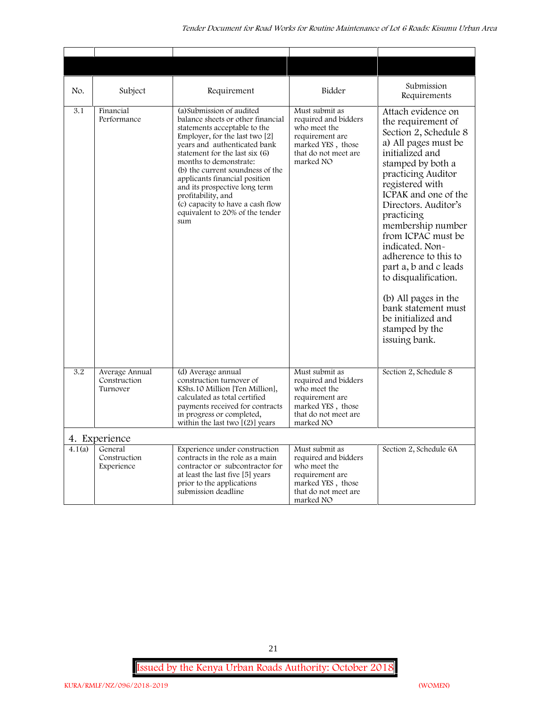| No.    | Subject                                    | Requirement                                                                                                                                                                                                                                                                                                                                                                                                                              | Bidder                                                                                                                              | Submission<br>Requirements                                                                                                                                                                                                                                                                                                                                                                                                                                                              |
|--------|--------------------------------------------|------------------------------------------------------------------------------------------------------------------------------------------------------------------------------------------------------------------------------------------------------------------------------------------------------------------------------------------------------------------------------------------------------------------------------------------|-------------------------------------------------------------------------------------------------------------------------------------|-----------------------------------------------------------------------------------------------------------------------------------------------------------------------------------------------------------------------------------------------------------------------------------------------------------------------------------------------------------------------------------------------------------------------------------------------------------------------------------------|
| 3.1    | Financial<br>Performance                   | (a) Submission of audited<br>balance sheets or other financial<br>statements acceptable to the<br>Employer, for the last two $[2]$<br>years and authenticated bank<br>statement for the last six (6)<br>months to demonstrate:<br>(b) the current soundness of the<br>applicants financial position<br>and its prospective long term<br>profitability, and<br>(c) capacity to have a cash flow<br>equivalent to 20% of the tender<br>sum | Must submit as<br>required and bidders<br>who meet the<br>requirement are<br>marked YES, those<br>that do not meet are<br>marked NO | Attach evidence on<br>the requirement of<br>Section 2, Schedule 8<br>a) All pages must be<br>initialized and<br>stamped by both a<br>practicing Auditor<br>registered with<br>ICPAK and one of the<br>Directors. Auditor's<br>practicing<br>membership number<br>from ICPAC must be<br>indicated. Non-<br>adherence to this to<br>part a, b and c leads<br>to disqualification.<br>(b) All pages in the<br>bank statement must<br>be initialized and<br>stamped by the<br>issuing bank. |
| 3.2    | Average Annual<br>Construction<br>Turnover | (d) Average annual<br>construction turnover of<br>KShs.10 Million [Ten Million],<br>calculated as total certified<br>payments received for contracts<br>in progress or completed,<br>within the last two $[(2)]$ years                                                                                                                                                                                                                   | Must submit as<br>required and bidders<br>who meet the<br>requirement are<br>marked YES, those<br>that do not meet are<br>marked NO | Section 2, Schedule 8                                                                                                                                                                                                                                                                                                                                                                                                                                                                   |
|        | 4. Experience                              |                                                                                                                                                                                                                                                                                                                                                                                                                                          |                                                                                                                                     |                                                                                                                                                                                                                                                                                                                                                                                                                                                                                         |
| 4.1(a) | General<br>Construction<br>Experience      | Experience under construction<br>contracts in the role as a main<br>contractor or subcontractor for<br>at least the last five [5] years<br>prior to the applications<br>submission deadline                                                                                                                                                                                                                                              | Must submit as<br>required and bidders<br>who meet the<br>requirement are<br>marked YES, those<br>that do not meet are<br>marked NO | Section 2, Schedule 6A                                                                                                                                                                                                                                                                                                                                                                                                                                                                  |

**Issued by the Kenya Urban Roads Authority: October 2018**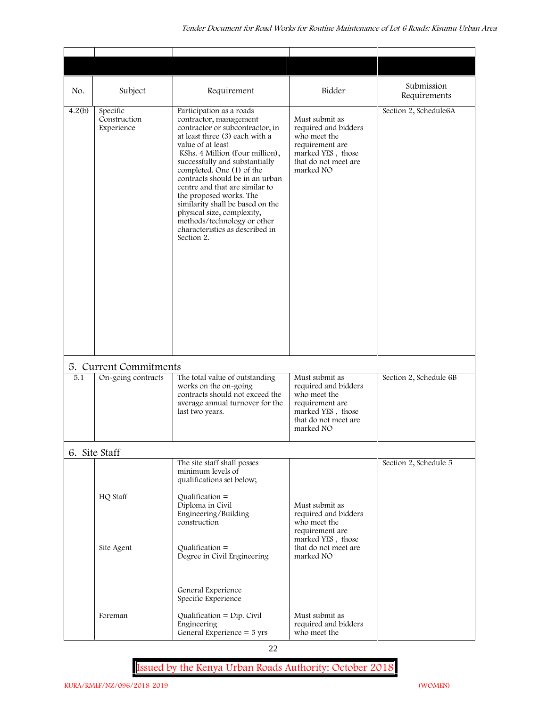| No.    | Subject                                | Requirement                                                                                                                                                                                                                                                                                                                                                                                                                                                                                      | Bidder                                                                                                                              | Submission<br>Requirements |
|--------|----------------------------------------|--------------------------------------------------------------------------------------------------------------------------------------------------------------------------------------------------------------------------------------------------------------------------------------------------------------------------------------------------------------------------------------------------------------------------------------------------------------------------------------------------|-------------------------------------------------------------------------------------------------------------------------------------|----------------------------|
| 4.2(b) | Specific<br>Construction<br>Experience | Participation as a roads<br>contractor, management<br>contractor or subcontractor, in<br>at least three (3) each with a<br>value of at least<br>KShs. 4 Million (Four million),<br>successfully and substantially<br>completed. One (1) of the<br>contracts should be in an urban<br>centre and that are similar to<br>the proposed works. The<br>similarity shall be based on the<br>physical size, complexity,<br>methods/technology or other<br>characteristics as described in<br>Section 2. | Must submit as<br>required and bidders<br>who meet the<br>requirement are<br>marked YES, those<br>that do not meet are<br>marked NO | Section 2, Schedule6A      |
|        | 5. Current Commitments                 |                                                                                                                                                                                                                                                                                                                                                                                                                                                                                                  |                                                                                                                                     |                            |
| 5.1    | On-going contracts                     | The total value of outstanding<br>works on the on-going<br>contracts should not exceed the<br>average annual turnover for the<br>last two years.                                                                                                                                                                                                                                                                                                                                                 | Must submit as<br>required and bidders<br>who meet the<br>requirement are<br>marked YES, those<br>that do not meet are<br>marked NO | Section 2, Schedule 6B     |
|        | 6. Site Staff                          |                                                                                                                                                                                                                                                                                                                                                                                                                                                                                                  |                                                                                                                                     |                            |
|        | HQ Staff                               | The site staff shall posses<br>minimum levels of<br>qualifications set below;<br>Qualification $=$<br>Diploma in Civil<br>Engineering/Building<br>construction                                                                                                                                                                                                                                                                                                                                   | Must submit as<br>required and bidders<br>who meet the<br>requirement are<br>marked YES, those                                      | Section 2, Schedule 5      |
|        | Site Agent                             | Qualification $=$<br>Degree in Civil Engineering<br>General Experience<br>Specific Experience                                                                                                                                                                                                                                                                                                                                                                                                    | that do not meet are<br>marked NO                                                                                                   |                            |
|        | Foreman                                | Qualification = $Dip$ . Civil<br>Engineering<br>General Experience $=$ 5 yrs                                                                                                                                                                                                                                                                                                                                                                                                                     | Must submit as<br>required and bidders<br>who meet the                                                                              |                            |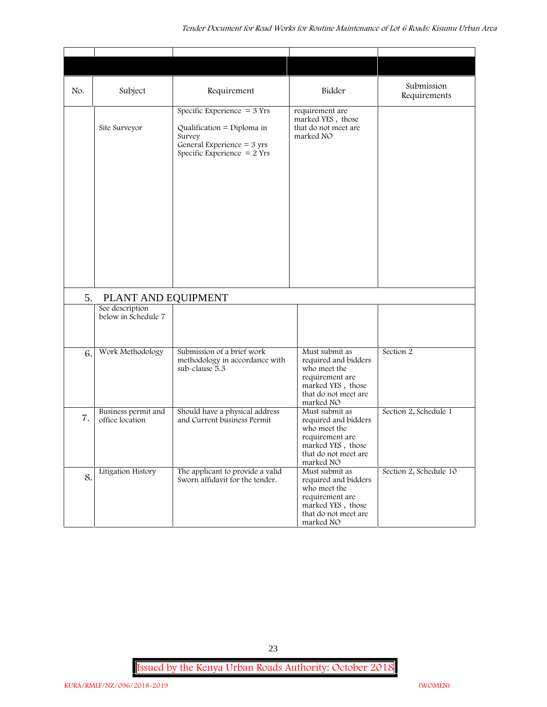| No. | Subject                                | Requirement                                                                                                                            | Bidder                                                                                                                              | Submission<br>Requirements |
|-----|----------------------------------------|----------------------------------------------------------------------------------------------------------------------------------------|-------------------------------------------------------------------------------------------------------------------------------------|----------------------------|
|     | Site Surveyor                          | Specific Experience $=$ 3 Yrs<br>Qualification = Diploma in<br>Survey<br>General Experience $=$ 3 yrs<br>Specific Experience $= 2$ Yrs | requirement are<br>marked YES, those<br>that do not meet are<br>marked NO                                                           |                            |
| 5.  | PLANT AND EQUIPMENT                    |                                                                                                                                        |                                                                                                                                     |                            |
|     | See description<br>below in Schedule 7 |                                                                                                                                        |                                                                                                                                     |                            |
| 6.  | Work Methodology                       | Submission of a brief work<br>methodology in accordance with<br>sub-clause 5.3                                                         | Must submit as<br>required and bidders<br>who meet the<br>requirement are<br>marked YES, those<br>that do not meet are<br>marked NO | Section 2                  |
| 7.  | Business permit and<br>office location | Should have a physical address<br>and Current business Permit                                                                          | Must submit as<br>required and bidders<br>who meet the<br>requirement are<br>marked YES, those<br>that do not meet are<br>marked NO | Section 2, Schedule 1      |
| 8.  | Litigation History                     | The applicant to provide a valid<br>Sworn affidavit for the tender.                                                                    | Must submit as<br>required and bidders<br>who meet the<br>requirement are<br>marked YES, those<br>that do not meet are<br>marked NO | Section 2, Schedule 10     |

23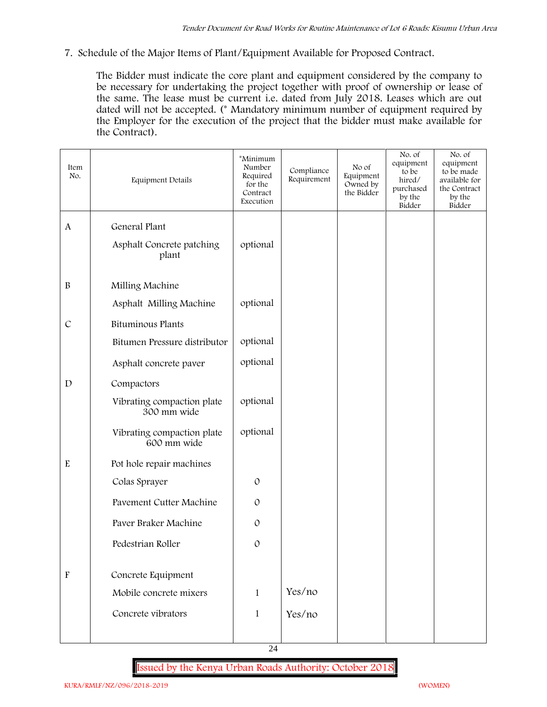**7. Schedule of the Major Items of Plant/Equipment Available for Proposed Contract.**

The Bidder must indicate the core plant and equipment considered by the company to be necessary for undertaking the project together with proof of ownership or lease of the same. The lease must be current i.e. dated from July 2018. Leases which are out dated will not be accepted. (\* Mandatory minimum number of equipment required by the Employer for the execution of the project that the bidder must make available for the Contract).

| Item<br>No.               | Equipment Details                         | *Minimum<br>Number<br>Required<br>for the<br>Contract<br>Execution | Compliance<br>Requirement | No of<br>Equipment<br>Owned by<br>the Bidder | No. of<br>equipment<br>to be<br>hired/<br>purchased<br>by the<br>Bidder | No. of<br>equipment<br>to be made<br>available for<br>the Contract<br>by the<br>Bidder |
|---------------------------|-------------------------------------------|--------------------------------------------------------------------|---------------------------|----------------------------------------------|-------------------------------------------------------------------------|----------------------------------------------------------------------------------------|
| $\mathbf{A}$              | General Plant                             |                                                                    |                           |                                              |                                                                         |                                                                                        |
|                           | Asphalt Concrete patching<br>plant        | optional                                                           |                           |                                              |                                                                         |                                                                                        |
| $\, {\bf B}$              | Milling Machine                           |                                                                    |                           |                                              |                                                                         |                                                                                        |
|                           | Asphalt Milling Machine                   | optional                                                           |                           |                                              |                                                                         |                                                                                        |
| $\cal C$                  | <b>Bituminous Plants</b>                  |                                                                    |                           |                                              |                                                                         |                                                                                        |
|                           | Bitumen Pressure distributor              | optional                                                           |                           |                                              |                                                                         |                                                                                        |
|                           | Asphalt concrete paver                    | optional                                                           |                           |                                              |                                                                         |                                                                                        |
| $\mathbf D$               | Compactors                                |                                                                    |                           |                                              |                                                                         |                                                                                        |
|                           | Vibrating compaction plate<br>300 mm wide | optional                                                           |                           |                                              |                                                                         |                                                                                        |
|                           | Vibrating compaction plate<br>600 mm wide | optional                                                           |                           |                                              |                                                                         |                                                                                        |
| ${\bf E}$                 | Pot hole repair machines                  |                                                                    |                           |                                              |                                                                         |                                                                                        |
|                           | Colas Sprayer                             | $\mathcal{O}$                                                      |                           |                                              |                                                                         |                                                                                        |
|                           | Pavement Cutter Machine                   | $\mathcal{O}$                                                      |                           |                                              |                                                                         |                                                                                        |
|                           | Paver Braker Machine                      | $\mathcal{O}$                                                      |                           |                                              |                                                                         |                                                                                        |
|                           | Pedestrian Roller                         | $\mathcal{O}$                                                      |                           |                                              |                                                                         |                                                                                        |
| $\boldsymbol{\mathrm{F}}$ | Concrete Equipment                        |                                                                    |                           |                                              |                                                                         |                                                                                        |
|                           | Mobile concrete mixers                    | $\mathbf{1}$                                                       | Yes/no                    |                                              |                                                                         |                                                                                        |
|                           | Concrete vibrators                        | $\mathbf{1}$                                                       | Yes/no                    |                                              |                                                                         |                                                                                        |
|                           |                                           |                                                                    |                           |                                              |                                                                         |                                                                                        |

24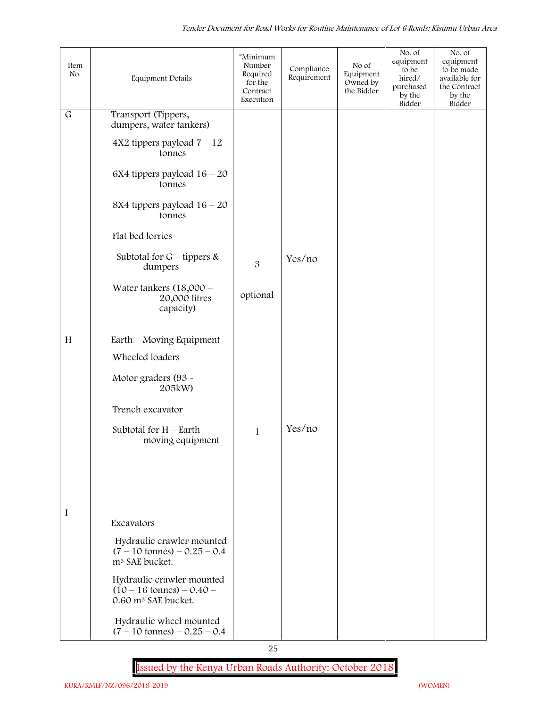| Item<br>No.  | <b>Equipment Details</b>                                                                          | *Minimum<br>Number<br>Required<br>for the<br>Contract<br>Execution | Compliance<br>Requirement | No of<br>Equipment<br>Owned by<br>the Bidder | No. of<br>equipment<br>to be<br>hired/<br>purchased<br>by the<br>Bidder | No. of<br>equipment<br>to be made<br>available for<br>the Contract<br>by the<br>Bidder |
|--------------|---------------------------------------------------------------------------------------------------|--------------------------------------------------------------------|---------------------------|----------------------------------------------|-------------------------------------------------------------------------|----------------------------------------------------------------------------------------|
| $\mathsf{G}$ | Transport (Tippers,<br>dumpers, water tankers)                                                    |                                                                    |                           |                                              |                                                                         |                                                                                        |
|              | $4X2$ tippers payload $7 - 12$<br>tonnes                                                          |                                                                    |                           |                                              |                                                                         |                                                                                        |
|              | 6X4 tippers payload $16 - 20$<br>tonnes                                                           |                                                                    |                           |                                              |                                                                         |                                                                                        |
|              | 8X4 tippers payload $16 - 20$<br>tonnes                                                           |                                                                    |                           |                                              |                                                                         |                                                                                        |
|              | Flat bed lorries                                                                                  |                                                                    |                           |                                              |                                                                         |                                                                                        |
|              | Subtotal for $G$ – tippers &<br>dumpers                                                           | 3                                                                  | Yes/no                    |                                              |                                                                         |                                                                                        |
|              | Water tankers $(18,000 -$<br>20,000 litres<br>capacity)                                           | optional                                                           |                           |                                              |                                                                         |                                                                                        |
| H            | Earth – Moving Equipment                                                                          |                                                                    |                           |                                              |                                                                         |                                                                                        |
|              | Wheeled loaders                                                                                   |                                                                    |                           |                                              |                                                                         |                                                                                        |
|              | Motor graders (93 -<br>205kW)                                                                     |                                                                    |                           |                                              |                                                                         |                                                                                        |
|              | Trench excavator                                                                                  |                                                                    |                           |                                              |                                                                         |                                                                                        |
|              | Subtotal for $H$ – Earth<br>moving equipment                                                      | $\mathbf{1}$                                                       | Yes/no                    |                                              |                                                                         |                                                                                        |
|              |                                                                                                   |                                                                    |                           |                                              |                                                                         |                                                                                        |
|              |                                                                                                   |                                                                    |                           |                                              |                                                                         |                                                                                        |
| I            | Excavators                                                                                        |                                                                    |                           |                                              |                                                                         |                                                                                        |
|              | Hydraulic crawler mounted                                                                         |                                                                    |                           |                                              |                                                                         |                                                                                        |
|              | $(7 - 10 \text{ tonnes}) - 0.25 - 0.4$<br>m <sup>3</sup> SAE bucket.                              |                                                                    |                           |                                              |                                                                         |                                                                                        |
|              | Hydraulic crawler mounted<br>$(10 - 16 \text{ tonnes}) - 0.40$<br>0.60 m <sup>3</sup> SAE bucket. |                                                                    |                           |                                              |                                                                         |                                                                                        |
|              | Hydraulic wheel mounted<br>$(7 - 10 \text{ tonnes}) - 0.25 - 0.4$                                 |                                                                    |                           |                                              |                                                                         |                                                                                        |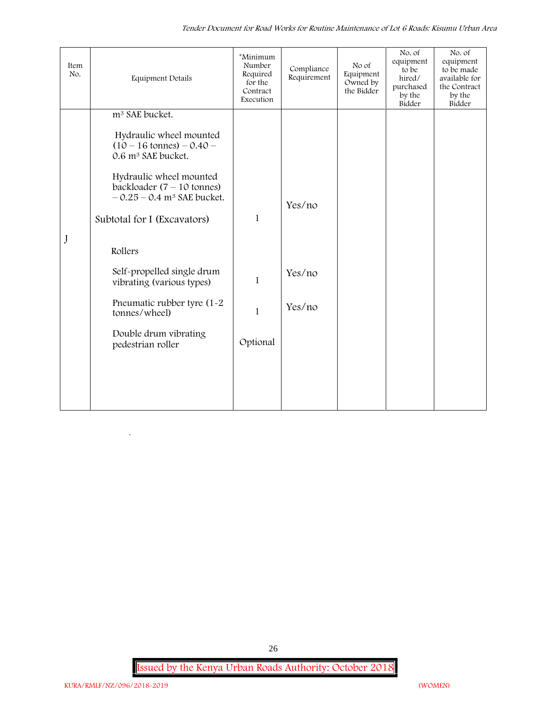| Item<br>No. | <b>Equipment Details</b>                                                                                    | *Minimum<br>Number<br>Required<br>for the<br>Contract<br>Execution | Compliance<br>Requirement | No of<br>Equipment<br>Owned by<br>the Bidder | No. of<br>equipment<br>to be<br>hired/<br>purchased<br>by the<br>Bidder | No. of<br>equipment<br>to be made<br>available for<br>the Contract<br>by the<br>Bidder |
|-------------|-------------------------------------------------------------------------------------------------------------|--------------------------------------------------------------------|---------------------------|----------------------------------------------|-------------------------------------------------------------------------|----------------------------------------------------------------------------------------|
|             | m <sup>3</sup> SAE bucket.                                                                                  |                                                                    |                           |                                              |                                                                         |                                                                                        |
|             | Hydraulic wheel mounted<br>$(10 - 16 \text{ tonnes}) - 0.40 -$<br>0.6 m <sup>3</sup> SAE bucket.            |                                                                    |                           |                                              |                                                                         |                                                                                        |
|             | Hydraulic wheel mounted<br>backloader $(7 - 10 \text{ tonnes})$<br>$-0.25 - 0.4$ m <sup>3</sup> SAE bucket. |                                                                    | Yes/no                    |                                              |                                                                         |                                                                                        |
|             | Subtotal for I (Excavators)                                                                                 | $\mathbf{1}$                                                       |                           |                                              |                                                                         |                                                                                        |
| J           | Rollers                                                                                                     |                                                                    |                           |                                              |                                                                         |                                                                                        |
|             | Self-propelled single drum<br>vibrating (various types)                                                     | $\mathbf{1}$                                                       | Yes/no                    |                                              |                                                                         |                                                                                        |
|             | Pneumatic rubber tyre (1-2)<br>tonnes/wheel)                                                                | $\mathbf{1}$                                                       | Yes/no                    |                                              |                                                                         |                                                                                        |
|             | Double drum vibrating<br>pedestrian roller                                                                  | Optional                                                           |                           |                                              |                                                                         |                                                                                        |
|             |                                                                                                             |                                                                    |                           |                                              |                                                                         |                                                                                        |
|             |                                                                                                             |                                                                    |                           |                                              |                                                                         |                                                                                        |
|             |                                                                                                             |                                                                    |                           |                                              |                                                                         |                                                                                        |

**Issued by the Kenya Urban Roads Authority: October 2018**

26

 $\overline{\phantom{a}}$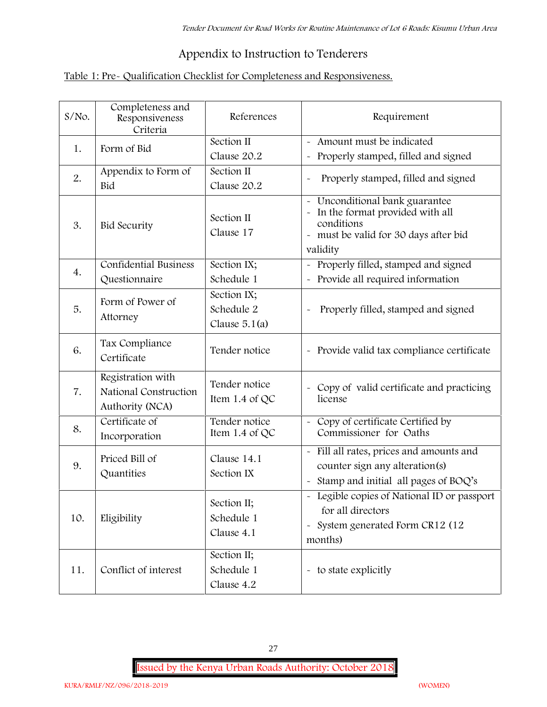# **Appendix to Instruction to Tenderers**

# **Table 1: Pre- Qualification Checklist for Completeness and Responsiveness.**

| $S/NO$ . | Completeness and<br>Responsiveness<br>Criteria                | References                                   | Requirement                                                                                                                        |
|----------|---------------------------------------------------------------|----------------------------------------------|------------------------------------------------------------------------------------------------------------------------------------|
| 1.       | Form of Bid                                                   | Section II<br>Clause 20.2                    | - Amount must be indicated<br>Properly stamped, filled and signed<br>$\tilde{\phantom{a}}$                                         |
| 2.       | Appendix to Form of<br>Bid                                    | Section II<br>Clause 20.2                    | Properly stamped, filled and signed                                                                                                |
| 3.       | <b>Bid Security</b>                                           | Section II<br>Clause 17                      | Unconditional bank guarantee<br>In the format provided with all<br>conditions<br>- must be valid for 30 days after bid<br>validity |
| 4.       | Confidential Business<br>Questionnaire                        | Section IX;<br>Schedule 1                    | Properly filled, stamped and signed<br>Provide all required information                                                            |
| 5.       | Form of Power of<br>Attorney                                  | Section IX;<br>Schedule 2<br>Clause $5.1(a)$ | Properly filled, stamped and signed                                                                                                |
| 6.       | Tax Compliance<br>Certificate                                 | Tender notice                                | - Provide valid tax compliance certificate                                                                                         |
| 7.       | Registration with<br>National Construction<br>Authority (NCA) | Tender notice<br>Item 1.4 of QC              | - Copy of valid certificate and practicing<br>license                                                                              |
| 8.       | Certificate of<br>Incorporation                               | Tender notice<br>Item 1.4 of $QC$            | Copy of certificate Certified by<br>$\sim$<br>Commissioner for Oaths                                                               |
| 9.       | Priced Bill of<br>Quantities                                  | Clause 14.1<br>Section IX                    | - Fill all rates, prices and amounts and<br>counter sign any alteration(s)<br>Stamp and initial all pages of BOQ's                 |
| 10.      | Eligibility                                                   | Section II;<br>Schedule 1<br>Clause 4.1      | - Legible copies of National ID or passport<br>for all directors<br>- System generated Form CR12 (12<br>months)                    |
| 11.      | Conflict of interest                                          | Section II;<br>Schedule 1<br>Clause 4.2      | - to state explicitly                                                                                                              |

27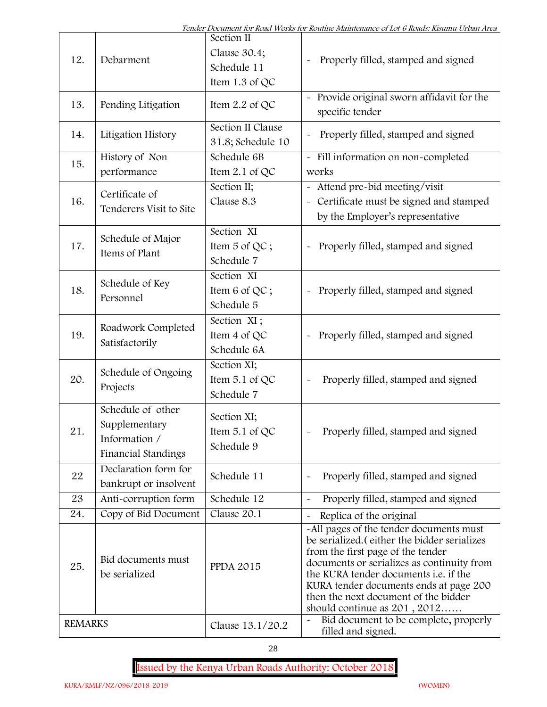| 12.            | Debarment                                                                  | Section II<br>Clause 30.4;<br>Schedule 11<br>Item 1.3 of QC | Properly filled, stamped and signed                                                                                                                                                                                                                                                                                                            |  |
|----------------|----------------------------------------------------------------------------|-------------------------------------------------------------|------------------------------------------------------------------------------------------------------------------------------------------------------------------------------------------------------------------------------------------------------------------------------------------------------------------------------------------------|--|
| 13.            | Pending Litigation                                                         | Item 2.2 of QC                                              | Provide original sworn affidavit for the<br>specific tender                                                                                                                                                                                                                                                                                    |  |
| 14.            | Litigation History                                                         | Section II Clause<br>31.8; Schedule 10                      | Properly filled, stamped and signed                                                                                                                                                                                                                                                                                                            |  |
| 15.            | History of Non                                                             | Schedule 6B                                                 | - Fill information on non-completed                                                                                                                                                                                                                                                                                                            |  |
|                | performance                                                                | Item $2.1$ of QC                                            | works                                                                                                                                                                                                                                                                                                                                          |  |
| 16.            | Certificate of<br>Tenderers Visit to Site                                  | Section II;<br>Clause 8.3                                   | Attend pre-bid meeting/visit<br>Certificate must be signed and stamped<br>by the Employer's representative                                                                                                                                                                                                                                     |  |
| 17.            | Schedule of Major<br>Items of Plant                                        | Section XI<br>Item 5 of QC;<br>Schedule 7                   | Properly filled, stamped and signed                                                                                                                                                                                                                                                                                                            |  |
| 18.            | Schedule of Key<br>Personnel                                               | Section XI<br>Item 6 of QC;<br>Schedule 5                   | Properly filled, stamped and signed                                                                                                                                                                                                                                                                                                            |  |
| 19.            | Roadwork Completed<br>Satisfactorily                                       | Section XI;<br>Item 4 of QC<br>Schedule 6A                  | Properly filled, stamped and signed<br>$\tilde{\phantom{a}}$                                                                                                                                                                                                                                                                                   |  |
| 20.            | Schedule of Ongoing<br>Projects                                            | Section XI;<br>Item 5.1 of QC<br>Schedule 7                 | Properly filled, stamped and signed                                                                                                                                                                                                                                                                                                            |  |
| 21             | Schedule of other<br>Supplementary<br>Information /<br>Financial Standings | Section XI;<br>Item $5.1$ of QC<br>Schedule 9               | Properly filled, stamped and signed                                                                                                                                                                                                                                                                                                            |  |
| 22             | Declaration form for<br>bankrupt or insolvent                              | Schedule 11                                                 | Properly filled, stamped and signed                                                                                                                                                                                                                                                                                                            |  |
| 23             | Anti-corruption form                                                       | Schedule 12                                                 | Properly filled, stamped and signed                                                                                                                                                                                                                                                                                                            |  |
| 24.            | Copy of Bid Document                                                       | Clause 20.1                                                 | Replica of the original                                                                                                                                                                                                                                                                                                                        |  |
| 25.            | Bid documents must<br>be serialized                                        | <b>PPDA 2015</b>                                            | -All pages of the tender documents must<br>be serialized. (either the bidder serializes<br>from the first page of the tender<br>documents or serializes as continuity from<br>the KURA tender documents <i>i.e.</i> if the<br>KURA tender documents ends at page 200<br>then the next document of the bidder<br>should continue as $201, 2012$ |  |
| <b>REMARKS</b> |                                                                            | Clause 13.1/20.2                                            | Bid document to be complete, properly<br>$\tilde{\phantom{a}}$<br>filled and signed.                                                                                                                                                                                                                                                           |  |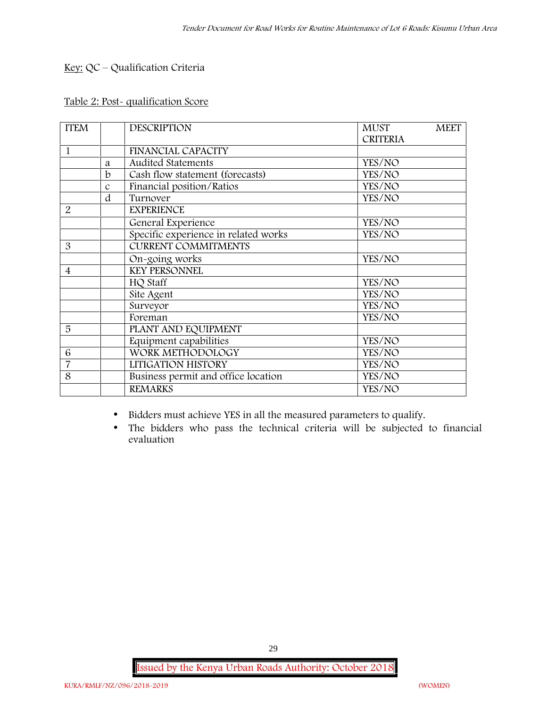# **Key:** QC – Qualification Criteria

# **Table 2: Post- qualification Score**

| <b>ITEM</b>    |               | <b>DESCRIPTION</b>                   | <b>MUST</b><br><b>MEET</b> |  |
|----------------|---------------|--------------------------------------|----------------------------|--|
|                |               |                                      | <b>CRITERIA</b>            |  |
| $\mathbf{1}$   |               | <b>FINANCIAL CAPACITY</b>            |                            |  |
|                | a             | <b>Audited Statements</b>            | YES/NO                     |  |
|                | b             | Cash flow statement (forecasts)      | YES/NO                     |  |
|                | $\mathcal{C}$ | Financial position/Ratios            | YES/NO                     |  |
|                | d             | Turnover                             | YES/NO                     |  |
| $\overline{2}$ |               | <b>EXPERIENCE</b>                    |                            |  |
|                |               | General Experience                   | YES/NO                     |  |
|                |               | Specific experience in related works | YES/NO                     |  |
| 3              |               | <b>CURRENT COMMITMENTS</b>           |                            |  |
|                |               | On-going works                       | YES/NO                     |  |
| $\overline{4}$ |               | <b>KEY PERSONNEL</b>                 |                            |  |
|                |               | HQ Staff                             | YES/NO                     |  |
|                |               | Site Agent                           | YES/NO                     |  |
|                |               | Surveyor                             | YES/NO                     |  |
|                |               | Foreman                              | YES/NO                     |  |
| 5              |               | PLANT AND EQUIPMENT                  |                            |  |
|                |               | Equipment capabilities               | YES/NO                     |  |
| 6              |               | WORK METHODOLOGY                     | YES/NO                     |  |
| $\overline{7}$ |               | LITIGATION HISTORY                   | YES/NO                     |  |
| 8              |               | Business permit and office location  | YES/NO                     |  |
|                |               | <b>REMARKS</b>                       | YES/NO                     |  |

- Bidders must achieve YES in all the measured parameters to qualify.
- The bidders who pass the technical criteria will be subjected to financial evaluation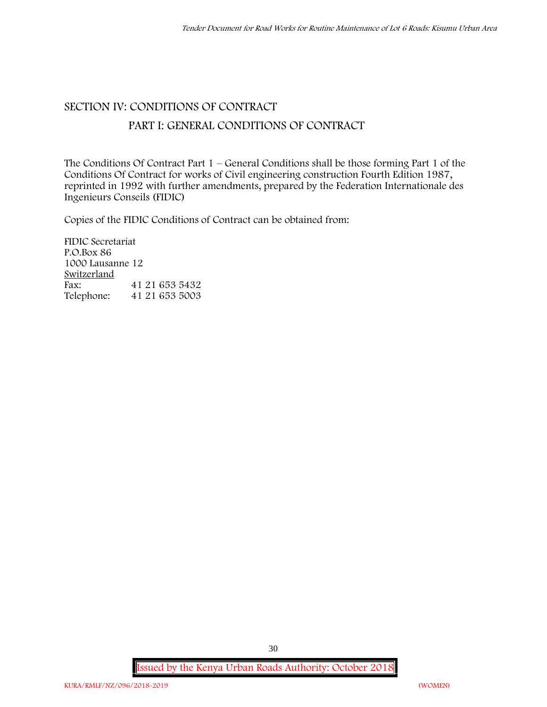### **SECTION IV: CONDITIONS OF CONTRACT**

# **PART I: GENERAL CONDITIONS OF CONTRACT**

The Conditions Of Contract Part 1 – General Conditions shall be those forming Part 1 of the Conditions Of Contract for works of Civil engineering construction Fourth Edition 1987, reprinted in 1992 with further amendments, prepared by the Federation Internationale des Ingenieurs Conseils (FIDIC)

Copies of the FIDIC Conditions of Contract can be obtained from:

FIDIC Secretariat P.O.Box 86 1000 Lausanne 12 **Switzerland**<br>Fax: Fax: 41 21 653 5432<br>Telephone: 41 21 653 5003 Telephone: 41 21 653 5003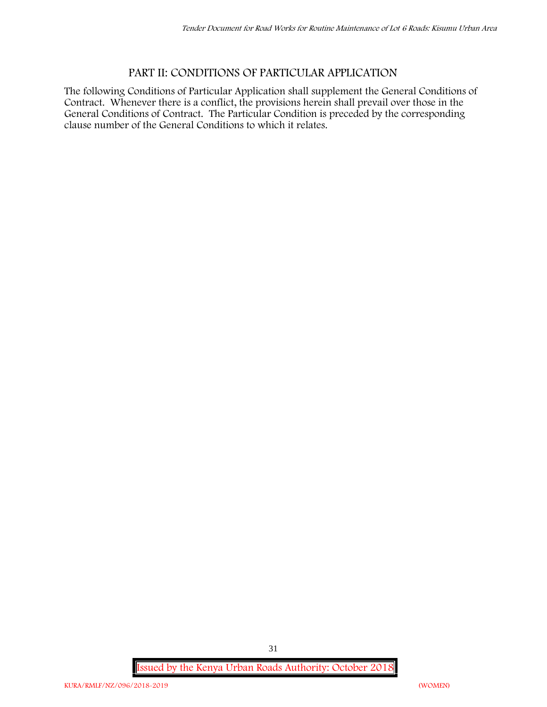# **PART II: CONDITIONS OF PARTICULAR APPLICATION**

The following Conditions of Particular Application shall supplement the General Conditions of Contract. Whenever there is a conflict, the provisions herein shall prevail over those in the General Conditions of Contract. The Particular Condition is preceded by the corresponding clause number of the General Conditions to which it relates.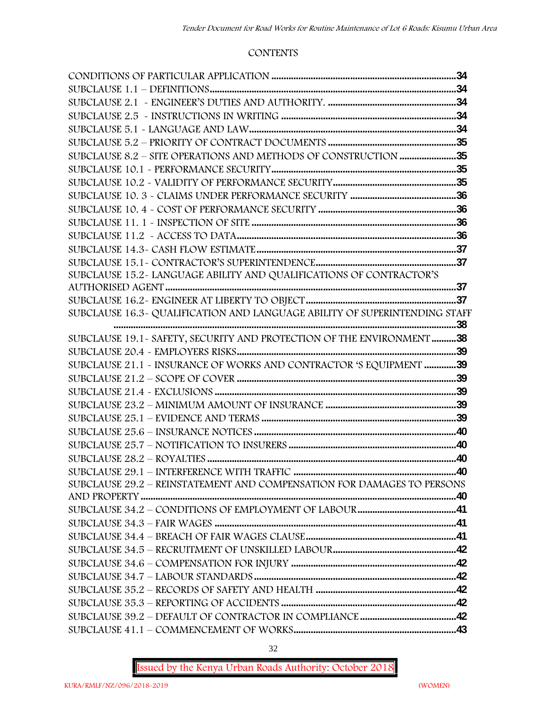#### **CONTENTS**

| SUBCLAUSE 8.2 - SITE OPERATIONS AND METHODS OF CONSTRUCTION 35             |  |
|----------------------------------------------------------------------------|--|
|                                                                            |  |
|                                                                            |  |
|                                                                            |  |
|                                                                            |  |
|                                                                            |  |
|                                                                            |  |
|                                                                            |  |
|                                                                            |  |
| SUBCLAUSE 15.2~ LANGUAGE ABILITY AND QUALIFICATIONS OF CONTRACTOR'S        |  |
|                                                                            |  |
|                                                                            |  |
| SUBCLAUSE 16.3~ QUALIFICATION AND LANGUAGE ABILITY OF SUPERINTENDING STAFF |  |
|                                                                            |  |
| SUBCLAUSE 19.1 - SAFETY, SECURITY AND PROTECTION OF THE ENVIRONMENT 38     |  |
|                                                                            |  |
| SUBCLAUSE 21.1 - INSURANCE OF WORKS AND CONTRACTOR 'S EQUIPMENT 39         |  |
|                                                                            |  |
|                                                                            |  |
|                                                                            |  |
|                                                                            |  |
|                                                                            |  |
|                                                                            |  |
|                                                                            |  |
| SUBCLAUSE 29.2 - REINSTATEMENT AND COMPENSATION FOR DAMAGES TO PERSONS     |  |
|                                                                            |  |
|                                                                            |  |
|                                                                            |  |
|                                                                            |  |
|                                                                            |  |
|                                                                            |  |
|                                                                            |  |
|                                                                            |  |
|                                                                            |  |
|                                                                            |  |
|                                                                            |  |
|                                                                            |  |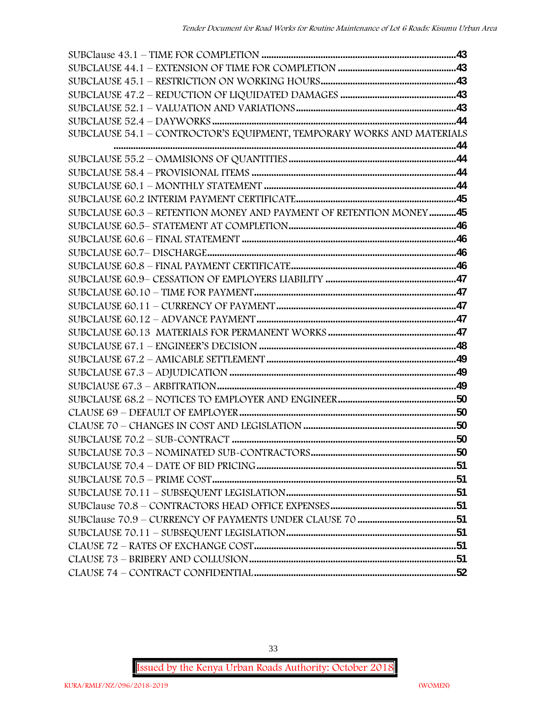| SUBCLAUSE 54.1 - CONTROCTOR'S EQUIPMENT, TEMPORARY WORKS AND MATERIALS |  |
|------------------------------------------------------------------------|--|
|                                                                        |  |
|                                                                        |  |
|                                                                        |  |
|                                                                        |  |
|                                                                        |  |
| SUBCLAUSE 60.3 - RETENTION MONEY AND PAYMENT OF RETENTION MONEY45      |  |
|                                                                        |  |
|                                                                        |  |
|                                                                        |  |
|                                                                        |  |
|                                                                        |  |
|                                                                        |  |
|                                                                        |  |
|                                                                        |  |
|                                                                        |  |
|                                                                        |  |
|                                                                        |  |
|                                                                        |  |
|                                                                        |  |
|                                                                        |  |
|                                                                        |  |
|                                                                        |  |
|                                                                        |  |
|                                                                        |  |
|                                                                        |  |
|                                                                        |  |
|                                                                        |  |
|                                                                        |  |
|                                                                        |  |
|                                                                        |  |
|                                                                        |  |
|                                                                        |  |
|                                                                        |  |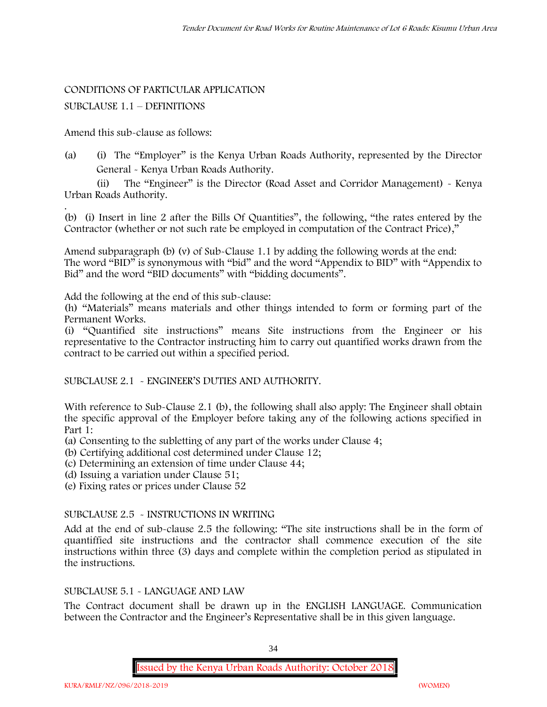#### CONDITIONS OF PARTICULAR APPLICATION

#### SUBCLAUSE 1.1 – DEFINITIONS

Amend this sub-clause as follows:

(a) (i) The "Employer" is the Kenya Urban Roads Authority, represented by the Director General - Kenya Urban Roads Authority.

(ii) The "Engineer" is the Director (Road Asset and Corridor Management) - Kenya Urban Roads Authority.

.(b) (i) Insert in line 2 after the Bills Of Quantities", the following, "the rates entered by the Contractor (whether or not such rate be employed in computation of the Contract Price),"

Amend subparagraph (b) (v) of Sub-Clause 1.1 by adding the following words at the end: The word "BID" is synonymous with "bid" and the word "Appendix to BID" with "Appendix to Bid" and the word "BID documents" with "bidding documents".

Add the following at the end of this sub-clause:

(h) "Materials" means materials and other things intended to form or forming part of the Permanent Works.

(i) "Quantified site instructions" means Site instructions from the Engineer or his representative to the Contractor instructing him to carry out quantified works drawn from the contract to be carried out within a specified period.

SUBCLAUSE 2.1 - ENGINEER'S DUTIES AND AUTHORITY.

With reference to Sub-Clause 2.1 (b), the following shall also apply: The Engineer shall obtain the specific approval of the Employer before taking any of the following actions specified in Part 1:

(a) Consenting to the subletting of any part of the works under Clause 4;

(b) Certifying additional cost determined under Clause 12;

(c) Determining an extension of time under Clause 44;

(d) Issuing a variation under Clause 51;

(e) Fixing rates or prices under Clause 52

#### SUBCLAUSE 2.5 - INSTRUCTIONS IN WRITING

Add at the end of sub-clause 2.5 the following: "The site instructions shall be in the form of quantiffied site instructions and the contractor shall commence execution of the site instructions within three (3) days and complete within the completion period as stipulated in the instructions.

### SUBCLAUSE 5.1 - LANGUAGE AND LAW

The Contract document shall be drawn up in the ENGLISH LANGUAGE. Communication between the Contractor and the Engineer's Representative shall be in this given language.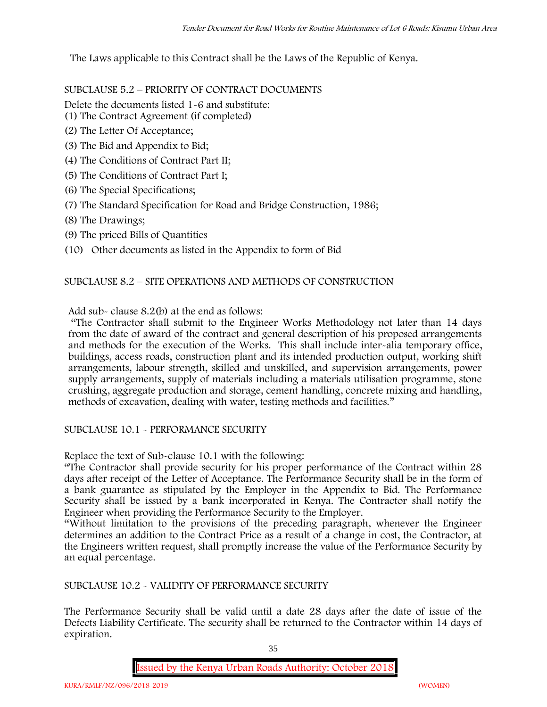The Laws applicable to this Contract shall be the Laws of the Republic of Kenya.

SUBCLAUSE 5.2 – PRIORITY OF CONTRACT DOCUMENTS

Delete the documents listed 1-6 and substitute:

- (1) The Contract Agreement (if completed)
- (2) The Letter Of Acceptance;
- (3) The Bid and Appendix to Bid;
- (4) The Conditions of Contract Part II;
- (5) The Conditions of Contract Part I;
- (6) The Special Specifications;
- (7) The Standard Specification for Road and Bridge Construction, 1986;
- (8) The Drawings;
- (9) The priced Bills of Quantities
- (10) Other documents as listed in the Appendix to form of Bid

### SUBCLAUSE 8.2 – SITE OPERATIONS AND METHODS OF CONSTRUCTION

Add sub- clause 8.2(b) at the end as follows:

"The Contractor shall submit to the Engineer Works Methodology not later than 14 days from the date of award of the contract and general description of his proposed arrangements and methods for the execution of the Works. This shall include inter-alia temporary office, buildings, access roads, construction plant and its intended production output, working shift arrangements, labour strength, skilled and unskilled, and supervision arrangements, power supply arrangements, supply of materials including a materials utilisation programme, stone crushing, aggregate production and storage, cement handling, concrete mixing and handling, methods of excavation, dealing with water, testing methods and facilities."

SUBCLAUSE 10.1 - PERFORMANCE SECURITY

Replace the text of Sub-clause 10.1 with the following:

"The Contractor shall provide security for his proper performance of the Contract within 28 days after receipt of the Letter of Acceptance. The Performance Security shall be in the form of a bank guarantee as stipulated by the Employer in the Appendix to Bid. The Performance Security shall be issued by a bank incorporated in Kenya. The Contractor shall notify the Engineer when providing the Performance Security to the Employer.

"Without limitation to the provisions of the preceding paragraph, whenever the Engineer determines an addition to the Contract Price as a result of a change in cost, the Contractor, at the Engineers written request, shall promptly increase the value of the Performance Security by an equal percentage.

SUBCLAUSE 10.2 - VALIDITY OF PERFORMANCE SECURITY

The Performance Security shall be valid until a date 28 days after the date of issue of the Defects Liability Certificate. The security shall be returned to the Contractor within 14 days of expiration.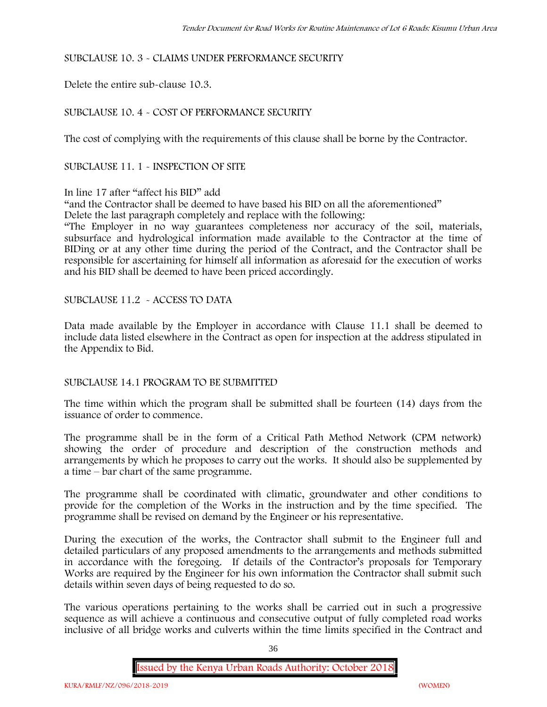# SUBCLAUSE 10. 3 - CLAIMS UNDER PERFORMANCE SECURITY

Delete the entire sub-clause 10.3.

# SUBCLAUSE 10. 4 - COST OF PERFORMANCE SECURITY

The cost of complying with the requirements of this clause shall be borne by the Contractor.

SUBCLAUSE 11. 1 - INSPECTION OF SITE

# In line 17 after "affect his BID" add

"and the Contractor shall be deemed to have based his BID on all the aforementioned" Delete the last paragraph completely and replace with the following:

"The Employer in no way guarantees completeness nor accuracy of the soil, materials, subsurface and hydrological information made available to the Contractor at the time of BIDing or at any other time during the period of the Contract, and the Contractor shall be responsible for ascertaining for himself all information as aforesaid for the execution of works and his BID shall be deemed to have been priced accordingly.

SUBCLAUSE 11.2 - ACCESS TO DATA

Data made available by the Employer in accordance with Clause 11.1 shall be deemed to include data listed elsewhere in the Contract as open for inspection at the address stipulated in the Appendix to Bid.

# SUBCLAUSE 14.1 PROGRAM TO BE SUBMITTED

The time within which the program shall be submitted shall be fourteen (14) days from the issuance of order to commence**.**

The programme shall be in the form of a Critical Path Method Network (CPM network) showing the order of procedure and description of the construction methods and arrangements by which he proposes to carry out the works. It should also be supplemented by a time – bar chart of the same programme.

The programme shall be coordinated with climatic, groundwater and other conditions to provide for the completion of the Works in the instruction and by the time specified. The programme shall be revised on demand by the Engineer or his representative.

During the execution of the works, the Contractor shall submit to the Engineer full and detailed particulars of any proposed amendments to the arrangements and methods submitted in accordance with the foregoing. If details of the Contractor's proposals for Temporary Works are required by the Engineer for his own information the Contractor shall submit such details within seven days of being requested to do so.

The various operations pertaining to the works shall be carried out in such a progressive sequence as will achieve a continuous and consecutive output of fully completed road works inclusive of all bridge works and culverts within the time limits specified in the Contract and

36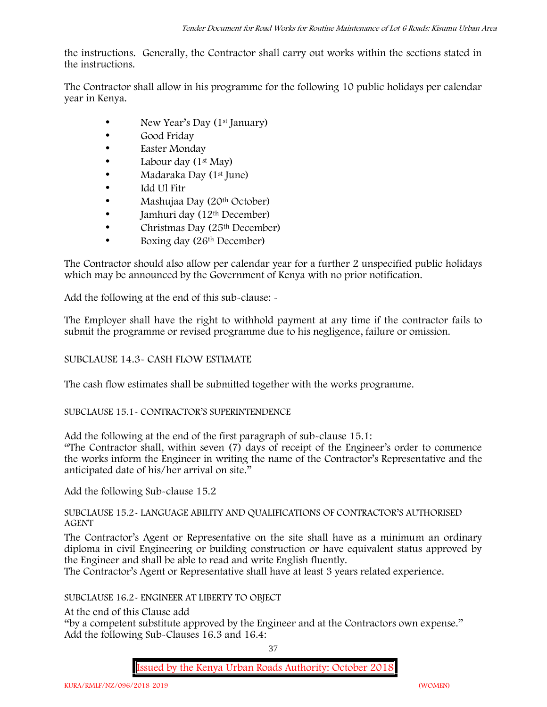the instructions. Generally, the Contractor shall carry out works within the sections stated in the instructions.

The Contractor shall allow in his programme for the following 10 public holidays per calendar year in Kenya.

- New Year's Day (1<sup>st</sup> January)
- Good Friday
- Easter Monday
- Labour day (1<sup>st</sup> May)
- Madaraka Day (1<sup>st</sup> June)
- Idd Ul Fitr
- Mashujaa Day (20<sup>th</sup> October)
- $\bullet$  Jamhuri day (12<sup>th</sup> December)
- $\bullet$  Christmas Day (25<sup>th</sup> December)
- Boxing day (26<sup>th</sup> December)

The Contractor should also allow per calendar year for a further 2 unspecified public holidays which may be announced by the Government of Kenya with no prior notification.

Add the following at the end of this sub-clause: -

The Employer shall have the right to withhold payment at any time if the contractor fails to submit the programme or revised programme due to his negligence, failure or omission.

# SUBCLAUSE 14.3- CASH FLOW ESTIMATE

The cash flow estimates shall be submitted together with the works programme.

# SUBCLAUSE 15.1- CONTRACTOR'S SUPERINTENDENCE

Add the following at the end of the first paragraph of sub-clause 15.1:

"The Contractor shall, within seven (7) days of receipt of the Engineer's order to commence the works inform the Engineer in writing the name of the Contractor's Representative and the anticipated date of his/her arrival on site."

Add the following Sub-clause 15.2

# SUBCLAUSE 15.2- LANGUAGE ABILITY AND QUALIFICATIONS OF CONTRACTOR'S AUTHORISED AGENT

The Contractor's Agent or Representative on the site shall have as a minimum an ordinary diploma in civil Engineering or building construction or have equivalent status approved by the Engineer and shall be able to read and write English fluently.

The Contractor's Agent or Representative shall have at least 3 years related experience.

# SUBCLAUSE 16.2- ENGINEER AT LIBERTY TO OBJECT

At the end of this Clause add

"by a competent substitute approved by the Engineer and at the Contractors own expense." Add the following Sub-Clauses 16.3 and 16.4:

37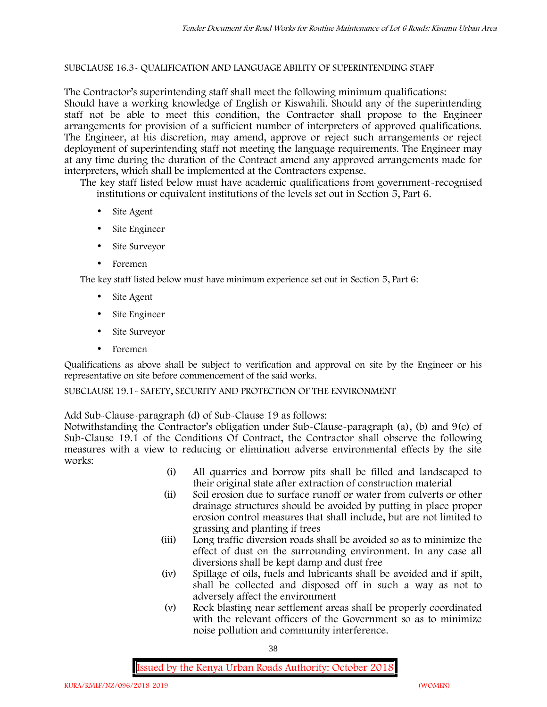## SUBCLAUSE 16.3- QUALIFICATION AND LANGUAGE ABILITY OF SUPERINTENDING STAFF

The Contractor's superintending staff shall meet the following minimum qualifications: Should have a working knowledge of English or Kiswahili. Should any of the superintending staff not be able to meet this condition, the Contractor shall propose to the Engineer arrangements for provision of a sufficient number of interpreters of approved qualifications. The Engineer, at his discretion, may amend, approve or reject such arrangements or reject deployment of superintending staff not meeting the language requirements. The Engineer may at any time during the duration of the Contract amend any approved arrangements made for interpreters, which shall be implemented at the Contractors expense.

The key staff listed below must have academic qualifications from government-recognised institutions or equivalent institutions of the levels set out in Section 5, Part 6.

- Site Agent
- Site Engineer
- Site Surveyor
- Foremen

The key staff listed below must have minimum experience set out in Section 5, Part 6:

- Site Agent
- Site Engineer
- Site Surveyor
- Foremen

Qualifications as above shall be subject to verification and approval on site by the Engineer or his representative on site before commencement of the said works.

SUBCLAUSE 19.1- SAFETY, SECURITY AND PROTECTION OF THE ENVIRONMENT

Add Sub-Clause-paragraph (d) of Sub-Clause 19 as follows:

Notwithstanding the Contractor's obligation under Sub-Clause-paragraph (a), (b) and 9(c) of Sub-Clause 19.1 of the Conditions Of Contract, the Contractor shall observe the following measures with a view to reducing or elimination adverse environmental effects by the site works:

- (i) All quarries and borrow pits shall be filled and landscaped to their original state after extraction of construction material
- (ii) Soil erosion due to surface runoff or water from culverts or other drainage structures should be avoided by putting in place proper erosion control measures that shall include, but are not limited to grassing and planting if trees
- (iii) Long traffic diversion roads shall be avoided so as to minimize the effect of dust on the surrounding environment. In any case all diversions shall be kept damp and dust free
- (iv) Spillage of oils, fuels and lubricants shall be avoided and if spilt, shall be collected and disposed off in such a way as not to adversely affect the environment
- (v) Rock blasting near settlement areas shall be properly coordinated with the relevant officers of the Government so as to minimize noise pollution and community interference.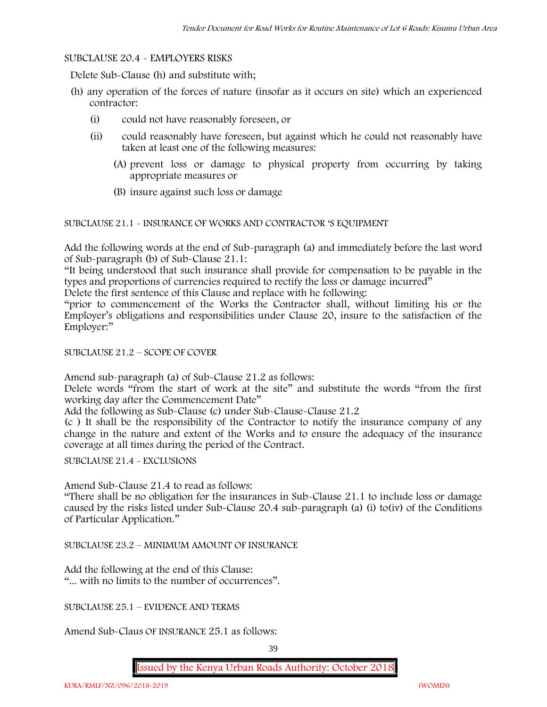## SUBCLAUSE 20.4 - EMPLOYERS RISKS

Delete Sub-Clause (h) and substitute with;

- (h) any operation of the forces of nature (insofar as it occurs on site) which an experienced contractor:
	- (i) could not have reasonably foreseen, or
	- (ii) could reasonably have foreseen, but against which he could not reasonably have taken at least one of the following measures:
		- (A) prevent loss or damage to physical property from occurring by taking appropriate measures or
		- (B) insure against such loss or damage

SUBCLAUSE 21.1 - INSURANCE OF WORKS AND CONTRACTOR 'S EQUIPMENT

Add the following words at the end of Sub-paragraph (a) and immediately before the last word of Sub-paragraph (b) of Sub-Clause 21.1:

"It being understood that such insurance shall provide for compensation to be payable in the types and proportions of currencies required to rectify the loss or damage incurred"

Delete the first sentence of this Clause and replace with he following:

"prior to commencement of the Works the Contractor shall, without limiting his or the Employer's obligations and responsibilities under Clause 20, insure to the satisfaction of the Employer:"

## SUBCLAUSE 21.2 – SCOPE OF COVER

Amend sub-paragraph (a) of Sub-Clause 21.2 as follows:

Delete words "from the start of work at the site" and substitute the words "from the first working day after the Commencement Date"

Add the following as Sub-Clause (c) under Sub-Clause-Clause 21.2

(c ) It shall be the responsibility of the Contractor to notify the insurance company of any change in the nature and extent of the Works and to ensure the adequacy of the insurance coverage at all times during the period of the Contract.

SUBCLAUSE 21.4 - EXCLUSIONS

Amend Sub-Clause 21.4 to read as follows:

"There shall be no obligation for the insurances in Sub-Clause 21.1 to include loss or damage caused by the risks listed under Sub-Clause 20.4 sub-paragraph (a) (i) to(iv) of the Conditions of Particular Application."

SUBCLAUSE 23.2 – MINIMUM AMOUNT OF INSURANCE

Add the following at the end of this Clause: "... with no limits to the number of occurrences".

SUBCLAUSE 25.1 – EVIDENCE AND TERMS

Amend Sub-Claus OF INSURANCE 25.1 as follows: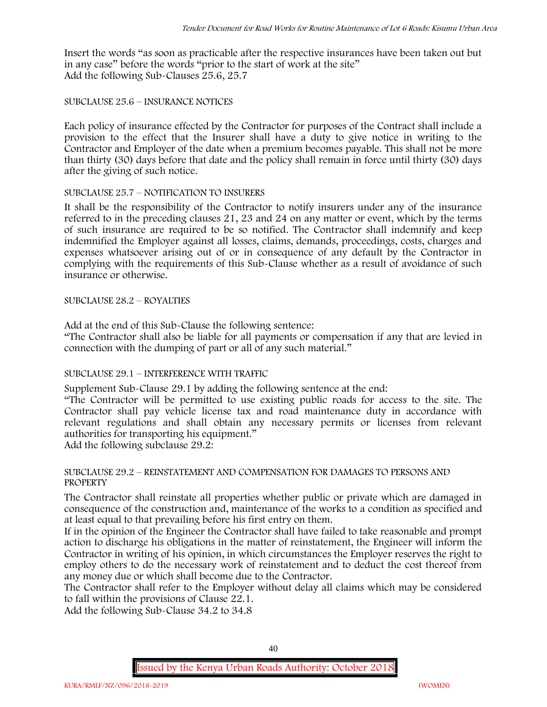Insert the words "as soon as practicable after the respective insurances have been taken out but in any case" before the words "prior to the start of work at the site" Add the following Sub-Clauses 25.6, 25.7

## SUBCLAUSE 25.6 – INSURANCE NOTICES

Each policy of insurance effected by the Contractor for purposes of the Contract shall include a provision to the effect that the Insurer shall have a duty to give notice in writing to the Contractor and Employer of the date when a premium becomes payable. This shall not be more than thirty (30) days before that date and the policy shall remain in force until thirty (30) days after the giving of such notice.

#### SUBCLAUSE 25.7 – NOTIFICATION TO INSURERS

It shall be the responsibility of the Contractor to notify insurers under any of the insurance referred to in the preceding clauses 21, 23 and 24 on any matter or event, which by the terms of such insurance are required to be so notified. The Contractor shall indemnify and keep indemnified the Employer against all losses, claims, demands, proceedings, costs, charges and expenses whatsoever arising out of or in consequence of any default by the Contractor in complying with the requirements of this Sub-Clause whether as a result of avoidance of such insurance or otherwise.

## SUBCLAUSE 28.2 – ROYALTIES

Add at the end of this Sub-Clause the following sentence:

"The Contractor shall also be liable for all payments or compensation if any that are levied in connection with the dumping of part or all of any such material."

# SUBCLAUSE 29.1 – INTERFERENCE WITH TRAFFIC

Supplement Sub-Clause 29.1 by adding the following sentence at the end:

"The Contractor will be permitted to use existing public roads for access to the site. The Contractor shall pay vehicle license tax and road maintenance duty in accordance with relevant regulations and shall obtain any necessary permits or licenses from relevant authorities for transporting his equipment."

Add the following subclause 29.2:

#### SUBCLAUSE 29.2 – REINSTATEMENT AND COMPENSATION FOR DAMAGES TO PERSONS AND **PROPERTY**

The Contractor shall reinstate all properties whether public or private which are damaged in consequence of the construction and, maintenance of the works to a condition as specified and at least equal to that prevailing before his first entry on them.

If in the opinion of the Engineer the Contractor shall have failed to take reasonable and prompt action to discharge his obligations in the matter of reinstatement, the Engineer will inform the Contractor in writing of his opinion, in which circumstances the Employer reserves the right to employ others to do the necessary work of reinstatement and to deduct the cost thereof from any money due or which shall become due to the Contractor.

The Contractor shall refer to the Employer without delay all claims which may be considered to fall within the provisions of Clause 22.1.

Add the following Sub-Clause 34.2 to 34.8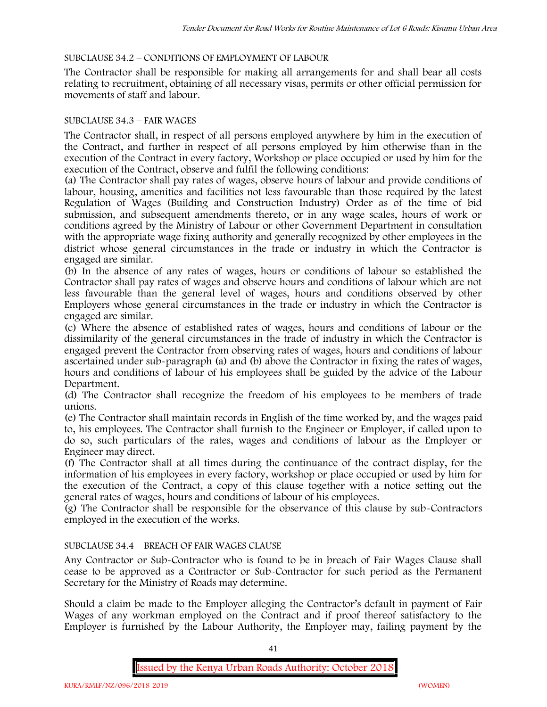# SUBCLAUSE 34.2 – CONDITIONS OF EMPLOYMENT OF LABOUR

The Contractor shall be responsible for making all arrangements for and shall bear all costs relating to recruitment, obtaining of all necessary visas, permits or other official permission for movements of staff and labour.

## SUBCLAUSE 34.3 – FAIR WAGES

The Contractor shall, in respect of all persons employed anywhere by him in the execution of the Contract, and further in respect of all persons employed by him otherwise than in the execution of the Contract in every factory, Workshop or place occupied or used by him for the execution of the Contract, observe and fulfil the following conditions:

(a) The Contractor shall pay rates of wages, observe hours of labour and provide conditions of labour, housing, amenities and facilities not less favourable than those required by the latest Regulation of Wages (Building and Construction Industry) Order as of the time of bid submission, and subsequent amendments thereto, or in any wage scales, hours of work or conditions agreed by the Ministry of Labour or other Government Department in consultation with the appropriate wage fixing authority and generally recognized by other employees in the district whose general circumstances in the trade or industry in which the Contractor is engaged are similar.

(b) In the absence of any rates of wages, hours or conditions of labour so established the Contractor shall pay rates of wages and observe hours and conditions of labour which are not less favourable than the general level of wages, hours and conditions observed by other Employers whose general circumstances in the trade or industry in which the Contractor is engaged are similar.

(c) Where the absence of established rates of wages, hours and conditions of labour or the dissimilarity of the general circumstances in the trade of industry in which the Contractor is engaged prevent the Contractor from observing rates of wages, hours and conditions of labour ascertained under sub-paragraph (a) and (b) above the Contractor in fixing the rates of wages, hours and conditions of labour of his employees shall be guided by the advice of the Labour Department.

(d) The Contractor shall recognize the freedom of his employees to be members of trade unions.

(e) The Contractor shall maintain records in English of the time worked by, and the wages paid to, his employees. The Contractor shall furnish to the Engineer or Employer, if called upon to do so, such particulars of the rates, wages and conditions of labour as the Employer or Engineer may direct.

(f) The Contractor shall at all times during the continuance of the contract display, for the information of his employees in every factory, workshop or place occupied or used by him for the execution of the Contract, a copy of this clause together with a notice setting out the general rates of wages, hours and conditions of labour of his employees.

(g) The Contractor shall be responsible for the observance of this clause by sub-Contractors employed in the execution of the works.

# SUBCLAUSE 34.4 – BREACH OF FAIR WAGES CLAUSE

Any Contractor or Sub-Contractor who is found to be in breach of Fair Wages Clause shall cease to be approved as a Contractor or Sub-Contractor for such period as the Permanent Secretary for the Ministry of Roads may determine.

Should a claim be made to the Employer alleging the Contractor's default in payment of Fair Wages of any workman employed on the Contract and if proof thereof satisfactory to the Employer is furnished by the Labour Authority, the Employer may, failing payment by the

41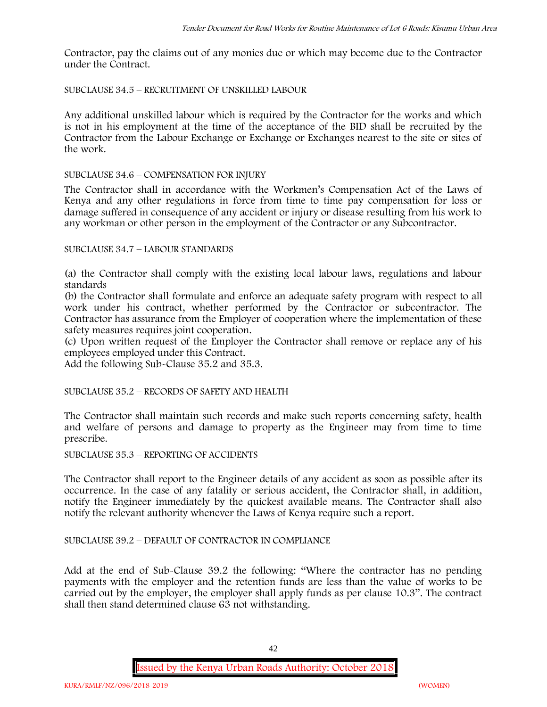Contractor, pay the claims out of any monies due or which may become due to the Contractor under the Contract.

# SUBCLAUSE 34.5 – RECRUITMENT OF UNSKILLED LABOUR

Any additional unskilled labour which is required by the Contractor for the works and which is not in his employment at the time of the acceptance of the BID shall be recruited by the Contractor from the Labour Exchange or Exchange or Exchanges nearest to the site or sites of the work.

#### SUBCLAUSE 34.6 – COMPENSATION FOR INJURY

The Contractor shall in accordance with the Workmen's Compensation Act of the Laws of Kenya and any other regulations in force from time to time pay compensation for loss or damage suffered in consequence of any accident or injury or disease resulting from his work to any workman or other person in the employment of the Contractor or any Subcontractor.

#### SUBCLAUSE 34.7 – LABOUR STANDARDS

(a) the Contractor shall comply with the existing local labour laws, regulations and labour standards

(b) the Contractor shall formulate and enforce an adequate safety program with respect to all work under his contract, whether performed by the Contractor or subcontractor. The Contractor has assurance from the Employer of cooperation where the implementation of these safety measures requires joint cooperation.

(c) Upon written request of the Employer the Contractor shall remove or replace any of his employees employed under this Contract.

Add the following Sub-Clause 35.2 and 35.3.

SUBCLAUSE 35.2 – RECORDS OF SAFETY AND HEALTH

The Contractor shall maintain such records and make such reports concerning safety, health and welfare of persons and damage to property as the Engineer may from time to time prescribe.

SUBCLAUSE 35.3 – REPORTING OF ACCIDENTS

The Contractor shall report to the Engineer details of any accident as soon as possible after its occurrence. In the case of any fatality or serious accident, the Contractor shall, in addition, notify the Engineer immediately by the quickest available means. The Contractor shall also notify the relevant authority whenever the Laws of Kenya require such a report.

# SUBCLAUSE 39.2 – DEFAULT OF CONTRACTOR IN COMPLIANCE

Add at the end of Sub-Clause 39.2 the following: "Where the contractor has no pending payments with the employer and the retention funds are less than the value of works to be carried out by the employer, the employer shall apply funds as per clause 10.3". The contract shall then stand determined clause 63 not withstanding.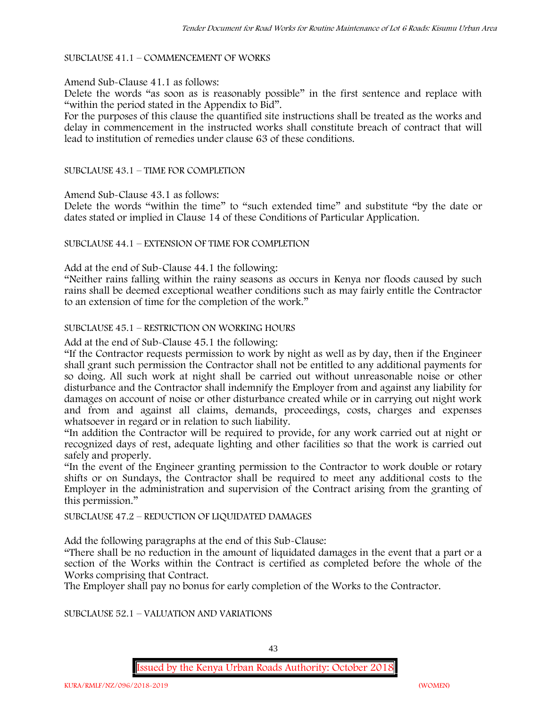#### SUBCLAUSE 41.1 – COMMENCEMENT OF WORKS

#### Amend Sub-Clause 41.1 as follows:

Delete the words "as soon as is reasonably possible" in the first sentence and replace with "within the period stated in the Appendix to Bid".

For the purposes of this clause the quantified site instructions shall be treated as the works and delay in commencement in the instructed works shall constitute breach of contract that will lead to institution of remedies under clause 63 of these conditions.

#### SUBCLAUSE 43.1 – TIME FOR COMPLETION

Amend Sub-Clause 43.1 as follows:

Delete the words "within the time" to "such extended time" and substitute "by the date or dates stated or implied in Clause 14 of these Conditions of Particular Application.

## SUBCLAUSE 44.1 – EXTENSION OF TIME FOR COMPLETION

Add at the end of Sub-Clause 44.1 the following:

"Neither rains falling within the rainy seasons as occurs in Kenya nor floods caused by such rains shall be deemed exceptional weather conditions such as may fairly entitle the Contractor to an extension of time for the completion of the work."

#### SUBCLAUSE 45.1 – RESTRICTION ON WORKING HOURS

Add at the end of Sub-Clause 45.1 the following:

"If the Contractor requests permission to work by night as well as by day, then if the Engineer shall grant such permission the Contractor shall not be entitled to any additional payments for so doing. All such work at night shall be carried out without unreasonable noise or other disturbance and the Contractor shall indemnify the Employer from and against any liability for damages on account of noise or other disturbance created while or in carrying out night work and from and against all claims, demands, proceedings, costs, charges and expenses whatsoever in regard or in relation to such liability.

"In addition the Contractor will be required to provide, for any work carried out at night or recognized days of rest, adequate lighting and other facilities so that the work is carried out safely and properly.

"In the event of the Engineer granting permission to the Contractor to work double or rotary shifts or on Sundays, the Contractor shall be required to meet any additional costs to the Employer in the administration and supervision of the Contract arising from the granting of this permission."

#### SUBCLAUSE 47.2 – REDUCTION OF LIQUIDATED DAMAGES

Add the following paragraphs at the end of this Sub-Clause:

"There shall be no reduction in the amount of liquidated damages in the event that a part or a section of the Works within the Contract is certified as completed before the whole of the Works comprising that Contract.

The Employer shall pay no bonus for early completion of the Works to the Contractor.

SUBCLAUSE 52.1 – VALUATION AND VARIATIONS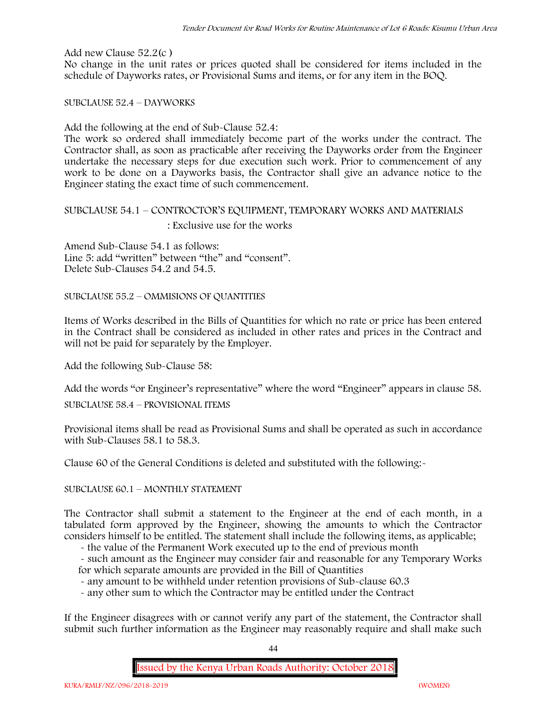Add new Clause 52.2(c )

No change in the unit rates or prices quoted shall be considered for items included in the schedule of Dayworks rates, or Provisional Sums and items, or for any item in the BOQ.

SUBCLAUSE 52.4 – DAYWORKS

Add the following at the end of Sub-Clause 52.4:

The work so ordered shall immediately become part of the works under the contract. The Contractor shall, as soon as practicable after receiving the Dayworks order from the Engineer undertake the necessary steps for due execution such work. Prior to commencement of any work to be done on a Dayworks basis, the Contractor shall give an advance notice to the Engineer stating the exact time of such commencement.

# SUBCLAUSE 54.1 – CONTROCTOR'S EQUIPMENT, TEMPORARY WORKS AND MATERIALS : Exclusive use for the works

Amend Sub-Clause 54.1 as follows: Line 5: add "written" between "the" and "consent". Delete Sub-Clauses 54.2 and 54.5.

SUBCLAUSE 55.2 – OMMISIONS OF QUANTITIES

Items of Works described in the Bills of Quantities for which no rate or price has been entered in the Contract shall be considered as included in other rates and prices in the Contract and will not be paid for separately by the Employer.

Add the following Sub-Clause 58:

Add the words "or Engineer's representative" where the word "Engineer" appears in clause 58.

SUBCLAUSE 58.4 – PROVISIONAL ITEMS

Provisional items shall be read as Provisional Sums and shall be operated as such in accordance with Sub-Clauses 58.1 to 58.3.

Clause 60 of the General Conditions is deleted and substituted with the following:-

SUBCLAUSE 60.1 – MONTHLY STATEMENT

The Contractor shall submit a statement to the Engineer at the end of each month, in a tabulated form approved by the Engineer, showing the amounts to which the Contractor considers himself to be entitled. The statement shall include the following items, as applicable;

- the value of the Permanent Work executed up to the end of previous month

- such amount as the Engineer may consider fair and reasonable for any Temporary Works for which separate amounts are provided in the Bill of Quantities

- any amount to be withheld under retention provisions of Sub-clause 60.3

- any other sum to which the Contractor may be entitled under the Contract

If the Engineer disagrees with or cannot verify any part of the statement, the Contractor shall submit such further information as the Engineer may reasonably require and shall make such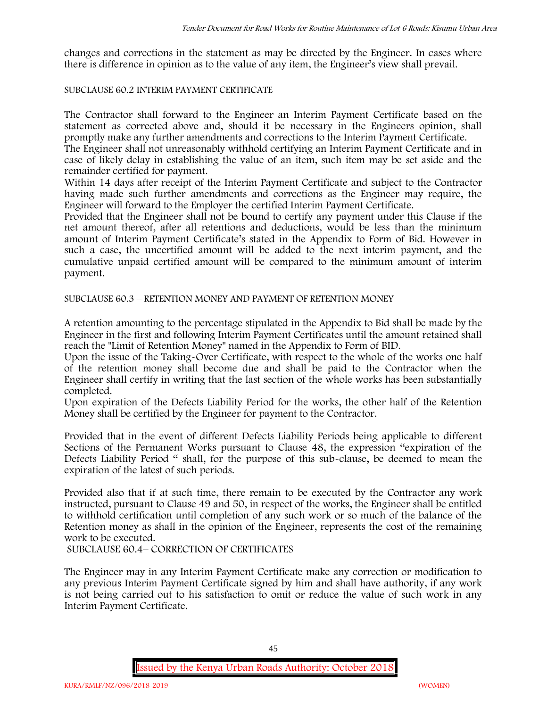changes and corrections in the statement as may be directed by the Engineer. In cases where there is difference in opinion as to the value of any item, the Engineer's view shall prevail.

# SUBCLAUSE 60.2 INTERIM PAYMENT CERTIFICATE

The Contractor shall forward to the Engineer an Interim Payment Certificate based on the statement as corrected above and, should it be necessary in the Engineers opinion, shall promptly make any further amendments and corrections to the Interim Payment Certificate.

The Engineer shall not unreasonably withhold certifying an Interim Payment Certificate and in case of likely delay in establishing the value of an item, such item may be set aside and the remainder certified for payment.

Within 14 days after receipt of the Interim Payment Certificate and subject to the Contractor having made such further amendments and corrections as the Engineer may require, the Engineer will forward to the Employer the certified Interim Payment Certificate.

Provided that the Engineer shall not be bound to certify any payment under this Clause if the net amount thereof, after all retentions and deductions, would be less than the minimum amount of Interim Payment Certificate's stated in the Appendix to Form of Bid. However in such a case, the uncertified amount will be added to the next interim payment, and the cumulative unpaid certified amount will be compared to the minimum amount of interim payment.

SUBCLAUSE 60.3 – RETENTION MONEY AND PAYMENT OF RETENTION MONEY

A retention amounting to the percentage stipulated in the Appendix to Bid shall be made by the Engineer in the first and following Interim Payment Certificates until the amount retained shall reach the "Limit of Retention Money" named in the Appendix to Form of BID.

Upon the issue of the Taking-Over Certificate, with respect to the whole of the works one half of the retention money shall become due and shall be paid to the Contractor when the Engineer shall certify in writing that the last section of the whole works has been substantially completed.

Upon expiration of the Defects Liability Period for the works, the other half of the Retention Money shall be certified by the Engineer for payment to the Contractor.

Provided that in the event of different Defects Liability Periods being applicable to different Sections of the Permanent Works pursuant to Clause 48, the expression "expiration of the Defects Liability Period " shall, for the purpose of this sub-clause, be deemed to mean the expiration of the latest of such periods.

Provided also that if at such time, there remain to be executed by the Contractor any work instructed, pursuant to Clause 49 and 50, in respect of the works, the Engineer shall be entitled to withhold certification until completion of any such work or so much of the balance of the Retention money as shall in the opinion of the Engineer, represents the cost of the remaining work to be executed.

SUBCLAUSE 60.4– CORRECTION OF CERTIFICATES

The Engineer may in any Interim Payment Certificate make any correction or modification to any previous Interim Payment Certificate signed by him and shall have authority, if any work is not being carried out to his satisfaction to omit or reduce the value of such work in any Interim Payment Certificate.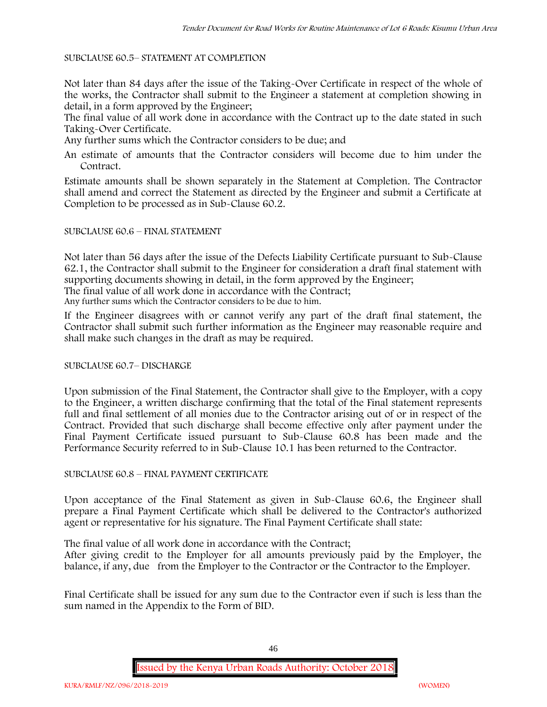## SUBCLAUSE 60.5– STATEMENT AT COMPLETION

Not later than 84 days after the issue of the Taking-Over Certificate in respect of the whole of the works, the Contractor shall submit to the Engineer a statement at completion showing in detail, in a form approved by the Engineer;

The final value of all work done in accordance with the Contract up to the date stated in such Taking-Over Certificate.

Any further sums which the Contractor considers to be due; and

An estimate of amounts that the Contractor considers will become due to him under the Contract.

Estimate amounts shall be shown separately in the Statement at Completion. The Contractor shall amend and correct the Statement as directed by the Engineer and submit a Certificate at Completion to be processed as in Sub-Clause 60.2.

## SUBCLAUSE 60.6 – FINAL STATEMENT

Not later than 56 days after the issue of the Defects Liability Certificate pursuant to Sub-Clause 62.1, the Contractor shall submit to the Engineer for consideration a draft final statement with supporting documents showing in detail, in the form approved by the Engineer;

The final value of all work done in accordance with the Contract;

Any further sums which the Contractor considers to be due to him.

If the Engineer disagrees with or cannot verify any part of the draft final statement, the Contractor shall submit such further information as the Engineer may reasonable require and shall make such changes in the draft as may be required.

# SUBCLAUSE 60.7– DISCHARGE

Upon submission of the Final Statement, the Contractor shall give to the Employer, with a copy to the Engineer, a written discharge confirming that the total of the Final statement represents full and final settlement of all monies due to the Contractor arising out of or in respect of the Contract. Provided that such discharge shall become effective only after payment under the Final Payment Certificate issued pursuant to Sub-Clause 60.8 has been made and the Performance Security referred to in Sub-Clause 10.1 has been returned to the Contractor.

# SUBCLAUSE 60.8 – FINAL PAYMENT CERTIFICATE

Upon acceptance of the Final Statement as given in Sub-Clause 60.6, the Engineer shall prepare a Final Payment Certificate which shall be delivered to the Contractor's authorized agent or representative for his signature. The Final Payment Certificate shall state:

The final value of all work done in accordance with the Contract;

After giving credit to the Employer for all amounts previously paid by the Employer, the balance, if any, due from the Employer to the Contractor or the Contractor to the Employer.

Final Certificate shall be issued for any sum due to the Contractor even if such is less than the sum named in the Appendix to the Form of BID.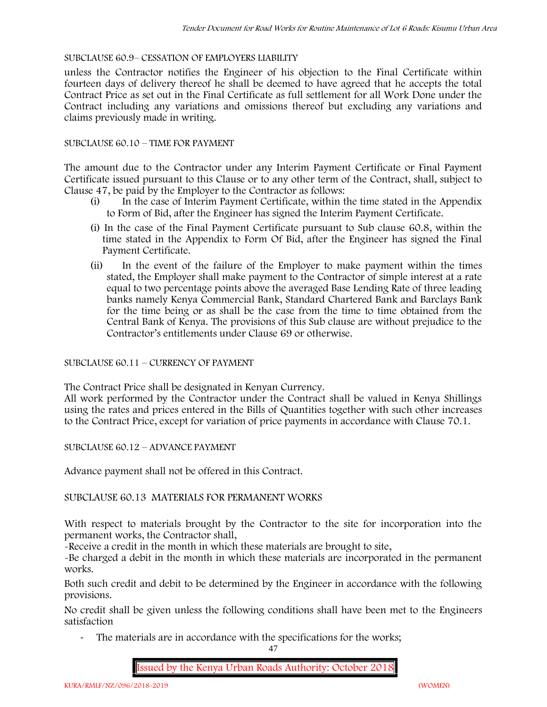# SUBCLAUSE 60.9– CESSATION OF EMPLOYERS LIABILITY

unless the Contractor notifies the Engineer of his objection to the Final Certificate within fourteen days of delivery thereof he shall be deemed to have agreed that he accepts the total Contract Price as set out in the Final Certificate as full settlement for all Work Done under the Contract including any variations and omissions thereof but excluding any variations and claims previously made in writing.

# SUBCLAUSE 60.10 – TIME FOR PAYMENT

The amount due to the Contractor under any Interim Payment Certificate or Final Payment Certificate issued pursuant to this Clause or to any other term of the Contract, shall, subject to Clause 47, be paid by the Employer to the Contractor as follows:

- (i) In the case of Interim Payment Certificate, within the time stated in the Appendix to Form of Bid, after the Engineer has signed the Interim Payment Certificate.
- (i) In the case of the Final Payment Certificate pursuant to Sub clause 60.8, within the time stated in the Appendix to Form Of Bid, after the Engineer has signed the Final Payment Certificate.
- (ii) In the event of the failure of the Employer to make payment within the times stated, the Employer shall make payment to the Contractor of simple interest at a rate equal to two percentage points above the averaged Base Lending Rate of three leading banks namely Kenya Commercial Bank, Standard Chartered Bank and Barclays Bank for the time being or as shall be the case from the time to time obtained from the Central Bank of Kenya. The provisions of this Sub clause are without prejudice to the Contractor's entitlements under Clause 69 or otherwise.

# SUBCLAUSE 60.11 – CURRENCY OF PAYMENT

The Contract Price shall be designated in Kenyan Currency.

All work performed by the Contractor under the Contract shall be valued in Kenya Shillings using the rates and prices entered in the Bills of Quantities together with such other increases to the Contract Price, except for variation of price payments in accordance with Clause 70.1.

SUBCLAUSE 60.12 – ADVANCE PAYMENT

Advance payment shall not be offered in this Contract.

# SUBCLAUSE 60.13 MATERIALS FOR PERMANENT WORKS

With respect to materials brought by the Contractor to the site for incorporation into the permanent works, the Contractor shall,

-Receive a credit in the month in which these materials are brought to site,

-Be charged a debit in the month in which these materials are incorporated in the permanent works.

Both such credit and debit to be determined by the Engineer in accordance with the following provisions.

No credit shall be given unless the following conditions shall have been met to the Engineers satisfaction

- The materials are in accordance with the specifications for the works;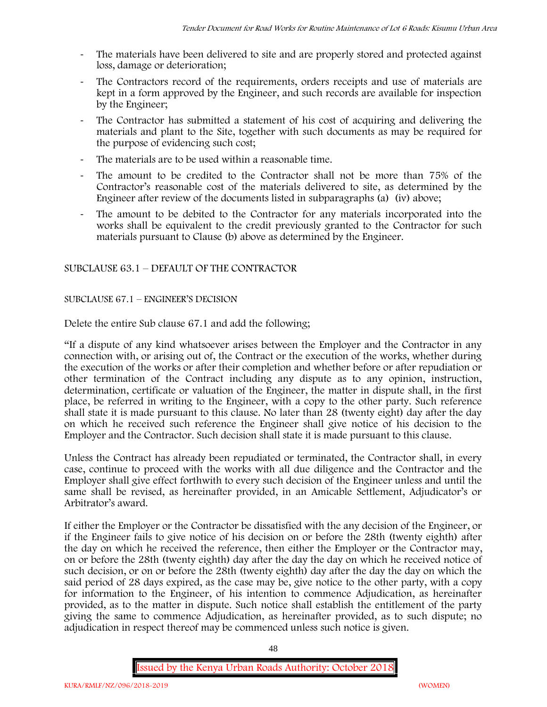- The materials have been delivered to site and are properly stored and protected against loss, damage or deterioration;
- The Contractors record of the requirements, orders receipts and use of materials are kept in a form approved by the Engineer, and such records are available for inspection by the Engineer;
- The Contractor has submitted a statement of his cost of acquiring and delivering the materials and plant to the Site, together with such documents as may be required for the purpose of evidencing such cost;
- The materials are to be used within a reasonable time.
- The amount to be credited to the Contractor shall not be more than 75% of the Contractor's reasonable cost of the materials delivered to site, as determined by the Engineer after review of the documents listed in subparagraphs (a) (iv) above;
- The amount to be debited to the Contractor for any materials incorporated into the works shall be equivalent to the credit previously granted to the Contractor for such materials pursuant to Clause (b) above as determined by the Engineer.

# SUBCLAUSE 63.1 – DEFAULT OF THE CONTRACTOR

# SUBCLAUSE 67.1 – ENGINEER'S DECISION

Delete the entire Sub clause 67.1 and add the following;

"If a dispute of any kind whatsoever arises between the Employer and the Contractor in any connection with, or arising out of, the Contract or the execution of the works, whether during the execution of the works or after their completion and whether before or after repudiation or other termination of the Contract including any dispute as to any opinion, instruction, determination, certificate or valuation of the Engineer, the matter in dispute shall, in the first place, be referred in writing to the Engineer, with a copy to the other party. Such reference shall state it is made pursuant to this clause. No later than 28 (twenty eight) day after the day on which he received such reference the Engineer shall give notice of his decision to the Employer and the Contractor. Such decision shall state it is made pursuant to this clause.

Unless the Contract has already been repudiated or terminated, the Contractor shall, in every case, continue to proceed with the works with all due diligence and the Contractor and the Employer shall give effect forthwith to every such decision of the Engineer unless and until the same shall be revised, as hereinafter provided, in an Amicable Settlement, Adjudicator's or Arbitrator's award.

If either the Employer or the Contractor be dissatisfied with the any decision of the Engineer, or if the Engineer fails to give notice of his decision on or before the 28th (twenty eighth) after the day on which he received the reference, then either the Employer or the Contractor may, on or before the 28th (twenty eighth) day after the day the day on which he received notice of such decision, or on or before the 28th (twenty eighth) day after the day the day on which the said period of 28 days expired, as the case may be, give notice to the other party, with a copy for information to the Engineer, of his intention to commence Adjudication, as hereinafter provided, as to the matter in dispute. Such notice shall establish the entitlement of the party giving the same to commence Adjudication, as hereinafter provided, as to such dispute; no adjudication in respect thereof may be commenced unless such notice is given.

48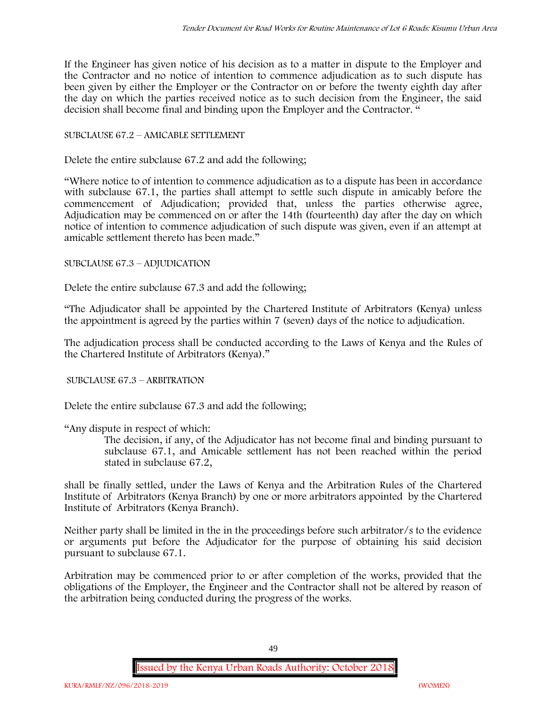If the Engineer has given notice of his decision as to a matter in dispute to the Employer and the Contractor and no notice of intention to commence adjudication as to such dispute has been given by either the Employer or the Contractor on or before the twenty eighth day after the day on which the parties received notice as to such decision from the Engineer, the said decision shall become final and binding upon the Employer and the Contractor. "

# SUBCLAUSE 67.2 – AMICABLE SETTLEMENT

Delete the entire subclause 67.2 and add the following;

"Where notice to of intention to commence adjudication as to a dispute has been in accordance with subclause 67.1, the parties shall attempt to settle such dispute in amicably before the commencement of Adjudication; provided that, unless the parties otherwise agree, Adjudication may be commenced on or after the 14th (fourteenth) day after the day on which notice of intention to commence adjudication of such dispute was given, even if an attempt at amicable settlement thereto has been made."

#### SUBCLAUSE 67.3 – ADJUDICATION

Delete the entire subclause 67.3 and add the following;

"The Adjudicator shall be appointed by the Chartered Institute of Arbitrators (Kenya) unless the appointment is agreed by the parties within 7 (seven) days of the notice to adjudication.

The adjudication process shall be conducted according to the Laws of Kenya and the Rules of the Chartered Institute of Arbitrators (Kenya)."

SUBCLAUSE 67.3 – ARBITRATION

Delete the entire subclause 67.3 and add the following;

"Any dispute in respect of which:

The decision, if any, of the Adjudicator has not become final and binding pursuant to subclause 67.1, and Amicable settlement has not been reached within the period stated in subclause 67.2,

shall be finally settled, under the Laws of Kenya and the Arbitration Rules of the Chartered Institute of Arbitrators (Kenya Branch) by one or more arbitrators appointed by the Chartered Institute of Arbitrators (Kenya Branch).

Neither party shall be limited in the in the proceedings before such arbitrator/s to the evidence or arguments put before the Adjudicator for the purpose of obtaining his said decision pursuant to subclause 67.1.

Arbitration may be commenced prior to or after completion of the works, provided that the obligations of the Employer, the Engineer and the Contractor shall not be altered by reason of the arbitration being conducted during the progress of the works.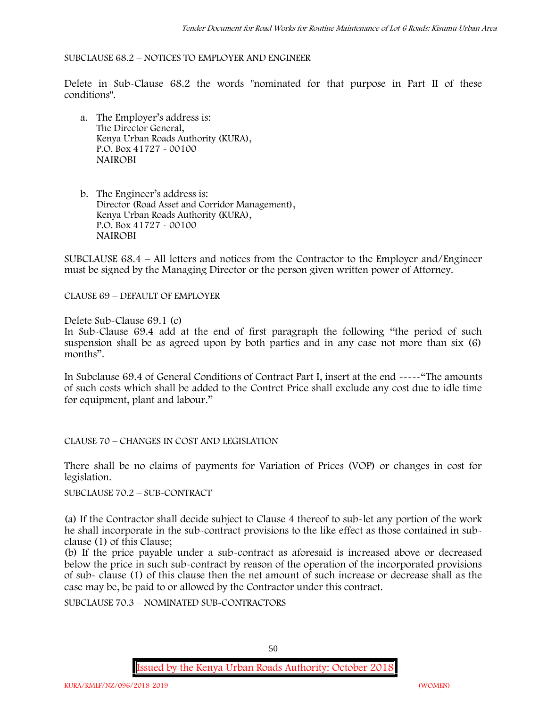#### SUBCLAUSE 68.2 – NOTICES TO EMPLOYER AND ENGINEER

Delete in Sub-Clause 68.2 the words "nominated for that purpose in Part II of these conditions".

- a. The Employer's address is: The Director General, Kenya Urban Roads Authority (KURA), P.O. Box 41727 - 00100 **NAIROBI**
- b. The Engineer's address is: Director (Road Asset and Corridor Management), Kenya Urban Roads Authority (KURA), P.O. Box 41727 - 00100 **NAIROBI**

SUBCLAUSE 68.4 – All letters and notices from the Contractor to the Employer and/Engineer must be signed by the Managing Director or the person given written power of Attorney.

CLAUSE 69 – DEFAULT OF EMPLOYER

Delete Sub-Clause 69.1 (c)

In Sub-Clause 69.4 add at the end of first paragraph the following "the period of such suspension shall be as agreed upon by both parties and in any case not more than six (6) months".

In Subclause 69.4 of General Conditions of Contract Part I, insert at the end -----"The amounts of such costs which shall be added to the Contrct Price shall exclude any cost due to idle time for equipment, plant and labour."

CLAUSE 70 – CHANGES IN COST AND LEGISLATION

There shall be no claims of payments for Variation of Prices (VOP) or changes in cost for legislation.

SUBCLAUSE 70.2 – SUB-CONTRACT

(a) If the Contractor shall decide subject to Clause 4 thereof to sub-let any portion of the work he shall incorporate in the sub-contract provisions to the like effect as those contained in sub clause (1) of this Clause;

(b) If the price payable under a sub-contract as aforesaid is increased above or decreased below the price in such sub-contract by reason of the operation of the incorporated provisions of sub- clause (1) of this clause then the net amount of such increase or decrease shall as the case may be, be paid to or allowed by the Contractor under this contract.

SUBCLAUSE 70.3 – NOMINATED SUB-CONTRACTORS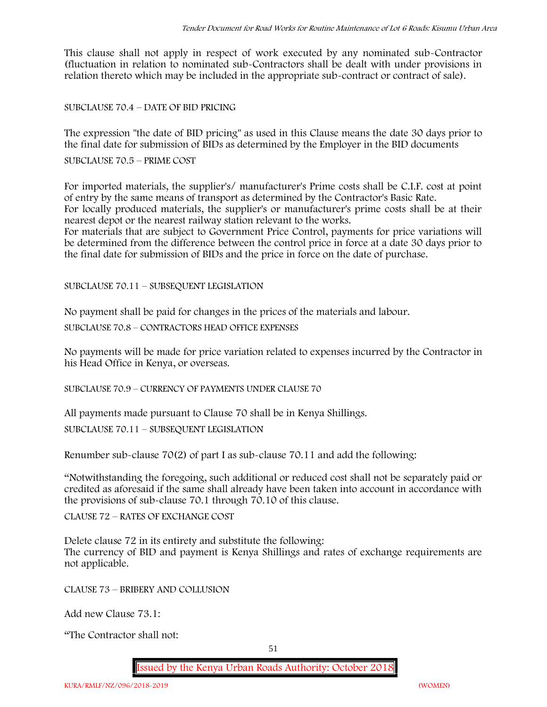This clause shall not apply in respect of work executed by any nominated sub-Contractor (fluctuation in relation to nominated sub-Contractors shall be dealt with under provisions in relation thereto which may be included in the appropriate sub-contract or contract of sale).

SUBCLAUSE 70.4 – DATE OF BID PRICING

The expression "the date of BID pricing" as used in this Clause means the date 30 days prior to the final date for submission of BIDs as determined by the Employer in the BID documents

SUBCLAUSE 70.5 – PRIME COST

For imported materials, the supplier's/ manufacturer's Prime costs shall be C.I.F. cost at point of entry by the same means of transport as determined by the Contractor's Basic Rate. For locally produced materials, the supplier's or manufacturer's prime costs shall be at their nearest depot or the nearest railway station relevant to the works.

For materials that are subject to Government Price Control, payments for price variations will be determined from the difference between the control price in force at a date 30 days prior to the final date for submission of BIDs and the price in force on the date of purchase.

SUBCLAUSE 70.11 – SUBSEQUENT LEGISLATION

No payment shall be paid for changes in the prices of the materials and labour.

SUBCLAUSE 70.8 – CONTRACTORS HEAD OFFICE EXPENSES

No payments will be made for price variation related to expenses incurred by the Contractor in his Head Office in Kenya, or overseas.

SUBCLAUSE 70.9 – CURRENCY OF PAYMENTS UNDER CLAUSE 70

All payments made pursuant to Clause 70 shall be in Kenya Shillings.

SUBCLAUSE 70.11 – SUBSEQUENT LEGISLATION

Renumber sub-clause 70(2) of part I as sub-clause 70.11 and add the following:

"Notwithstanding the foregoing, such additional or reduced cost shall not be separately paid or credited as aforesaid if the same shall already have been taken into account in accordance with the provisions of sub-clause 70.1 through 70.10 of this clause.

CLAUSE 72 – RATES OF EXCHANGE COST

Delete clause 72 in its entirety and substitute the following: The currency of BID and payment is Kenya Shillings and rates of exchange requirements are not applicable.

CLAUSE 73 – BRIBERY AND COLLUSION

Add new Clause 73.1:

"The Contractor shall not: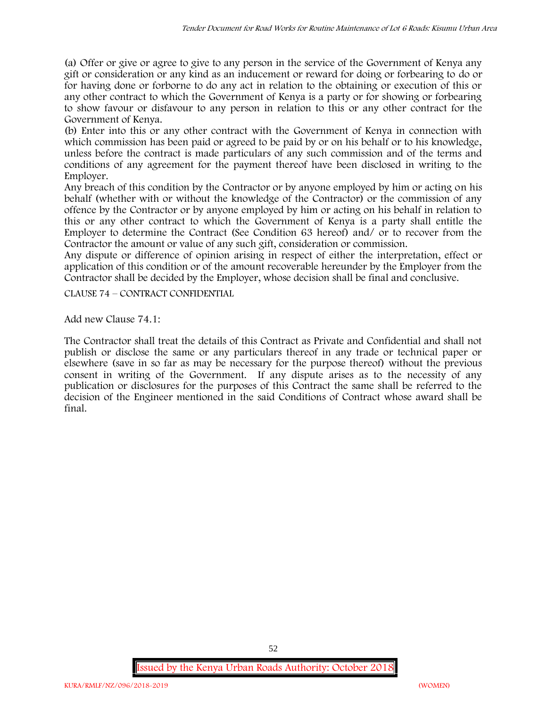(a) Offer or give or agree to give to any person in the service of the Government of Kenya any gift or consideration or any kind as an inducement or reward for doing or forbearing to do or for having done or forborne to do any act in relation to the obtaining or execution of this or any other contract to which the Government of Kenya is a party or for showing or forbearing to show favour or disfavour to any person in relation to this or any other contract for the Government of Kenya.

(b) Enter into this or any other contract with the Government of Kenya in connection with which commission has been paid or agreed to be paid by or on his behalf or to his knowledge, unless before the contract is made particulars of any such commission and of the terms and conditions of any agreement for the payment thereof have been disclosed in writing to the Employer.

Any breach of this condition by the Contractor or by anyone employed by him or acting on his behalf (whether with or without the knowledge of the Contractor) or the commission of any offence by the Contractor or by anyone employed by him or acting on his behalf in relation to this or any other contract to which the Government of Kenya is a party shall entitle the Employer to determine the Contract (See Condition 63 hereof) and/ or to recover from the Contractor the amount or value of any such gift, consideration or commission.

Any dispute or difference of opinion arising in respect of either the interpretation, effect or application of this condition or of the amount recoverable hereunder by the Employer from the Contractor shall be decided by the Employer, whose decision shall be final and conclusive.

CLAUSE 74 – CONTRACT CONFIDENTIAL

Add new Clause 74.1:

The Contractor shall treat the details of this Contract as Private and Confidential and shall not publish or disclose the same or any particulars thereof in any trade or technical paper or elsewhere (save in so far as may be necessary for the purpose thereof) without the previous consent in writing of the Government. If any dispute arises as to the necessity of any publication or disclosures for the purposes of this Contract the same shall be referred to the decision of the Engineer mentioned in the said Conditions of Contract whose award shall be final.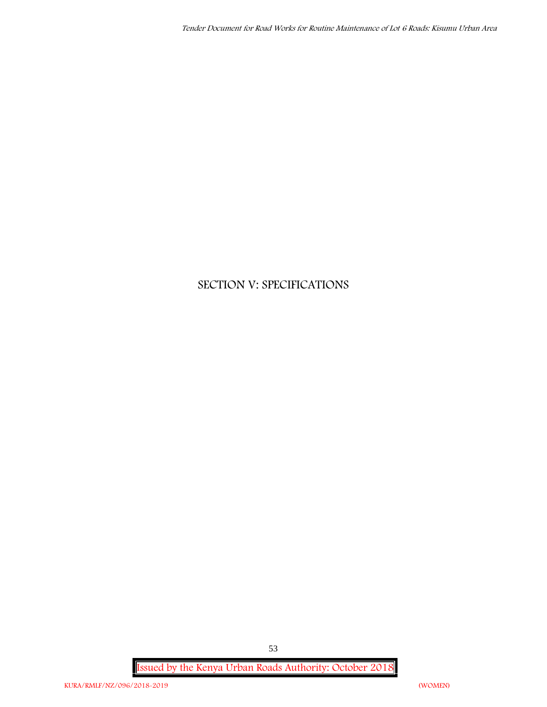# **SECTION V: SPECIFICATIONS**

**Issued by the Kenya Urban Roads Authority: October 2018**

53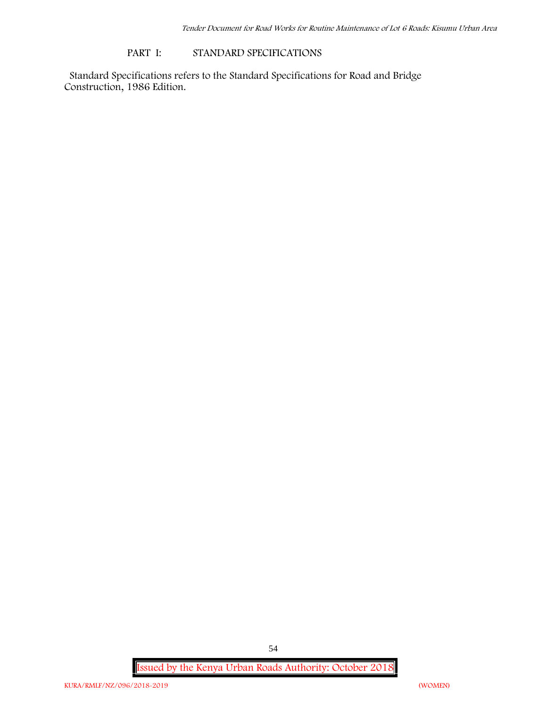#### **PART I: STANDARD SPECIFICATIONS**

Standard Specifications refers to the Standard Specifications for Road and Bridge Construction, 1986 Edition.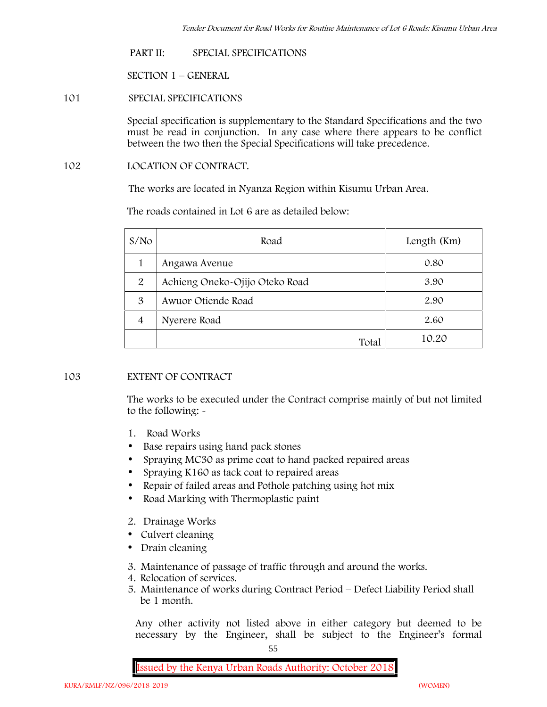## **PART II: SPECIAL SPECIFICATIONS**

**SECTION 1 – GENERAL**

# **101 SPECIAL SPECIFICATIONS**

Special specification is supplementary to the Standard Specifications and the two must be read in conjunction. In any case where there appears to be conflict between the two then the Special Specifications will take precedence.

# **102 LOCATION OF CONTRACT.**

The works are located in Nyanza Region within Kisumu Urban Area.

The roads contained in Lot 6 are as detailed below:

| S/N <sub>O</sub> | Road                           | Length (Km) |
|------------------|--------------------------------|-------------|
|                  | Angawa Avenue                  | 0.80        |
| $\overline{2}$   | Achieng Oneko-Ojijo Oteko Road | 3.90        |
| 3                | Awuor Otiende Road             | 2.90        |
| $\overline{4}$   | Nyerere Road                   | 2.60        |
|                  | Total                          | 10.20       |

# **103 EXTENT OF CONTRACT**

The works to be executed under the Contract comprise mainly of but not limited to the following: -

- **1. Road Works**
- Base repairs using hand pack stones
- Spraying MC30 as prime coat to hand packed repaired areas
- Spraying K160 as tack coat to repaired areas
- Repair of failed areas and Pothole patching using hot mix
- Road Marking with Thermoplastic paint
- **2. Drainage Works**
- Culvert cleaning
- Drain cleaning
- **3. Maintenance of passage of traffic through and around the works.**
- **4. Relocation of services.**
- **5. Maintenance of works during Contract Period – Defect Liability Period shall be 1 month.**

Any other activity not listed above in either category but deemed to be necessary by the Engineer, shall be subject to the Engineer's formal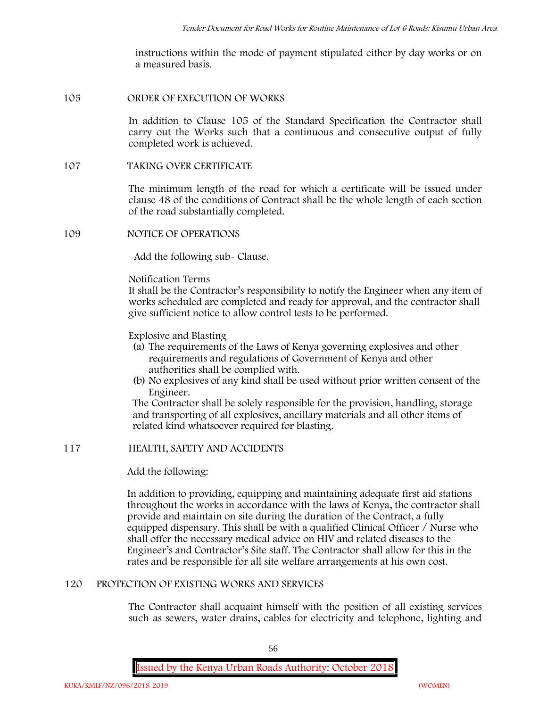instructions within the mode of payment stipulated either by day works or on a measured basis.

#### **105 ORDER OF EXECUTION OF WORKS**

In addition to Clause 105 of the Standard Specification the Contractor shall carry out the Works such that a continuous and consecutive output of fully completed work is achieved.

#### **107 TAKING OVER CERTIFICATE**

The minimum length of the road for which a certificate will be issued under clause 48 of the conditions of Contract shall be the whole length of each section of the road substantially completed.

**109 NOTICE OF OPERATIONS**

Add the following sub- Clause.

#### Notification Terms

It shall be the Contractor's responsibility to notify the Engineer when any item of works scheduled are completed and ready for approval, and the contractor shall give sufficient notice to allow control tests to be performed.

# Explosive and Blasting

- (a) The requirements of the Laws of Kenya governing explosives and other requirements and regulations of Government of Kenya and other authorities shall be complied with.
- (b) No explosives of any kind shall be used without prior written consent of the Engineer.

The Contractor shall be solely responsible for the provision, handling, storage and transporting of all explosives, ancillary materials and all other items of related kind whatsoever required for blasting.

# **117 HEALTH, SAFETY AND ACCIDENTS**

# Add the following:

In addition to providing, equipping and maintaining adequate first aid stations throughout the works in accordance with the laws of Kenya, the contractor shall provide and maintain on site during the duration of the Contract, a fully equipped dispensary. This shall be with a qualified Clinical Officer / Nurse who shall offer the necessary medical advice on HIV and related diseases to the Engineer's and Contractor's Site staff. The Contractor shall allow for this in the rates and be responsible for all site welfare arrangements at his own cost.

# **120 PROTECTION OF EXISTING WORKS AND SERVICES**

The Contractor shall acquaint himself with the position of all existing services such as sewers, water drains, cables for electricity and telephone, lighting and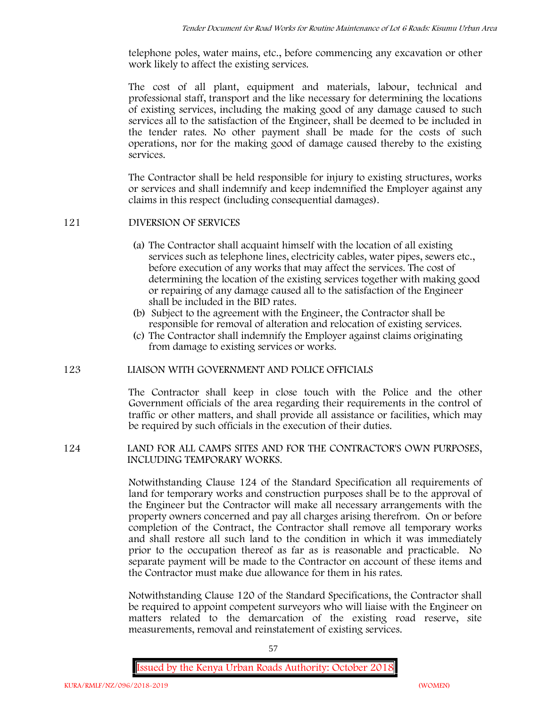telephone poles, water mains, etc., before commencing any excavation or other work likely to affect the existing services.

The cost of all plant, equipment and materials, labour, technical and professional staff, transport and the like necessary for determining the locations of existing services, including the making good of any damage caused to such services all to the satisfaction of the Engineer, shall be deemed to be included in the tender rates. No other payment shall be made for the costs of such operations, nor for the making good of damage caused thereby to the existing services.

The Contractor shall be held responsible for injury to existing structures, works or services and shall indemnify and keep indemnified the Employer against any claims in this respect (including consequential damages).

# **121 DIVERSION OF SERVICES**

- (a) The Contractor shall acquaint himself with the location of all existing services such as telephone lines, electricity cables, water pipes, sewers etc., before execution of any works that may affect the services. The cost of determining the location of the existing services together with making good or repairing of any damage caused all to the satisfaction of the Engineer shall be included in the BID rates.
- (b) Subject to the agreement with the Engineer, the Contractor shall be responsible for removal of alteration and relocation of existing services.
- (c) The Contractor shall indemnify the Employer against claims originating from damage to existing services or works.

# **123 LIAISON WITH GOVERNMENT AND POLICE OFFICIALS**

The Contractor shall keep in close touch with the Police and the other Government officials of the area regarding their requirements in the control of traffic or other matters, and shall provide all assistance or facilities, which may be required by such officials in the execution of their duties.

# **124 LAND FOR ALL CAMPS SITES AND FOR THE CONTRACTOR'S OWN PURPOSES, INCLUDING TEMPORARY WORKS.**

Notwithstanding Clause 124 of the Standard Specification all requirements of land for temporary works and construction purposes shall be to the approval of the Engineer but the Contractor will make all necessary arrangements with the property owners concerned and pay all charges arising therefrom. On or before completion of the Contract, the Contractor shall remove all temporary works and shall restore all such land to the condition in which it was immediately prior to the occupation thereof as far as is reasonable and practicable. No separate payment will be made to the Contractor on account of these items and the Contractor must make due allowance for them in his rates.

Notwithstanding Clause 120 of the Standard Specifications, the Contractor shall be required to appoint competent surveyors who will liaise with the Engineer on matters related to the demarcation of the existing road reserve, site measurements, removal and reinstatement of existing services.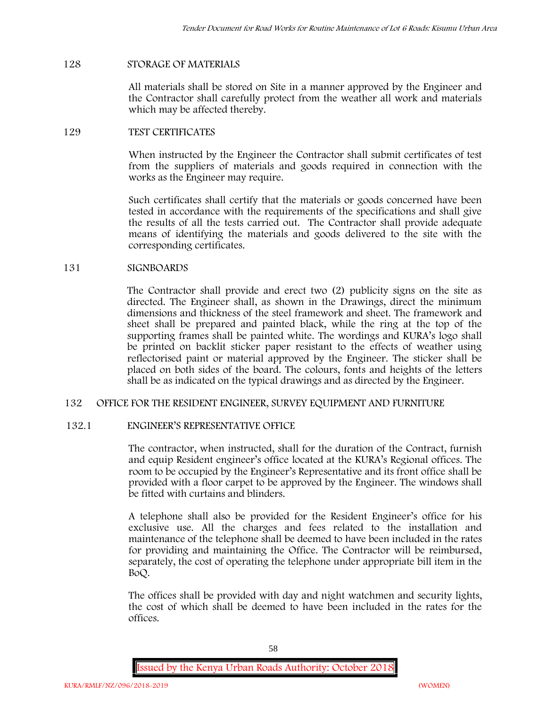# **128 STORAGE OF MATERIALS**

All materials shall be stored on Site in a manner approved by the Engineer and the Contractor shall carefully protect from the weather all work and materials which may be affected thereby.

## **129 TEST CERTIFICATES**

When instructed by the Engineer the Contractor shall submit certificates of test from the suppliers of materials and goods required in connection with the works as the Engineer may require.

Such certificates shall certify that the materials or goods concerned have been tested in accordance with the requirements of the specifications and shall give the results of all the tests carried out. The Contractor shall provide adequate means of identifying the materials and goods delivered to the site with the corresponding certificates.

## **131 SIGNBOARDS**

The Contractor shall provide and erect two (2) publicity signs on the site as directed. The Engineer shall, as shown in the Drawings, direct the minimum dimensions and thickness of the steel framework and sheet. The framework and sheet shall be prepared and painted black, while the ring at the top of the supporting frames shall be painted white. The wordings and KURA's logo shall be printed on backlit sticker paper resistant to the effects of weather using reflectorised paint or material approved by the Engineer. The sticker shall be placed on both sides of the board. The colours, fonts and heights of the letters shall be as indicated on the typical drawings and as directed by the Engineer.

#### **132 OFFICE FOR THE RESIDENT ENGINEER, SURVEY EQUIPMENT AND FURNITURE**

#### **132.1 ENGINEER'S REPRESENTATIVE OFFICE**

The contractor, when instructed, shall for the duration of the Contract, furnish and equip Resident engineer's office located at the KURA's Regional offices. The room to be occupied by the Engineer's Representative and its front office shall be provided with a floor carpet to be approved by the Engineer. The windows shall be fitted with curtains and blinders.

A telephone shall also be provided for the Resident Engineer's office for his exclusive use. All the charges and fees related to the installation and maintenance of the telephone shall be deemed to have been included in the rates for providing and maintaining the Office. The Contractor will be reimbursed, separately, the cost of operating the telephone under appropriate bill item in the BoQ.

The offices shall be provided with day and night watchmen and security lights, the cost of which shall be deemed to have been included in the rates for the offices.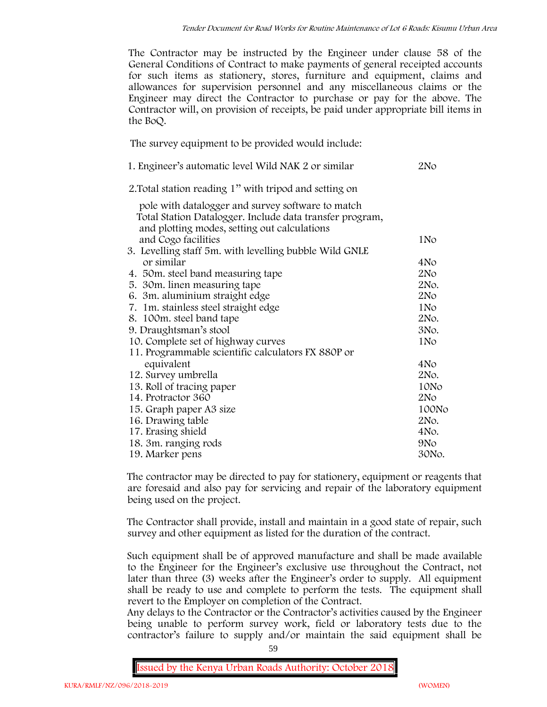The Contractor may be instructed by the Engineer under clause 58 of the General Conditions of Contract to make payments of general receipted accounts for such items as stationery, stores, furniture and equipment, claims and allowances for supervision personnel and any miscellaneous claims or the Engineer may direct the Contractor to purchase or pay for the above. The Contractor will, on provision of receipts, be paid under appropriate bill items in the BoQ.

**The survey equipment to be provided would include:**

| 1. Engineer's automatic level Wild NAK 2 or similar                                                      | 2No             |
|----------------------------------------------------------------------------------------------------------|-----------------|
| 2. Total station reading 1" with tripod and setting on                                                   |                 |
| pole with datalogger and survey software to match                                                        |                 |
| Total Station Datalogger. Include data transfer program,<br>and plotting modes, setting out calculations |                 |
| and Cogo facilities                                                                                      | 1 No            |
| 3. Levelling staff 5m. with levelling bubble Wild GNLE                                                   |                 |
| or similar                                                                                               | 4No             |
| 4. 50m. steel band measuring tape                                                                        | 2N <sub>O</sub> |
| 5. 30 m. linen measuring tape                                                                            | 2No.            |
| 6. 3m. aluminium straight edge                                                                           | 2N <sub>O</sub> |
| 7. 1m. stainless steel straight edge                                                                     | 1N <sub>o</sub> |
| 8. 100m. steel band tape                                                                                 | 2No.            |
| 9. Draughtsman's stool                                                                                   | 3No.            |
| 10. Complete set of highway curves                                                                       | 1N <sub>o</sub> |
| 11. Programmable scientific calculators FX 880P or                                                       |                 |
| equivalent                                                                                               | 4No             |
| 12. Survey umbrella                                                                                      | 2No.            |
| 13. Roll of tracing paper                                                                                | 10No            |
| 14. Protractor 360                                                                                       | 2N <sub>O</sub> |
| 15. Graph paper A3 size                                                                                  | 100No           |
| 16. Drawing table                                                                                        | 2No.            |
| 17. Erasing shield                                                                                       | 4No.            |
| 18. 3m. ranging rods                                                                                     | 9No             |
| 19. Marker pens                                                                                          | 30No.           |

The contractor may be directed to pay for stationery, equipment or reagents that are foresaid and also pay for servicing and repair of the laboratory equipment being used on the project.

The Contractor shall provide, install and maintain in a good state of repair, such survey and other equipment as listed for the duration of the contract.

Such equipment shall be of approved manufacture and shall be made available to the Engineer for the Engineer's exclusive use throughout the Contract, not later than three (3) weeks after the Engineer's order to supply. All equipment shall be ready to use and complete to perform the tests. The equipment shall revert to the Employer on completion of the Contract.

Any delays to the Contractor or the Contractor's activities caused by the Engineer being unable to perform survey work, field or laboratory tests due to the contractor's failure to supply and/or maintain the said equipment shall be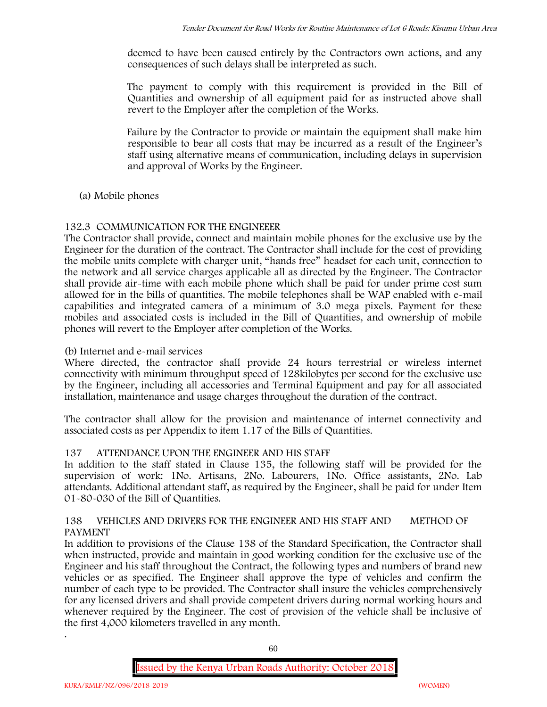deemed to have been caused entirely by the Contractors own actions, and any consequences of such delays shall be interpreted as such.

The payment to comply with this requirement is provided in the Bill of Quantities and ownership of all equipment paid for as instructed above shall revert to the Employer after the completion of the Works.

Failure by the Contractor to provide or maintain the equipment shall make him responsible to bear all costs that may be incurred as a result of the Engineer's staff using alternative means of communication, including delays in supervision and approval of Works by the Engineer.

# **(a) Mobile phones**

# **132.3 COMMUNICATION FOR THE ENGINEEER**

The Contractor shall provide, connect and maintain mobile phones for the exclusive use by the Engineer for the duration of the contract. The Contractor shall include for the cost of providing the mobile units complete with charger unit, "hands free" headset for each unit, connection to the network and all service charges applicable all as directed by the Engineer. The Contractor shall provide air-time with each mobile phone which shall be paid for under prime cost sum allowed for in the bills of quantities. The mobile telephones shall be WAP enabled with e-mail capabilities and integrated camera of a minimum of 3.0 mega pixels. Payment for these mobiles and associated costs is included in the Bill of Quantities, and ownership of mobile phones will revert to the Employer after completion of the Works.

# **(b) Internet and e-mail services**

Where directed, the contractor shall provide 24 hours terrestrial or wireless internet connectivity with minimum throughput speed of 128kilobytes per second for the exclusive use by the Engineer, including all accessories and Terminal Equipment and pay for all associated installation, maintenance and usage charges throughout the duration of the contract.

The contractor shall allow for the provision and maintenance of internet connectivity and associated costs as per Appendix to item 1.17 of the Bills of Quantities.

# **137 ATTENDANCE UPON THE ENGINEER AND HIS STAFF**

In addition to the staff stated in Clause 135, the following staff will be provided for the supervision of work: 1No. Artisans, 2No. Labourers, 1No. Office assistants, 2No. Lab attendants. Additional attendant staff, as required by the Engineer, shall be paid for under Item 01-80-030 of the Bill of Quantities.

# **138 VEHICLES AND DRIVERS FOR THE ENGINEER AND HIS STAFF AND METHOD OF PAYMENT**

In addition to provisions of the Clause 138 of the Standard Specification, the Contractor shall when instructed, provide and maintain in good working condition for the exclusive use of the Engineer and his staff throughout the Contract, the following types and numbers of brand new vehicles or as specified. The Engineer shall approve the type of vehicles and confirm the number of each type to be provided. The Contractor shall insure the vehicles comprehensively for any licensed drivers and shall provide competent drivers during normal working hours and whenever required by the Engineer. The cost of provision of the vehicle shall be inclusive of the first 4,000 kilometers travelled in any month. .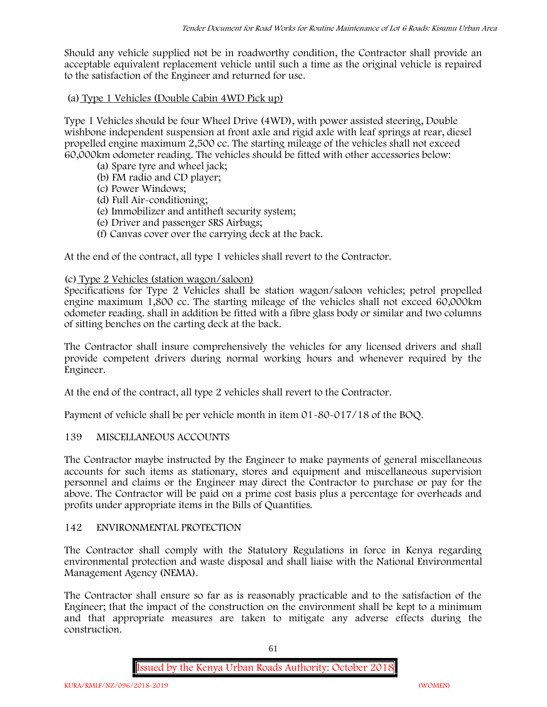Should any vehicle supplied not be in roadworthy condition, the Contractor shall provide an acceptable equivalent replacement vehicle until such a time as the original vehicle is repaired to the satisfaction of the Engineer and returned for use.

# **(a) Type 1 Vehicles (Double Cabin 4WD Pick up)**

Type 1 Vehicles should be four Wheel Drive (4WD), with power assisted steering, Double wishbone independent suspension at front axle and rigid axle with leaf springs at rear, diesel propelled engine maximum 2,500 cc. The starting mileage of the vehicles shall not exceed 60,000km odometer reading. The vehicles should be fitted with other accessories below:

- (a) Spare tyre and wheel jack;
- (b) FM radio and CD player;
- (c) Power Windows;
- (d) Full Air-conditioning;
- (e) Immobilizer and antitheft security system;
- (e) Driver and passenger SRS Airbags;
- (f) Canvas cover over the carrying deck at the back.

At the end of the contract, all type 1 vehicles shall revert to the Contractor.

# **(c) Type 2 Vehicles (station wagon/saloon)**

Specifications for Type 2 Vehicles shall be station wagon/saloon vehicles; petrol propelled engine maximum 1,800 cc. The starting mileage of the vehicles shall not exceed 60,000km odometer reading. shall in addition be fitted with a fibre glass body or similar and two columns of sitting benches on the carting deck at the back.

The Contractor shall insure comprehensively the vehicles for any licensed drivers and shall provide competent drivers during normal working hours and whenever required by the Engineer.

At the end of the contract, all type 2 vehicles shall revert to the Contractor.

Payment of vehicle shall be per vehicle month in item 01-80-017/18 of the BOQ.

# **139 MISCELLANEOUS ACCOUNTS**

The Contractor maybe instructed by the Engineer to make payments of general miscellaneous accounts for such items as stationary, stores and equipment and miscellaneous supervision personnel and claims or the Engineer may direct the Contractor to purchase or pay for the above. The Contractor will be paid on a prime cost basis plus a percentage for overheads and profits under appropriate items in the Bills of Quantities.

# **142 ENVIRONMENTAL PROTECTION**

The Contractor shall comply with the Statutory Regulations in force in Kenya regarding environmental protection and waste disposal and shall liaise with the National Environmental Management Agency (NEMA).

The Contractor shall ensure so far as is reasonably practicable and to the satisfaction of the Engineer; that the impact of the construction on the environment shall be kept to a minimum and that appropriate measures are taken to mitigate any adverse effects during the construction.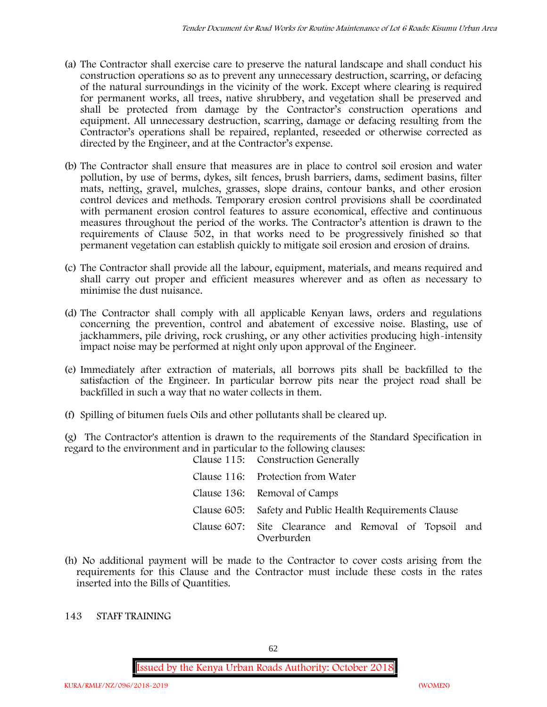- (a) The Contractor shall exercise care to preserve the natural landscape and shall conduct his construction operations so as to prevent any unnecessary destruction, scarring, or defacing of the natural surroundings in the vicinity of the work. Except where clearing is required for permanent works, all trees, native shrubbery, and vegetation shall be preserved and shall be protected from damage by the Contractor's construction operations and equipment. All unnecessary destruction, scarring, damage or defacing resulting from the Contractor's operations shall be repaired, replanted, reseeded or otherwise corrected as directed by the Engineer, and at the Contractor's expense.
- (b) The Contractor shall ensure that measures are in place to control soil erosion and water pollution, by use of berms, dykes, silt fences, brush barriers, dams, sediment basins, filter mats, netting, gravel, mulches, grasses, slope drains, contour banks, and other erosion control devices and methods. Temporary erosion control provisions shall be coordinated with permanent erosion control features to assure economical, effective and continuous measures throughout the period of the works. The Contractor's attention is drawn to the requirements of Clause 502, in that works need to be progressively finished so that permanent vegetation can establish quickly to mitigate soil erosion and erosion of drains.
- (c) The Contractor shall provide all the labour, equipment, materials, and means required and shall carry out proper and efficient measures wherever and as often as necessary to minimise the dust nuisance.
- (d) The Contractor shall comply with all applicable Kenyan laws, orders and regulations concerning the prevention, control and abatement of excessive noise. Blasting, use of jackhammers, pile driving, rock crushing, or any other activities producing high-intensity impact noise may be performed at night only upon approval of the Engineer.
- (e) Immediately after extraction of materials, all borrows pits shall be backfilled to the satisfaction of the Engineer. In particular borrow pits near the project road shall be backfilled in such a way that no water collects in them.
- (f) Spilling of bitumen fuels Oils and other pollutants shall be cleared up.

(g) The Contractor's attention is drawn to the requirements of the Standard Specification in regard to the environment and in particular to the following clauses: Clause 115: Construction Generally

| Clause 115: Construction Generally                                  |
|---------------------------------------------------------------------|
| Clause 116: Protection from Water                                   |
| Clause 136: Removal of Camps                                        |
| Clause 605: Safety and Public Health Requirements Clause            |
| Clause 607: Site Clearance and Removal of Topsoil and<br>Overburden |

(h) No additional payment will be made to the Contractor to cover costs arising from the requirements for this Clause and the Contractor must include these costs in the rates inserted into the Bills of Quantities.

# **143 STAFF TRAINING**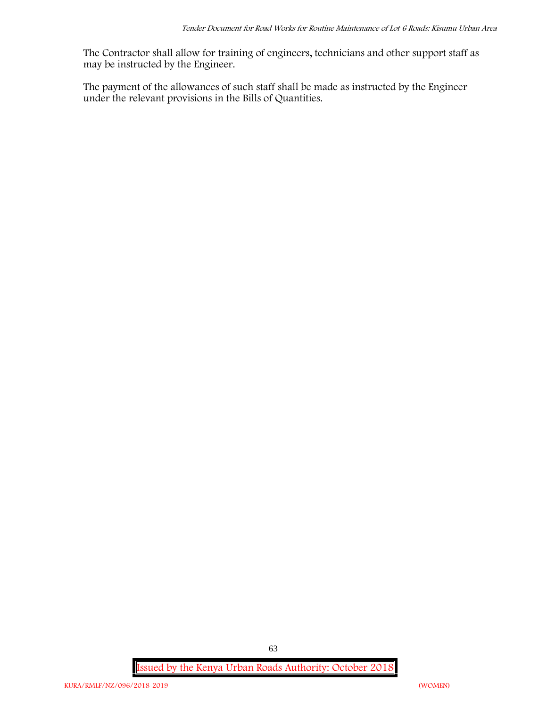The Contractor shall allow for training of engineers, technicians and other support staff as may be instructed by the Engineer.

The payment of the allowances of such staff shall be made as instructed by the Engineer under the relevant provisions in the Bills of Quantities.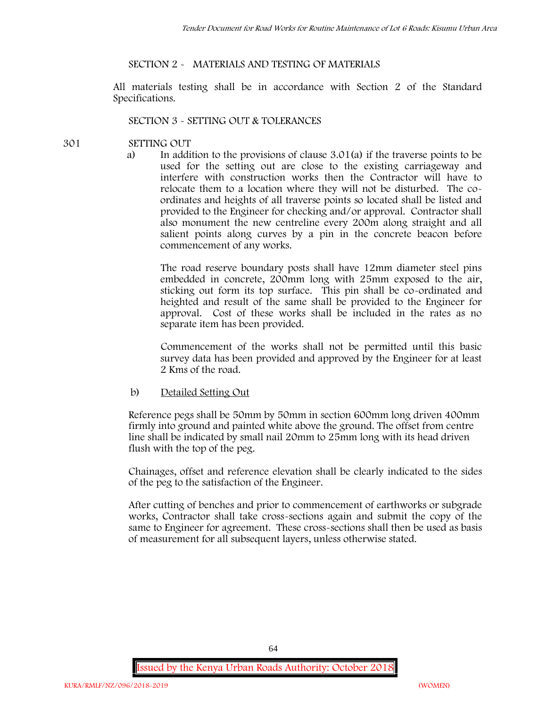#### **SECTION 2 - MATERIALS AND TESTING OF MATERIALS**

All materials testing shall be in accordance with Section 2 of the Standard Specifications.

#### **SECTION 3 - SETTING OUT & TOLERANCES**

- **301 SETTING OUT**
	- a) In addition to the provisions of clause 3.01(a) if the traverse points to be used for the setting out are close to the existing carriageway and interfere with construction works then the Contractor will have to relocate them to a location where they will not be disturbed. The co ordinates and heights of all traverse points so located shall be listed and provided to the Engineer for checking and/or approval. Contractor shall also monument the new centreline every 200m along straight and all salient points along curves by a pin in the concrete beacon before commencement of any works.

The road reserve boundary posts shall have 12mm diameter steel pins embedded in concrete, 200mm long with 25mm exposed to the air, sticking out form its top surface. This pin shall be co-ordinated and heighted and result of the same shall be provided to the Engineer for approval. Cost of these works shall be included in the rates as no separate item has been provided.

Commencement of the works shall not be permitted until this basic survey data has been provided and approved by the Engineer for at least 2 Kms of the road.

b) Detailed Setting Out

Reference pegs shall be 50mm by 50mm in section 600mm long driven 400mm firmly into ground and painted white above the ground. The offset from centre line shall be indicated by small nail 20mm to 25mm long with its head driven flush with the top of the peg.

Chainages, offset and reference elevation shall be clearly indicated to the sides of the peg to the satisfaction of the Engineer.

After cutting of benches and prior to commencement of earthworks or subgrade works, Contractor shall take cross-sections again and submit the copy of the same to Engineer for agreement. These cross-sections shall then be used as basis of measurement for all subsequent layers, unless otherwise stated.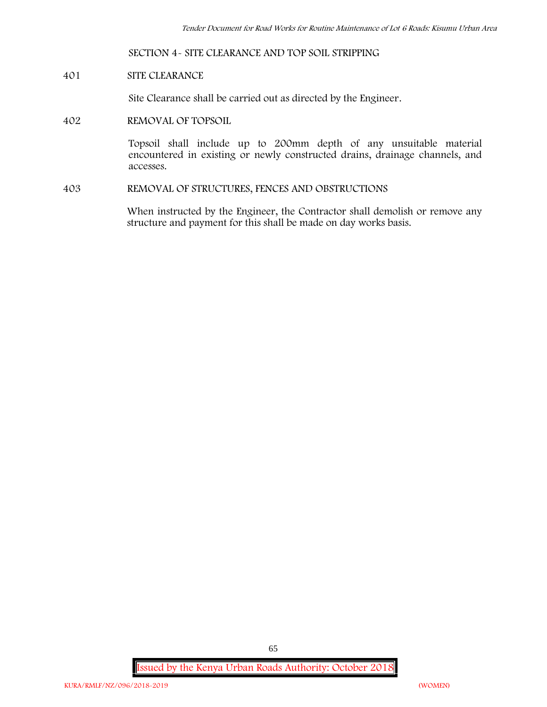#### **SECTION 4- SITE CLEARANCE AND TOP SOIL STRIPPING**

#### **401 SITE CLEARANCE**

Site Clearance shall be carried out as directed by the Engineer.

**402 REMOVAL OF TOPSOIL**

Topsoil shall include up to 200mm depth of any unsuitable material encountered in existing or newly constructed drains, drainage channels, and accesses.

**403 REMOVAL OF STRUCTURES, FENCES AND OBSTRUCTIONS**

When instructed by the Engineer, the Contractor shall demolish or remove any structure and payment for this shall be made on day works basis.

**Issued by the Kenya Urban Roads Authority: October 2018**

65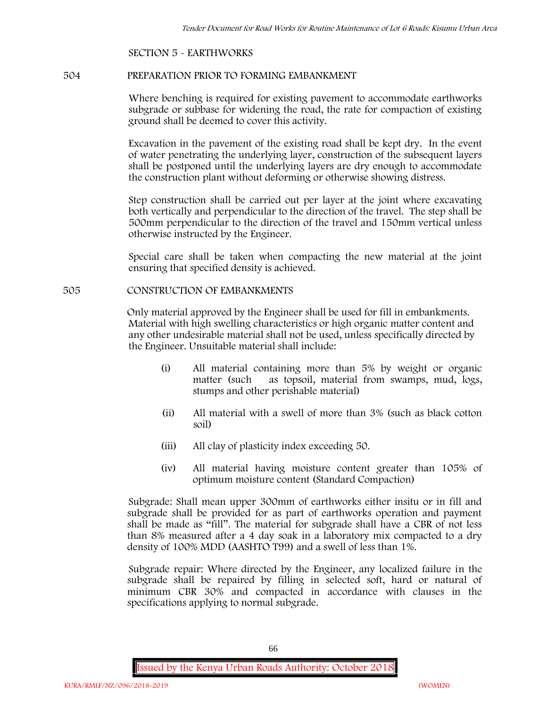#### **SECTION 5 - EARTHWORKS**

#### **504 PREPARATION PRIOR TO FORMING EMBANKMENT**

Where benching is required for existing pavement to accommodate earthworks subgrade or subbase for widening the road, the rate for compaction of existing ground shall be deemed to cover this activity.

Excavation in the pavement of the existing road shall be kept dry. In the event of water penetrating the underlying layer, construction of the subsequent layers shall be postponed until the underlying layers are dry enough to accommodate the construction plant without deforming or otherwise showing distress.

Step construction shall be carried out per layer at the joint where excavating both vertically and perpendicular to the direction of the travel. The step shall be 500mm perpendicular to the direction of the travel and 150mm vertical unless otherwise instructed by the Engineer.

Special care shall be taken when compacting the new material at the joint ensuring that specified density is achieved.

## **505 CONSTRUCTION OF EMBANKMENTS**

Only material approved by the Engineer shall be used for fill in embankments. Material with high swelling characteristics or high organic matter content and any other undesirable material shall not be used, unless specifically directed by the Engineer. Unsuitable material shall include:

- (i) All material containing more than 5% by weight or organic matter (such as topsoil, material from swamps, mud, logs, stumps and other perishable material)
- (ii) All material with a swell of more than 3% (such as black cotton soil)
- (iii) All clay of plasticity index exceeding 50.
- (iv) All material having moisture content greater than 105% of optimum moisture content (Standard Compaction)

Subgrade: Shall mean upper 300mm of earthworks either insitu or in fill and subgrade shall be provided for as part of earthworks operation and payment shall be made as "fill". The material for subgrade shall have a CBR of not less than 8% measured after a 4 day soak in a laboratory mix compacted to a dry density of 100% MDD (AASHTO T99) and a swell of less than 1%.

Subgrade repair: Where directed by the Engineer, any localized failure in the subgrade shall be repaired by filling in selected soft, hard or natural of minimum CBR 30% and compacted in accordance with clauses in the specifications applying to normal subgrade.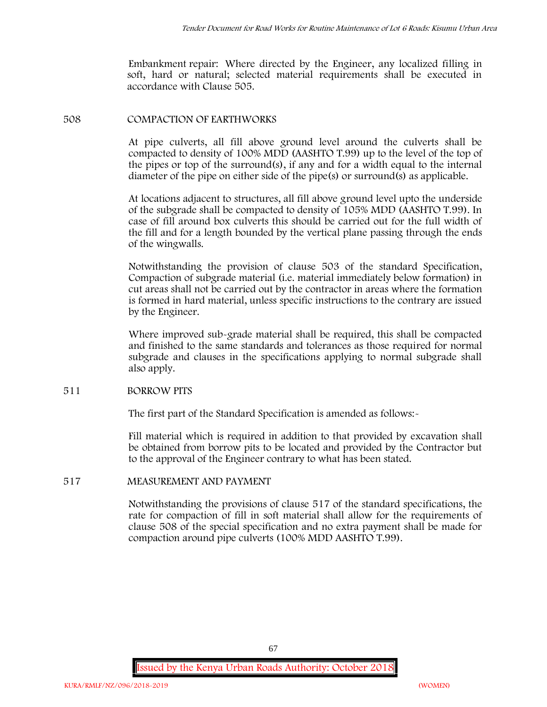Embankment repair: Where directed by the Engineer, any localized filling in soft, hard or natural; selected material requirements shall be executed in accordance with Clause 505.

#### **508 COMPACTION OF EARTHWORKS**

At pipe culverts, all fill above ground level around the culverts shall be compacted to density of 100% MDD (AASHTO T.99) up to the level of the top of the pipes or top of the surround(s), if any and for a width equal to the internal diameter of the pipe on either side of the pipe(s) or surround(s) as applicable.

At locations adjacent to structures, all fill above ground level upto the underside of the subgrade shall be compacted to density of 105% MDD (AASHTO T.99). In case of fill around box culverts this should be carried out for the full width of the fill and for a length bounded by the vertical plane passing through the ends of the wingwalls.

Notwithstanding the provision of clause 503 of the standard Specification, Compaction of subgrade material (i.e. material immediately below formation) in cut areas shall not be carried out by the contractor in areas where the formation is formed in hard material, unless specific instructions to the contrary are issued by the Engineer.

Where improved sub-grade material shall be required, this shall be compacted and finished to the same standards and tolerances as those required for normal subgrade and clauses in the specifications applying to normal subgrade shall also apply.

#### **511 BORROW PITS**

The first part of the Standard Specification is amended as follows:

Fill material which is required in addition to that provided by excavation shall be obtained from borrow pits to be located and provided by the Contractor but to the approval of the Engineer contrary to what has been stated.

# **517 MEASUREMENT AND PAYMENT**

Notwithstanding the provisions of clause 517 of the standard specifications, the rate for compaction of fill in soft material shall allow for the requirements of clause 508 of the special specification and no extra payment shall be made for compaction around pipe culverts (100% MDD AASHTO T.99).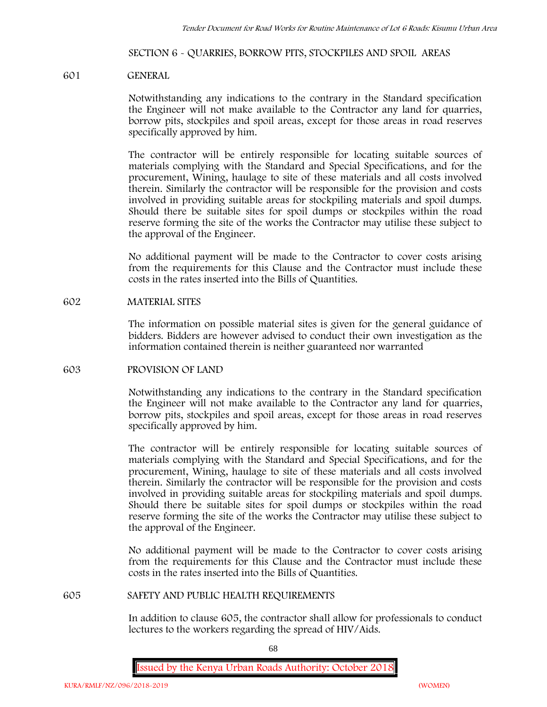#### **SECTION 6 - QUARRIES, BORROW PITS, STOCKPILES AND SPOIL AREAS**

#### **601 GENERAL**

Notwithstanding any indications to the contrary in the Standard specification the Engineer will not make available to the Contractor any land for quarries, borrow pits, stockpiles and spoil areas, except for those areas in road reserves specifically approved by him.

The contractor will be entirely responsible for locating suitable sources of materials complying with the Standard and Special Specifications, and for the procurement, Wining, haulage to site of these materials and all costs involved therein. Similarly the contractor will be responsible for the provision and costs involved in providing suitable areas for stockpiling materials and spoil dumps. Should there be suitable sites for spoil dumps or stockpiles within the road reserve forming the site of the works the Contractor may utilise these subject to the approval of the Engineer.

No additional payment will be made to the Contractor to cover costs arising from the requirements for this Clause and the Contractor must include these costs in the rates inserted into the Bills of Quantities.

#### **602 MATERIAL SITES**

The information on possible material sites is given for the general guidance of bidders. Bidders are however advised to conduct their own investigation as the information contained therein is neither guaranteed nor warranted

#### **603 PROVISION OF LAND**

Notwithstanding any indications to the contrary in the Standard specification the Engineer will not make available to the Contractor any land for quarries, borrow pits, stockpiles and spoil areas, except for those areas in road reserves specifically approved by him.

The contractor will be entirely responsible for locating suitable sources of materials complying with the Standard and Special Specifications, and for the procurement, Wining, haulage to site of these materials and all costs involved therein. Similarly the contractor will be responsible for the provision and costs involved in providing suitable areas for stockpiling materials and spoil dumps. Should there be suitable sites for spoil dumps or stockpiles within the road reserve forming the site of the works the Contractor may utilise these subject to the approval of the Engineer.

No additional payment will be made to the Contractor to cover costs arising from the requirements for this Clause and the Contractor must include these costs in the rates inserted into the Bills of Quantities.

#### **605 SAFETY AND PUBLIC HEALTH REQUIREMENTS**

In addition to clause 605, the contractor shall allow for professionals to conduct lectures to the workers regarding the spread of HIV/Aids.

68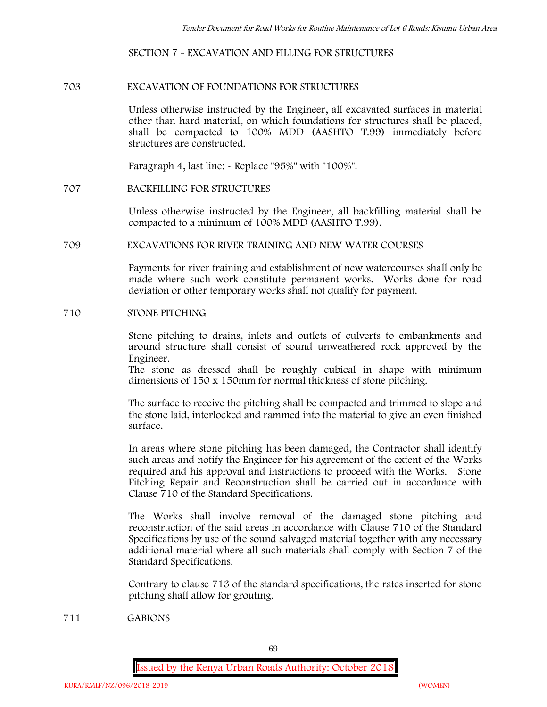#### **SECTION 7 - EXCAVATION AND FILLING FOR STRUCTURES**

#### **703 EXCAVATION OF FOUNDATIONS FOR STRUCTURES**

Unless otherwise instructed by the Engineer, all excavated surfaces in material other than hard material, on which foundations for structures shall be placed, shall be compacted to 100% MDD (AASHTO T.99) immediately before structures are constructed.

Paragraph 4, last line: - Replace "95%" with "100%".

## **707 BACKFILLING FOR STRUCTURES**

Unless otherwise instructed by the Engineer, all backfilling material shall be compacted to a minimum of 100% MDD (AASHTO T.99).

## **709 EXCAVATIONS FOR RIVER TRAINING AND NEW WATER COURSES**

Payments for river training and establishment of new watercourses shall only be made where such work constitute permanent works. Works done for road deviation or other temporary works shall not qualify for payment.

#### **710 STONE PITCHING**

Stone pitching to drains, inlets and outlets of culverts to embankments and around structure shall consist of sound unweathered rock approved by the Engineer.

The stone as dressed shall be roughly cubical in shape with minimum dimensions of 150 x 150mm for normal thickness of stone pitching.

The surface to receive the pitching shall be compacted and trimmed to slope and the stone laid, interlocked and rammed into the material to give an even finished surface.

In areas where stone pitching has been damaged, the Contractor shall identify such areas and notify the Engineer for his agreement of the extent of the Works required and his approval and instructions to proceed with the Works. Stone Pitching Repair and Reconstruction shall be carried out in accordance with Clause 710 of the Standard Specifications.

The Works shall involve removal of the damaged stone pitching and reconstruction of the said areas in accordance with Clause 710 of the Standard Specifications by use of the sound salvaged material together with any necessary additional material where all such materials shall comply with Section 7 of the Standard Specifications.

Contrary to clause 713 of the standard specifications, the rates inserted for stone pitching shall allow for grouting.

**711 GABIONS**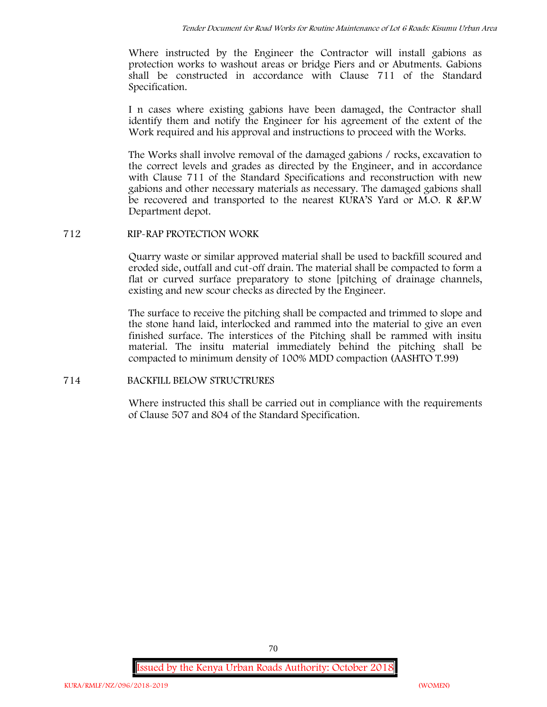Where instructed by the Engineer the Contractor will install gabions as protection works to washout areas or bridge Piers and or Abutments. Gabions shall be constructed in accordance with Clause 711 of the Standard Specification.

I n cases where existing gabions have been damaged, the Contractor shall identify them and notify the Engineer for his agreement of the extent of the Work required and his approval and instructions to proceed with the Works.

The Works shall involve removal of the damaged gabions / rocks, excavation to the correct levels and grades as directed by the Engineer, and in accordance with Clause 711 of the Standard Specifications and reconstruction with new gabions and other necessary materials as necessary. The damaged gabions shall be recovered and transported to the nearest KURA'S Yard or M.O. R &P.W Department depot.

# **712 RIP-RAP PROTECTION WORK**

Quarry waste or similar approved material shall be used to backfill scoured and eroded side, outfall and cut-off drain. The material shall be compacted to form a flat or curved surface preparatory to stone [pitching of drainage channels, existing and new scour checks as directed by the Engineer.

The surface to receive the pitching shall be compacted and trimmed to slope and the stone hand laid, interlocked and rammed into the material to give an even finished surface. The interstices of the Pitching shall be rammed with insitu material. The insitu material immediately behind the pitching shall be compacted to minimum density of 100% MDD compaction (AASHTO T.99)

# **714 BACKFILL BELOW STRUCTRURES**

Where instructed this shall be carried out in compliance with the requirements of Clause 507 and 804 of the Standard Specification.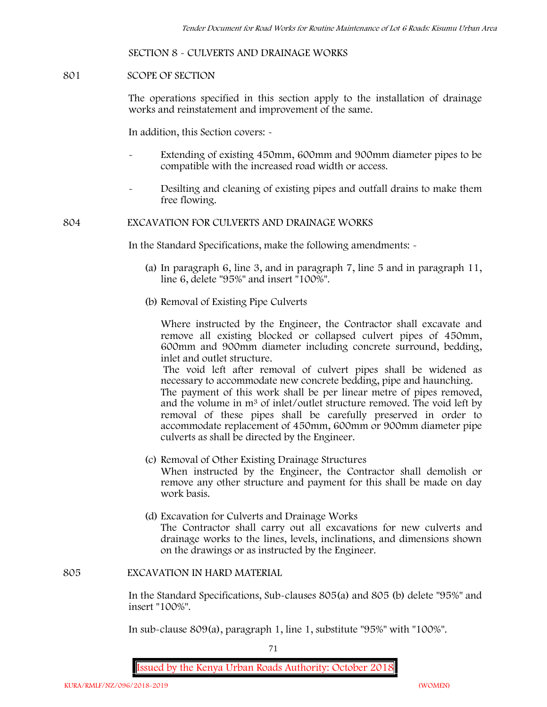#### **SECTION 8 - CULVERTS AND DRAINAGE WORKS**

#### **801 SCOPE OF SECTION**

The operations specified in this section apply to the installation of drainage works and reinstatement and improvement of the same.

In addition, this Section covers: -

- Extending of existing 450mm, 600mm and 900mm diameter pipes to be compatible with the increased road width or access.
- Desilting and cleaning of existing pipes and outfall drains to make them free flowing.

#### **804 EXCAVATION FOR CULVERTS AND DRAINAGE WORKS**

In the Standard Specifications, make the following amendments: -

- (a) In paragraph 6, line 3, and in paragraph 7, line 5 and in paragraph 11, line 6, delete "95%" and insert "100%".
- (b) Removal of Existing Pipe Culverts

Where instructed by the Engineer, the Contractor shall excavate and remove all existing blocked or collapsed culvert pipes of 450mm, 600mm and 900mm diameter including concrete surround, bedding, inlet and outlet structure.

The void left after removal of culvert pipes shall be widened as necessary to accommodate new concrete bedding, pipe and haunching. The payment of this work shall be per linear metre of pipes removed, and the volume in m<sup>3</sup> of inlet/outlet structure removed. The void left by removal of these pipes shall be carefully preserved in order to accommodate replacement of 450mm, 600mm or 900mm diameter pipe culverts as shall be directed by the Engineer.

- (c) Removal of Other Existing Drainage Structures When instructed by the Engineer, the Contractor shall demolish or remove any other structure and payment for this shall be made on day work basis.
- (d) Excavation for Culverts and Drainage Works The Contractor shall carry out all excavations for new culverts and drainage works to the lines, levels, inclinations, and dimensions shown on the drawings or as instructed by the Engineer.

#### **805 EXCAVATION IN HARD MATERIAL**

In the Standard Specifications, Sub-clauses 805(a) and 805 (b) delete "95%" and insert "100%".

In sub-clause 809(a), paragraph 1, line 1, substitute "95%" with "100%".

71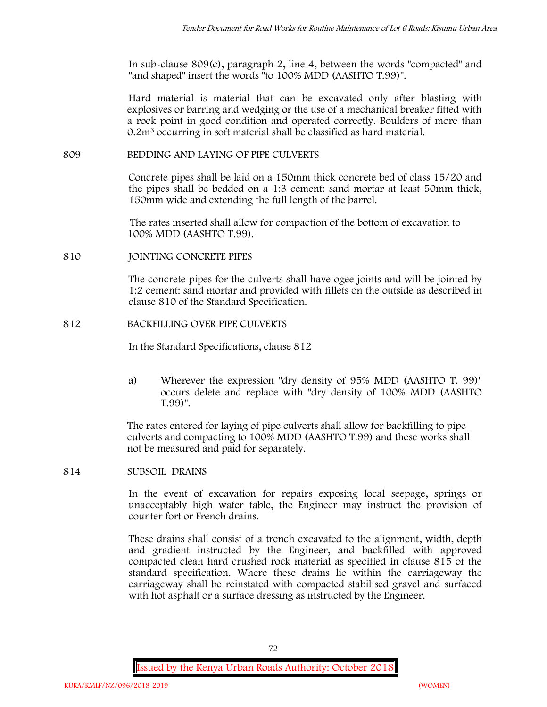In sub-clause 809(c), paragraph 2, line 4, between the words "compacted" and "and shaped" insert the words "to 100% MDD (AASHTO T.99)".

Hard material is material that can be excavated only after blasting with explosives or barring and wedging or the use of a mechanical breaker fitted with a rock point in good condition and operated correctly. Boulders of more than 0.2m<sup>3</sup> occurring in soft material shall be classified as hard material.

## **809 BEDDING AND LAYING OF PIPE CULVERTS**

Concrete pipes shall be laid on a 150mm thick concrete bed of class 15/20 and the pipes shall be bedded on a 1:3 cement: sand mortar at least 50mm thick, 150mm wide and extending the full length of the barrel.

The rates inserted shall allow for compaction of the bottom of excavation to 100% MDD (AASHTO T.99).

## **810 JOINTING CONCRETE PIPES**

The concrete pipes for the culverts shall have ogee joints and will be jointed by 1:2 cement: sand mortar and provided with fillets on the outside as described in clause 810 of the Standard Specification.

## **812 BACKFILLING OVER PIPE CULVERTS**

In the Standard Specifications, clause 812

a) Wherever the expression "dry density of 95% MDD (AASHTO T. 99)" occurs delete and replace with "dry density of 100% MDD (AASHTO T.99)".

The rates entered for laying of pipe culverts shall allow for backfilling to pipe culverts and compacting to 100% MDD (AASHTO T.99) and these works shall not be measured and paid for separately.

**814 SUBSOIL DRAINS**

In the event of excavation for repairs exposing local seepage, springs or unacceptably high water table, the Engineer may instruct the provision of counter fort or French drains.

These drains shall consist of a trench excavated to the alignment, width, depth and gradient instructed by the Engineer, and backfilled with approved compacted clean hard crushed rock material as specified in clause 815 of the standard specification. Where these drains lie within the carriageway the carriageway shall be reinstated with compacted stabilised gravel and surfaced with hot asphalt or a surface dressing as instructed by the Engineer.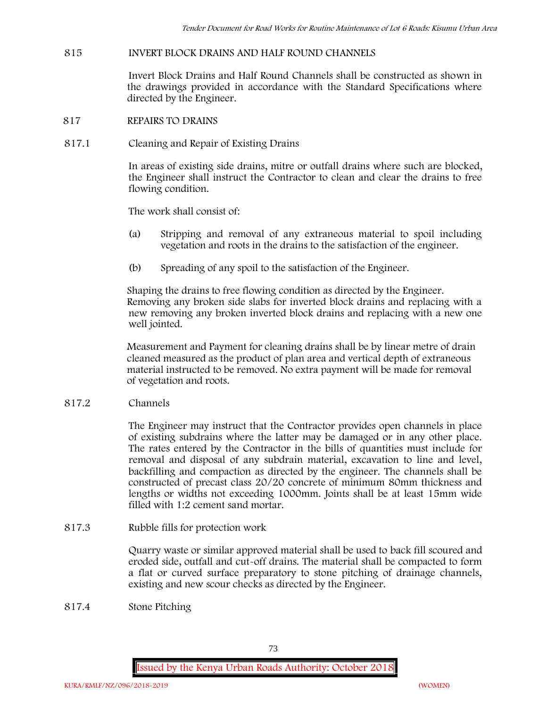## **815 INVERT BLOCK DRAINS AND HALF ROUND CHANNELS**

Invert Block Drains and Half Round Channels shall be constructed as shown in the drawings provided in accordance with the Standard Specifications where directed by the Engineer.

- **817 REPAIRS TO DRAINS**
- **817.1 Cleaning and Repair of Existing Drains**

In areas of existing side drains, mitre or outfall drains where such are blocked, the Engineer shall instruct the Contractor to clean and clear the drains to free flowing condition.

The work shall consist of:

- (a) Stripping and removal of any extraneous material to spoil including vegetation and roots in the drains to the satisfaction of the engineer.
- (b) Spreading of any spoil to the satisfaction of the Engineer.

Shaping the drains to free flowing condition as directed by the Engineer. Removing any broken side slabs for inverted block drains and replacing with a new removing any broken inverted block drains and replacing with a new one well jointed.

Measurement and Payment for cleaning drains shall be by linear metre of drain cleaned measured as the product of plan area and vertical depth of extraneous material instructed to be removed. No extra payment will be made for removal of vegetation and roots.

**817.2 Channels**

The Engineer may instruct that the Contractor provides open channels in place of existing subdrains where the latter may be damaged or in any other place. The rates entered by the Contractor in the bills of quantities must include for removal and disposal of any subdrain material, excavation to line and level, backfilling and compaction as directed by the engineer. The channels shall be constructed of precast class 20/20 concrete of minimum 80mm thickness and lengths or widths not exceeding 1000mm. Joints shall be at least 15mm wide filled with 1:2 cement sand mortar.

**817.3 Rubble fills for protection work**

Quarry waste or similar approved material shall be used to back fill scoured and eroded side, outfall and cut-off drains. The material shall be compacted to form a flat or curved surface preparatory to stone pitching of drainage channels, existing and new scour checks as directed by the Engineer.

**817.4 Stone Pitching**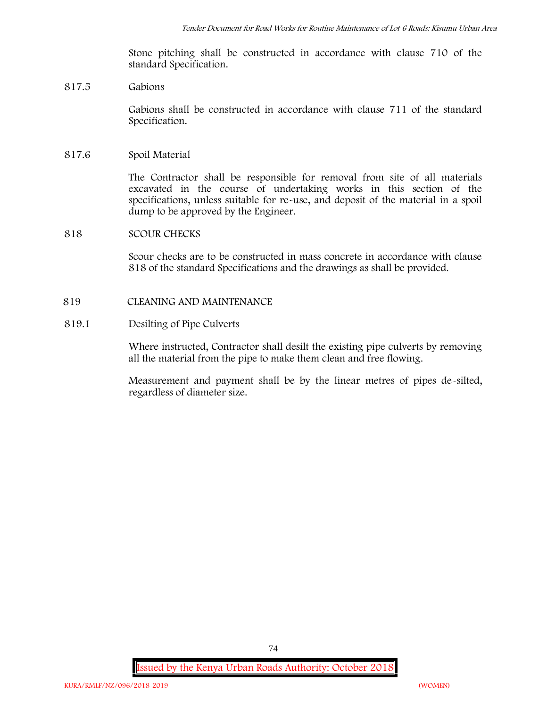Stone pitching shall be constructed in accordance with clause 710 of the standard Specification.

## **817.5 Gabions**

Gabions shall be constructed in accordance with clause 711 of the standard Specification.

## **817.6 Spoil Material**

The Contractor shall be responsible for removal from site of all materials excavated in the course of undertaking works in this section of the specifications, unless suitable for re-use, and deposit of the material in a spoil dump to be approved by the Engineer.

## **818 SCOUR CHECKS**

Scour checks are to be constructed in mass concrete in accordance with clause 818 of the standard Specifications and the drawings as shall be provided.

## **819 CLEANING AND MAINTENANCE**

## **819.1 Desilting of Pipe Culverts**

Where instructed, Contractor shall desilt the existing pipe culverts by removing all the material from the pipe to make them clean and free flowing.

Measurement and payment shall be by the linear metres of pipes de-silted, regardless of diameter size.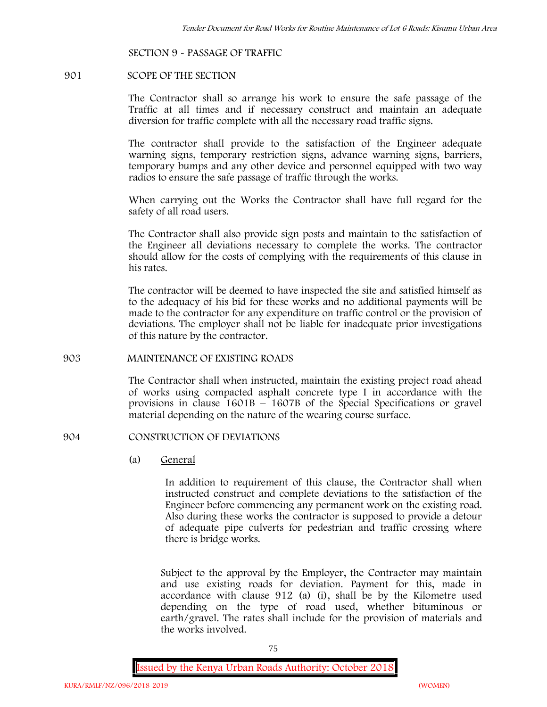#### **SECTION 9 - PASSAGE OF TRAFFIC**

#### **901 SCOPE OF THE SECTION**

The Contractor shall so arrange his work to ensure the safe passage of the Traffic at all times and if necessary construct and maintain an adequate diversion for traffic complete with all the necessary road traffic signs.

The contractor shall provide to the satisfaction of the Engineer adequate warning signs, temporary restriction signs, advance warning signs, barriers, temporary bumps and any other device and personnel equipped with two way radios to ensure the safe passage of traffic through the works.

When carrying out the Works the Contractor shall have full regard for the safety of all road users.

The Contractor shall also provide sign posts and maintain to the satisfaction of the Engineer all deviations necessary to complete the works. The contractor should allow for the costs of complying with the requirements of this clause in his rates.

The contractor will be deemed to have inspected the site and satisfied himself as to the adequacy of his bid for these works and no additional payments will be made to the contractor for any expenditure on traffic control or the provision of deviations. The employer shall not be liable for inadequate prior investigations of this nature by the contractor.

## **903 MAINTENANCE OF EXISTING ROADS**

The Contractor shall when instructed, maintain the existing project road ahead of works using compacted asphalt concrete type I in accordance with the provisions in clause 1601B – 1607B of the Special Specifications or gravel material depending on the nature of the wearing course surface.

#### **904 CONSTRUCTION OF DEVIATIONS**

(a) **General**

In addition to requirement of this clause, the Contractor shall when instructed construct and complete deviations to the satisfaction of the Engineer before commencing any permanent work on the existing road. Also during these works the contractor is supposed to provide a detour of adequate pipe culverts for pedestrian and traffic crossing where there is bridge works.

Subject to the approval by the Employer, the Contractor may maintain and use existing roads for deviation. Payment for this, made in accordance with clause 912 (a) (i), shall be by the Kilometre used depending on the type of road used, whether bituminous or earth/gravel. The rates shall include for the provision of materials and the works involved.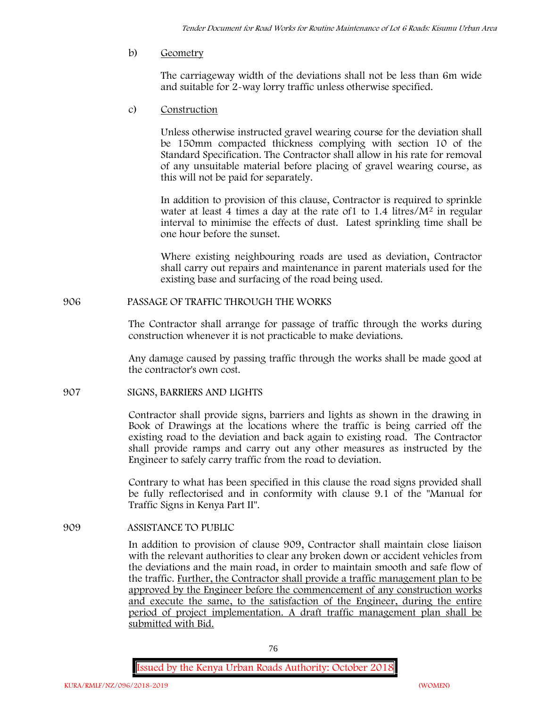b) **Geometry**

The carriageway width of the deviations shall not be less than 6m wide and suitable for 2-way lorry traffic unless otherwise specified.

c) **Construction**

Unless otherwise instructed gravel wearing course for the deviation shall be 150mm compacted thickness complying with section 10 of the Standard Specification. The Contractor shall allow in his rate for removal of any unsuitable material before placing of gravel wearing course, as this will not be paid for separately.

In addition to provision of this clause, Contractor is required to sprinkle water at least 4 times a day at the rate of  $1$  to  $1.4$  litres/ $M<sup>2</sup>$  in regular interval to minimise the effects of dust. Latest sprinkling time shall be one hour before the sunset.

Where existing neighbouring roads are used as deviation, Contractor shall carry out repairs and maintenance in parent materials used for the existing base and surfacing of the road being used.

**906 PASSAGE OF TRAFFIC THROUGH THE WORKS**

The Contractor shall arrange for passage of traffic through the works during construction whenever it is not practicable to make deviations.

Any damage caused by passing traffic through the works shall be made good at the contractor's own cost.

**907 SIGNS, BARRIERS AND LIGHTS**

Contractor shall provide signs, barriers and lights as shown in the drawing in Book of Drawings at the locations where the traffic is being carried off the existing road to the deviation and back again to existing road. The Contractor shall provide ramps and carry out any other measures as instructed by the Engineer to safely carry traffic from the road to deviation.

Contrary to what has been specified in this clause the road signs provided shall be fully reflectorised and in conformity with clause 9.1 of the "Manual for Traffic Signs in Kenya Part II".

**909 ASSISTANCE TO PUBLIC**

In addition to provision of clause 909, Contractor shall maintain close liaison with the relevant authorities to clear any broken down or accident vehicles from the deviations and the main road, in order to maintain smooth and safe flow of the traffic. Further, the Contractor shall provide a traffic management plan to be approved by the Engineer before the commencement of any construction works and execute the same, to the satisfaction of the Engineer, during the entire period of project implementation. A draft traffic management plan shall be submitted with Bid.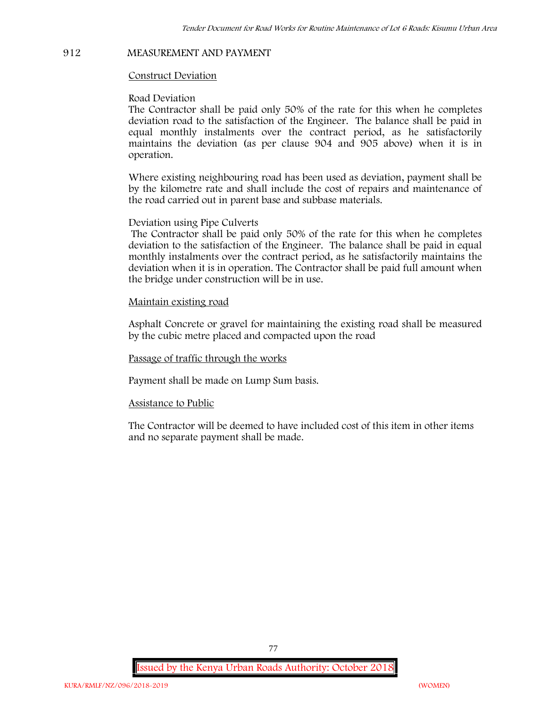#### **912 MEASUREMENT AND PAYMENT**

#### **Construct Deviation**

#### **Road Deviation**

The Contractor shall be paid only 50% of the rate for this when he completes deviation road to the satisfaction of the Engineer. The balance shall be paid in equal monthly instalments over the contract period, as he satisfactorily maintains the deviation (as per clause 904 and 905 above) when it is in operation.

Where existing neighbouring road has been used as deviation, payment shall be by the kilometre rate and shall include the cost of repairs and maintenance of the road carried out in parent base and subbase materials.

#### **Deviation using Pipe Culverts**

The Contractor shall be paid only 50% of the rate for this when he completes deviation to the satisfaction of the Engineer. The balance shall be paid in equal monthly instalments over the contract period, as he satisfactorily maintains the deviation when it is in operation. The Contractor shall be paid full amount when the bridge under construction will be in use.

## **Maintain existing road**

Asphalt Concrete or gravel for maintaining the existing road shall be measured by the cubic metre placed and compacted upon the road

#### **Passage of traffic through the works**

Payment shall be made on Lump Sum basis.

#### **Assistance to Public**

The Contractor will be deemed to have included cost of this item in other items and no separate payment shall be made.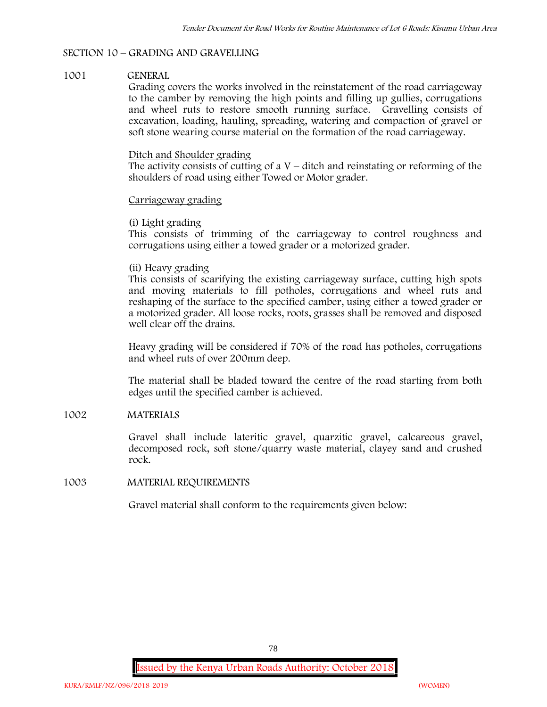## **SECTION 10 – GRADING AND GRAVELLING**

## **1001 GENERAL**

Grading covers the works involved in the reinstatement of the road carriageway to the camber by removing the high points and filling up gullies, corrugations and wheel ruts to restore smooth running surface. Gravelling consists of excavation, loading, hauling, spreading, watering and compaction of gravel or soft stone wearing course material on the formation of the road carriageway.

## Ditch and Shoulder grading

The activity consists of cutting of a  $V$  – ditch and reinstating or reforming of the shoulders of road using either Towed or Motor grader.

## Carriageway grading

## **(i) Light grading**

This consists of trimming of the carriageway to control roughness and corrugations using either a towed grader or a motorized grader.

## **(ii) Heavy grading**

This consists of scarifying the existing carriageway surface, cutting high spots and moving materials to fill potholes, corrugations and wheel ruts and reshaping of the surface to the specified camber, using either a towed grader or a motorized grader. All loose rocks, roots, grasses shall be removed and disposed well clear off the drains.

Heavy grading will be considered if 70% of the road has potholes, corrugations and wheel ruts of over 200mm deep.

The material shall be bladed toward the centre of the road starting from both edges until the specified camber is achieved.

## **1002 MATERIALS**

Gravel shall include lateritic gravel, quarzitic gravel, calcareous gravel, decomposed rock, soft stone/quarry waste material, clayey sand and crushed rock.

## **1003 MATERIAL REQUIREMENTS**

Gravel material shall conform to the requirements given below: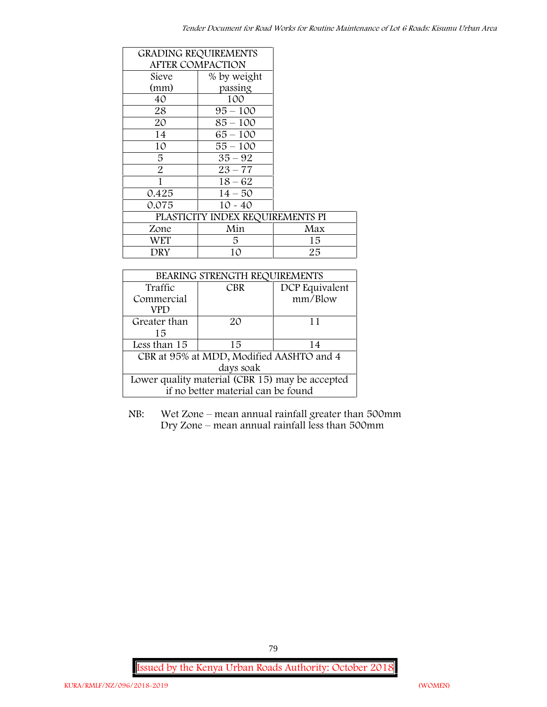|                | <b>GRADING REQUIREMENTS</b>      |     |
|----------------|----------------------------------|-----|
|                | <b>AFTER COMPACTION</b>          |     |
| Sieve          | % by weight                      |     |
| (mm)           | passing                          |     |
| 40             | 100                              |     |
| 28             | $95 - 100$                       |     |
| 20             | $85 - 100$                       |     |
| 14             | $65 - 100$                       |     |
| 10             | $55 - 100$                       |     |
| 5              | $35 - 92$                        |     |
| $\overline{2}$ | $23 - 77$                        |     |
| 1              | $18 - 62$                        |     |
| 0.425          | $14 - 50$                        |     |
| 0.075          | $10 - 40$                        |     |
|                | PLASTICITY INDEX REQUIREMENTS PI |     |
| Zone           | Min                              | Max |
| WET            | 5                                | 15  |
| DRY            | 10                               | 25  |

| BEARING STRENGTH REQUIREMENTS                   |     |                |  |  |
|-------------------------------------------------|-----|----------------|--|--|
| Traffic                                         | CBR | DCP Equivalent |  |  |
| Commercial                                      |     | mm/Blow        |  |  |
| VPD                                             |     |                |  |  |
| Greater than                                    | 20  | 11             |  |  |
| 15                                              |     |                |  |  |
| Less than 15                                    | 15  | 14             |  |  |
| CBR at 95% at MDD, Modified AASHTO and 4        |     |                |  |  |
| days soak                                       |     |                |  |  |
| Lower quality material (CBR 15) may be accepted |     |                |  |  |
| if no better material can be found              |     |                |  |  |

NB: Wet Zone – mean annual rainfall greater than 500mm Dry Zone – mean annual rainfall less than 500mm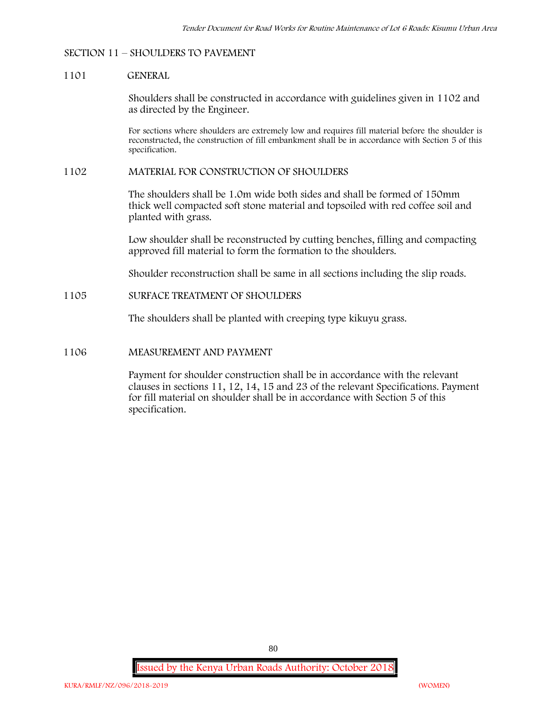#### **SECTION 11 – SHOULDERS TO PAVEMENT**

#### **1101 GENERAL**

Shoulders shall be constructed in accordance with guidelines given in 1102 and as directed by the Engineer.

For sections where shoulders are extremely low and requires fill material before the shoulder is reconstructed, the construction of fill embankment shall be in accordance with Section 5 of this specification.

#### **1102 MATERIAL FOR CONSTRUCTION OF SHOULDERS**

The shoulders shall be 1.0m wide both sides and shall be formed of 150mm thick well compacted soft stone material and topsoiled with red coffee soil and planted with grass.

Low shoulder shall be reconstructed by cutting benches, filling and compacting approved fill material to form the formation to the shoulders.

Shoulder reconstruction shall be same in all sections including the slip roads.

## **1105 SURFACE TREATMENT OF SHOULDERS**

The shoulders shall be planted with creeping type kikuyu grass.

### **1106 MEASUREMENT AND PAYMENT**

Payment for shoulder construction shall be in accordance with the relevant clauses in sections 11, 12, 14, 15 and 23 of the relevant Specifications. Payment for fill material on shoulder shall be in accordance with Section 5 of this specification.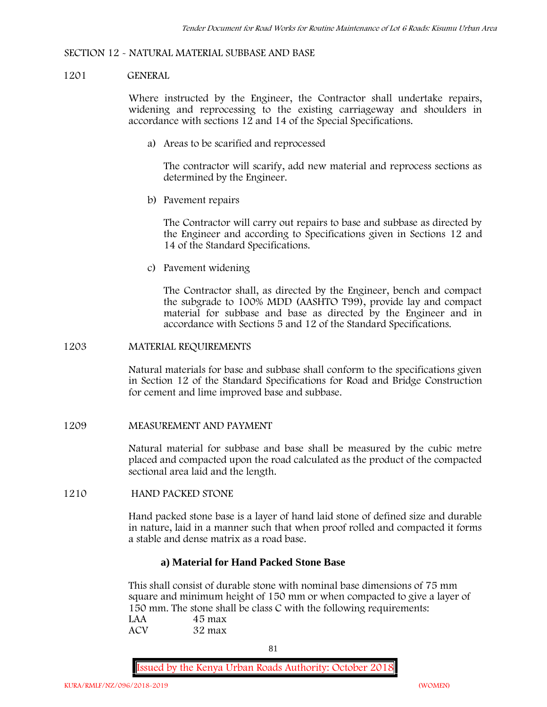#### **SECTION 12 - NATURAL MATERIAL SUBBASE AND BASE**

#### **1201 GENERAL**

Where instructed by the Engineer, the Contractor shall undertake repairs, widening and reprocessing to the existing carriageway and shoulders in accordance with sections 12 and 14 of the Special Specifications.

**a) Areas to be scarified and reprocessed**

The contractor will scarify, add new material and reprocess sections as determined by the Engineer.

**b) Pavement repairs**

The Contractor will carry out repairs to base and subbase as directed by the Engineer and according to Specifications given in Sections 12 and 14 of the Standard Specifications.

**c) Pavement widening**

The Contractor shall, as directed by the Engineer, bench and compact the subgrade to 100% MDD (AASHTO T99), provide lay and compact material for subbase and base as directed by the Engineer and in accordance with Sections 5 and 12 of the Standard Specifications.

#### **1203 MATERIAL REQUIREMENTS**

Natural materials for base and subbase shall conform to the specifications given in Section 12 of the Standard Specifications for Road and Bridge Construction for cement and lime improved base and subbase.

#### **1209 MEASUREMENT AND PAYMENT**

Natural material for subbase and base shall be measured by the cubic metre placed and compacted upon the road calculated as the product of the compacted sectional area laid and the length.

#### **1210 HAND PACKED STONE**

Hand packed stone base is a layer of hand laid stone of defined size and durable in nature, laid in a manner such that when proof rolled and compacted it forms a stable and dense matrix as a road base.

## **a) Material for Hand Packed Stone Base**

This shall consist of durable stone with nominal base dimensions of 75 mm square and minimum height of 150 mm or when compacted to give a layer of 150 mm. The stone shall be class C with the following requirements:<br> $144$ **LAA 45 max**

| LAA | 4э шах |
|-----|--------|
| ACV | 32 max |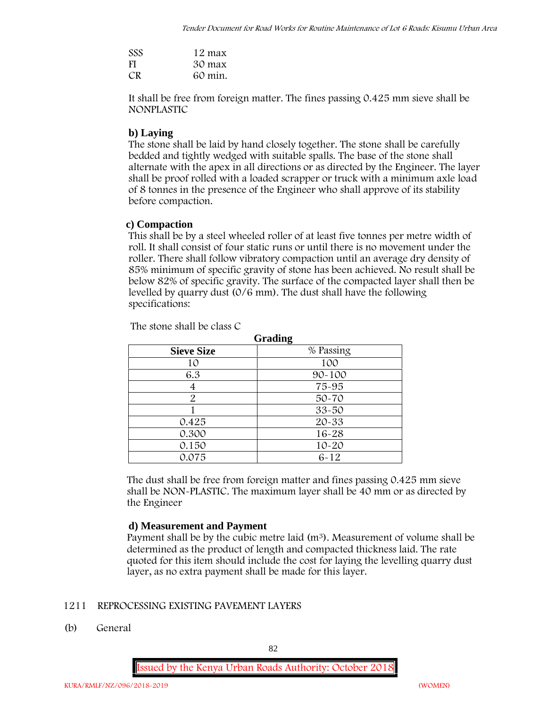| <b>SSS</b> | 12 max  |
|------------|---------|
| <b>FI</b>  | 30 max  |
| CR.        | 60 min. |

It shall be free from foreign matter. The fines passing 0.425 mm sieve shall be **NONPLASTIC**

# **b) Laying**

The stone shall be laid by hand closely together. The stone shall be carefully bedded and tightly wedged with suitable spalls. The base of the stone shall alternate with the apex in all directions or as directed by the Engineer. The layer shall be proof rolled with a loaded scrapper or truck with a minimum axle load of 8 tonnes in the presence of the Engineer who shall approve of its stability before compaction.

# **c) Compaction**

This shall be by a steel wheeled roller of at least five tonnes per metre width of roll. It shall consist of four static runs or until there is no movement under the roller. There shall follow vibratory compaction until an average dry density of 85% minimum of specific gravity of stone has been achieved. No result shall be below 82% of specific gravity. The surface of the compacted layer shall then be levelled by quarry dust (0/6 mm). The dust shall have the following specifications:

|                   | Grading    |
|-------------------|------------|
| <b>Sieve Size</b> | % Passing  |
| 10                | 100        |
| 6.3               | $90 - 100$ |
|                   | 75-95      |
| 2                 | $50 - 70$  |
|                   | $33 - 50$  |
| 0.425             | 20-33      |
| 0.300             | $16 - 28$  |
| 0.150             | $10 - 20$  |
| 0.075             | $6 - 12$   |

The stone shall be class C

The dust shall be free from foreign matter and fines passing 0.425 mm sieve shall be **NON-PLASTIC**. The maximum layer shall be 40 mm or as directed by the Engineer

# **d) Measurement and Payment**

Payment shall be by the cubic metre laid  $(m^3)$ . Measurement of volume shall be determined as the product of length and compacted thickness laid. The rate quoted for this item should include the cost for laying the levelling quarry dust layer, as no extra payment shall be made for this layer.

# **1211 REPROCESSING EXISTING PAVEMENT LAYERS**

**(b) General**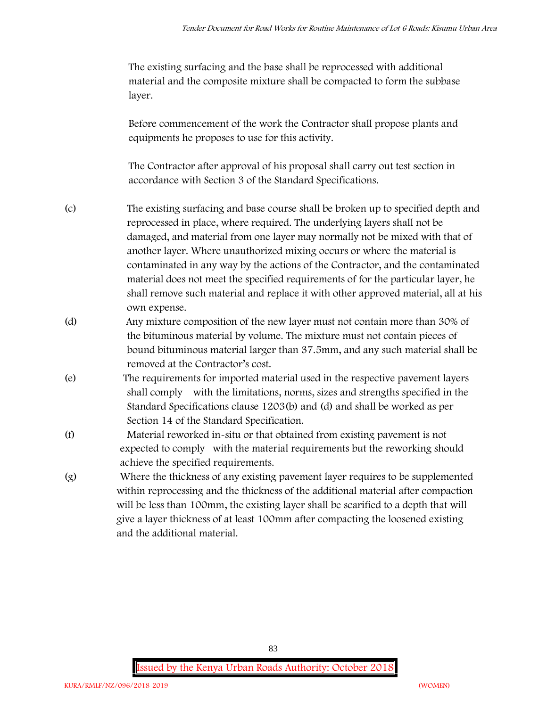The existing surfacing and the base shall be reprocessed with additional material and the composite mixture shall be compacted to form the subbase layer.

Before commencement of the work the Contractor shall propose plants and equipments he proposes to use for this activity.

The Contractor after approval of his proposal shall carry out test section in accordance with Section 3 of the Standard Specifications.

- (c) The existing surfacing and base course shall be broken up to specified depth and reprocessed in place, where required. The underlying layers shall not be damaged, and material from one layer may normally not be mixed with that of another layer. Where unauthorized mixing occurs or where the material is contaminated in any way by the actions of the Contractor, and the contaminated material does not meet the specified requirements of for the particular layer, he shall remove such material and replace it with other approved material, all at his own expense.
- (d) Any mixture composition of the new layer must not contain more than 30% of the bituminous material by volume. The mixture must not contain pieces of bound bituminous material larger than 37.5mm, and any such material shall be removed at the Contractor's cost.
- (e) The requirements for imported material used in the respective pavement layers shall comply with the limitations, norms, sizes and strengths specified in the Standard Specifications clause 1203(b) and (d) and shall be worked as per Section 14 of the Standard Specification.
- (f) Material reworked in-situ or that obtained from existing pavement is not expected to comply with the material requirements but the reworking should achieve the specified requirements.
- (g) Where the thickness of any existing pavement layer requires to be supplemented within reprocessing and the thickness of the additional material after compaction will be less than 100mm, the existing layer shall be scarified to a depth that will give a layer thickness of at least 100mm after compacting the loosened existing and the additional material.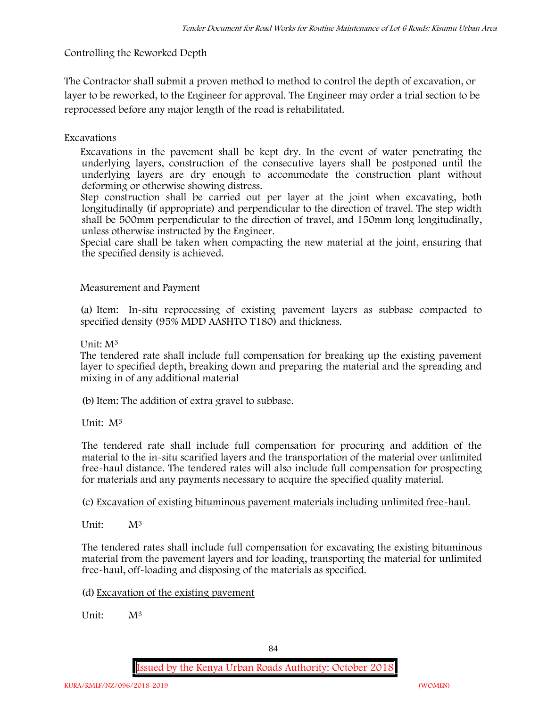**Controlling the Reworked Depth**

The Contractor shall submit a proven method to method to control the depth of excavation, or layer to be reworked, to the Engineer for approval. The Engineer may order a trial section to be reprocessed before any major length of the road is rehabilitated.

**Excavations**

Excavations in the pavement shall be kept dry. In the event of water penetrating the underlying layers, construction of the consecutive layers shall be postponed until the underlying layers are dry enough to accommodate the construction plant without deforming or otherwise showing distress.

Step construction shall be carried out per layer at the joint when excavating, both longitudinally (if appropriate) and perpendicular to the direction of travel. The step width shall be 500mm perpendicular to the direction of travel, and 150mm long longitudinally, unless otherwise instructed by the Engineer.

Special care shall be taken when compacting the new material at the joint, ensuring that the specified density is achieved.

**Measurement and Payment**

(a) Item: In-situ reprocessing of existing pavement layers as subbase compacted to specified density (95% MDD AASHTO T180) and thickness.

Unit: M<sup>3</sup>

The tendered rate shall include full compensation for breaking up the existing pavement layer to specified depth, breaking down and preparing the material and the spreading and mixing in of any additional material

(b)Item: The addition of extra gravel to subbase.

Unit: M<sup>3</sup>

The tendered rate shall include full compensation for procuring and addition of the material to the in-situ scarified layers and the transportation of the material over unlimited free-haul distance. The tendered rates will also include full compensation for prospecting for materials and any payments necessary to acquire the specified quality material.

(c) Excavation of existing bituminous pavement materials including unlimited free-haul.

Unit:  $M^3$ 

The tendered rates shall include full compensation for excavating the existing bituminous material from the pavement layers and for loading, transporting the material for unlimited free-haul, off-loading and disposing of the materials as specified.

(d) Excavation of the existing pavement

Unit: M<sup>3</sup>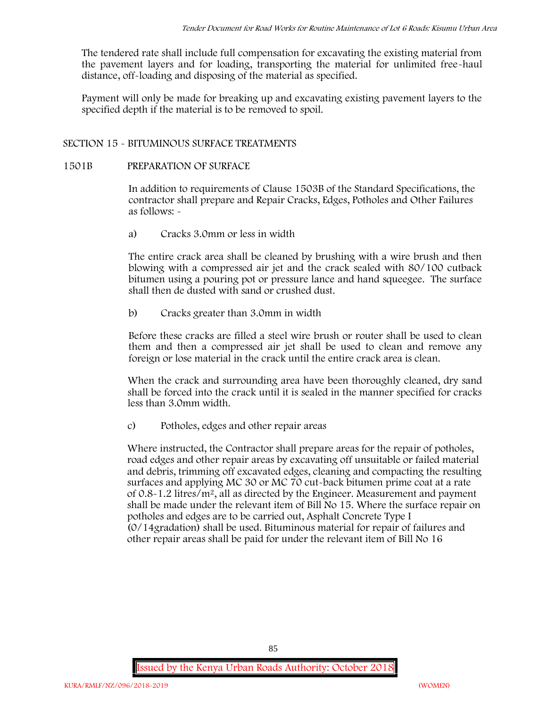The tendered rate shall include full compensation for excavating the existing material from the pavement layers and for loading, transporting the material for unlimited free-haul distance, off-loading and disposing of the material as specified.

Payment will only be made for breaking up and excavating existing pavement layers to the specified depth if the material is to be removed to spoil.

## **SECTION 15 - BITUMINOUS SURFACE TREATMENTS**

## **1501B PREPARATION OF SURFACE**

In addition to requirements of Clause 1503B of the Standard Specifications, the contractor shall prepare and Repair Cracks, Edges, Potholes and Other Failures as follows: **-**

a) **Cracks 3.0mm or less in width**

The entire crack area shall be cleaned by brushing with a wire brush and then blowing with a compressed air jet and the crack sealed with 80/100 cutback bitumen using a pouring pot or pressure lance and hand squeegee. The surface shall then de dusted with sand or crushed dust.

b) **Cracks greater than 3.0mm in width**

Before these cracks are filled a steel wire brush or router shall be used to clean them and then a compressed air jet shall be used to clean and remove any foreign or lose material in the crack until the entire crack area is clean.

When the crack and surrounding area have been thoroughly cleaned, dry sand shall be forced into the crack until it is sealed in the manner specified for cracks less than 3.0mm width.

c) **Potholes, edges and other repair areas**

Where instructed, the Contractor shall prepare areas for the repair of potholes, road edges and other repair areas by excavating off unsuitable or failed material and debris, trimming off excavated edges, cleaning and compacting the resulting surfaces and applying MC 30 or MC 70 cut-back bitumen prime coat at a rate of 0.8-1.2 litres/m2, all as directed by the Engineer. Measurement and payment shall be made under the relevant item of Bill No 15. Where the surface repair on potholes and edges are to be carried out, Asphalt Concrete Type I (0/14gradation) shall be used. Bituminous material for repair of failures and other repair areas shall be paid for under the relevant item of Bill No 16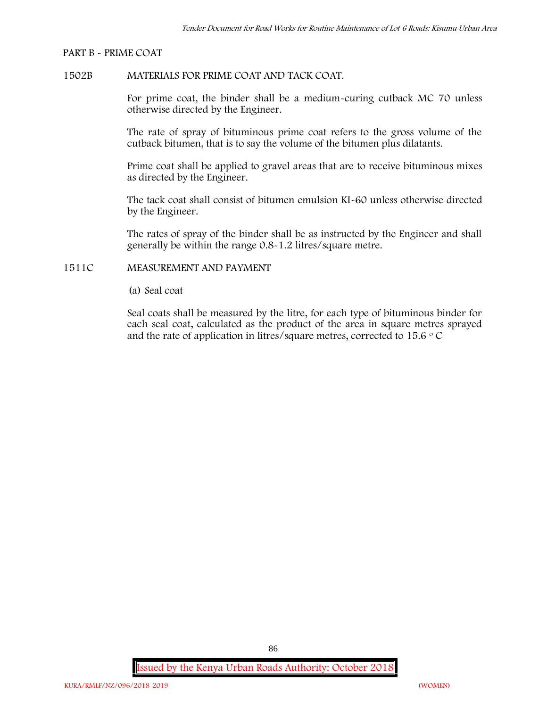#### **PART B - PRIME COAT**

## **1502B MATERIALS FOR PRIME COAT AND TACK COAT.**

For prime coat, the binder shall be a medium-curing cutback MC 70 unless otherwise directed by the Engineer.

The rate of spray of bituminous prime coat refers to the gross volume of the cutback bitumen, that is to say the volume of the bitumen plus dilatants.

Prime coat shall be applied to gravel areas that are to receive bituminous mixes as directed by the Engineer.

The tack coat shall consist of bitumen emulsion KI-60 unless otherwise directed by the Engineer.

The rates of spray of the binder shall be as instructed by the Engineer and shall generally be within the range 0.8-1.2 litres/square metre.

## **1511C MEASUREMENT AND PAYMENT**

(a) Seal coat

Seal coats shall be measured by the litre, for each type of bituminous binder for each seal coat, calculated as the product of the area in square metres sprayed and the rate of application in litres/square metres, corrected to 15.6  $\circ$  C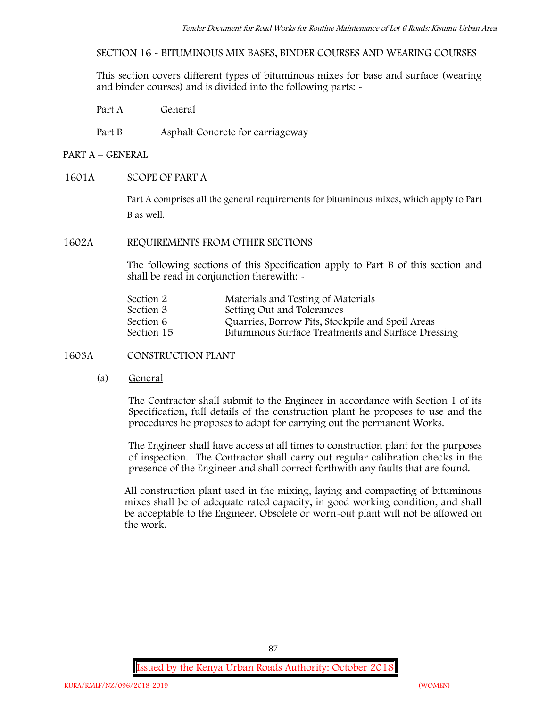**SECTION 16 - BITUMINOUS MIX BASES, BINDER COURSES AND WEARING COURSES**

This section covers different types of bituminous mixes for base and surface (wearing and binder courses) and is divided into the following parts: -

Part A General

Part B Asphalt Concrete for carriageway

## **PART A –GENERAL**

## **1601A SCOPE OF PART A**

Part A comprises all the general requirements for bituminous mixes, which apply to Part B as well.

## **1602A REQUIREMENTS FROM OTHER SECTIONS**

The following sections of this Specification apply to Part B of this section and shall be read in conjunction therewith: -

| Section 2  | Materials and Testing of Materials                 |
|------------|----------------------------------------------------|
| Section 3  | Setting Out and Tolerances                         |
| Section 6  | Quarries, Borrow Pits, Stockpile and Spoil Areas   |
| Section 15 | Bituminous Surface Treatments and Surface Dressing |

**1603A CONSTRUCTION PLANT**

(a) **General**

The Contractor shall submit to the Engineer in accordance with Section 1 of its Specification, full details of the construction plant he proposes to use and the procedures he proposes to adopt for carrying out the permanent Works.

The Engineer shall have access at all times to construction plant for the purposes of inspection. The Contractor shall carry out regular calibration checks in the presence of the Engineer and shall correct forthwith any faults that are found.

All construction plant used in the mixing, laying and compacting of bituminous mixes shall be of adequate rated capacity, in good working condition, and shall be acceptable to the Engineer. Obsolete or worn-out plant will not be allowed on the work.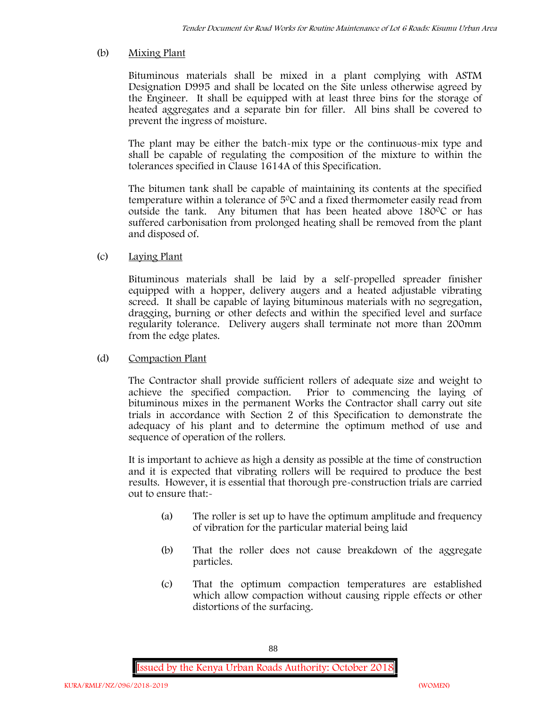## (b) **Mixing Plant**

Bituminous materials shall be mixed in a plant complying with ASTM Designation D995 and shall be located on the Site unless otherwise agreed by the Engineer. It shall be equipped with at least three bins for the storage of heated aggregates and a separate bin for filler. All bins shall be covered to prevent the ingress of moisture.

The plant may be either the batch-mix type or the continuous-mix type and shall be capable of regulating the composition of the mixture to within the tolerances specified in Clause 1614A of this Specification.

The bitumen tank shall be capable of maintaining its contents at the specified temperature within a tolerance of 50C and a fixed thermometer easily read from outside the tank. Any bitumen that has been heated above 180°C or has suffered carbonisation from prolonged heating shall be removed from the plant and disposed of.

## (c) **Laying Plant**

Bituminous materials shall be laid by a self-propelled spreader finisher equipped with a hopper, delivery augers and a heated adjustable vibrating screed. It shall be capable of laying bituminous materials with no segregation, dragging, burning or other defects and within the specified level and surface regularity tolerance. Delivery augers shall terminate not more than 200mm from the edge plates.

## (d) **Compaction Plant**

The Contractor shall provide sufficient rollers of adequate size and weight to achieve the specified compaction. Prior to commencing the laying of bituminous mixes in the permanent Works the Contractor shall carry out site trials in accordance with Section 2 of this Specification to demonstrate the adequacy of his plant and to determine the optimum method of use and sequence of operation of the rollers.

It is important to achieve as high a density as possible at the time of construction and it is expected that vibrating rollers will be required to produce the best results. However, it is essential that thorough pre-construction trials are carried out to ensure that:-

- (a) The roller is set up to have the optimum amplitude and frequency of vibration for the particular material being laid
- (b) That the roller does not cause breakdown of the aggregate particles.
- (c) That the optimum compaction temperatures are established which allow compaction without causing ripple effects or other distortions of the surfacing.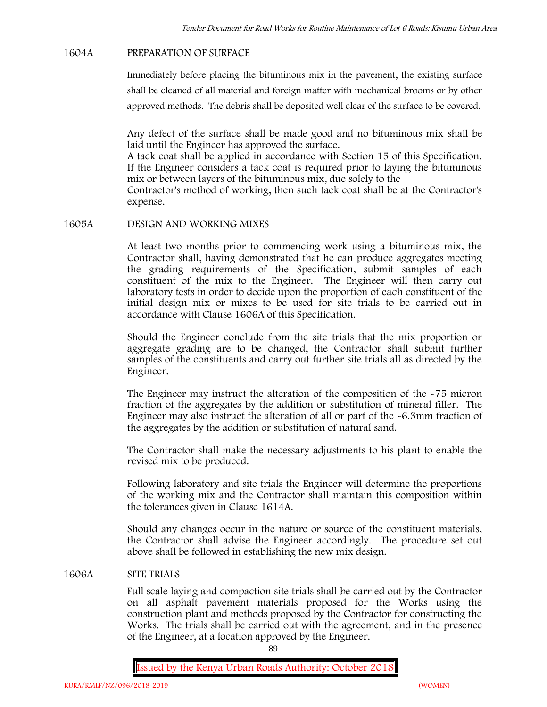#### **1604A PREPARATION OF SURFACE**

Immediately before placing the bituminous mix in the pavement, the existing surface shall be cleaned of all material and foreign matter with mechanical brooms or by other approved methods. The debris shall be deposited well clear of the surface to be covered.

Any defect of the surface shall be made good and no bituminous mix shall be laid until the Engineer has approved the surface.

A tack coat shall be applied in accordance with Section 15 of this Specification. If the Engineer considers a tack coat is required prior to laying the bituminous mix or between layers of the bituminous mix, due solely to the

Contractor's method of working, then such tack coat shall be at the Contractor's expense.

## **1605A DESIGN AND WORKING MIXES**

At least two months prior to commencing work using a bituminous mix, the Contractor shall, having demonstrated that he can produce aggregates meeting the grading requirements of the Specification, submit samples of each constituent of the mix to the Engineer. The Engineer will then carry out laboratory tests in order to decide upon the proportion of each constituent of the initial design mix or mixes to be used for site trials to be carried out in accordance with Clause 1606A of this Specification.

Should the Engineer conclude from the site trials that the mix proportion or aggregate grading are to be changed, the Contractor shall submit further samples of the constituents and carry out further site trials all as directed by the Engineer.

The Engineer may instruct the alteration of the composition of the -75 micron fraction of the aggregates by the addition or substitution of mineral filler. The Engineer may also instruct the alteration of all or part of the -6.3mm fraction of the aggregates by the addition or substitution of natural sand.

The Contractor shall make the necessary adjustments to his plant to enable the revised mix to be produced.

Following laboratory and site trials the Engineer will determine the proportions of the working mix and the Contractor shall maintain this composition within the tolerances given in Clause 1614A.

Should any changes occur in the nature or source of the constituent materials, the Contractor shall advise the Engineer accordingly. The procedure set out above shall be followed in establishing the new mix design.

## **1606A SITE TRIALS**

Full scale laying and compaction site trials shall be carried out by the Contractor on all asphalt pavement materials proposed for the Works using the construction plant and methods proposed by the Contractor for constructing the Works. The trials shall be carried out with the agreement, and in the presence of the Engineer, at a location approved by the Engineer.

89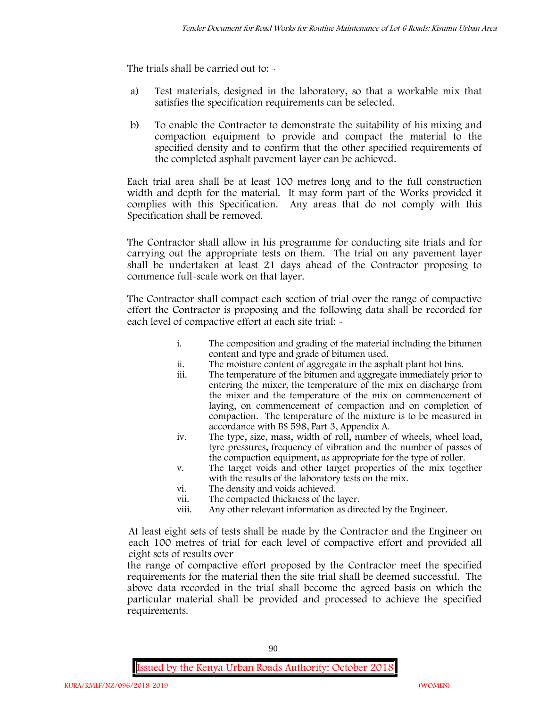The trials shall be carried out to:  $\sim$ 

- a) Test materials, designed in the laboratory, so that a workable mix that satisfies the specification requirements can be selected.
- b) To enable the Contractor to demonstrate the suitability of his mixing and compaction equipment to provide and compact the material to the specified density and to confirm that the other specified requirements of the completed asphalt pavement layer can be achieved.

Each trial area shall be at least 100 metres long and to the full construction width and depth for the material. It may form part of the Works provided it complies with this Specification. Any areas that do not comply with this Specification shall be removed.

The Contractor shall allow in his programme for conducting site trials and for carrying out the appropriate tests on them. The trial on any pavement layer shall be undertaken at least 21 days ahead of the Contractor proposing to commence full-scale work on that layer.

The Contractor shall compact each section of trial over the range of compactive effort the Contractor is proposing and the following data shall be recorded for each level of compactive effort at each site trial:  $\sim$ 

- i. The composition and grading of the material including the bitumen content and type and grade of bitumen used.
- ii. The moisture content of aggregate in the asphalt plant hot bins.
- iii. The temperature of the bitumen and aggregate immediately prior to entering the mixer, the temperature of the mix on discharge from the mixer and the temperature of the mix on commencement of laying, on commencement of compaction and on completion of compaction. The temperature of the mixture is to be measured in accordance with BS 598, Part 3, Appendix A.
- iv. The type, size, mass, width of roll, number of wheels, wheel load, tyre pressures, frequency of vibration and the number of passes of the compaction equipment, as appropriate for the type of roller.
- v. The target voids and other target properties of the mix together with the results of the laboratory tests on the mix.
- vi. The density and voids achieved.
- vii. The compacted thickness of the layer.
- viii. Any other relevant information as directed by the Engineer.

At least eight sets of tests shall be made by the Contractor and the Engineer on each 100 metres of trial for each level of compactive effort and provided all eight sets of results over

the range of compactive effort proposed by the Contractor meet the specified requirements for the material then the site trial shall be deemed successful. The above data recorded in the trial shall become the agreed basis on which the particular material shall be provided and processed to achieve the specified requirements.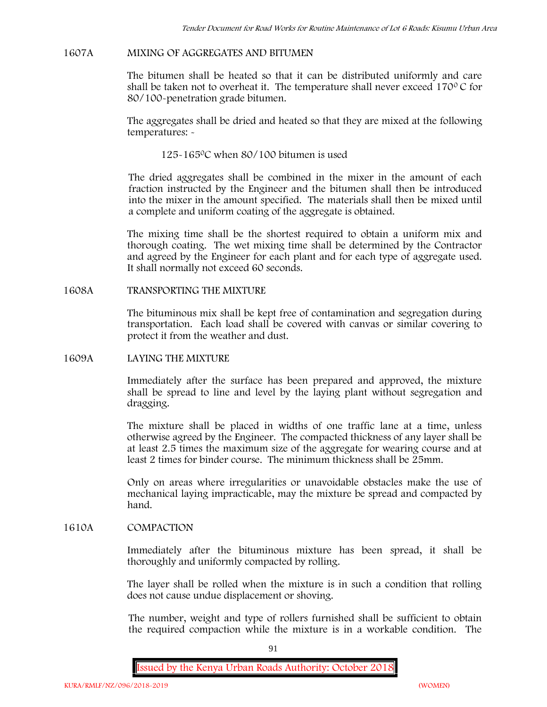### **1607A MIXING OF AGGREGATES AND BITUMEN**

The bitumen shall be heated so that it can be distributed uniformly and care shall be taken not to overheat it. The temperature shall never exceed  $170^{\circ}$ C for 80/100-penetration grade bitumen.

The aggregates shall be dried and heated so that they are mixed at the following temperatures: -

125-1650C when 80/100 bitumen is used

The dried aggregates shall be combined in the mixer in the amount of each fraction instructed by the Engineer and the bitumen shall then be introduced into the mixer in the amount specified. The materials shall then be mixed until a complete and uniform coating of the aggregate is obtained.

The mixing time shall be the shortest required to obtain a uniform mix and thorough coating. The wet mixing time shall be determined by the Contractor and agreed by the Engineer for each plant and for each type of aggregate used. It shall normally not exceed 60 seconds.

**1608A TRANSPORTING THE MIXTURE**

The bituminous mix shall be kept free of contamination and segregation during transportation. Each load shall be covered with canvas or similar covering to protect it from the weather and dust.

**1609A LAYING THE MIXTURE**

Immediately after the surface has been prepared and approved, the mixture shall be spread to line and level by the laying plant without segregation and dragging.

The mixture shall be placed in widths of one traffic lane at a time, unless otherwise agreed by the Engineer. The compacted thickness of any layer shall be at least 2.5 times the maximum size of the aggregate for wearing course and at least 2 times for binder course. The minimum thickness shall be 25mm.

Only on areas where irregularities or unavoidable obstacles make the use of mechanical laying impracticable, may the mixture be spread and compacted by hand.

## **1610A COMPACTION**

Immediately after the bituminous mixture has been spread, it shall be thoroughly and uniformly compacted by rolling.

The layer shall be rolled when the mixture is in such a condition that rolling does not cause undue displacement or shoving.

The number, weight and type of rollers furnished shall be sufficient to obtain the required compaction while the mixture is in a workable condition. The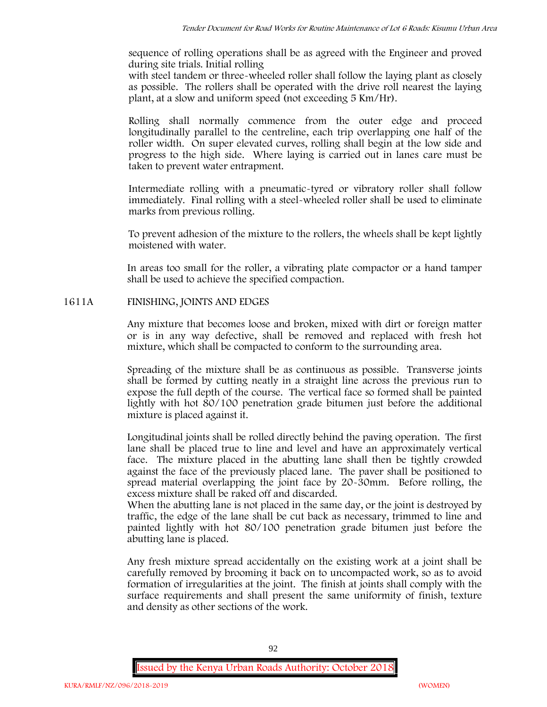sequence of rolling operations shall be as agreed with the Engineer and proved during site trials. Initial rolling

with steel tandem or three-wheeled roller shall follow the laying plant as closely as possible. The rollers shall be operated with the drive roll nearest the laying plant, at a slow and uniform speed (not exceeding 5 Km/Hr).

Rolling shall normally commence from the outer edge and proceed longitudinally parallel to the centreline, each trip overlapping one half of the roller width. On super elevated curves, rolling shall begin at the low side and progress to the high side. Where laying is carried out in lanes care must be taken to prevent water entrapment.

Intermediate rolling with a pneumatic-tyred or vibratory roller shall follow immediately. Final rolling with a steel-wheeled roller shall be used to eliminate marks from previous rolling.

To prevent adhesion of the mixture to the rollers, the wheels shall be kept lightly moistened with water.

In areas too small for the roller, a vibrating plate compactor or a hand tamper shall be used to achieve the specified compaction.

# **1611A FINISHING, JOINTS AND EDGES**

Any mixture that becomes loose and broken, mixed with dirt or foreign matter or is in any way defective, shall be removed and replaced with fresh hot mixture, which shall be compacted to conform to the surrounding area.

Spreading of the mixture shall be as continuous as possible. Transverse joints shall be formed by cutting neatly in a straight line across the previous run to expose the full depth of the course. The vertical face so formed shall be painted lightly with hot 80/100 penetration grade bitumen just before the additional mixture is placed against it.

Longitudinal joints shall be rolled directly behind the paving operation. The first lane shall be placed true to line and level and have an approximately vertical face. The mixture placed in the abutting lane shall then be tightly crowded against the face of the previously placed lane. The paver shall be positioned to spread material overlapping the joint face by 20-30mm. Before rolling, the excess mixture shall be raked off and discarded.

When the abutting lane is not placed in the same day, or the joint is destroyed by traffic, the edge of the lane shall be cut back as necessary, trimmed to line and painted lightly with hot 80/100 penetration grade bitumen just before the abutting lane is placed.

Any fresh mixture spread accidentally on the existing work at a joint shall be carefully removed by brooming it back on to uncompacted work, so as to avoid formation of irregularities at the joint. The finish at joints shall comply with the surface requirements and shall present the same uniformity of finish, texture and density as other sections of the work.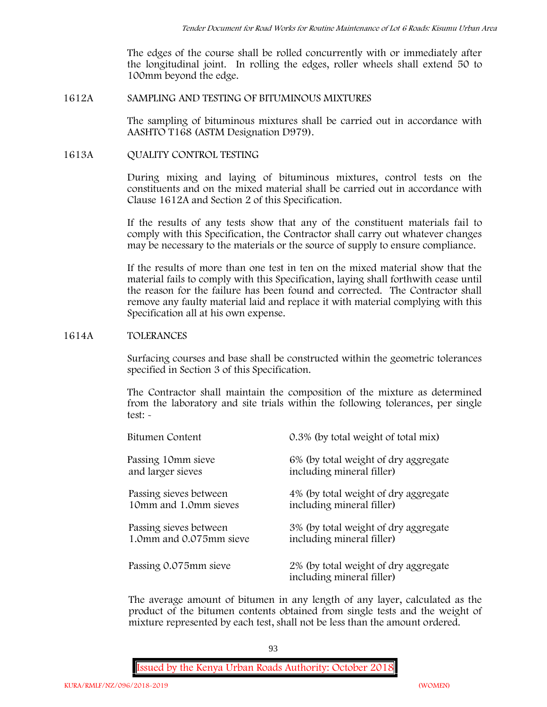The edges of the course shall be rolled concurrently with or immediately after the longitudinal joint. In rolling the edges, roller wheels shall extend 50 to 100mm beyond the edge.

## **1612A SAMPLING AND TESTING OF BITUMINOUS MIXTURES**

The sampling of bituminous mixtures shall be carried out in accordance with AASHTO T168 (ASTM Designation D979).

## **1613A QUALITY CONTROL TESTING**

During mixing and laying of bituminous mixtures, control tests on the constituents and on the mixed material shall be carried out in accordance with Clause 1612A and Section 2 of this Specification.

If the results of any tests show that any of the constituent materials fail to comply with this Specification, the Contractor shall carry out whatever changes may be necessary to the materials or the source of supply to ensure compliance.

If the results of more than one test in ten on the mixed material show that the material fails to comply with this Specification, laying shall forthwith cease until the reason for the failure has been found and corrected. The Contractor shall remove any faulty material laid and replace it with material complying with this Specification all at his own expense.

## **1614A TOLERANCES**

Surfacing courses and base shall be constructed within the geometric tolerances specified in Section 3 of this Specification.

The Contractor shall maintain the composition of the mixture as determined from the laboratory and site trials within the following tolerances, per single test: -

| Bitumen Content         | 0.3% (by total weight of total mix)                               |
|-------------------------|-------------------------------------------------------------------|
| Passing 10mm sieve      | 6% (by total weight of dry aggregate                              |
| and larger sieves       | including mineral filler)                                         |
| Passing sieves between  | 4% (by total weight of dry aggregate                              |
| 10mm and 1.0mm sieves   | including mineral filler)                                         |
| Passing sieves between  | 3% (by total weight of dry aggregate                              |
| 1.0mm and 0.075mm sieve | including mineral filler)                                         |
| Passing 0.075mm sieve   | 2% (by total weight of dry aggregate<br>including mineral filler) |

The average amount of bitumen in any length of any layer, calculated as the product of the bitumen contents obtained from single tests and the weight of mixture represented by each test, shall not be less than the amount ordered.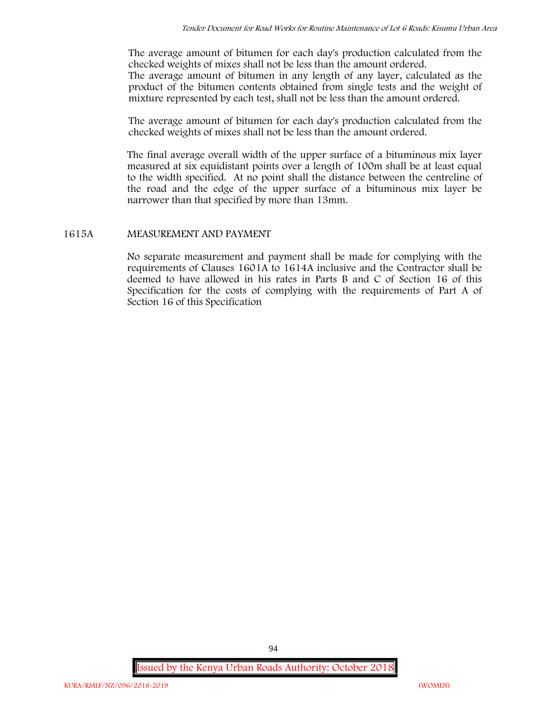The average amount of bitumen for each day's production calculated from the checked weights of mixes shall not be less than the amount ordered. The average amount of bitumen in any length of any layer, calculated as the product of the bitumen contents obtained from single tests and the weight of mixture represented by each test, shall not be less than the amount ordered.

The average amount of bitumen for each day's production calculated from the checked weights of mixes shall not be less than the amount ordered.

The final average overall width of the upper surface of a bituminous mix layer measured at six equidistant points over a length of 100m shall be at least equal to the width specified. At no point shall the distance between the centreline of the road and the edge of the upper surface of a bituminous mix layer be narrower than that specified by more than 13mm.

## **1615A MEASUREMENT AND PAYMENT**

No separate measurement and payment shall be made for complying with the requirements of Clauses 1601A to 1614A inclusive and the Contractor shall be deemed to have allowed in his rates in Parts B and C of Section 16 of this Specification for the costs of complying with the requirements of Part A of Section 16 of this Specification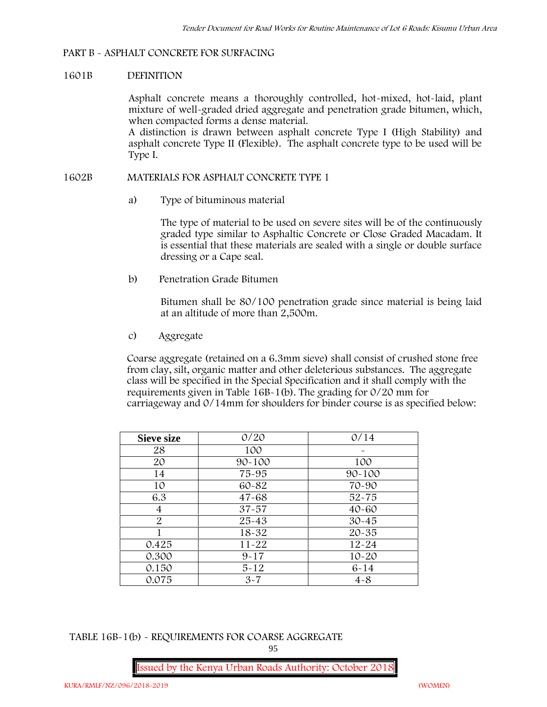### **PART B - ASPHALT CONCRETE FOR SURFACING**

### **1601B DEFINITION**

Asphalt concrete means a thoroughly controlled, hot-mixed, hot-laid, plant mixture of well-graded dried aggregate and penetration grade bitumen, which, when compacted forms a dense material.

A distinction is drawn between asphalt concrete Type I (High Stability) and asphalt concrete Type II (Flexible). The asphalt concrete type to be used will be Type I.

## **1602B MATERIALS FOR ASPHALT CONCRETE TYPE 1**

a) **Type of bituminous material**

The type of material to be used on severe sites will be of the continuously graded type similar to Asphaltic Concrete or Close Graded Macadam. It is essential that these materials are sealed with a single or double surface dressing or a Cape seal.

b) **Penetration Grade Bitumen**

Bitumen shall be 80/100 penetration grade since material is being laid at an altitude of more than 2,500m.

c) **Aggregate**

Coarse aggregate (retained on a 6.3mm sieve) shall consist of crushed stone free from clay, silt, organic matter and other deleterious substances. The aggregate class will be specified in the Special Specification and it shall comply with the requirements given in Table 16B-1(b). The grading for 0/20 mm for carriageway and 0/14mm for shoulders for binder course is as specified below:

| <b>Sieve size</b> | 0/20       | 0/14       |
|-------------------|------------|------------|
| 28                | 100        |            |
| 20                | $90 - 100$ | 100        |
| 14                | 75-95      | $90 - 100$ |
| 10                | 60-82      | 70-90      |
| 6.3               | $47 - 68$  | $52 - 75$  |
| 4                 | $37 - 57$  | $40 - 60$  |
| $\overline{2}$    | 25-43      | $30 - 45$  |
|                   | 18-32      | $20 - 35$  |
| 0.425             | $11 - 22$  | $12 - 24$  |
| 0.300             | $9 - 17$   | $10 - 20$  |
| 0.150             | $5 - 12$   | $6 - 14$   |
| 0.075             | $3 - 7$    | $4 - 8$    |

**TABLE 16B-1(b) - REQUIREMENTS FOR COARSE AGGREGATE**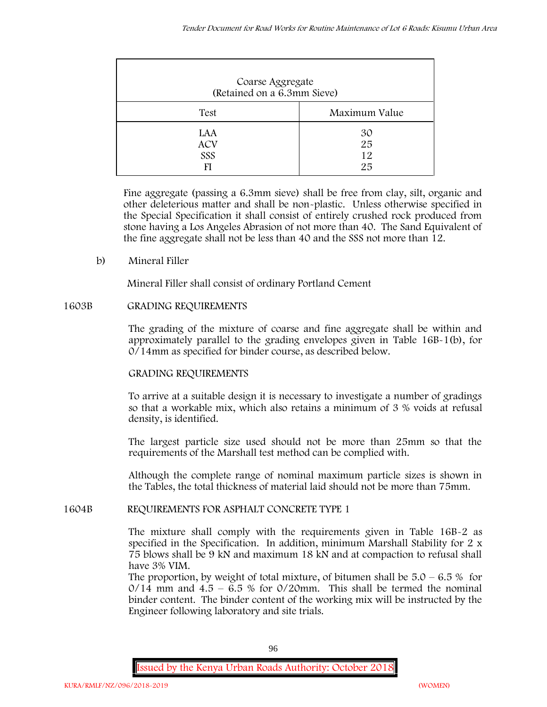| Coarse Aggregate<br>(Retained on a 6.3mm Sieve) |                      |
|-------------------------------------------------|----------------------|
| Test                                            | Maximum Value        |
| LAA<br><b>ACV</b><br>SSS                        | 30<br>25<br>12<br>25 |

Fine aggregate (passing a 6.3mm sieve) shall be free from clay, silt, organic and other deleterious matter and shall be non-plastic. Unless otherwise specified in the Special Specification it shall consist of entirely crushed rock produced from stone having a Los Angeles Abrasion of not more than 40. The Sand Equivalent of the fine aggregate shall not be less than 40 and the SSS not more than 12.

**b) Mineral Filler**

Mineral Filler shall consist of ordinary Portland Cement

## **1603B GRADING REQUIREMENTS**

The grading of the mixture of coarse and fine aggregate shall be within and approximately parallel to the grading envelopes given in Table 16B-1(b), for 0/14mm as specified for binder course, as described below.

# **GRADING REQUIREMENTS**

To arrive at a suitable design it is necessary to investigate a number of gradings so that a workable mix, which also retains a minimum of 3 % voids at refusal density, is identified.

The largest particle size used should not be more than 25mm so that the requirements of the Marshall test method can be complied with.

Although the complete range of nominal maximum particle sizes is shown in the Tables, the total thickness of material laid should not be more than 75mm.

## **1604B REQUIREMENTS FOR ASPHALT CONCRETE TYPE 1**

The mixture shall comply with the requirements given in Table 16B-2 as specified in the Specification. In addition, minimum Marshall Stability for 2 x 75 blows shall be 9 kN and maximum 18 kN and at compaction to refusal shall have 3% VIM.

The proportion, by weight of total mixture, of bitumen shall be  $5.0 - 6.5\%$  for  $0/14$  mm and  $4.5 - 6.5$  % for  $0/20$ mm. This shall be termed the nominal binder content. The binder content of the working mix will be instructed by the Engineer following laboratory and site trials.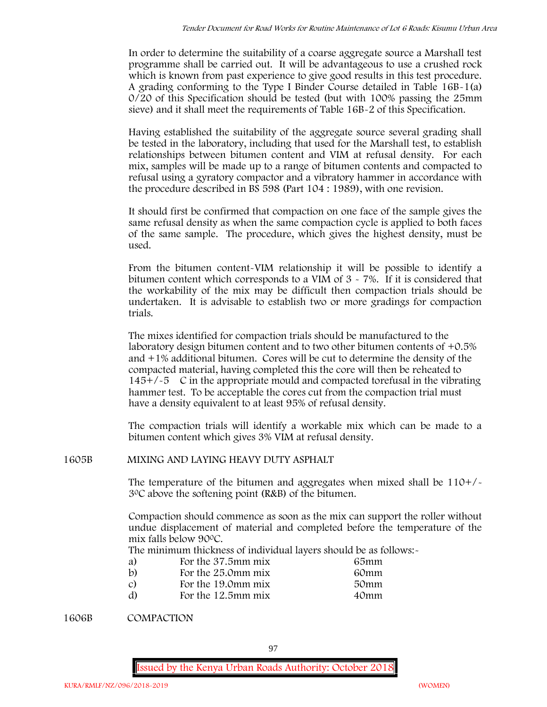In order to determine the suitability of a coarse aggregate source a Marshall test programme shall be carried out. It will be advantageous to use a crushed rock which is known from past experience to give good results in this test procedure. A grading conforming to the Type I Binder Course detailed in Table 16B-1(a) 0/20 of this Specification should be tested (but with 100% passing the 25mm sieve) and it shall meet the requirements of Table 16B-2 of this Specification.

Having established the suitability of the aggregate source several grading shall be tested in the laboratory, including that used for the Marshall test, to establish relationships between bitumen content and VIM at refusal density. For each mix, samples will be made up to a range of bitumen contents and compacted to refusal using a gyratory compactor and a vibratory hammer in accordance with the procedure described in BS 598 (Part 104 : 1989), with one revision.

It should first be confirmed that compaction on one face of the sample gives the same refusal density as when the same compaction cycle is applied to both faces of the same sample. The procedure, which gives the highest density, must be used.

From the bitumen content-VIM relationship it will be possible to identify a bitumen content which corresponds to a VIM of 3 - 7%. If it is considered that the workability of the mix may be difficult then compaction trials should be undertaken. It is advisable to establish two or more gradings for compaction trials.

The mixes identified for compaction trials should be manufactured to the laboratory design bitumen content and to two other bitumen contents of +0.5% and +1% additional bitumen. Cores will be cut to determine the density of the compacted material, having completed this the core will then be reheated to  $145+/5$  C in the appropriate mould and compacted torefusal in the vibrating hammer test. To be acceptable the cores cut from the compaction trial must have a density equivalent to at least 95% of refusal density.

The compaction trials will identify a workable mix which can be made to a bitumen content which gives 3% VIM at refusal density.

**1605B MIXING AND LAYING HEAVY DUTY ASPHALT**

The temperature of the bitumen and aggregates when mixed shall be  $110+/$ 30C above the softening point (R&B) of the bitumen.

Compaction should commence as soon as the mix can support the roller without undue displacement of material and completed before the temperature of the mix falls below 900C.

The minimum thickness of individual layers should be as follows:-

| a) | For the 37.5mm mix | 65mm |  |
|----|--------------------|------|--|
| b) | For the 25.0mm mix | 60mm |  |
| C) | For the 19.0mm mix | 50mm |  |
| d) | For the 12.5mm mix | 40mm |  |

**1606B COMPACTION**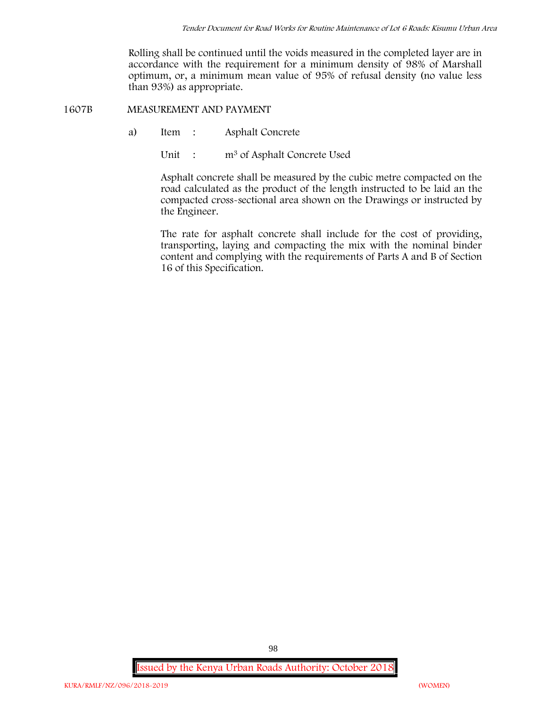Rolling shall be continued until the voids measured in the completed layer are in accordance with the requirement for a minimum density of 98% of Marshall optimum, or, a minimum mean value of 95% of refusal density (no value less than 93%) as appropriate.

**1607B MEASUREMENT AND PAYMENT**

- a) Item : Asphalt Concrete
	- Unit : m<sup>3</sup> of Asphalt Concrete Used

Asphalt concrete shall be measured by the cubic metre compacted on the road calculated as the product of the length instructed to be laid an the compacted cross-sectional area shown on the Drawings or instructed by the Engineer.

The rate for asphalt concrete shall include for the cost of providing, transporting, laying and compacting the mix with the nominal binder content and complying with the requirements of Parts A and B of Section 16 of this Specification.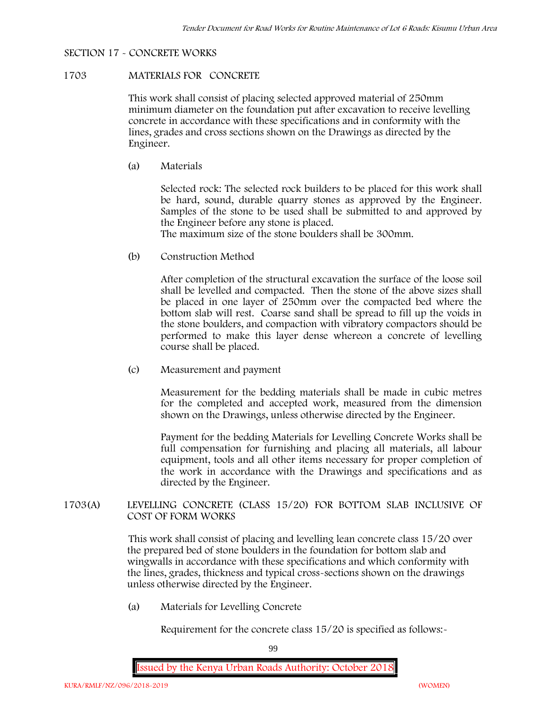## **SECTION 17 - CONCRETE WORKS**

## **1703 MATERIALS FOR CONCRETE**

This work shall consist of placing selected approved material of 250mm minimum diameter on the foundation put after excavation to receive levelling concrete in accordance with these specifications and in conformity with the lines, grades and cross sections shown on the Drawings as directed by the Engineer.

(a) **Materials**

Selected rock: The selected rock builders to be placed for this work shall be hard, sound, durable quarry stones as approved by the Engineer. Samples of the stone to be used shall be submitted to and approved by the Engineer before any stone is placed.

The maximum size of the stone boulders shall be 300mm.

(b) **Construction Method**

After completion of the structural excavation the surface of the loose soil shall be levelled and compacted. Then the stone of the above sizes shall be placed in one layer of 250mm over the compacted bed where the bottom slab will rest. Coarse sand shall be spread to fill up the voids in the stone boulders, and compaction with vibratory compactors should be performed to make this layer dense whereon a concrete of levelling course shall be placed.

(c) **Measurement and payment**

Measurement for the bedding materials shall be made in cubic metres for the completed and accepted work, measured from the dimension shown on the Drawings, unless otherwise directed by the Engineer.

Payment for the bedding Materials for Levelling Concrete Works shall be full compensation for furnishing and placing all materials, all labour equipment, tools and all other items necessary for proper completion of the work in accordance with the Drawings and specifications and as directed by the Engineer.

**1703(A) LEVELLING CONCRETE (CLASS 15/20) FOR BOTTOM SLAB INCLUSIVE OF COST OF FORM WORKS**

> This work shall consist of placing and levelling lean concrete class 15/20 over the prepared bed of stone boulders in the foundation for bottom slab and wingwalls in accordance with these specifications and which conformity with the lines, grades, thickness and typical cross-sections shown on the drawings unless otherwise directed by the Engineer.

(a) **Materials for Levelling Concrete**

Requirement for the concrete class  $15/20$  is specified as follows:-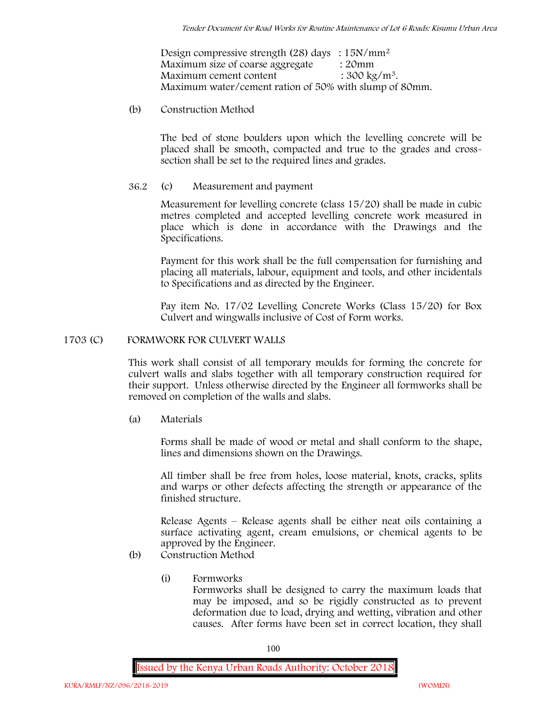Design compressive strength (28) days :  $15N/mm^2$ Maximum size of coarse aggregate : 20mm Maximum cement content  $: 300 \text{ kg/m}^3$ . Maximum water/cement ration of 50% with slump of 80mm.

(b) **Construction Method**

The bed of stone boulders upon which the levelling concrete will be placed shall be smooth, compacted and true to the grades and crosssection shall be set to the required lines and grades.

**36.2** (c) **Measurement and payment**

Measurement for levelling concrete (class 15/20) shall be made in cubic metres completed and accepted levelling concrete work measured in place which is done in accordance with the Drawings and the Specifications.

Payment for this work shall be the full compensation for furnishing and placing all materials, labour, equipment and tools, and other incidentals to Specifications and as directed by the Engineer.

Pay item No. 17/02 Levelling Concrete Works (Class 15/20) for Box Culvert and wingwalls inclusive of Cost of Form works.

## **1703 (C) FORMWORK FOR CULVERT WALLS**

This work shall consist of all temporary moulds for forming the concrete for culvert walls and slabs together with all temporary construction required for their support. Unless otherwise directed by the Engineer all formworks shall be removed on completion of the walls and slabs.

(a) **Materials**

Forms shall be made of wood or metal and shall conform to the shape, lines and dimensions shown on the Drawings.

All timber shall be free from holes, loose material, knots, cracks, splits and warps or other defects affecting the strength or appearance of the finished structure.

Release Agents – Release agents shall be either neat oils containing a surface activating agent, cream emulsions, or chemical agents to be approved by the Engineer.

- (b) **Construction Method**
	- (i) **Formworks** Formworks shall be designed to carry the maximum loads that may be imposed, and so be rigidly constructed as to prevent deformation due to load, drying and wetting, vibration and other causes. After forms have been set in correct location, they shall

100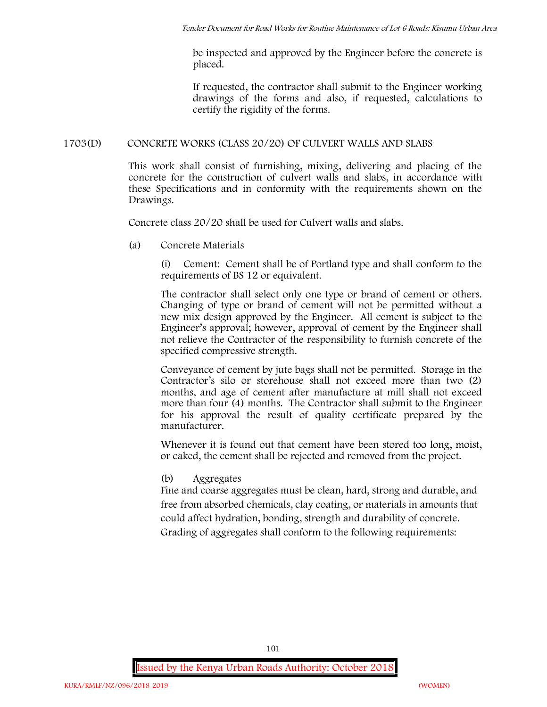be inspected and approved by the Engineer before the concrete is placed.

If requested, the contractor shall submit to the Engineer working drawings of the forms and also, if requested, calculations to certify the rigidity of the forms.

## **1703(D) CONCRETE WORKS (CLASS 20/20) OF CULVERT WALLS AND SLABS**

This work shall consist of furnishing, mixing, delivering and placing of the concrete for the construction of culvert walls and slabs, in accordance with these Specifications and in conformity with the requirements shown on the Drawings.

Concrete class 20/20 shall be used for Culvert walls and slabs.

**(a) Concrete Materials**

(i) Cement: Cement shall be of Portland type and shall conform to the requirements of BS 12 or equivalent.

The contractor shall select only one type or brand of cement or others. Changing of type or brand of cement will not be permitted without a new mix design approved by the Engineer. All cement is subject to the Engineer's approval; however, approval of cement by the Engineer shall not relieve the Contractor of the responsibility to furnish concrete of the specified compressive strength.

Conveyance of cement by jute bags shall not be permitted. Storage in the Contractor's silo or storehouse shall not exceed more than two (2) months, and age of cement after manufacture at mill shall not exceed more than four (4) months. The Contractor shall submit to the Engineer for his approval the result of quality certificate prepared by the manufacturer.

Whenever it is found out that cement have been stored too long, moist, or caked, the cement shall be rejected and removed from the project.

**(b) Aggregates**

Fine and coarse aggregates must be clean, hard, strong and durable, and free from absorbed chemicals, clay coating, or materials in amounts that could affect hydration, bonding, strength and durability of concrete. Grading of aggregates shall conform to the following requirements: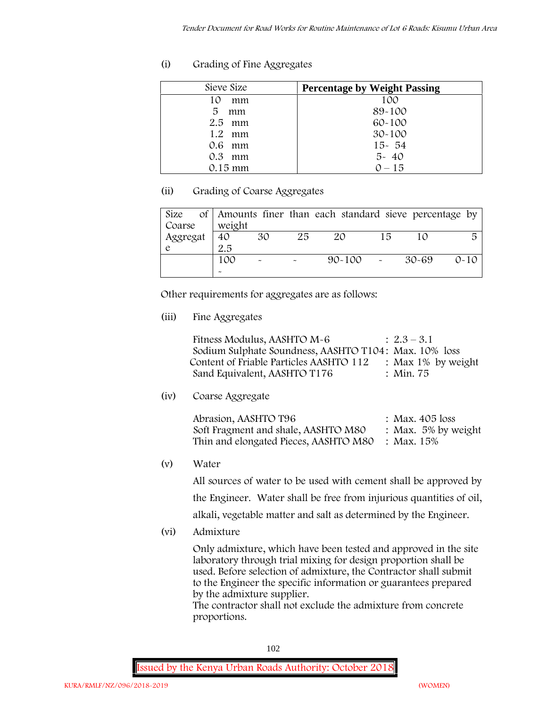# **(i) Grading of Fine Aggregates**

| Sieve Size        | <b>Percentage by Weight Passing</b> |
|-------------------|-------------------------------------|
| 10<br>mm          | 100                                 |
| 5<br>mm           | 89-100                              |
| $2.5$ mm          | 60-100                              |
| $1.2 \cdot mm$    | $30 - 100$                          |
| $0.6$ mm          | $15 - 54$                           |
| $0.3$ mm          | $5 - 40$                            |
| $0.15 \text{ mm}$ | $0 - 15$                            |

# **(ii) Grading of Coarse Aggregates**

| Size     |                       |                       |    | of Amounts finer than each standard sieve percentage by |    |       |          |
|----------|-----------------------|-----------------------|----|---------------------------------------------------------|----|-------|----------|
| Coarse   | weight                |                       |    |                                                         |    |       |          |
| Aggregat | 40                    | 30                    | 25 | 20                                                      | 15 |       | 局        |
|          | 2.5                   |                       |    |                                                         |    |       |          |
|          | 100                   | $\tilde{\phantom{a}}$ |    | $90 - 100$ -                                            |    | 30-69 | $0 - 10$ |
|          | $\tilde{\phantom{a}}$ |                       |    |                                                         |    |       |          |

Other requirements for aggregates are as follows:

**(iii) Fine Aggregates**

| Fitness Modulus, AASHTO M-6                           | $: 2.3 - 3.1$         |
|-------------------------------------------------------|-----------------------|
| Sodium Sulphate Soundness, AASHTO T104: Max. 10% loss |                       |
| Content of Friable Particles AASHTO 112               | : Max $1\%$ by weight |
| Sand Equivalent, AASHTO T176                          | : Min. 75             |

**(iv) Coarse Aggregate**

| Abrasion, AASHTO T96                             | : Max. $405$ loss      |
|--------------------------------------------------|------------------------|
| Soft Fragment and shale, AASHTO M80              | : Max. $5\%$ by weight |
| Thin and elongated Pieces, AASHTO M80 : Max. 15% |                        |

**(v) Water**

All sources of water to be used with cement shall be approved by the Engineer. Water shall be free from injurious quantities of oil, alkali, vegetable matter and salt as determined by the Engineer.

**(vi) Admixture**

Only admixture, which have been tested and approved in the site laboratory through trial mixing for design proportion shall be used. Before selection of admixture, the Contractor shall submit to the Engineer the specific information or guarantees prepared by the admixture supplier.

The contractor shall not exclude the admixture from concrete proportions.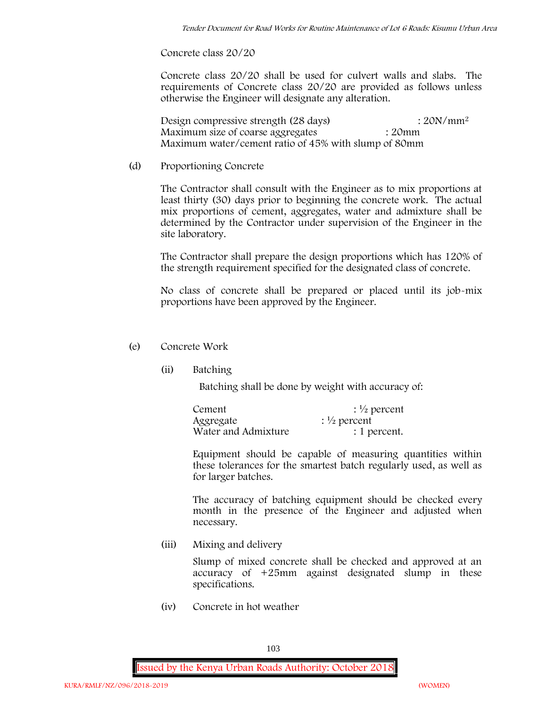**Concrete class 20/20**

Concrete class 20/20 shall be used for culvert walls and slabs. The requirements of Concrete class 20/20 are provided as follows unless otherwise the Engineer will designate any alteration.

Design compressive strength (28 days) : 20N/mm<sup>2</sup> Maximum size of coarse aggregates : 20mm Maximum water/cement ratio of 45% with slump of 80mm

(d) **Proportioning Concrete**

The Contractor shall consult with the Engineer as to mix proportions at least thirty (30) days prior to beginning the concrete work. The actual mix proportions of cement, aggregates, water and admixture shall be determined by the Contractor under supervision of the Engineer in the site laboratory.

The Contractor shall prepare the design proportions which has 120% of the strength requirement specified for the designated class of concrete.

No class of concrete shall be prepared or placed until its job-mix proportions have been approved by the Engineer.

## (e) **Concrete Work**

**(ii) Batching**

Batching shall be done by weight with accuracy of:

| Cement              | $\frac{1}{2}$ percent |
|---------------------|-----------------------|
| Aggregate           | $\frac{1}{2}$ percent |
| Water and Admixture | : 1 percent.          |

Equipment should be capable of measuring quantities within these tolerances for the smartest batch regularly used, as well as for larger batches.

The accuracy of batching equipment should be checked every month in the presence of the Engineer and adjusted when necessary.

**(iii) Mixing and delivery**

Slump of mixed concrete shall be checked and approved at an accuracy of +25mm against designated slump in these specifications.

**(iv) Concrete in hot weather**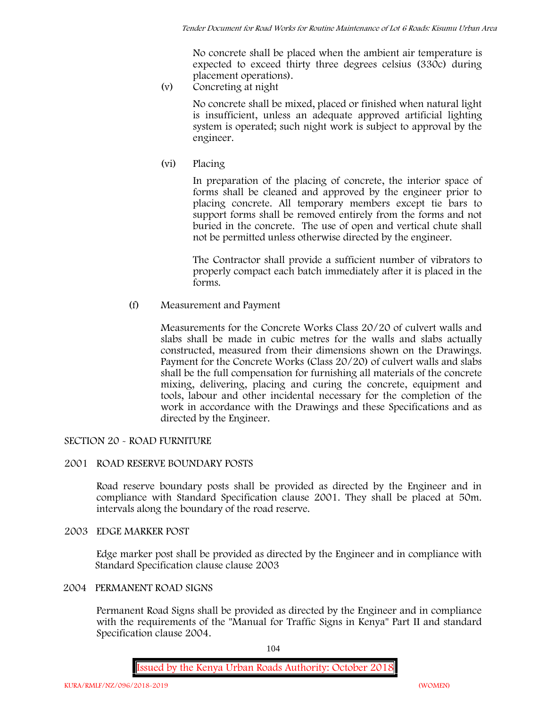No concrete shall be placed when the ambient air temperature is expected to exceed thirty three degrees celsius (330c) during placement operations).

**(v) Concreting at night**

No concrete shall be mixed, placed or finished when natural light is insufficient, unless an adequate approved artificial lighting system is operated; such night work is subject to approval by the engineer.

**(vi) Placing**

In preparation of the placing of concrete, the interior space of forms shall be cleaned and approved by the engineer prior to placing concrete. All temporary members except tie bars to support forms shall be removed entirely from the forms and not buried in the concrete. The use of open and vertical chute shall not be permitted unless otherwise directed by the engineer.

The Contractor shall provide a sufficient number of vibrators to properly compact each batch immediately after it is placed in the forms.

(f) **Measurement and Payment**

Measurements for the Concrete Works Class 20/20 of culvert walls and slabs shall be made in cubic metres for the walls and slabs actually constructed, measured from their dimensions shown on the Drawings. Payment for the Concrete Works (Class 20/20) of culvert walls and slabs shall be the full compensation for furnishing all materials of the concrete mixing, delivering, placing and curing the concrete, equipment and tools, labour and other incidental necessary for the completion of the work in accordance with the Drawings and these Specifications and as directed by the Engineer.

# **SECTION 20 - ROAD FURNITURE**

## **2001 ROAD RESERVE BOUNDARY POSTS**

Road reserve boundary posts shall be provided as directed by the Engineer and in compliance with Standard Specification clause 2001. They shall be placed at 50m. intervals along the boundary of the road reserve.

## **2003 EDGE MARKER POST**

Edge marker post shall be provided as directed by the Engineer and in compliance with Standard Specification clause clause 2003

# **2004 PERMANENT ROAD SIGNS**

Permanent Road Signs shall be provided as directed by the Engineer and in compliance with the requirements of the "Manual for Traffic Signs in Kenya" Part II and standard Specification clause 2004.

104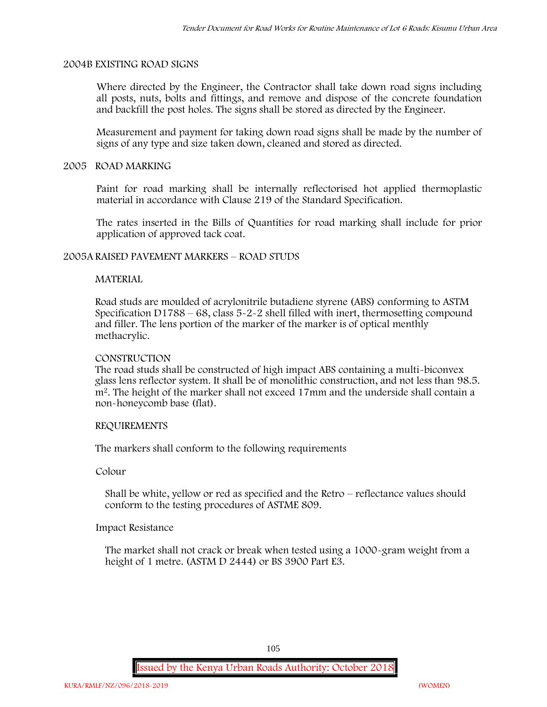## **2004B EXISTING ROAD SIGNS**

Where directed by the Engineer, the Contractor shall take down road signs including all posts, nuts, bolts and fittings, and remove and dispose of the concrete foundation and backfill the post holes. The signs shall be stored as directed by the Engineer.

Measurement and payment for taking down road signs shall be made by the number of signs of any type and size taken down, cleaned and stored as directed.

## **2005 ROAD MARKING**

Paint for road marking shall be internally reflectorised hot applied thermoplastic material in accordance with Clause 219 of the Standard Specification.

The rates inserted in the Bills of Quantities for road marking shall include for prior application of approved tack coat.

## **2005A RAISED PAVEMENT MARKERS – ROAD STUDS**

## **MATERIAL**

Road studs are moulded of acrylonitrile butadiene styrene (ABS) conforming to ASTM Specification D1788 – 68, class  $5 - 2 - 2$  shell filled with inert, thermosetting compound and filler. The lens portion of the marker of the marker is of optical menthly methacrylic.

## **CONSTRUCTION**

The road studs shall be constructed of high impact ABS containing a multi-biconvex glass lens reflector system. It shall be of monolithic construction, and not less than 98.5. m2. The height of the marker shall not exceed 17mm and the underside shall contain a non-honeycomb base (flat).

## **REQUIREMENTS**

The markers shall conform to the following requirements

**Colour**

Shall be white, yellow or red as specified and the Retro – reflectance values should conform to the testing procedures of ASTME 809.

## **Impact Resistance**

The market shall not crack or break when tested using a 1000**-**gram weight from a height of 1 metre. (ASTM D 2444) or BS 3900 Part E3.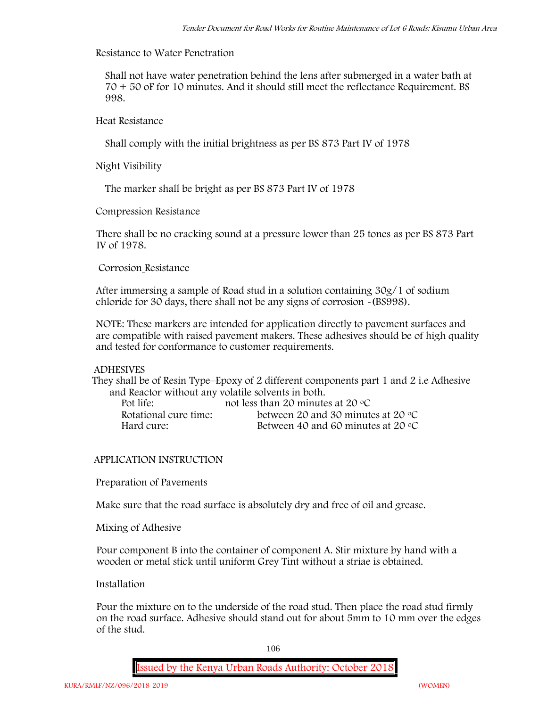## **Resistance to Water Penetration**

Shall not have water penetration behind the lens after submerged in a water bath at 70 + 50 oF for 10 minutes. And it should still meet the reflectance Requirement. BS 998.

**Heat Resistance**

Shall comply with the initial brightness as per BS 873 Part IV of 1978

**Night Visibility**

The marker shall be bright as per BS 873 Part IV of 1978

**Compression Resistance**

There shall be no cracking sound at a pressure lower than 25 tones as per BS 873 Part IV of 1978.

**Corrosion Resistance**

After immersing a sample of Road stud in a solution containing 30g/1 of sodium chloride for 30 days, there shall not be any signs of corrosion **-**(BS998).

**NOTE**: These markers are intended for application directly to pavement surfaces and are compatible with raised pavement makers. These adhesives should be of high quality and tested for conformance to customer requirements.

## **ADHESIVES**

They shall be of Resin Type–Epoxy of 2 different components part 1 and 2 i.e Adhesive and Reactor without any volatile solvents in both.

| Pot life:             | not less than 20 minutes at 20 $\degree$ C  |
|-----------------------|---------------------------------------------|
| Rotational cure time: | between 20 and 30 minutes at 20 $\degree$ C |
| Hard cure:            | Between 40 and 60 minutes at 20 $\degree$ C |

## **APPLICATION INSTRUCTION**

**Preparation of Pavements**

Make sure that the road surface is absolutely dry and free of oil and grease**.**

**Mixing of Adhesive**

Pour component B into the container of component A. Stir mixture by hand with a wooden or metal stick until uniform Grey Tint without a striae is obtained.

**Installation**

Pour the mixture on to the underside of the road stud. Then place the road stud firmly on the road surface. Adhesive should stand out for about 5mm to 10 mm over the edges of the stud.

106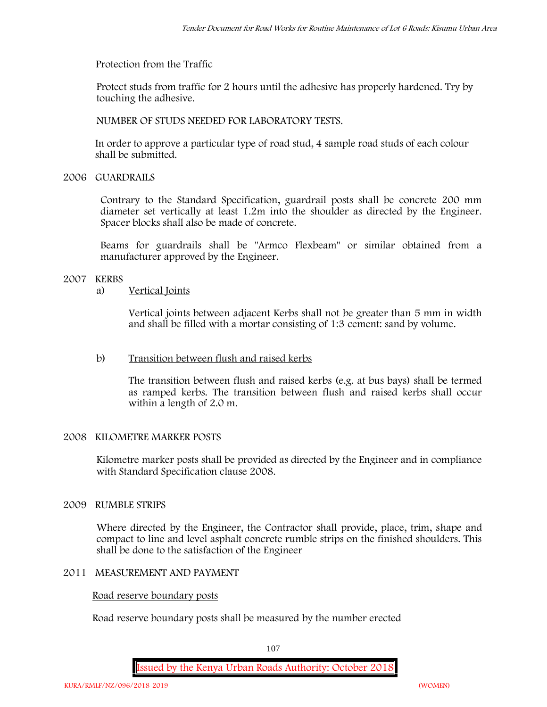**Protection from the Traffic**

Protect studs from traffic for 2 hours until the adhesive has properly hardened. Try by touching the adhesive.

**NUMBER OF STUDS NEEDED FOR LABORATORY TESTS.**

In order to approve a particular type of road stud, 4 sample road studs of each colour shall be submitted.

**2006 GUARDRAILS**

Contrary to the Standard Specification, guardrail posts shall be concrete 200 mm diameter set vertically at least 1.2m into the shoulder as directed by the Engineer. Spacer blocks shall also be made of concrete.

Beams for guardrails shall be "Armco Flexbeam" or similar obtained from a manufacturer approved by the Engineer.

# **2007 KERBS**

## a) **Vertical Joints**

Vertical joints between adjacent Kerbs shall not be greater than 5 mm in width and shall be filled with a mortar consisting of 1:3 cement: sand by volume.

# b) **Transition between flush and raised kerbs**

The transition between flush and raised kerbs (e.g. at bus bays) shall be termed as ramped kerbs. The transition between flush and raised kerbs shall occur within a length of 2.0 m.

# **2008 KILOMETRE MARKER POSTS**

Kilometre marker posts shall be provided as directed by the Engineer and in compliance with Standard Specification clause 2008.

# **2009 RUMBLE STRIPS**

Where directed by the Engineer, the Contractor shall provide, place, trim, shape and compact to line and level asphalt concrete rumble strips on the finished shoulders. This shall be done to the satisfaction of the Engineer

## **2011 MEASUREMENT AND PAYMENT**

## **Road reserve boundary posts**

Road reserve boundary posts shall be measured by the number erected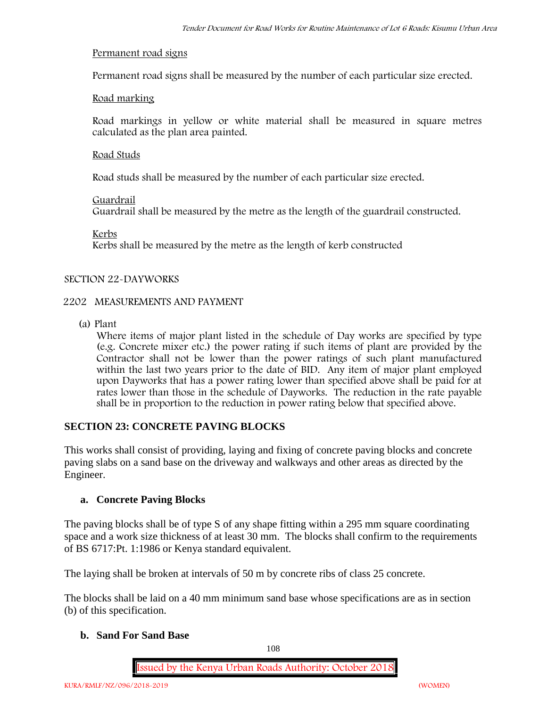#### **Permanent road signs**

Permanent road signs shall be measured by the number of each particular size erected.

#### **Road marking**

Road markings in yellow or white material shall be measured in square metres calculated as the plan area painted.

#### **Road Studs**

Road studs shall be measured by the number of each particular size erected.

#### **Guardrail**

Guardrail shall be measured by the metre as the length of the guardrail constructed.

**Kerbs**

Kerbs shall be measured by the metre as the length of kerb constructed

#### **SECTION 22-DAYWORKS**

#### **2202 MEASUREMENTS AND PAYMENT**

(a) Plant

Where items of major plant listed in the schedule of Day works are specified by type (e.g. Concrete mixer etc.) the power rating if such items of plant are provided by the Contractor shall not be lower than the power ratings of such plant manufactured within the last two years prior to the date of BID. Any item of major plant employed upon Dayworks that has a power rating lower than specified above shall be paid for at rates lower than those in the schedule of Dayworks. The reduction in the rate payable shall be in proportion to the reduction in power rating below that specified above.

#### **SECTION 23: CONCRETE PAVING BLOCKS**

This works shall consist of providing, laying and fixing of concrete paving blocks and concrete paving slabs on a sand base on the driveway and walkways and other areas as directed by the Engineer.

#### **a. Concrete Paving Blocks**

The paving blocks shall be of type S of any shape fitting within a 295 mm square coordinating space and a work size thickness of at least 30 mm. The blocks shall confirm to the requirements of BS 6717:Pt. 1:1986 or Kenya standard equivalent.

The laying shall be broken at intervals of 50 m by concrete ribs of class 25 concrete.

The blocks shall be laid on a 40 mm minimum sand base whose specifications are as in section (b) of this specification.

#### **b. Sand For Sand Base**

108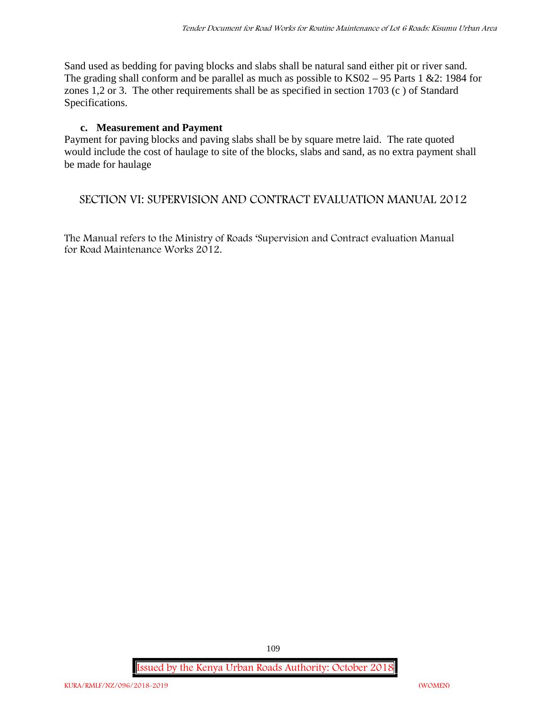Sand used as bedding for paving blocks and slabs shall be natural sand either pit or river sand. The grading shall conform and be parallel as much as possible to KS02 – 95 Parts 1 &2: 1984 for zones 1,2 or 3. The other requirements shall be as specified in section 1703 (c ) of Standard Specifications.

#### **c. Measurement and Payment**

Payment for paving blocks and paving slabs shall be by square metre laid. The rate quoted would include the cost of haulage to site of the blocks, slabs and sand, as no extra payment shall be made for haulage

### **SECTION VI: SUPERVISION AND CONTRACT EVALUATION MANUAL 2012**

The Manual refers to the Ministry of Roads 'Supervision and Contract evaluation Manual for Road Maintenance Works 2012.

**Issued by the Kenya Urban Roads Authority: October 2018**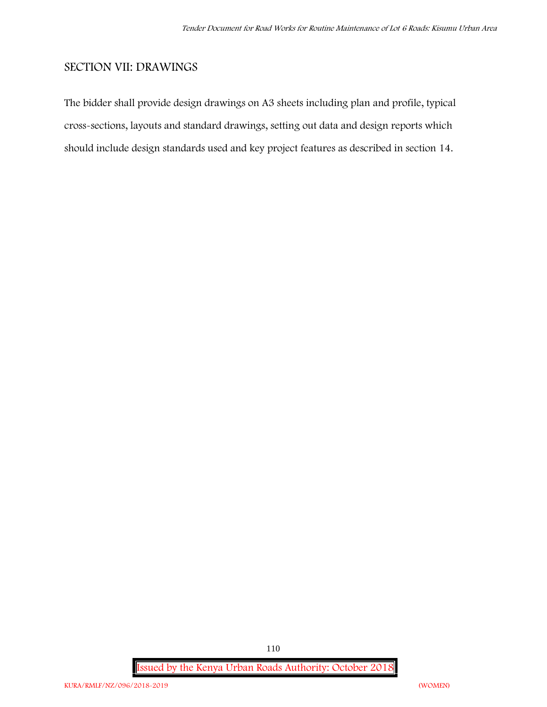## **SECTION VII: DRAWINGS**

The bidder shall provide design drawings on A3 sheets including plan and profile, typical cross-sections, layouts and standard drawings, setting out data and design reports which should include design standards used and key project features as described in section 14.

**Issued by the Kenya Urban Roads Authority: October 2018**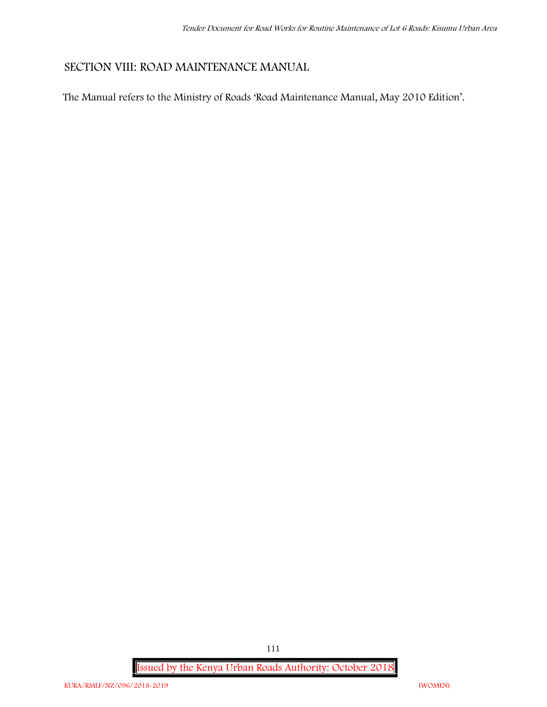## **SECTION VIII: ROAD MAINTENANCE MANUAL**

The Manual refers to the Ministry of Roads 'Road Maintenance Manual, May 2010 Edition'.

**Issued by the Kenya Urban Roads Authority: October 2018**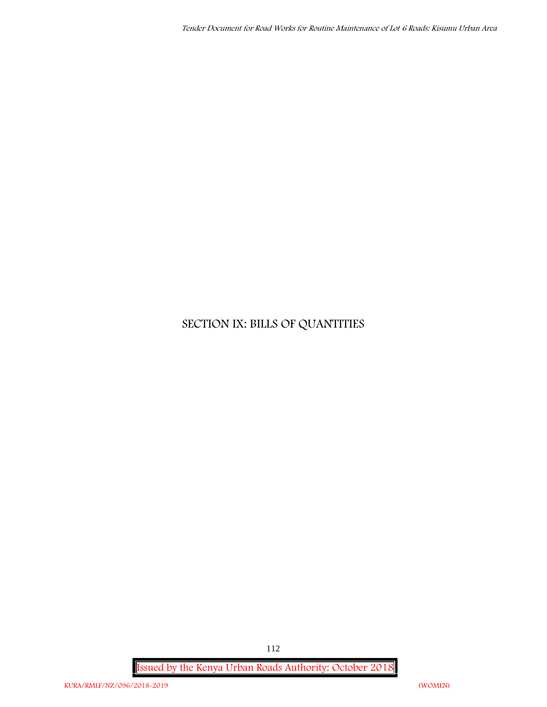# **SECTION IX: BILLS OF QUANTITIES**

**Issued by the Kenya Urban Roads Authority: October 2018**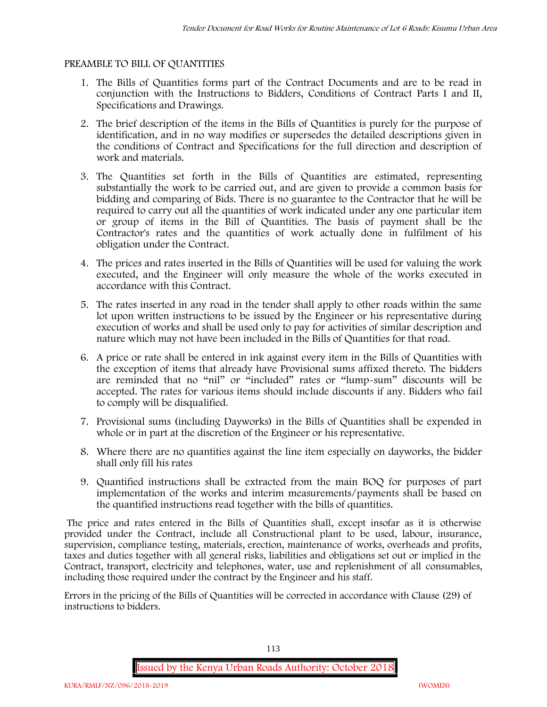#### **PREAMBLE TO BILL OF QUANTITIES**

- 1. The Bills of Quantities forms part of the Contract Documents and are to be read in conjunction with the Instructions to Bidders, Conditions of Contract Parts I and II, Specifications and Drawings.
- 2. The brief description of the items in the Bills of Quantities is purely for the purpose of identification, and in no way modifies or supersedes the detailed descriptions given in the conditions of Contract and Specifications for the full direction and description of work and materials.
- 3. The Quantities set forth in the Bills of Quantities are estimated, representing substantially the work to be carried out, and are given to provide a common basis for bidding and comparing of Bids. There is no guarantee to the Contractor that he will be required to carry out all the quantities of work indicated under any one particular item or group of items in the Bill of Quantities. The basis of payment shall be the Contractor's rates and the quantities of work actually done in fulfilment of his obligation under the Contract.
- 4. The prices and rates inserted in the Bills of Quantities will be used for valuing the work executed, and the Engineer will only measure the whole of the works executed in accordance with this Contract.
- 5. The rates inserted in any road in the tender shall apply to other roads within the same lot upon written instructions to be issued by the Engineer or his representative during execution of works and shall be used only to pay for activities of similar description and nature which may not have been included in the Bills of Quantities for that road.
- 6. A price or rate shall be entered in ink against every item in the Bills of Quantities with the exception of items that already have Provisional sums affixed thereto. The bidders are reminded that no "nil" or "included" rates or "lump-sum" discounts will be accepted. The rates for various items should include discounts if any. Bidders who fail to comply will be disqualified.
- 7. Provisional sums (including Dayworks) in the Bills of Quantities shall be expended in whole or in part at the discretion of the Engineer or his representative.
- 8. Where there are no quantities against the line item especially on dayworks, the bidder shall only fill his rates
- 9. Quantified instructions shall be extracted from the main BOQ for purposes of part implementation of the works and interim measurements/payments shall be based on the quantified instructions read together with the bills of quantities.

The price and rates entered in the Bills of Quantities shall, except insofar as it is otherwise provided under the Contract, include all Constructional plant to be used, labour, insurance, supervision, compliance testing, materials, erection, maintenance of works, overheads and profits, taxes and duties together with all general risks, liabilities and obligations set out or implied in the Contract, transport, electricity and telephones, water, use and replenishment of all consumables, including those required under the contract by the Engineer and his staff.

Errors in the pricing of the Bills of Quantities will be corrected in accordance with Clause (29) of instructions to bidders.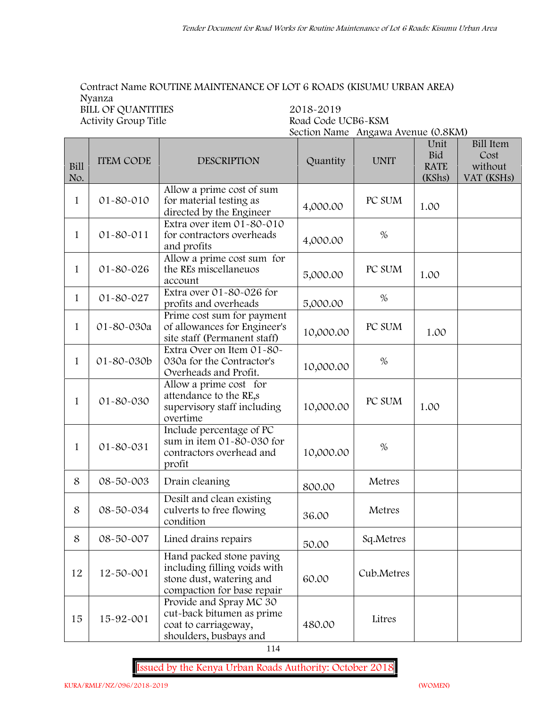## **Contract Name ROUTINE MAINTENANCE OF LOT 6 ROADS (KISUMU URBAN AREA) Nyanza BILL OF QUANTITIES** 2018-2019<br>Activity Group Title Road Code L

**Activity Group Title Road Code UCB6-KSM Section Name Angawa Avenue (0.8KM)**

| <b>Bill</b><br>No. | <b>ITEM CODE</b> | <b>DESCRIPTION</b>                                                                                                 | Quantity  | <b>UNIT</b> | Unit<br><b>Bid</b><br><b>RATE</b><br>(KShs) | <b>Bill Item</b><br>Cost<br>without<br>VAT (KSHs) |
|--------------------|------------------|--------------------------------------------------------------------------------------------------------------------|-----------|-------------|---------------------------------------------|---------------------------------------------------|
| $\mathbf{1}$       | 01-80-010        | Allow a prime cost of sum<br>for material testing as<br>directed by the Engineer                                   | 4,000.00  | PC SUM      | 1.00                                        |                                                   |
| $\mathbf{1}$       | 01-80-011        | Extra over item 01-80-010<br>for contractors overheads<br>and profits                                              | 4,000.00  | $\%$        |                                             |                                                   |
| $\mathbf{1}$       | 01-80-026        | Allow a prime cost sum for<br>the REs miscellaneuos<br>account                                                     | 5,000.00  | PC SUM      | 1.00                                        |                                                   |
| $\mathbf{1}$       | 01-80-027        | Extra over 01-80-026 for<br>profits and overheads                                                                  | 5,000.00  | $\%$        |                                             |                                                   |
| $\mathbf{1}$       | 01-80-030a       | Prime cost sum for payment<br>of allowances for Engineer's<br>site staff (Permanent staff)                         | 10,000.00 | PC SUM      | 1.00                                        |                                                   |
| $\mathbf{1}$       | 01-80-030b       | Extra Over on Item 01-80-<br>030a for the Contractor's<br>Overheads and Profit.                                    | 10,000.00 | $\%$        |                                             |                                                   |
| $\mathbf{1}$       | 01-80-030        | Allow a prime cost for<br>attendance to the RE,s<br>supervisory staff including<br>overtime                        | 10,000.00 | PC SUM      | 1.00                                        |                                                   |
| $\mathbf{1}$       | 01-80-031        | Include percentage of PC<br>sum in item $01 - 80 - 030$ for<br>contractors overhead and<br>profit                  | 10,000.00 | $\%$        |                                             |                                                   |
| 8                  | 08-50-003        | Drain cleaning                                                                                                     | 800.00    | Metres      |                                             |                                                   |
| 8                  | 08-50-034        | Desilt and clean existing<br>culverts to free flowing<br>condition                                                 | 36.00     | Metres      |                                             |                                                   |
| 8                  | 08-50-007        | Lined drains repairs                                                                                               | 50.00     | Sq.Metres   |                                             |                                                   |
| 12                 | 12-50-001        | Hand packed stone paving<br>including filling voids with<br>stone dust, watering and<br>compaction for base repair | 60.00     | Cub.Metres  |                                             |                                                   |
| 15                 | 15-92-001        | Provide and Spray MC 30<br>cut-back bitumen as prime<br>coat to carriageway,<br>shoulders, busbays and             | 480.00    | Litres      |                                             |                                                   |

114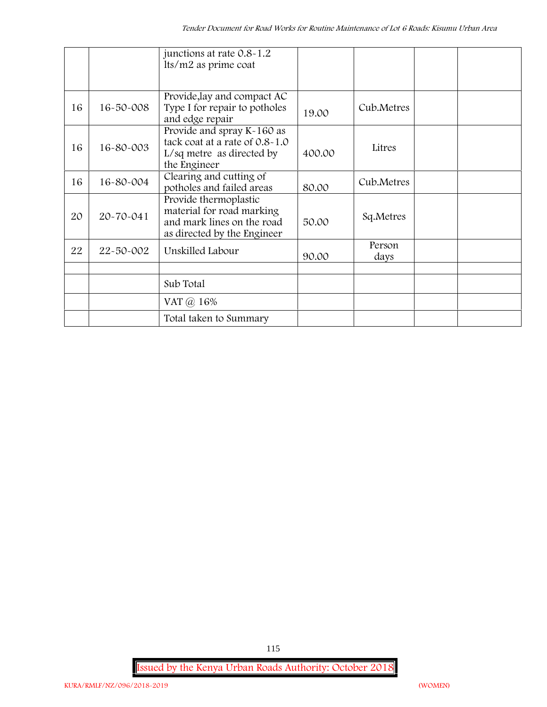|    |           | junctions at rate 0.8-1.2<br>lts/m2 as prime coat                                                               |        |                |  |
|----|-----------|-----------------------------------------------------------------------------------------------------------------|--------|----------------|--|
| 16 | 16-50-008 | Provide, lay and compact AC<br>Type I for repair to potholes<br>and edge repair                                 | 19.00  | Cub.Metres     |  |
| 16 | 16-80-003 | Provide and spray K-160 as<br>tack coat at a rate of 0.8-1.0<br>L/sq metre as directed by<br>the Engineer       | 400.00 | Litres         |  |
| 16 | 16-80-004 | Clearing and cutting of<br>potholes and failed areas                                                            | 80.00  | Cub.Metres     |  |
| 20 | 20-70-041 | Provide thermoplastic<br>material for road marking<br>and mark lines on the road<br>as directed by the Engineer | 50.00  | Sq.Metres      |  |
| 22 | 22-50-002 | Unskilled Labour                                                                                                | 90.00  | Person<br>days |  |
|    |           |                                                                                                                 |        |                |  |
|    |           | Sub Total                                                                                                       |        |                |  |
|    |           | VAT @ 16%                                                                                                       |        |                |  |
|    |           | Total taken to Summary                                                                                          |        |                |  |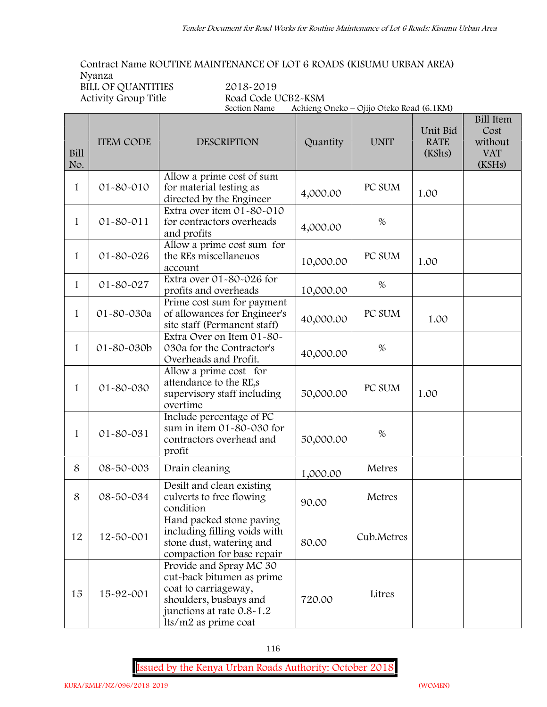**Contract Name ROUTINE MAINTENANCE OF LOT 6 ROADS (KISUMU URBAN AREA) Nyanza**

**BILL OF QUANTITIES 2018-2019**

**Road Code UCB2-KSM**<br>Section Name Achieng Q **Section Name Achieng Oneko – Ojijo Oteko Road (6.1KM)**

| <b>Bill</b><br>No. | <b>ITEM CODE</b> | <b>DESCRIPTION</b>                                                                                                                                          | Quantity  | <b>UNIT</b> | Unit Bid<br><b>RATE</b><br>(KShs) | <b>Bill Item</b><br>Cost<br>without<br><b>VAT</b><br>(KSHs) |
|--------------------|------------------|-------------------------------------------------------------------------------------------------------------------------------------------------------------|-----------|-------------|-----------------------------------|-------------------------------------------------------------|
| 1                  | 01-80-010        | Allow a prime cost of sum<br>for material testing as<br>directed by the Engineer                                                                            | 4,000.00  | PC SUM      | 1.00                              |                                                             |
| $\mathbf{1}$       | $01 - 80 - 011$  | Extra over item 01-80-010<br>for contractors overheads<br>and profits                                                                                       | 4,000.00  | $\%$        |                                   |                                                             |
| 1                  | 01-80-026        | Allow a prime cost sum for<br>the REs miscellaneuos<br>account                                                                                              | 10,000.00 | PC SUM      | 1.00                              |                                                             |
| $\mathbf{1}$       | 01-80-027        | Extra over 01-80-026 for<br>profits and overheads                                                                                                           | 10,000.00 | $\%$        |                                   |                                                             |
| $\mathbf{1}$       | 01-80-030a       | Prime cost sum for payment<br>of allowances for Engineer's<br>site staff (Permanent staff)                                                                  | 40,000.00 | PC SUM      | 1.00                              |                                                             |
| 1                  | 01-80-030b       | Extra Over on Item 01-80-<br>030a for the Contractor's<br>Overheads and Profit.                                                                             | 40,000.00 | $\%$        |                                   |                                                             |
| 1                  | 01-80-030        | Allow a prime cost for<br>attendance to the RE,s<br>supervisory staff including<br>overtime                                                                 | 50,000.00 | PC SUM      | 1.00                              |                                                             |
| 1                  | 01-80-031        | Include percentage of PC<br>sum in item 01-80-030 for<br>contractors overhead and<br>profit                                                                 | 50,000.00 | $\%$        |                                   |                                                             |
| 8                  | 08-50-003        | Drain cleaning                                                                                                                                              | 1,000.00  | Metres      |                                   |                                                             |
| 8                  | 08-50-034        | Desilt and clean existing<br>culverts to free flowing<br>condition                                                                                          | 90.00     | Metres      |                                   |                                                             |
| 12                 | 12-50-001        | Hand packed stone paving<br>including filling voids with<br>stone dust, watering and<br>compaction for base repair                                          | 80.00     | Cub.Metres  |                                   |                                                             |
| 15                 | 15-92-001        | Provide and Spray MC 30<br>cut-back bitumen as prime<br>coat to carriageway,<br>shoulders, busbays and<br>junctions at rate 0.8-1.2<br>lts/m2 as prime coat | 720.00    | Litres      |                                   |                                                             |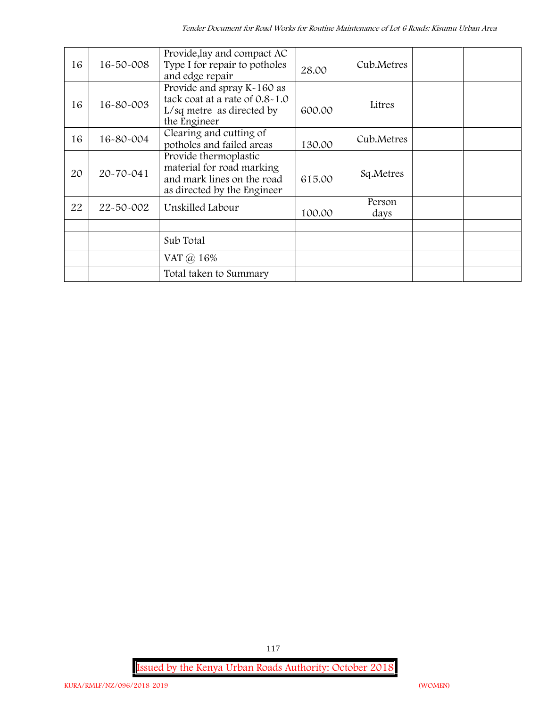| 16 | $16 - 50 - 008$ | Provide, lay and compact AC<br>Type I for repair to potholes<br>and edge repair                                 | 28.00  | Cub.Metres     |  |
|----|-----------------|-----------------------------------------------------------------------------------------------------------------|--------|----------------|--|
| 16 | 16-80-003       | Provide and spray K-160 as<br>tack coat at a rate of 0.8-1.0<br>L/sq metre as directed by<br>the Engineer       | 600.00 | Litres         |  |
| 16 | 16-80-004       | Clearing and cutting of<br>potholes and failed areas                                                            | 130.00 | Cub.Metres     |  |
| 20 | 20-70-041       | Provide thermoplastic<br>material for road marking<br>and mark lines on the road<br>as directed by the Engineer | 615.00 | Sq.Metres      |  |
| 22 | 22-50-002       | Unskilled Labour                                                                                                | 100.00 | Person<br>days |  |
|    |                 |                                                                                                                 |        |                |  |
|    |                 | Sub Total                                                                                                       |        |                |  |
|    |                 | VAT $\omega$ 16%                                                                                                |        |                |  |
|    |                 | Total taken to Summary                                                                                          |        |                |  |

**Issued by the Kenya Urban Roads Authority: October 2018**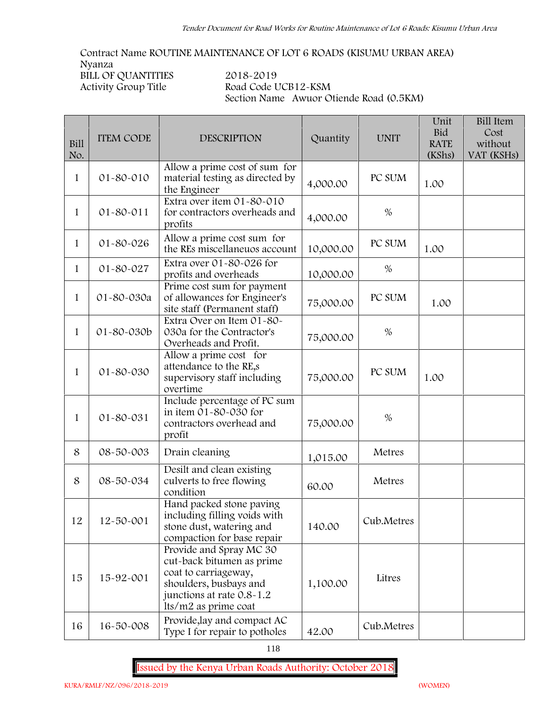**Contract Name ROUTINE MAINTENANCE OF LOT 6 ROADS (KISUMU URBAN AREA) Nyanza**

**BILL OF QUANTITIES 2018-2019**

**Activity Group Title Road Code UCB12-KSM Section Name Awuor Otiende Road (0.5KM)**

| <b>Bill</b><br>No. | <b>ITEM CODE</b> | <b>DESCRIPTION</b>                                                                                                                                          | Quantity  | <b>UNIT</b> | Unit<br><b>Bid</b><br><b>RATE</b><br>(KShs) | <b>Bill Item</b><br>Cost<br>without<br>VAT (KSHs) |
|--------------------|------------------|-------------------------------------------------------------------------------------------------------------------------------------------------------------|-----------|-------------|---------------------------------------------|---------------------------------------------------|
| $\mathbf{1}$       | 01-80-010        | Allow a prime cost of sum for<br>material testing as directed by<br>the Engineer                                                                            | 4,000.00  | PC SUM      | 1.00                                        |                                                   |
| $\mathbf{1}$       | 01-80-011        | Extra over item 01-80-010<br>for contractors overheads and<br>profits                                                                                       | 4,000.00  | $\%$        |                                             |                                                   |
| $\mathbf{1}$       | 01-80-026        | Allow a prime cost sum for<br>the REs miscellaneuos account                                                                                                 | 10,000.00 | PC SUM      | 1.00                                        |                                                   |
| $\mathbf{1}$       | 01-80-027        | Extra over 01-80-026 for<br>profits and overheads                                                                                                           | 10,000.00 | $\%$        |                                             |                                                   |
| $\mathbf{1}$       | 01-80-030a       | Prime cost sum for payment<br>of allowances for Engineer's<br>site staff (Permanent staff)                                                                  | 75,000.00 | PC SUM      | 1.00                                        |                                                   |
| $\mathbf{1}$       | 01-80-030b       | Extra Over on Item 01-80-<br>030a for the Contractor's<br>Overheads and Profit.                                                                             | 75,000.00 | $\%$        |                                             |                                                   |
| $\mathbf{1}$       | 01-80-030        | Allow a prime cost for<br>attendance to the RE,s<br>supervisory staff including<br>overtime                                                                 | 75,000.00 | PC SUM      | 1.00                                        |                                                   |
| $\mathbf{1}$       | 01-80-031        | Include percentage of PC sum<br>in item 01-80-030 for<br>contractors overhead and<br>profit                                                                 | 75,000.00 | $\%$        |                                             |                                                   |
| 8                  | 08-50-003        | Drain cleaning                                                                                                                                              | 1,015.00  | Metres      |                                             |                                                   |
| 8                  | 08-50-034        | Desilt and clean existing<br>culverts to free flowing<br>condition                                                                                          | 60.00     | Metres      |                                             |                                                   |
| 12                 | 12-50-001        | Hand packed stone paving<br>including filling voids with<br>stone dust, watering and<br>compaction for base repair                                          | 140.00    | Cub.Metres  |                                             |                                                   |
| 15                 | 15-92-001        | Provide and Spray MC 30<br>cut-back bitumen as prime<br>coat to carriageway,<br>shoulders, busbays and<br>junctions at rate 0.8-1.2<br>lts/m2 as prime coat | 1,100.00  | Litres      |                                             |                                                   |
| 16                 | 16-50-008        | Provide, lay and compact AC<br>Type I for repair to potholes                                                                                                | 42.00     | Cub.Metres  |                                             |                                                   |

118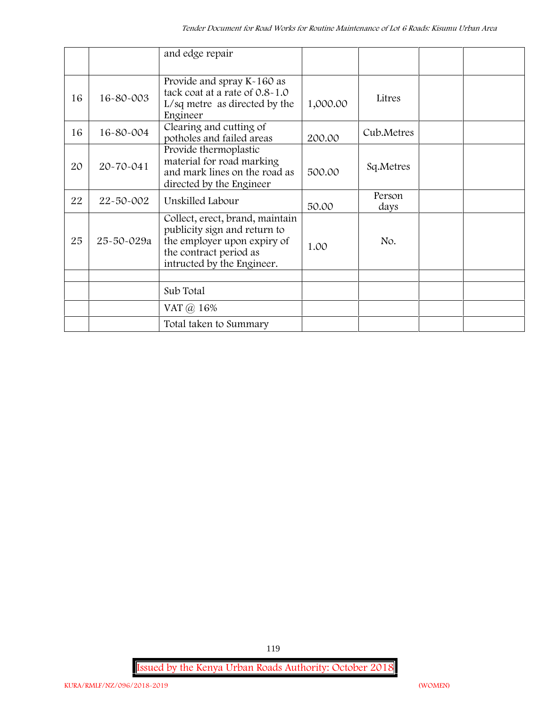|    |            | and edge repair                                                                                                                                        |          |                |  |
|----|------------|--------------------------------------------------------------------------------------------------------------------------------------------------------|----------|----------------|--|
| 16 | 16-80-003  | Provide and spray K-160 as<br>tack coat at a rate of 0.8-1.0<br>$L/sq$ metre as directed by the<br>Engineer                                            | 1,000.00 | Litres         |  |
| 16 | 16-80-004  | Clearing and cutting of<br>potholes and failed areas                                                                                                   | 200.00   | Cub.Metres     |  |
| 20 | 20-70-041  | Provide thermoplastic<br>material for road marking<br>and mark lines on the road as<br>directed by the Engineer                                        | 500.00   | Sq.Metres      |  |
| 22 | 22-50-002  | Unskilled Labour                                                                                                                                       | 50.00    | Person<br>days |  |
| 25 | 25-50-029a | Collect, erect, brand, maintain<br>publicity sign and return to<br>the employer upon expiry of<br>the contract period as<br>intructed by the Engineer. | 1.00     | No.            |  |
|    |            |                                                                                                                                                        |          |                |  |
|    |            | Sub Total                                                                                                                                              |          |                |  |
|    |            | VAT $\omega$ 16%                                                                                                                                       |          |                |  |
|    |            | Total taken to Summary                                                                                                                                 |          |                |  |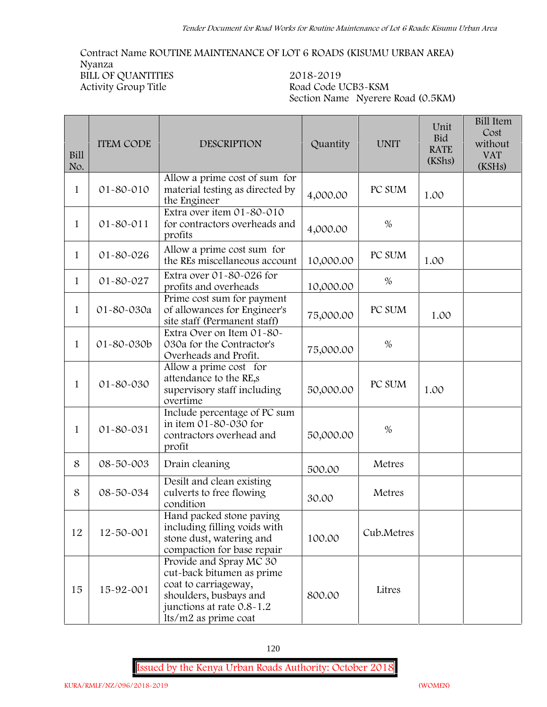## **Contract Name ROUTINE MAINTENANCE OF LOT 6 ROADS (KISUMU URBAN AREA) Nyanza BILL OF QUANTITIES 2018-2019**

**Activity Group Title Road Code UCB3-KSM Section Name Nyerere Road (0.5KM)**

| Bill<br>No.  | <b>ITEM CODE</b> | <b>DESCRIPTION</b>                                                                                                                                          | Quantity  | <b>UNIT</b> | Unit<br>Bid<br><b>RATE</b><br>(KShs) | <b>Bill Item</b><br>Cost<br>without<br><b>VAT</b><br>(KSHs) |
|--------------|------------------|-------------------------------------------------------------------------------------------------------------------------------------------------------------|-----------|-------------|--------------------------------------|-------------------------------------------------------------|
| 1            | 01-80-010        | Allow a prime cost of sum for<br>material testing as directed by<br>the Engineer                                                                            | 4,000.00  | PC SUM      | 1.00                                 |                                                             |
| 1            | 01-80-011        | Extra over item 01-80-010<br>for contractors overheads and<br>profits                                                                                       | 4,000.00  | $\%$        |                                      |                                                             |
| $\mathbf{1}$ | 01-80-026        | Allow a prime cost sum for<br>the REs miscellaneous account                                                                                                 | 10,000.00 | PC SUM      | 1.00                                 |                                                             |
| 1            | 01-80-027        | Extra over 01-80-026 for<br>profits and overheads                                                                                                           | 10,000.00 | $\%$        |                                      |                                                             |
| $\mathbf{1}$ | 01-80-030a       | Prime cost sum for payment<br>of allowances for Engineer's<br>site staff (Permanent staff)                                                                  | 75,000.00 | PC SUM      | 1.00                                 |                                                             |
| 1            | 01-80-030b       | Extra Over on Item 01-80-<br>030a for the Contractor's<br>Overheads and Profit.                                                                             | 75,000.00 | $\%$        |                                      |                                                             |
| 1            | 01-80-030        | Allow a prime cost for<br>attendance to the RE,s<br>supervisory staff including<br>overtime                                                                 | 50,000.00 | PC SUM      | 1.00                                 |                                                             |
| 1            | 01-80-031        | Include percentage of PC sum<br>in item 01-80-030 for<br>contractors overhead and<br>profit                                                                 | 50,000.00 | $\%$        |                                      |                                                             |
| 8            | 08-50-003        | Drain cleaning                                                                                                                                              | 500.00    | Metres      |                                      |                                                             |
| 8            | 08-50-034        | Desilt and clean existing<br>culverts to free flowing<br>condition                                                                                          | 30.00     | Metres      |                                      |                                                             |
| 12           | 12-50-001        | Hand packed stone paving<br>including filling voids with<br>stone dust, watering and<br>compaction for base repair                                          | 100.00    | Cub.Metres  |                                      |                                                             |
| 15           | 15-92-001        | Provide and Spray MC 30<br>cut-back bitumen as prime<br>coat to carriageway,<br>shoulders, busbays and<br>junctions at rate 0.8-1.2<br>lts/m2 as prime coat | 800.00    | Litres      |                                      |                                                             |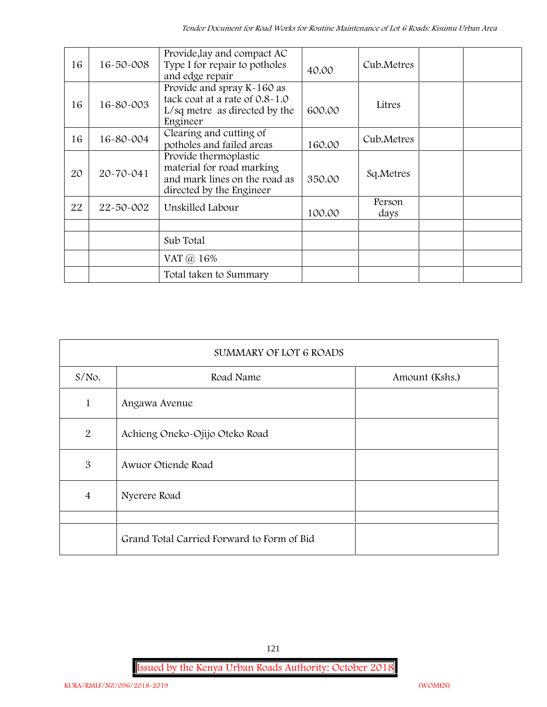| 16 | $16 - 50 - 008$ | Provide, lay and compact AC<br>Type I for repair to potholes<br>and edge repair                                 | 40.00  | Cub.Metres     |  |
|----|-----------------|-----------------------------------------------------------------------------------------------------------------|--------|----------------|--|
| 16 | 16-80-003       | Provide and spray K-160 as<br>tack coat at a rate of 0.8-1.0<br>L/sq metre as directed by the<br>Engineer       | 600.00 | Litres         |  |
| 16 | 16-80-004       | Clearing and cutting of<br>potholes and failed areas                                                            | 160.00 | Cub.Metres     |  |
| 20 | 20-70-041       | Provide thermoplastic<br>material for road marking<br>and mark lines on the road as<br>directed by the Engineer | 350.00 | Sq.Metres      |  |
| 22 | 22-50-002       | Unskilled Labour                                                                                                | 100.00 | Person<br>days |  |
|    |                 |                                                                                                                 |        |                |  |
|    |                 | Sub Total                                                                                                       |        |                |  |
|    |                 | VAT @ 16%                                                                                                       |        |                |  |
|    |                 | Total taken to Summary                                                                                          |        |                |  |

| <b>SUMMARY OF LOT 6 ROADS</b> |                                            |                |  |  |  |  |
|-------------------------------|--------------------------------------------|----------------|--|--|--|--|
| $S/NO$ .                      | Road Name                                  | Amount (Kshs.) |  |  |  |  |
| $\mathbf{1}$                  | Angawa Avenue                              |                |  |  |  |  |
| 2                             | Achieng Oneko-Ojijo Oteko Road             |                |  |  |  |  |
| $\mathfrak{B}$                | Awuor Otiende Road                         |                |  |  |  |  |
| $\overline{4}$                | Nyerere Road                               |                |  |  |  |  |
|                               |                                            |                |  |  |  |  |
|                               | Grand Total Carried Forward to Form of Bid |                |  |  |  |  |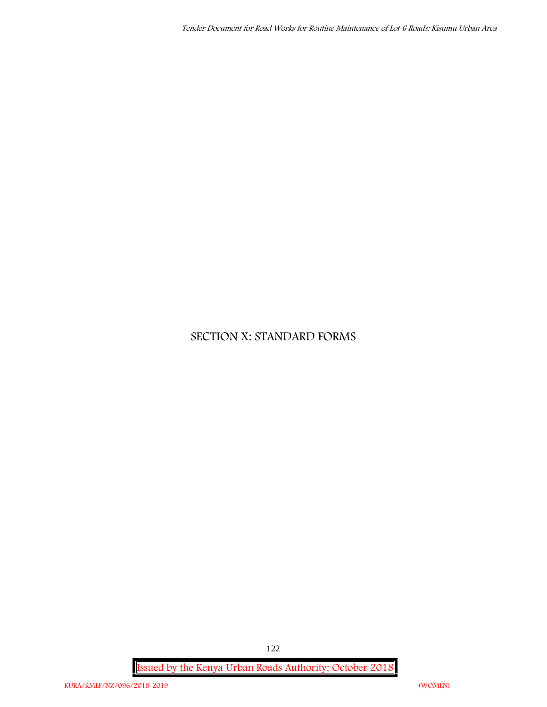## **SECTION X: STANDARD FORMS**

**Issued by the Kenya Urban Roads Authority: October 2018**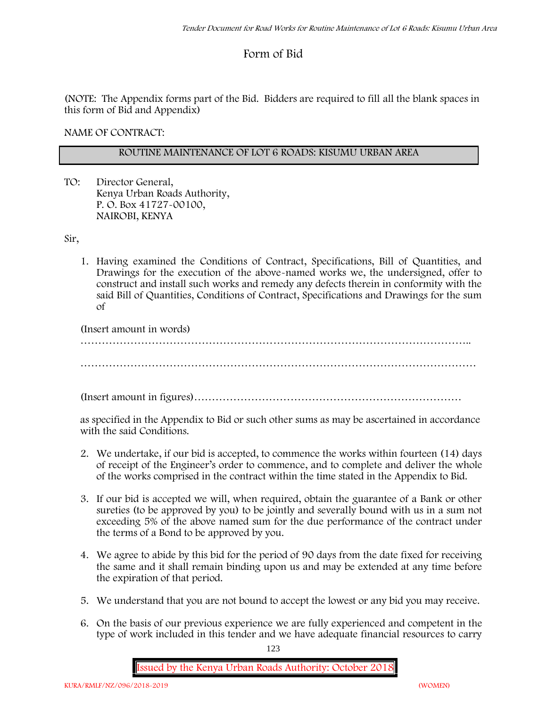## **Form of Bid**

(NOTE: The Appendix forms part of the Bid. Bidders are required to fill all the blank spaces in this form of Bid and Appendix)

**NAME OF CONTRACT:**

#### **ROUTINE MAINTENANCE OF LOT 6 ROADS: KISUMU URBAN AREA**

TO: Director General, Kenya Urban Roads Authority, P. O. Box 41727-00100, **NAIROBI, KENYA**

Sir,

1. Having examined the Conditions of Contract, Specifications, Bill of Quantities, and Drawings for the execution of the above-named works we, the undersigned, offer to construct and install such works and remedy any defects therein in conformity with the said Bill of Quantities, Conditions of Contract, Specifications and Drawings for the sum of

(Insert amount in words)

………………………………………………………………………………………………..

(Insert amount in figures)…………………………………………………………………

as specified in the Appendix to Bid or such other sums as may be ascertained in accordance with the said Conditions.

- 2. We undertake, if our bid is accepted, to commence the works within fourteen (14) days of receipt of the Engineer's order to commence, and to complete and deliver the whole of the works comprised in the contract within the time stated in the Appendix to Bid.
- 3. If our bid is accepted we will, when required, obtain the guarantee of a Bank or other sureties (to be approved by you) to be jointly and severally bound with us in a sum not exceeding 5% of the above named sum for the due performance of the contract under the terms of a Bond to be approved by you.
- 4. We agree to abide by this bid for the period of 90 days from the date fixed for receiving the same and it shall remain binding upon us and may be extended at any time before the expiration of that period.
- 5. We understand that you are not bound to accept the lowest or any bid you may receive.
- 6. On the basis of our previous experience we are fully experienced and competent in the type of work included in this tender and we have adequate financial resources to carry

123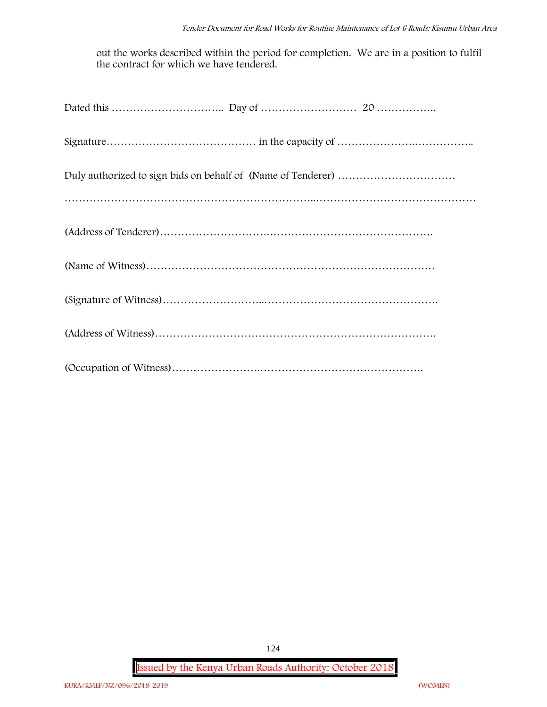out the works described within the period for completion. We are in a position to fulfil the contract for which we have tendered.

**Issued by the Kenya Urban Roads Authority: October 2018**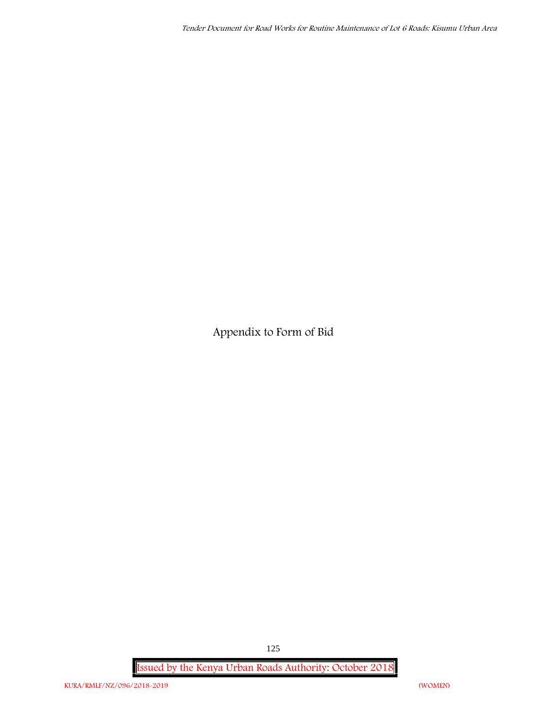**Appendix to Form of Bid**

**Issued by the Kenya Urban Roads Authority: October 2018**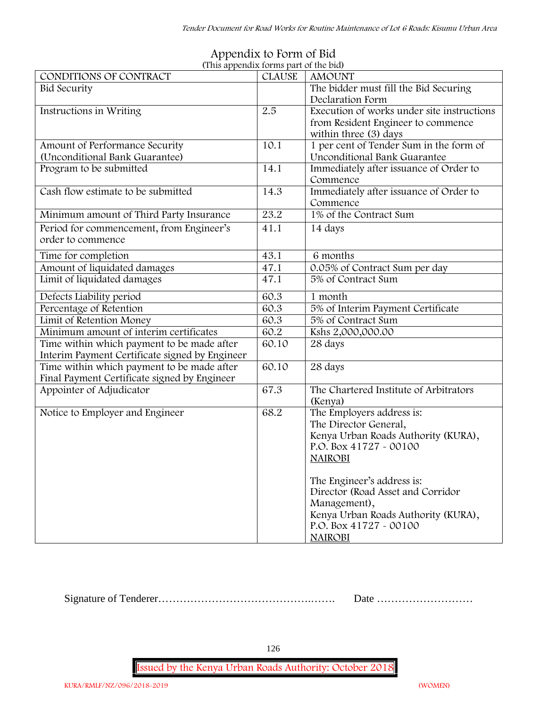| (This appendix forms part of the bid)          |               |                                            |  |  |  |  |
|------------------------------------------------|---------------|--------------------------------------------|--|--|--|--|
| CONDITIONS OF CONTRACT                         | <b>CLAUSE</b> | <b>AMOUNT</b>                              |  |  |  |  |
| <b>Bid Security</b>                            |               | The bidder must fill the Bid Securing      |  |  |  |  |
|                                                |               | Declaration Form                           |  |  |  |  |
| Instructions in Writing                        | 2.5           | Execution of works under site instructions |  |  |  |  |
|                                                |               | from Resident Engineer to commence         |  |  |  |  |
|                                                |               | within three (3) days                      |  |  |  |  |
| Amount of Performance Security                 | 10.1          | 1 per cent of Tender Sum in the form of    |  |  |  |  |
| (Unconditional Bank Guarantee)                 |               | Unconditional Bank Guarantee               |  |  |  |  |
| Program to be submitted                        | 14.1          | Immediately after issuance of Order to     |  |  |  |  |
|                                                |               | Commence                                   |  |  |  |  |
| Cash flow estimate to be submitted             | 14.3          | Immediately after issuance of Order to     |  |  |  |  |
|                                                |               | Commence                                   |  |  |  |  |
| Minimum amount of Third Party Insurance        | 23.2          | 1% of the Contract Sum                     |  |  |  |  |
| Period for commencement, from Engineer's       | 41.1          | 14 days                                    |  |  |  |  |
| order to commence                              |               |                                            |  |  |  |  |
| Time for completion                            | 43.1          | 6 months                                   |  |  |  |  |
| Amount of liquidated damages                   | 47.1          | 0.05% of Contract Sum per day              |  |  |  |  |
| Limit of liquidated damages                    | 47.1          | 5% of Contract Sum                         |  |  |  |  |
|                                                |               |                                            |  |  |  |  |
| Defects Liability period                       | 60.3          | 1 month                                    |  |  |  |  |
| Percentage of Retention                        | 60.3          | 5% of Interim Payment Certificate          |  |  |  |  |
| Limit of Retention Money                       | 60.3          | 5% of Contract Sum                         |  |  |  |  |
| Minimum amount of interim certificates         | 60.2          | Kshs 2,000,000.00                          |  |  |  |  |
| Time within which payment to be made after     | 60.10         | 28 days                                    |  |  |  |  |
| Interim Payment Certificate signed by Engineer |               |                                            |  |  |  |  |
| Time within which payment to be made after     | 60.10         | 28 days                                    |  |  |  |  |
| Final Payment Certificate signed by Engineer   |               |                                            |  |  |  |  |
| Appointer of Adjudicator                       | 67.3          | The Chartered Institute of Arbitrators     |  |  |  |  |
|                                                |               | (Kenya)                                    |  |  |  |  |
| Notice to Employer and Engineer                | 68.2          | The Employers address is:                  |  |  |  |  |
|                                                |               | The Director General,                      |  |  |  |  |
|                                                |               | Kenya Urban Roads Authority (KURA),        |  |  |  |  |
|                                                |               | P.O. Box 41727 - 00100                     |  |  |  |  |
|                                                |               | <b>NAIROBI</b>                             |  |  |  |  |
|                                                |               |                                            |  |  |  |  |
|                                                |               | The Engineer's address is:                 |  |  |  |  |
|                                                |               | Director (Road Asset and Corridor          |  |  |  |  |
|                                                |               | Management),                               |  |  |  |  |
|                                                |               | Kenya Urban Roads Authority (KURA),        |  |  |  |  |
|                                                |               | P.O. Box 41727 - 00100                     |  |  |  |  |
|                                                |               | <b>NAIROBI</b>                             |  |  |  |  |

### **Appendix to Form of Bid (This appendix forms part of the bid)**

Signature of Tenderer…………………………………….……. Date ………………………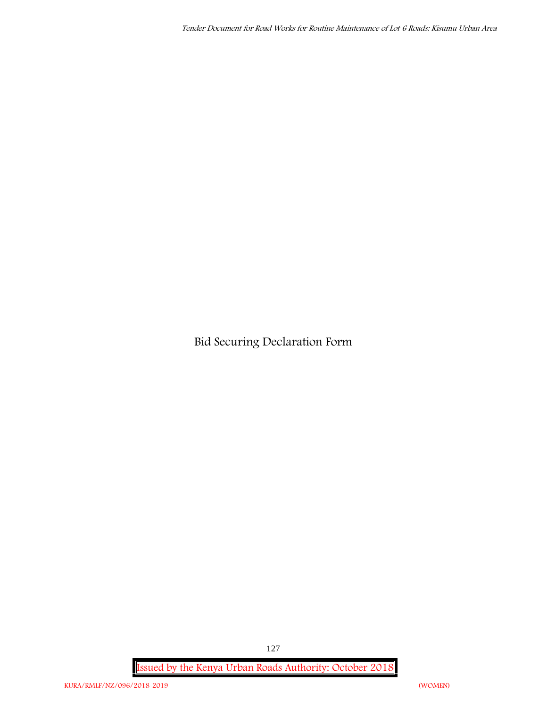**Bid Securing Declaration Form**

**Issued by the Kenya Urban Roads Authority: October 2018**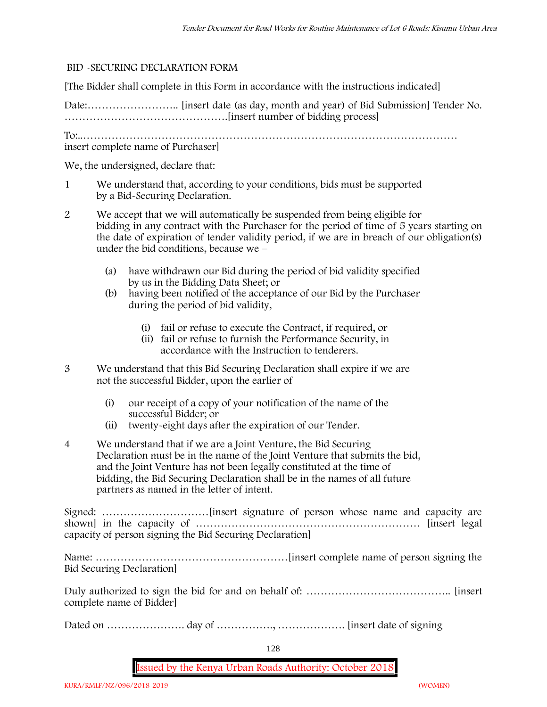#### **BID -SECURING DECLARATION FORM**

[The Bidder shall complete in this Form in accordance with the instructions indicated]

Date:…………………….. [insert date (as day, month and year) of Bid Submission] Tender No. ……………………………………….[insert number of bidding process]

To:..……………………………………………………………………………………………

insert complete name of Purchaser]

We, the undersigned, declare that:

- 1 We understand that, according to your conditions, bids must be supported by a Bid-Securing Declaration.
- 2 We accept that we will automatically be suspended from being eligible for bidding in any contract with the Purchaser for the period of time of **5 years** starting on the date of expiration of tender validity period, if we are in breach of our obligation(s) under the bid conditions, because we –
	- (a) have withdrawn our Bid during the period of bid validity specified by us in the Bidding Data Sheet; or
	- (b) having been notified of the acceptance of our Bid by the Purchaser during the period of bid validity,
		- (i) fail or refuse to execute the Contract, if required, or
		- (ii) fail or refuse to furnish the Performance Security, in accordance with the Instruction to tenderers.
- 3 We understand that this Bid Securing Declaration shall expire if we are not the successful Bidder, upon the earlier of
	- (i) our receipt of a copy of your notification of the name of the successful Bidder; or
	- (ii) twenty-eight days after the expiration of our Tender.
- 4 We understand that if we are a Joint Venture, the Bid Securing Declaration must be in the name of the Joint Venture that submits the bid, and the Joint Venture has not been legally constituted at the time of bidding, the Bid Securing Declaration shall be in the names of all future partners as named in the letter of intent.

Signed: …………………………[insert signature of person whose name and capacity are shown] in the capacity of ……………………………………………………… [insert legal capacity of person signing the Bid Securing Declaration]

Name: ………………………………………………[insert complete name of person signing the Bid Securing Declaration]

Duly authorized to sign the bid for and on behalf of: ………………………………….. [insert complete name of Bidder]

Dated on …………………. day of ……………., ………………. [insert date of signing

128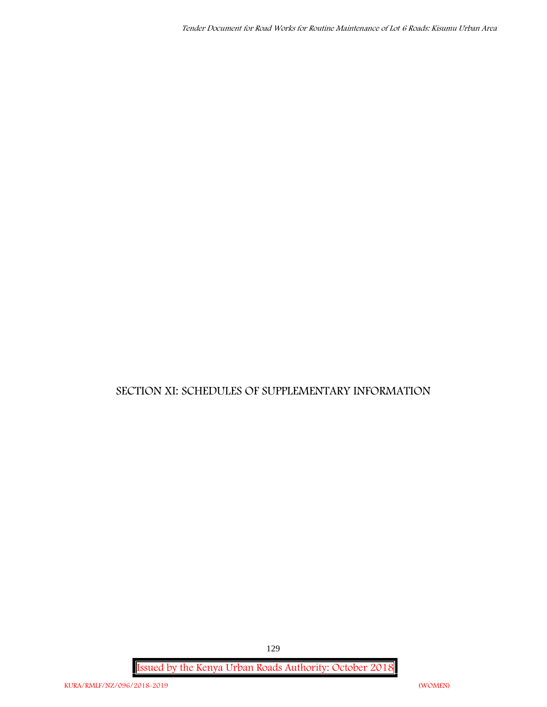## **SECTION XI: SCHEDULES OF SUPPLEMENTARY INFORMATION**

**Issued by the Kenya Urban Roads Authority: October 2018**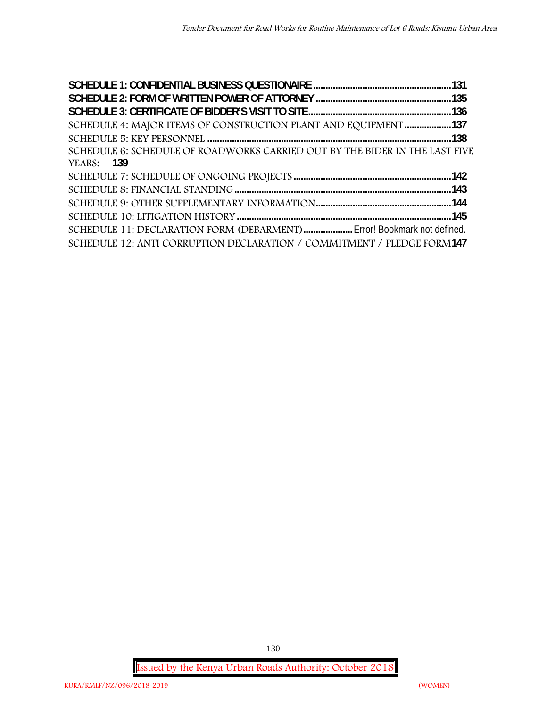| SCHEDULE 4: MAJOR ITEMS OF CONSTRUCTION PLANT AND EQUIPMENT 137             |  |
|-----------------------------------------------------------------------------|--|
|                                                                             |  |
| SCHEDULE 6: SCHEDULE OF ROADWORKS CARRIED OUT BY THE BIDER IN THE LAST FIVE |  |
| <b>YEARS:</b> 139                                                           |  |
|                                                                             |  |
|                                                                             |  |
|                                                                             |  |
|                                                                             |  |
| SCHEDULE 11: DECLARATION FORM (DEBARMENT) Error! Bookmark not defined.      |  |
| SCHEDULE 12: ANTI CORRUPTION DECLARATION / COMMITMENT / PLEDGE FORM147      |  |

**Issued by the Kenya Urban Roads Authority: October 2018**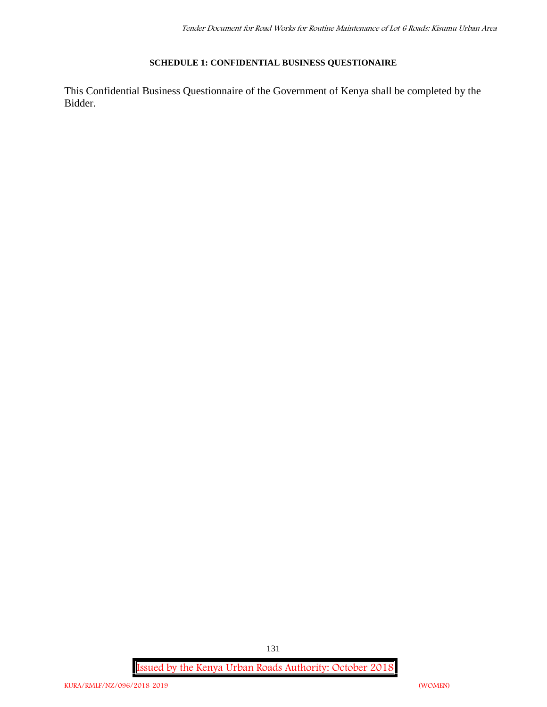#### **SCHEDULE 1: CONFIDENTIAL BUSINESS QUESTIONAIRE**

This Confidential Business Questionnaire of the Government of Kenya shall be completed by the Bidder.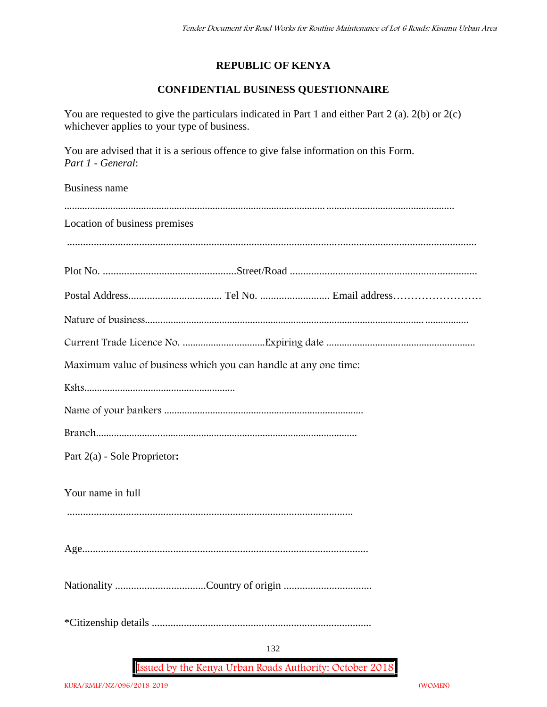### **REPUBLIC OF KENYA**

## **CONFIDENTIAL BUSINESS QUESTIONNAIRE**

You are requested to give the particulars indicated in Part 1 and either Part 2 (a). 2(b) or 2(c) whichever applies to your type of business.

You are advised that it is a serious offence to give false information on this Form. *Part 1 - General*:

Business name

| Location of business premises                                   |
|-----------------------------------------------------------------|
|                                                                 |
|                                                                 |
|                                                                 |
|                                                                 |
|                                                                 |
| Maximum value of business which you can handle at any one time: |
|                                                                 |
|                                                                 |
|                                                                 |
| Part 2(a) - Sole Proprietor:                                    |
| Your name in full                                               |
|                                                                 |
|                                                                 |
|                                                                 |
| 132                                                             |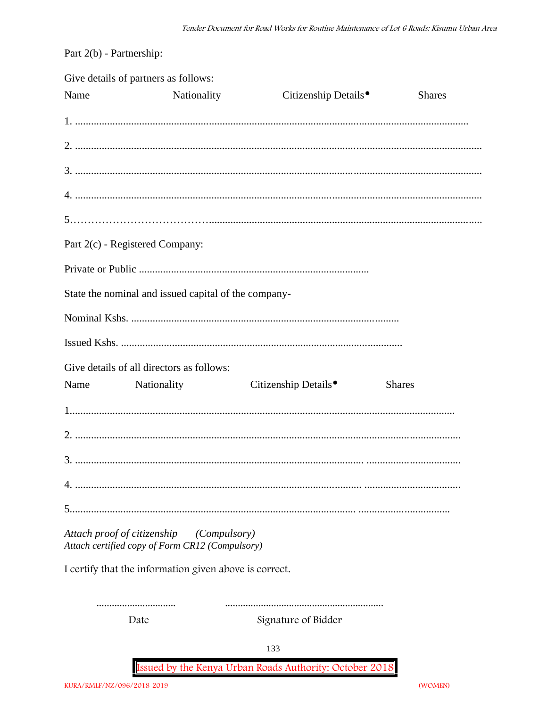Part 2(b) - Partnership:

|      | Give details of partners as follows:                                                        |                                  |               |
|------|---------------------------------------------------------------------------------------------|----------------------------------|---------------|
| Name | Nationality                                                                                 | Citizenship Details <sup>•</sup> | <b>Shares</b> |
|      |                                                                                             |                                  |               |
|      |                                                                                             |                                  |               |
|      |                                                                                             |                                  |               |
|      |                                                                                             |                                  |               |
|      |                                                                                             |                                  |               |
|      | Part 2(c) - Registered Company:                                                             |                                  |               |
|      |                                                                                             |                                  |               |
|      | State the nominal and issued capital of the company-                                        |                                  |               |
|      |                                                                                             |                                  |               |
|      |                                                                                             |                                  |               |
|      | Give details of all directors as follows:                                                   |                                  |               |
|      | Name Nationality                                                                            | Citizenship Details <sup>•</sup> | <b>Shares</b> |
|      |                                                                                             |                                  |               |
|      |                                                                                             |                                  |               |
|      |                                                                                             |                                  |               |
|      |                                                                                             |                                  |               |
|      |                                                                                             |                                  |               |
|      | Attach proof of citizenship (Compulsory)<br>Attach certified copy of Form CR12 (Compulsory) |                                  |               |
|      | I certify that the information given above is correct.                                      |                                  |               |
|      |                                                                                             |                                  |               |
|      | Date                                                                                        | Signature of Bidder              |               |
|      |                                                                                             | 133                              |               |

Issued by the Kenya Urban Roads Authority: October 2018

(WOMEN)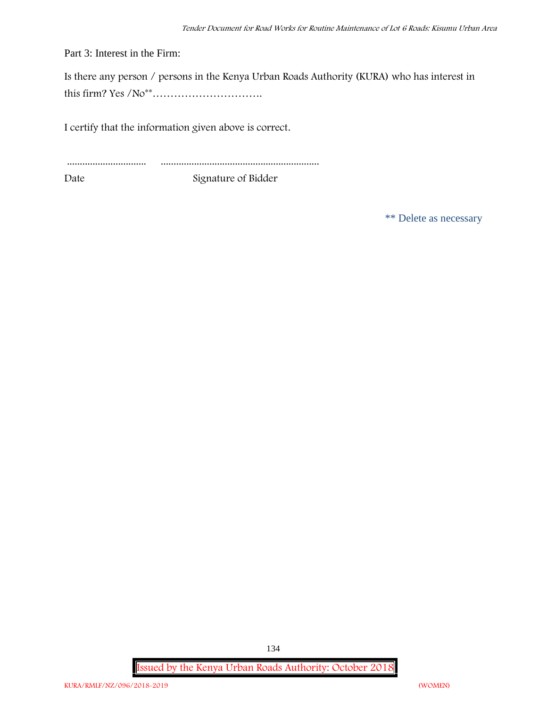Part 3: Interest in the Firm:

Is there any person / persons in the Kenya Urban Roads Authority (KURA) who has interest in this firm? Yes /No\*\*………………………….

I certify that the information given above is correct.

............................... .............................................................. Date Signature of Bidder

\*\* Delete as necessary

**Issued by the Kenya Urban Roads Authority: October 2018**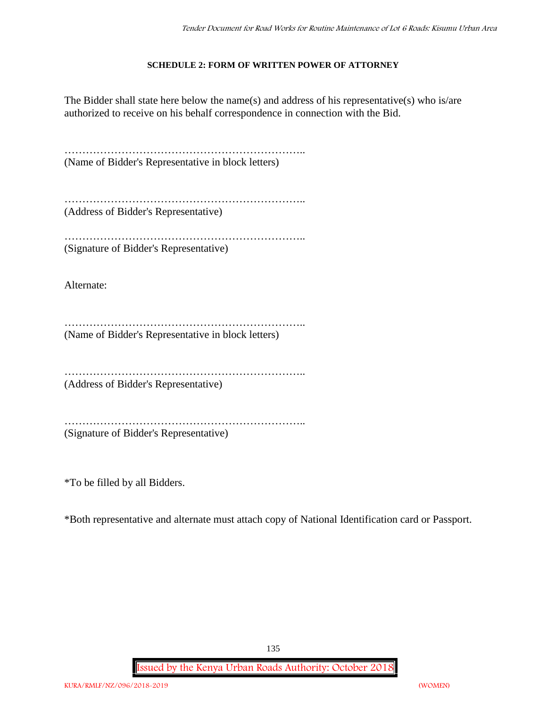#### **SCHEDULE 2: FORM OF WRITTEN POWER OF ATTORNEY**

The Bidder shall state here below the name(s) and address of his representative(s) who is/are authorized to receive on his behalf correspondence in connection with the Bid.

………………………………………………………….. (Name of Bidder's Representative in block letters)

…………………………………………………………………………… (Address of Bidder's Representative)

………………………………………………………….. (Signature of Bidder's Representative)

Alternate:

………………………………………………………….. (Name of Bidder's Representative in block letters)

…………………………………………………………..

(Address of Bidder's Representative)

…………………………………………………………..

(Signature of Bidder's Representative)

\*To be filled by all Bidders.

\*Both representative and alternate must attach copy of National Identification card or Passport.

135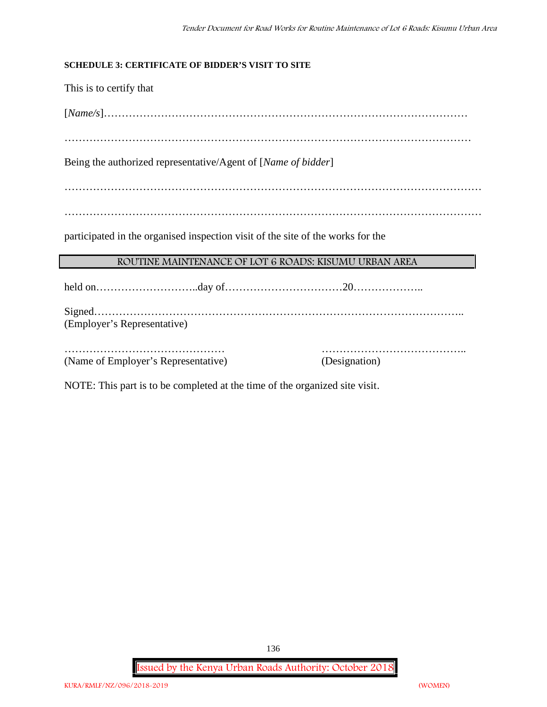#### **SCHEDULE 3: CERTIFICATE OF BIDDER'S VISIT TO SITE**

This is to certify that

[*Name/s*]…………………………………………………………………………………………

……………………………………………………………………………………………………

Being the authorized representative/Agent of [*Name of bidder*]

………………………………………………………………………………………………………

………………………………………………………………………………………………………

participated in the organised inspection visit of the site of the works for the

#### **ROUTINE MAINTENANCE OF LOT 6 ROADS: KISUMU URBAN AREA**

held on………………………..day of……………………………20………………..

Signed………………………………………………………………………………………….. (Employer's Representative)

……………………………………… ………………………………….. (Name of Employer's Representative) (Designation)

NOTE: This part is to be completed at the time of the organized site visit.

**Issued by the Kenya Urban Roads Authority: October 2018**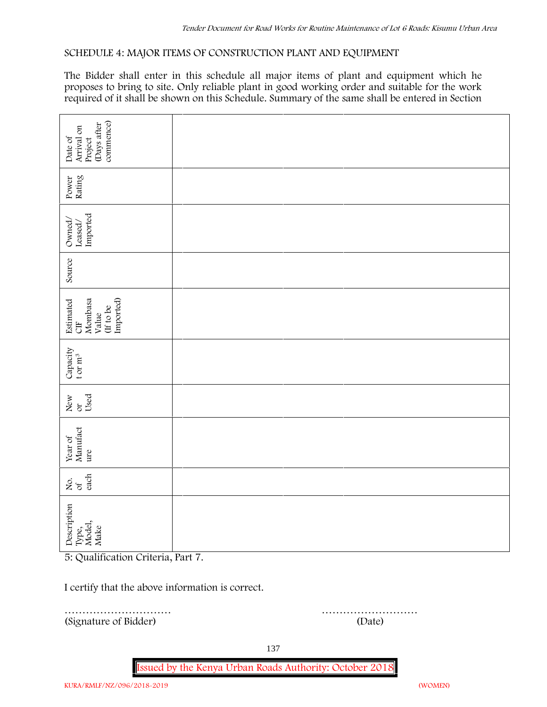#### **SCHEDULE 4: MAJOR ITEMS OF CONSTRUCTION PLANT AND EQUIPMENT**

The Bidder shall enter in this schedule all major items of plant and equipment which he proposes to bring to site. Only reliable plant in good working order and suitable for the work required of it shall be shown on this Schedule. Summary of the same shall be entered in Section

| commence)<br>(Days after<br>Arrival on                              |        |  |  |  |  |  |
|---------------------------------------------------------------------|--------|--|--|--|--|--|
| Date of<br>Project                                                  |        |  |  |  |  |  |
| Power<br>Rating                                                     |        |  |  |  |  |  |
| Leased/<br>Imported<br>Owned/                                       |        |  |  |  |  |  |
| Source                                                              |        |  |  |  |  |  |
| Imported)<br>Mombasa<br>Estimated<br>If to be<br>Value<br><b>UD</b> |        |  |  |  |  |  |
| Capacity t or $\mathbf{m}^3$                                        |        |  |  |  |  |  |
| Used<br>New or                                                      |        |  |  |  |  |  |
| Year of<br>Manufact<br>ure                                          |        |  |  |  |  |  |
| each<br>Σό.                                                         |        |  |  |  |  |  |
| Description<br>Type,<br>Model,<br>Make                              |        |  |  |  |  |  |
| 5: Qualification Criteria, Part 7.                                  |        |  |  |  |  |  |
| I certify that the above information is correct.                    |        |  |  |  |  |  |
| (Signature of Bidder)                                               | (Date) |  |  |  |  |  |

………………………… ………………………

137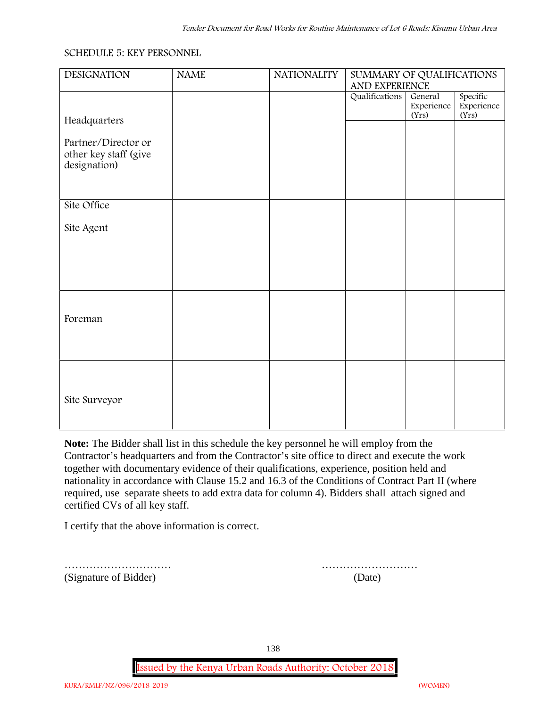#### **SCHEDULE 5: KEY PERSONNEL**

| <b>DESIGNATION</b>                                           | <b>NAME</b> | <b>NATIONALITY</b> | SUMMARY OF QUALIFICATIONS<br>AND EXPERIENCE |                                |                                 |
|--------------------------------------------------------------|-------------|--------------------|---------------------------------------------|--------------------------------|---------------------------------|
| Headquarters                                                 |             |                    | Qualifications                              | General<br>Experience<br>(Yrs) | Specific<br>Experience<br>(Yrs) |
| Partner/Director or<br>other key staff (give<br>designation) |             |                    |                                             |                                |                                 |
| Site Office                                                  |             |                    |                                             |                                |                                 |
| Site Agent                                                   |             |                    |                                             |                                |                                 |
|                                                              |             |                    |                                             |                                |                                 |
| Foreman                                                      |             |                    |                                             |                                |                                 |
| Site Surveyor                                                |             |                    |                                             |                                |                                 |

**Note:** The Bidder shall list in this schedule the key personnel he will employ from the Contractor's headquarters and from the Contractor's site office to direct and execute the work together with documentary evidence of their qualifications, experience, position held and nationality in accordance with Clause 15.2 and 16.3 of the Conditions of Contract Part II (where required, use separate sheets to add extra data for column 4). Bidders shall attach signed and certified CVs of all key staff.

I certify that the above information is correct.

(Signature of Bidder) (Date)

………………………… ………………………

138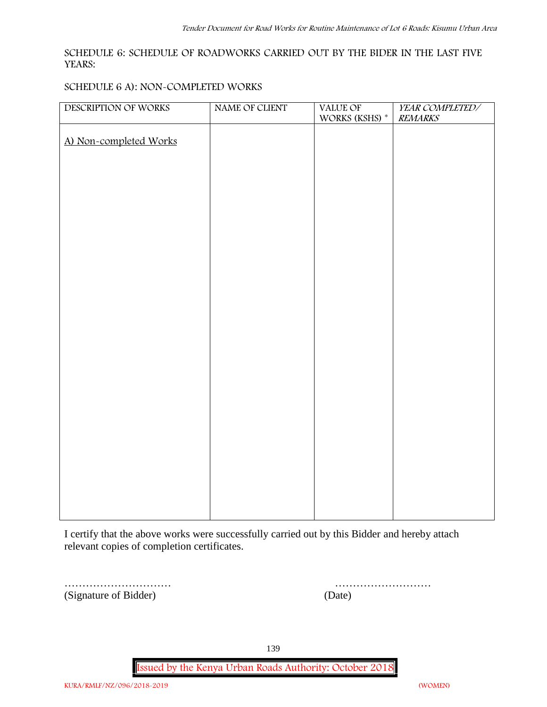#### **SCHEDULE 6: SCHEDULE OF ROADWORKS CARRIED OUT BY THE BIDER IN THE LAST FIVE YEARS:**

#### **SCHEDULE 6 A): NON-COMPLETED WORKS**

| DESCRIPTION OF WORKS   | NAME OF CLIENT | VALUE OF             | YEAR COMPLETED/ |
|------------------------|----------------|----------------------|-----------------|
|                        |                | WORKS (KSHS) $^\ast$ | <b>REMARKS</b>  |
| A) Non-completed Works |                |                      |                 |
|                        |                |                      |                 |
|                        |                |                      |                 |
|                        |                |                      |                 |
|                        |                |                      |                 |
|                        |                |                      |                 |
|                        |                |                      |                 |
|                        |                |                      |                 |
|                        |                |                      |                 |
|                        |                |                      |                 |
|                        |                |                      |                 |
|                        |                |                      |                 |
|                        |                |                      |                 |
|                        |                |                      |                 |
|                        |                |                      |                 |
|                        |                |                      |                 |
|                        |                |                      |                 |
|                        |                |                      |                 |
|                        |                |                      |                 |
|                        |                |                      |                 |
|                        |                |                      |                 |
|                        |                |                      |                 |
|                        |                |                      |                 |
|                        |                |                      |                 |
|                        |                |                      |                 |
|                        |                |                      |                 |
|                        |                |                      |                 |
|                        |                |                      |                 |

I certify that the above works were successfully carried out by this Bidder and hereby attach relevant copies of completion certificates.

………………………… (Signature of Bidder)

| (Date) |  |  |  |  |  |  |  |  |  |  |  |  |
|--------|--|--|--|--|--|--|--|--|--|--|--|--|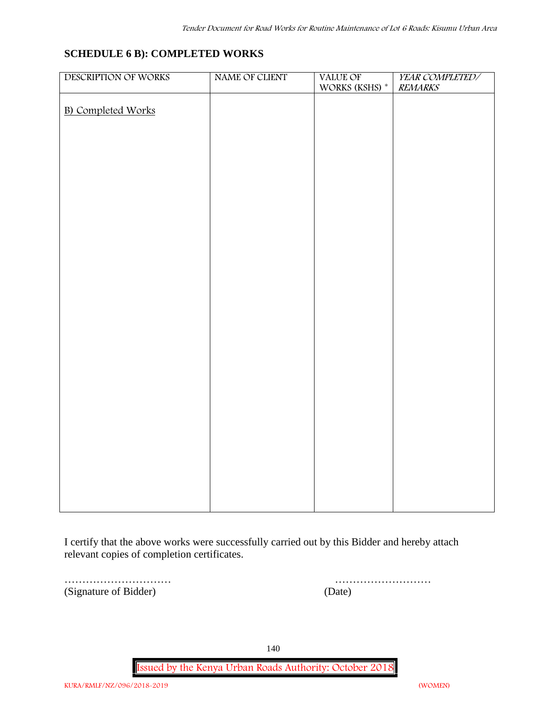### **SCHEDULE 6 B): COMPLETED WORKS**

| DESCRIPTION OF WORKS      | NAME OF CLIENT | VALUE OF       | YEAR COMPLETED/ |
|---------------------------|----------------|----------------|-----------------|
|                           |                | WORKS (KSHS) * | <b>REMARKS</b>  |
| <b>B)</b> Completed Works |                |                |                 |
|                           |                |                |                 |
|                           |                |                |                 |
|                           |                |                |                 |
|                           |                |                |                 |
|                           |                |                |                 |
|                           |                |                |                 |
|                           |                |                |                 |
|                           |                |                |                 |
|                           |                |                |                 |
|                           |                |                |                 |
|                           |                |                |                 |
|                           |                |                |                 |
|                           |                |                |                 |
|                           |                |                |                 |
|                           |                |                |                 |
|                           |                |                |                 |
|                           |                |                |                 |
|                           |                |                |                 |
|                           |                |                |                 |
|                           |                |                |                 |
|                           |                |                |                 |
|                           |                |                |                 |
|                           |                |                |                 |
|                           |                |                |                 |
|                           |                |                |                 |
|                           |                |                |                 |
|                           |                |                |                 |
|                           |                |                |                 |
|                           |                |                |                 |
|                           |                |                |                 |

I certify that the above works were successfully carried out by this Bidder and hereby attach relevant copies of completion certificates.

(Signature of Bidder) (Date)

………………………… ………………………

140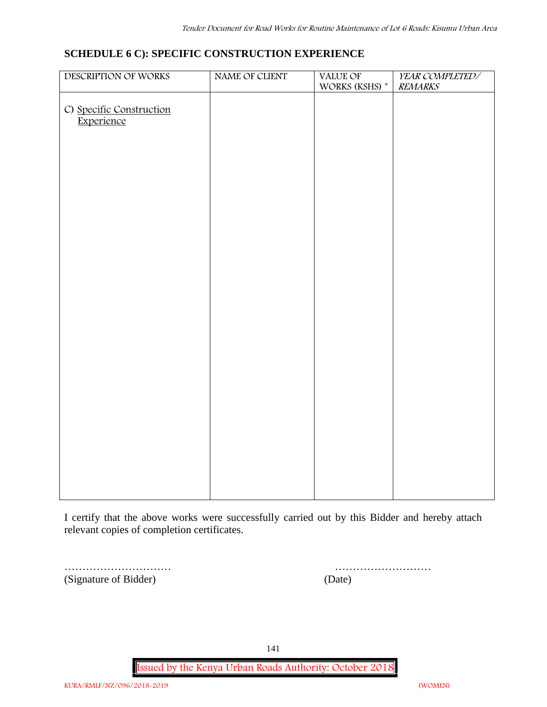### **SCHEDULE 6 C): SPECIFIC CONSTRUCTION EXPERIENCE**

| DESCRIPTION OF WORKS                   | NAME OF CLIENT | VALUE OF             | YEAR COMPLETED/ |
|----------------------------------------|----------------|----------------------|-----------------|
|                                        |                | WORKS (KSHS) $^\ast$ | <b>REMARKS</b>  |
|                                        |                |                      |                 |
| C) Specific Construction<br>Experience |                |                      |                 |
|                                        |                |                      |                 |
|                                        |                |                      |                 |
|                                        |                |                      |                 |
|                                        |                |                      |                 |
|                                        |                |                      |                 |
|                                        |                |                      |                 |
|                                        |                |                      |                 |
|                                        |                |                      |                 |
|                                        |                |                      |                 |
|                                        |                |                      |                 |
|                                        |                |                      |                 |
|                                        |                |                      |                 |
|                                        |                |                      |                 |
|                                        |                |                      |                 |
|                                        |                |                      |                 |
|                                        |                |                      |                 |
|                                        |                |                      |                 |
|                                        |                |                      |                 |
|                                        |                |                      |                 |
|                                        |                |                      |                 |
|                                        |                |                      |                 |
|                                        |                |                      |                 |
|                                        |                |                      |                 |
|                                        |                |                      |                 |
|                                        |                |                      |                 |
|                                        |                |                      |                 |
|                                        |                |                      |                 |
|                                        |                |                      |                 |
|                                        |                |                      |                 |
|                                        |                |                      |                 |

I certify that the above works were successfully carried out by this Bidder and hereby attach relevant copies of completion certificates.

(Signature of Bidder) (Date)

………………………… ………………………

141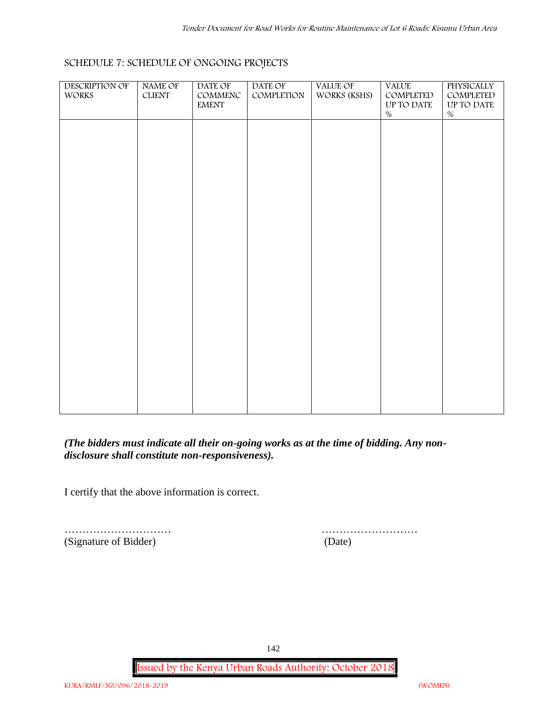| <b>DESCRIPTION OF</b><br>WORKS | NAME OF<br>${\rm CLIENT}$ | DATE OF<br>$\mathsf{COMMENC}$<br><b>EMENT</b> | DATE OF<br>COMPLETION | VALUE OF<br>WORKS (KSHS) | <b>VALUE</b><br>COMPLETED<br>UP TO DATE<br>$\%$ | PHYSICALLY<br>COMPLETED<br>UP TO DATE<br>$\%$ |  |
|--------------------------------|---------------------------|-----------------------------------------------|-----------------------|--------------------------|-------------------------------------------------|-----------------------------------------------|--|
|                                |                           |                                               |                       |                          |                                                 |                                               |  |
|                                |                           |                                               |                       |                          |                                                 |                                               |  |
|                                |                           |                                               |                       |                          |                                                 |                                               |  |
|                                |                           |                                               |                       |                          |                                                 |                                               |  |
|                                |                           |                                               |                       |                          |                                                 |                                               |  |
|                                |                           |                                               |                       |                          |                                                 |                                               |  |
|                                |                           |                                               |                       |                          |                                                 |                                               |  |

## **SCHEDULE 7: SCHEDULE OF ONGOING PROJECTS**

*(The bidders must indicate all their on-going works as at the time of bidding. Any non disclosure shall constitute non-responsiveness).*

I certify that the above information is correct.

(Signature of Bidder) (Date)

………………………… ………………………

142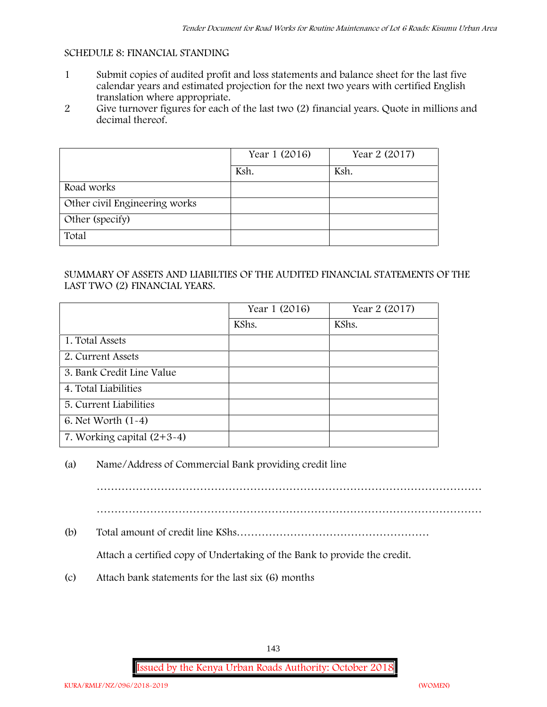#### **SCHEDULE 8: FINANCIAL STANDING**

- 1 Submit copies of audited profit and loss statements and balance sheet for the last five calendar years and estimated projection for the next two years with certified English translation where appropriate.
- 2 Give turnover figures for each of the last two (2) financial years. Quote in millions and decimal thereof.

|                               | Year 1 (2016) | Year 2 (2017) |
|-------------------------------|---------------|---------------|
|                               | Ksh.          | Ksh.          |
| Road works                    |               |               |
| Other civil Engineering works |               |               |
| Other (specify)               |               |               |
| Total                         |               |               |

#### SUMMARY OF ASSETS AND LIABILTIES OF THE AUDITED FINANCIAL STATEMENTS OF THE LAST TWO (2) FINANCIAL YEARS.

|                              | Year 1 (2016) | Year 2 (2017) |
|------------------------------|---------------|---------------|
|                              | KShs.         | KShs.         |
| 1. Total Assets              |               |               |
| 2. Current Assets            |               |               |
| 3. Bank Credit Line Value    |               |               |
| 4. Total Liabilities         |               |               |
| 5. Current Liabilities       |               |               |
| 6. Net Worth $(1-4)$         |               |               |
| 7. Working capital $(2+3-4)$ |               |               |

#### (a) Name/Address of Commercial Bank providing credit line

………………………………………………………………………………………………

………………………………………………………………………………………………

(b) Total amount of credit line KShs………………………………………………

Attach a certified copy of Undertaking of the Bank to provide the credit.

(c) Attach bank statements for the last six (6) months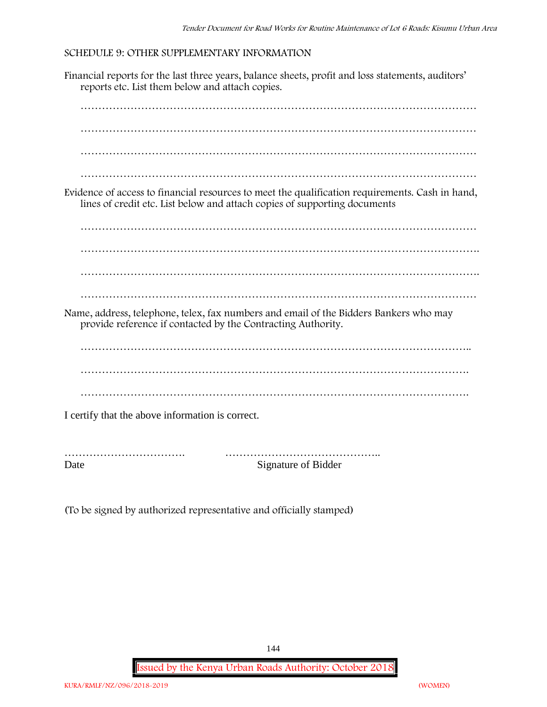## **SCHEDULE 9: OTHER SUPPLEMENTARY INFORMATION**

Financial reports for the last three years, balance sheets, profit and loss statements, auditors' reports etc. List them below and attach copies.



Date Signature of Bidder

(To be signed by authorized representative and officially stamped)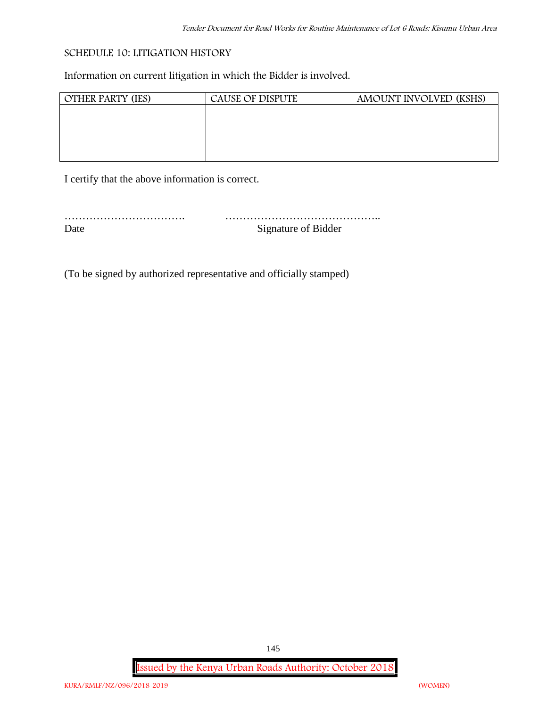# **SCHEDULE 10: LITIGATION HISTORY**

Information on current litigation in which the Bidder is involved.

| <b>OTHER PARTY (IES)</b> | <b>CAUSE OF DISPUTE</b> | AMOUNT INVOLVED (KSHS) |
|--------------------------|-------------------------|------------------------|
|                          |                         |                        |
|                          |                         |                        |
|                          |                         |                        |
|                          |                         |                        |
|                          |                         |                        |

I certify that the above information is correct.

| Signature of Bidder |
|---------------------|

(To be signed by authorized representative and officially stamped)

**Issued by the Kenya Urban Roads Authority: October 2018**

145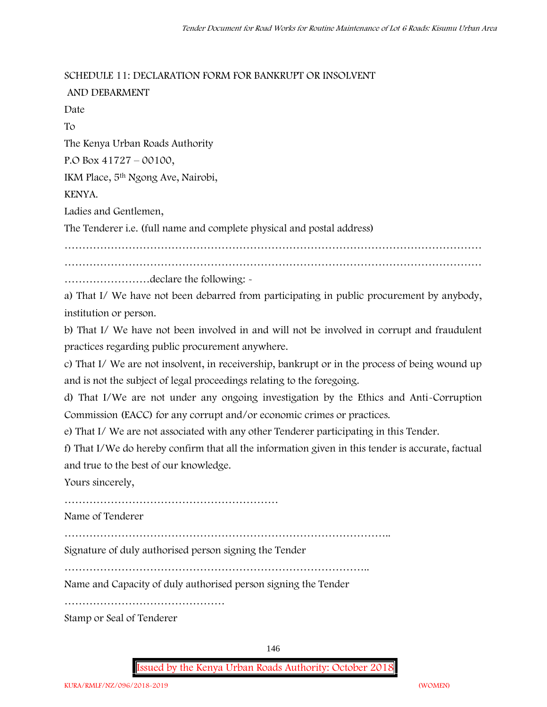## **SCHEDULE 11: DECLARATION FORM FOR BANKRUPT OR INSOLVENT**

| AND DEBARMENT                                                                              |
|--------------------------------------------------------------------------------------------|
| Date                                                                                       |
| To                                                                                         |
| The Kenya Urban Roads Authority                                                            |
| P.O Box $41727 - 00100$ ,                                                                  |
| IKM Place, 5 <sup>th</sup> Ngong Ave, Nairobi,                                             |
| KENYA.                                                                                     |
| Ladies and Gentlemen,                                                                      |
| The Tenderer i.e. (full name and complete physical and postal address)                     |
|                                                                                            |
|                                                                                            |
| declare the following: -                                                                   |
| a) That I/ We have not been debarred from participating in public procurement by anybody,  |
| institution or person.                                                                     |
| b) That I/ We have not been involved in and will not be involved in corrupt and fraudulent |

practices regarding public procurement anywhere.

c) That I/ We are not insolvent, in receivership, bankrupt or in the process of being wound up and is not the subject of legal proceedings relating to the foregoing.

d) That I/We are not under any ongoing investigation by the Ethics and Anti-Corruption Commission (EACC) for any corrupt and/or economic crimes or practices.

e) That I/ We are not associated with any other Tenderer participating in this Tender.

f) That I/We do hereby confirm that all the information given in this tender is accurate, factual and true to the best of our knowledge.

Yours sincerely,

……………………………………………………

Name of Tenderer

………………………………………………………………………………..

Signature of duly authorised person signing the Tender

…………………………………………………………………………..

Name and Capacity of duly authorised person signing the Tender

………………………………………

Stamp or Seal of Tenderer

146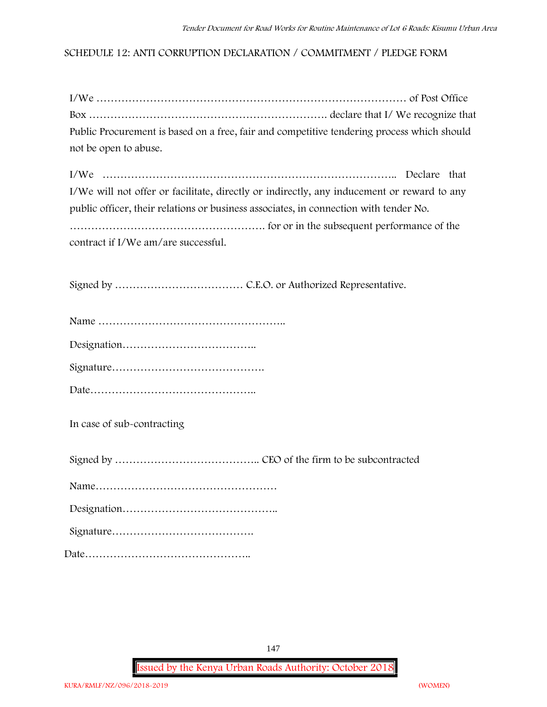# **SCHEDULE 12: ANTI CORRUPTION DECLARATION / COMMITMENT / PLEDGE FORM**

| Public Procurement is based on a free, fair and competitive tendering process which should |  |
|--------------------------------------------------------------------------------------------|--|
| not be open to abuse.                                                                      |  |

| I/We will not offer or facilitate, directly or indirectly, any inducement or reward to any |  |
|--------------------------------------------------------------------------------------------|--|
| public officer, their relations or business associates, in connection with tender No.      |  |
|                                                                                            |  |
| contract if I/We am/are successful.                                                        |  |

Signed by ……………………………… C.E.O. or Authorized Representative.

| $\mathbf{a}$ $\mathbf{a}$ |  |
|---------------------------|--|

Signature…………………………………….

Date………………………………………..

**In case of sub-contracting**

Signed by ………………………………….. CEO of the firm to be subcontracted

Name……………………………………………

Designation……………………………………..

Signature………………………………….

Date………………………………………..

147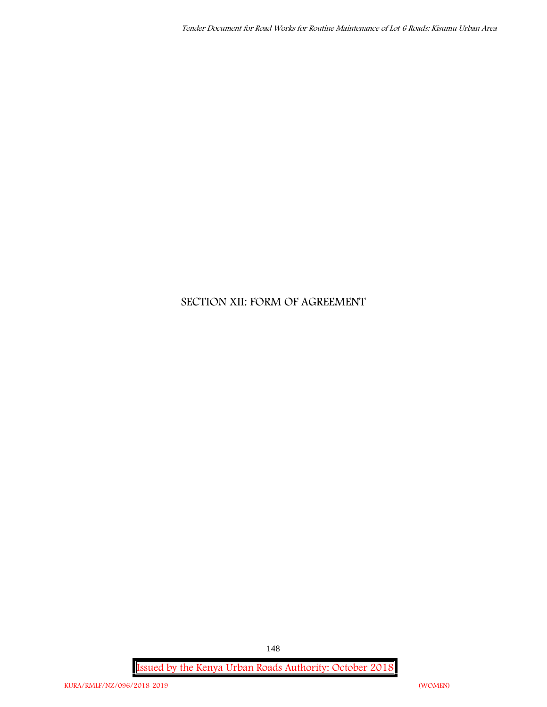# **SECTION XII: FORM OF AGREEMENT**

**Issued by the Kenya Urban Roads Authority: October 2018**

148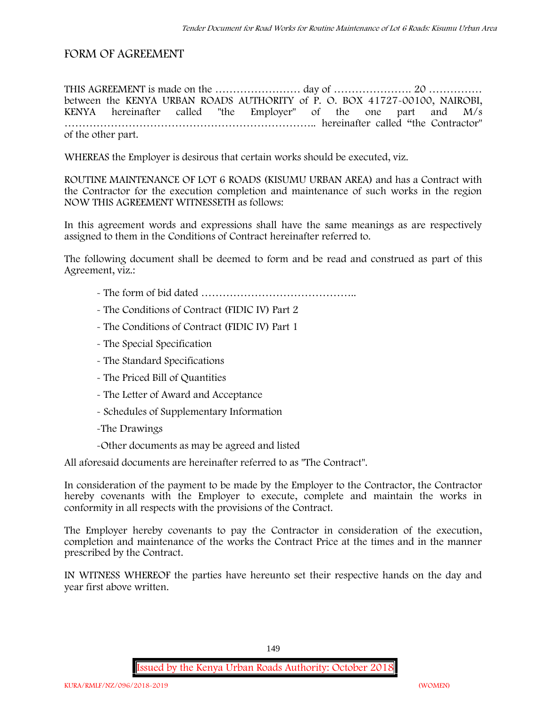# **FORM OF AGREEMENT**

THIS AGREEMENT is made on the …………………… day of …………………. 20 …………… between the **KENYA URBAN ROADS AUTHORITY** of **P. O. BOX 41727-00100, NAIROBI, KENYA** hereinafter called "the Employer" of the one part and **M/s ……………………………………………………………..** hereinafter called "the Contractor" of the other part.

WHEREAS the Employer is desirous that certain works should be executed, viz.

**ROUTINE MAINTENANCE OF LOT 6 ROADS (KISUMU URBAN AREA)** and has a Contract with the Contractor for the execution completion and maintenance of such works in the region NOW THIS AGREEMENT WITNESSETH as follows:

In this agreement words and expressions shall have the same meanings as are respectively assigned to them in the Conditions of Contract hereinafter referred to.

The following document shall be deemed to form and be read and construed as part of this Agreement, viz.:

- The form of bid dated **……………………………………..**
- The Conditions of Contract (FIDIC IV) Part 2
- The Conditions of Contract (FIDIC IV) Part 1
- The Special Specification
- The Standard Specifications
- The Priced Bill of Quantities
- The Letter of Award and Acceptance
- Schedules of Supplementary Information
- -The Drawings
- -Other documents as may be agreed and listed

All aforesaid documents are hereinafter referred to as "The Contract".

In consideration of the payment to be made by the Employer to the Contractor, the Contractor hereby covenants with the Employer to execute, complete and maintain the works in conformity in all respects with the provisions of the Contract.

The Employer hereby covenants to pay the Contractor in consideration of the execution, completion and maintenance of the works the Contract Price at the times and in the manner prescribed by the Contract.

IN WITNESS WHEREOF the parties have hereunto set their respective hands on the day and year first above written.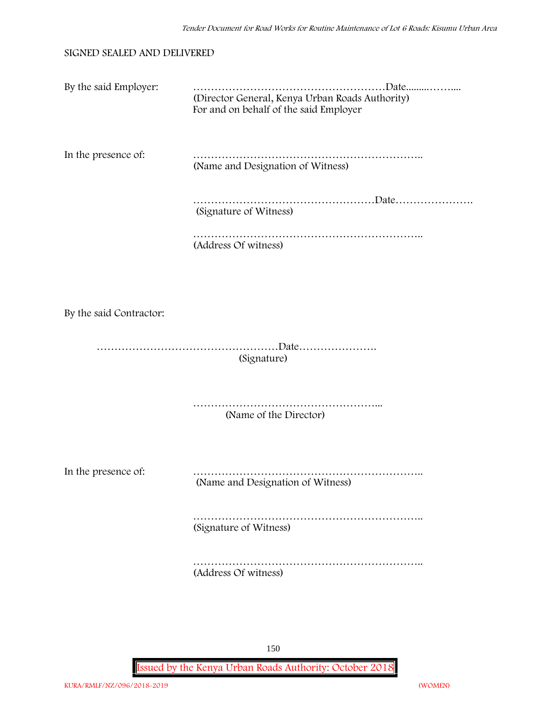### **SIGNED SEALED AND DELIVERED**

| By the said Employer:   | (Director General, Kenya Urban Roads Authority)<br>For and on behalf of the said Employer |
|-------------------------|-------------------------------------------------------------------------------------------|
| In the presence of:     | (Name and Designation of Witness)                                                         |
|                         | (Signature of Witness)                                                                    |
|                         | (Address Of witness)                                                                      |
|                         |                                                                                           |
| By the said Contractor: |                                                                                           |
|                         | (Signature)                                                                               |
|                         | (Name of the Director)                                                                    |
| In the presence of:     | (Name and Designation of Witness)                                                         |
|                         | (Signature of Witness)                                                                    |
|                         | (Address Of witness)                                                                      |

150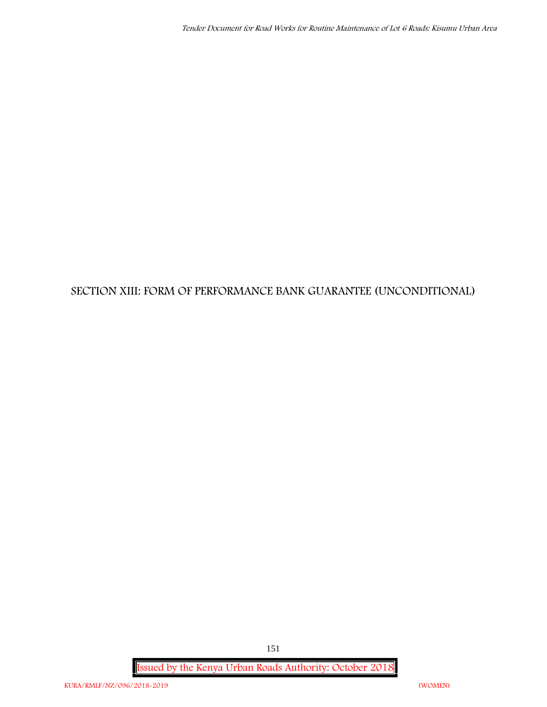# **SECTION XIII: FORM OF PERFORMANCE BANK GUARANTEE (UNCONDITIONAL)**